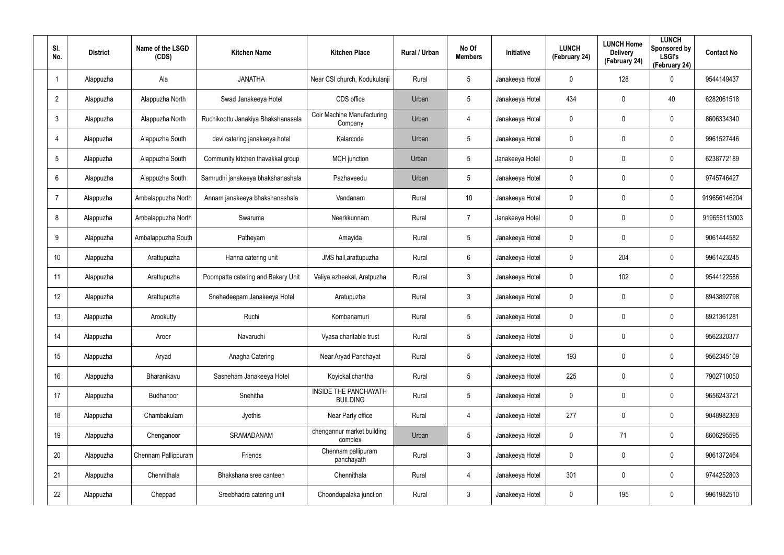| SI.<br>No.      | <b>District</b> | Name of the LSGD<br>(CDS) | <b>Kitchen Name</b>                | <b>Kitchen Place</b>                            | Rural / Urban | No Of<br><b>Members</b> | Initiative      | <b>LUNCH</b><br>(February 24) | <b>LUNCH Home</b><br><b>Delivery</b><br>(February 24) | <b>LUNCH</b><br>Sponsored by<br><b>LSGI's</b><br>(February 24) | <b>Contact No</b> |
|-----------------|-----------------|---------------------------|------------------------------------|-------------------------------------------------|---------------|-------------------------|-----------------|-------------------------------|-------------------------------------------------------|----------------------------------------------------------------|-------------------|
| $\mathbf{1}$    | Alappuzha       | Ala                       | <b>JANATHA</b>                     | Near CSI church, Kodukulanji                    | Rural         | 5                       | Janakeeya Hotel | 0                             | 128                                                   | $\mathbf 0$                                                    | 9544149437        |
| $\overline{2}$  | Alappuzha       | Alappuzha North           | Swad Janakeeya Hotel               | CDS office                                      | Urban         | 5                       | Janakeeya Hotel | 434                           | 0                                                     | 40                                                             | 6282061518        |
| $\mathfrak{Z}$  | Alappuzha       | Alappuzha North           | Ruchikoottu Janakiya Bhakshanasala | Coir Machine Manufacturing<br>Company           | Urban         | 4                       | Janakeeya Hotel | 0                             | 0                                                     | $\mathbf 0$                                                    | 8606334340        |
| $\overline{4}$  | Alappuzha       | Alappuzha South           | devi catering janakeeya hotel      | Kalarcode                                       | Urban         | 5                       | Janakeeya Hotel | 0                             | 0                                                     | $\mathbf 0$                                                    | 9961527446        |
| $5\phantom{.0}$ | Alappuzha       | Alappuzha South           | Community kitchen thavakkal group  | MCH junction                                    | Urban         | $5\phantom{.0}$         | Janakeeya Hotel | 0                             | 0                                                     | $\mathbf 0$                                                    | 6238772189        |
| 6               | Alappuzha       | Alappuzha South           | Samrudhi janakeeya bhakshanashala  | Pazhaveedu                                      | Urban         | $5\overline{)}$         | Janakeeya Hotel | 0                             | 0                                                     | $\mathbf 0$                                                    | 9745746427        |
| $\overline{7}$  | Alappuzha       | Ambalappuzha North        | Annam janakeeya bhakshanashala     | Vandanam                                        | Rural         | 10                      | Janakeeya Hotel | 0                             | 0                                                     | $\mathbf 0$                                                    | 919656146204      |
| 8               | Alappuzha       | Ambalappuzha North        | Swaruma                            | Neerkkunnam                                     | Rural         | $\overline{7}$          | Janakeeya Hotel | 0                             | 0                                                     | $\mathbf 0$                                                    | 919656113003      |
| 9               | Alappuzha       | Ambalappuzha South        | Patheyam                           | Amayida                                         | Rural         | 5                       | Janakeeya Hotel | 0                             | 0                                                     | $\mathbf 0$                                                    | 9061444582        |
| 10 <sup>°</sup> | Alappuzha       | Arattupuzha               | Hanna catering unit                | JMS hall, arattupuzha                           | Rural         | 6                       | Janakeeya Hotel | 0                             | 204                                                   | $\mathbf 0$                                                    | 9961423245        |
| 11              | Alappuzha       | Arattupuzha               | Poompatta catering and Bakery Unit | Valiya azheekal, Aratpuzha                      | Rural         | $\mathbf{3}$            | Janakeeya Hotel | 0                             | 102                                                   | $\mathbf 0$                                                    | 9544122586        |
| 12              | Alappuzha       | Arattupuzha               | Snehadeepam Janakeeya Hotel        | Aratupuzha                                      | Rural         | $\mathbf{3}$            | Janakeeya Hotel | 0                             | 0                                                     | $\mathbf 0$                                                    | 8943892798        |
| 13              | Alappuzha       | Arookutty                 | Ruchi                              | Kombanamuri                                     | Rural         | 5                       | Janakeeya Hotel | 0                             | 0                                                     | $\mathbf 0$                                                    | 8921361281        |
| 14              | Alappuzha       | Aroor                     | Navaruchi                          | Vyasa charitable trust                          | Rural         | 5                       | Janakeeya Hotel | 0                             | 0                                                     | $\mathbf 0$                                                    | 9562320377        |
| 15              | Alappuzha       | Aryad                     | Anagha Catering                    | Near Aryad Panchayat                            | Rural         | $5\phantom{.0}$         | Janakeeya Hotel | 193                           | 0                                                     | $\mathbf 0$                                                    | 9562345109        |
| 16              | Alappuzha       | Bharanikavu               | Sasneham Janakeeya Hotel           | Koyickal chantha                                | Rural         | $5\phantom{.0}$         | Janakeeya Hotel | 225                           | 0                                                     | $\mathbf 0$                                                    | 7902710050        |
| 17              | Alappuzha       | Budhanoor                 | Snehitha                           | <b>INSIDE THE PANCHAYATH</b><br><b>BUILDING</b> | Rural         | $5\phantom{.0}$         | Janakeeya Hotel | 0                             | 0                                                     | $\mathbf 0$                                                    | 9656243721        |
| 18              | Alappuzha       | Chambakulam               | Jyothis                            | Near Party office                               | Rural         | 4                       | Janakeeya Hotel | 277                           | 0                                                     | $\mathsf{0}$                                                   | 9048982368        |
| 19              | Alappuzha       | Chenganoor                | SRAMADANAM                         | chengannur market building<br>complex           | Urban         | $5\phantom{.0}$         | Janakeeya Hotel | 0                             | 71                                                    | $\mathbf 0$                                                    | 8606295595        |
| $20\,$          | Alappuzha       | Chennam Pallippuram       | Friends                            | Chennam pallipuram<br>panchayath                | Rural         | $\mathfrak{Z}$          | Janakeeya Hotel | $\pmb{0}$                     | 0                                                     | $\mathsf{0}$                                                   | 9061372464        |
| 21              | Alappuzha       | Chennithala               | Bhakshana sree canteen             | Chennithala                                     | Rural         | 4                       | Janakeeya Hotel | 301                           | 0                                                     | $\mathbf 0$                                                    | 9744252803        |
| 22              | Alappuzha       | Cheppad                   | Sreebhadra catering unit           | Choondupalaka junction                          | Rural         | $\mathfrak{Z}$          | Janakeeya Hotel | 0                             | 195                                                   | $\pmb{0}$                                                      | 9961982510        |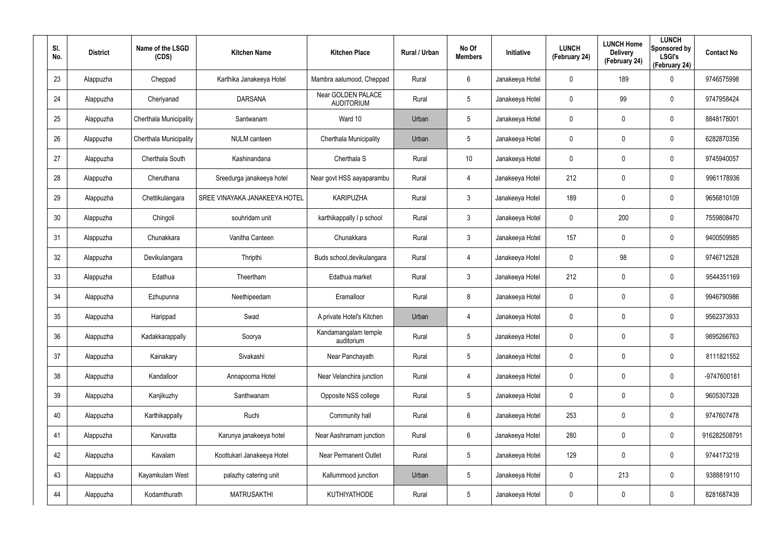| SI.<br>No. | <b>District</b> | Name of the LSGD<br>(CDS) | <b>Kitchen Name</b>           | <b>Kitchen Place</b>                    | Rural / Urban | No Of<br><b>Members</b> | Initiative      | <b>LUNCH</b><br>(February 24) | <b>LUNCH Home</b><br><b>Delivery</b><br>(February 24) | <b>LUNCH</b><br>Sponsored by<br><b>LSGI's</b><br>(February 24) | <b>Contact No</b> |
|------------|-----------------|---------------------------|-------------------------------|-----------------------------------------|---------------|-------------------------|-----------------|-------------------------------|-------------------------------------------------------|----------------------------------------------------------------|-------------------|
| 23         | Alappuzha       | Cheppad                   | Karthika Janakeeya Hotel      | Mambra aalumood, Cheppad                | Rural         | 6                       | Janakeeya Hotel | 0                             | 189                                                   | $\mathbf 0$                                                    | 9746575998        |
| 24         | Alappuzha       | Cheriyanad                | <b>DARSANA</b>                | Near GOLDEN PALACE<br><b>AUDITORIUM</b> | Rural         | $5\overline{)}$         | Janakeeya Hotel | 0                             | 99                                                    | $\mathbf 0$                                                    | 9747958424        |
| 25         | Alappuzha       | Cherthala Municipality    | Santwanam                     | Ward 10                                 | Urban         | $5\phantom{.0}$         | Janakeeya Hotel | 0                             | $\mathbf 0$                                           | $\mathbf 0$                                                    | 8848178001        |
| 26         | Alappuzha       | Cherthala Municipality    | <b>NULM</b> canteen           | Cherthala Municipality                  | Urban         | $5\overline{)}$         | Janakeeya Hotel | 0                             | 0                                                     | $\mathbf 0$                                                    | 6282870356        |
| 27         | Alappuzha       | Cherthala South           | Kashinandana                  | Cherthala S                             | Rural         | 10                      | Janakeeya Hotel | 0                             | 0                                                     | $\mathbf 0$                                                    | 9745940057        |
| 28         | Alappuzha       | Cheruthana                | Sreedurga janakeeya hotel     | Near govt HSS aayaparambu               | Rural         | 4                       | Janakeeya Hotel | 212                           | 0                                                     | $\mathbf 0$                                                    | 9961178936        |
| 29         | Alappuzha       | Chettikulangara           | SREE VINAYAKA JANAKEEYA HOTEL | <b>KARIPUZHA</b>                        | Rural         | $\mathbf{3}$            | Janakeeya Hotel | 189                           | 0                                                     | $\mathbf 0$                                                    | 9656810109        |
| 30         | Alappuzha       | Chingoli                  | souhridam unit                | karthikappally I p school               | Rural         | $\mathbf{3}$            | Janakeeya Hotel | 0                             | 200                                                   | $\mathbf 0$                                                    | 7559808470        |
| 31         | Alappuzha       | Chunakkara                | Vanitha Canteen               | Chunakkara                              | Rural         | $\mathbf{3}$            | Janakeeya Hotel | 157                           | 0                                                     | $\mathbf 0$                                                    | 9400509985        |
| 32         | Alappuzha       | Devikulangara             | Thripthi                      | Buds school, devikulangara              | Rural         | 4                       | Janakeeya Hotel | 0                             | 98                                                    | $\mathbf 0$                                                    | 9746712528        |
| 33         | Alappuzha       | Edathua                   | Theertham                     | Edathua market                          | Rural         | $\mathbf{3}$            | Janakeeya Hotel | 212                           | 0                                                     | $\mathbf 0$                                                    | 9544351169        |
| 34         | Alappuzha       | Ezhupunna                 | Neethipeedam                  | Eramalloor                              | Rural         | 8                       | Janakeeya Hotel | 0                             | 0                                                     | $\mathbf 0$                                                    | 9946790986        |
| 35         | Alappuzha       | Harippad                  | Swad                          | A private Hotel's Kitchen               | Urban         | 4                       | Janakeeya Hotel | 0                             | 0                                                     | $\mathbf 0$                                                    | 9562373933        |
| 36         | Alappuzha       | Kadakkarappally           | Soorya                        | Kandamangalam temple<br>auditorium      | Rural         | 5                       | Janakeeya Hotel | 0                             | 0                                                     | $\pmb{0}$                                                      | 9895266763        |
| 37         | Alappuzha       | Kainakary                 | Sivakashi                     | Near Panchayath                         | Rural         | $5\phantom{.0}$         | Janakeeya Hotel | 0                             | 0                                                     | $\mathbf 0$                                                    | 8111821552        |
| 38         | Alappuzha       | Kandalloor                | Annapoorna Hotel              | Near Velanchira junction                | Rural         | 4                       | Janakeeya Hotel | 0                             | 0                                                     | $\mathbf 0$                                                    | -9747600181       |
| 39         | Alappuzha       | Kanjikuzhy                | Santhwanam                    | Opposite NSS college                    | Rural         | $5\phantom{.0}$         | Janakeeya Hotel | 0                             | 0                                                     | $\mathbf 0$                                                    | 9605307328        |
| 40         | Alappuzha       | Karthikappally            | Ruchi                         | Community hall                          | Rural         | $6\phantom{.}$          | Janakeeya Hotel | 253                           | 0                                                     | $\mathsf{0}$                                                   | 9747607478        |
| 41         | Alappuzha       | Karuvatta                 | Karunya janakeeya hotel       | Near Aashramam junction                 | Rural         | $6\phantom{.}6$         | Janakeeya Hotel | 280                           | 0                                                     | $\mathsf{0}$                                                   | 916282508791      |
| 42         | Alappuzha       | Kavalam                   | Koottukari Janakeeya Hotel    | <b>Near Permanent Outlet</b>            | Rural         | $5\phantom{.0}$         | Janakeeya Hotel | 129                           | $\mathbf 0$                                           | $\mathsf{0}$                                                   | 9744173219        |
| 43         | Alappuzha       | Kayamkulam West           | palazhy catering unit         | Kallummood junction                     | Urban         | $5\phantom{.0}$         | Janakeeya Hotel | 0                             | 213                                                   | $\mathsf{0}$                                                   | 9388819110        |
| 44         | Alappuzha       | Kodamthurath              | <b>MATRUSAKTHI</b>            | KUTHIYATHODE                            | Rural         | $5\phantom{.0}$         | Janakeeya Hotel | 0                             | 0                                                     | $\pmb{0}$                                                      | 8281687439        |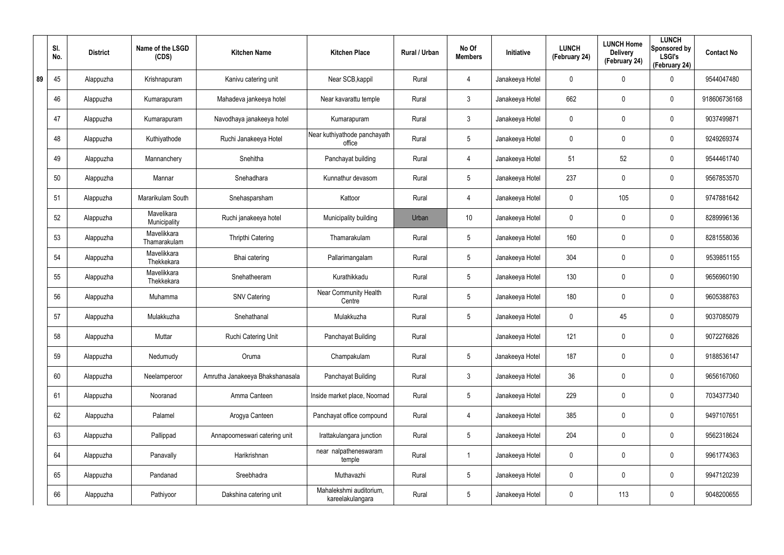|    | SI.<br>No. | <b>District</b> | Name of the LSGD<br>(CDS)   | <b>Kitchen Name</b>             | <b>Kitchen Place</b>                        | Rural / Urban | No Of<br><b>Members</b> | Initiative      | <b>LUNCH</b><br>(February 24) | <b>LUNCH Home</b><br><b>Delivery</b><br>(February 24) | <b>LUNCH</b><br>Sponsored by<br><b>LSGI's</b><br>(February 24) | <b>Contact No</b> |
|----|------------|-----------------|-----------------------------|---------------------------------|---------------------------------------------|---------------|-------------------------|-----------------|-------------------------------|-------------------------------------------------------|----------------------------------------------------------------|-------------------|
| 89 | 45         | Alappuzha       | Krishnapuram                | Kanivu catering unit            | Near SCB, kappil                            | Rural         | 4                       | Janakeeya Hotel | 0                             | 0                                                     | $\mathbf 0$                                                    | 9544047480        |
|    | 46         | Alappuzha       | Kumarapuram                 | Mahadeva jankeeya hotel         | Near kavarattu temple                       | Rural         | 3                       | Janakeeya Hotel | 662                           | 0                                                     | $\pmb{0}$                                                      | 918606736168      |
|    | 47         | Alappuzha       | Kumarapuram                 | Navodhaya janakeeya hotel       | Kumarapuram                                 | Rural         | $\mathbf{3}$            | Janakeeya Hotel | 0                             | 0                                                     | $\pmb{0}$                                                      | 9037499871        |
|    | 48         | Alappuzha       | Kuthiyathode                | Ruchi Janakeeya Hotel           | Near kuthiyathode panchayath<br>office      | Rural         | 5                       | Janakeeya Hotel | 0                             | 0                                                     | $\pmb{0}$                                                      | 9249269374        |
|    | 49         | Alappuzha       | Mannanchery                 | Snehitha                        | Panchayat building                          | Rural         | 4                       | Janakeeya Hotel | 51                            | 52                                                    | $\pmb{0}$                                                      | 9544461740        |
|    | 50         | Alappuzha       | Mannar                      | Snehadhara                      | Kunnathur devasom                           | Rural         | 5                       | Janakeeya Hotel | 237                           | 0                                                     | $\mathbf 0$                                                    | 9567853570        |
|    | 51         | Alappuzha       | Mararikulam South           | Snehasparsham                   | Kattoor                                     | Rural         | 4                       | Janakeeya Hotel | 0                             | 105                                                   | $\pmb{0}$                                                      | 9747881642        |
|    | 52         | Alappuzha       | Mavelikara<br>Municipality  | Ruchi janakeeya hotel           | Municipality building                       | Urban         | 10 <sup>°</sup>         | Janakeeya Hotel | 0                             | 0                                                     | $\pmb{0}$                                                      | 8289996136        |
|    | 53         | Alappuzha       | Mavelikkara<br>Thamarakulam | <b>Thripthi Catering</b>        | Thamarakulam                                | Rural         | 5                       | Janakeeya Hotel | 160                           | 0                                                     | $\pmb{0}$                                                      | 8281558036        |
|    | 54         | Alappuzha       | Mavelikkara<br>Thekkekara   | Bhai catering                   | Pallarimangalam                             | Rural         | 5                       | Janakeeya Hotel | 304                           | 0                                                     | $\mathbf 0$                                                    | 9539851155        |
|    | 55         | Alappuzha       | Mavelikkara<br>Thekkekara   | Snehatheeram                    | Kurathikkadu                                | Rural         | 5                       | Janakeeya Hotel | 130                           | 0                                                     | $\pmb{0}$                                                      | 9656960190        |
|    | 56         | Alappuzha       | Muhamma                     | <b>SNV Catering</b>             | Near Community Health<br>Centre             | Rural         | 5                       | Janakeeya Hotel | 180                           | 0                                                     | $\mathbf 0$                                                    | 9605388763        |
|    | 57         | Alappuzha       | Mulakkuzha                  | Snehathanal                     | Mulakkuzha                                  | Rural         | 5                       | Janakeeya Hotel | 0                             | 45                                                    | $\mathbf 0$                                                    | 9037085079        |
|    | 58         | Alappuzha       | Muttar                      | Ruchi Catering Unit             | Panchayat Building                          | Rural         |                         | Janakeeya Hotel | 121                           | $\mathbf 0$                                           | $\pmb{0}$                                                      | 9072276826        |
|    | 59         | Alappuzha       | Nedumudy                    | Oruma                           | Champakulam                                 | Rural         | $5\phantom{.0}$         | Janakeeya Hotel | 187                           | 0                                                     | $\mathbf 0$                                                    | 9188536147        |
|    | 60         | Alappuzha       | Neelamperoor                | Amrutha Janakeeya Bhakshanasala | Panchayat Building                          | Rural         | $\mathbf{3}$            | Janakeeya Hotel | 36                            | 0                                                     | $\mathbf 0$                                                    | 9656167060        |
|    | 61         | Alappuzha       | Nooranad                    | Amma Canteen                    | Inside market place, Noornad                | Rural         | $5\phantom{.0}$         | Janakeeya Hotel | 229                           | 0                                                     | $\mathbf 0$                                                    | 7034377340        |
|    | 62         | Alappuzha       | Palamel                     | Arogya Canteen                  | Panchayat office compound                   | Rural         | 4                       | Janakeeya Hotel | 385                           | $\mathbf 0$                                           | $\pmb{0}$                                                      | 9497107651        |
|    | 63         | Alappuzha       | Pallippad                   | Annapoorneswari catering unit   | Irattakulangara junction                    | Rural         | $\overline{5}$          | Janakeeya Hotel | 204                           | 0                                                     | $\pmb{0}$                                                      | 9562318624        |
|    | 64         | Alappuzha       | Panavally                   | Harikrishnan                    | near nalpatheneswaram<br>temple             | Rural         |                         | Janakeeya Hotel | 0                             | 0                                                     | $\pmb{0}$                                                      | 9961774363        |
|    | 65         | Alappuzha       | Pandanad                    | Sreebhadra                      | Muthavazhi                                  | Rural         | $\overline{5}$          | Janakeeya Hotel | 0                             | 0                                                     | 0                                                              | 9947120239        |
|    | 66         | Alappuzha       | Pathiyoor                   | Dakshina catering unit          | Mahalekshmi auditorium,<br>kareelakulangara | Rural         | $5\,$                   | Janakeeya Hotel | 0                             | 113                                                   | $\mathbf 0$                                                    | 9048200655        |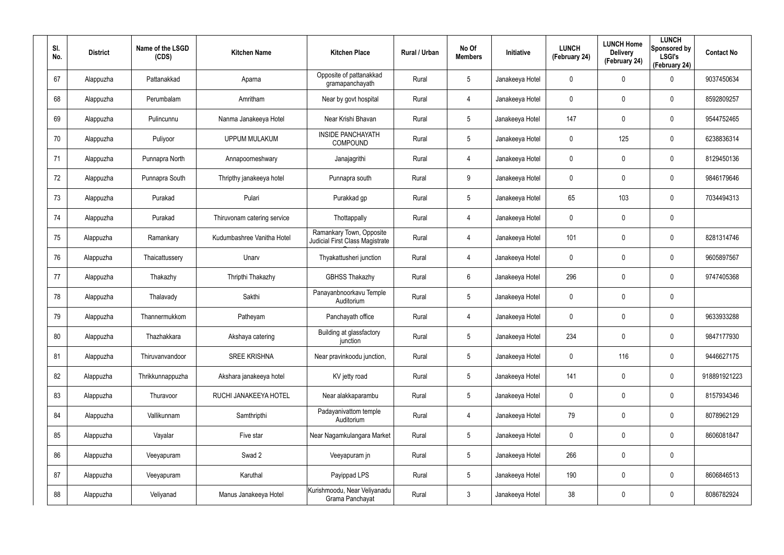| SI.<br>No. | <b>District</b> | Name of the LSGD<br>(CDS) | <b>Kitchen Name</b>         | <b>Kitchen Place</b>                                        | Rural / Urban | No Of<br><b>Members</b> | Initiative      | <b>LUNCH</b><br>(February 24) | <b>LUNCH Home</b><br><b>Delivery</b><br>(February 24) | <b>LUNCH</b><br>Sponsored by<br><b>LSGI's</b><br>(February 24) | <b>Contact No</b> |
|------------|-----------------|---------------------------|-----------------------------|-------------------------------------------------------------|---------------|-------------------------|-----------------|-------------------------------|-------------------------------------------------------|----------------------------------------------------------------|-------------------|
| 67         | Alappuzha       | Pattanakkad               | Aparna                      | Opposite of pattanakkad<br>gramapanchayath                  | Rural         | 5                       | Janakeeya Hotel | 0                             | 0                                                     | $\mathbf 0$                                                    | 9037450634        |
| 68         | Alappuzha       | Perumbalam                | Amritham                    | Near by govt hospital                                       | Rural         | 4                       | Janakeeya Hotel | 0                             | 0                                                     | $\pmb{0}$                                                      | 8592809257        |
| 69         | Alappuzha       | Pulincunnu                | Nanma Janakeeya Hotel       | Near Krishi Bhavan                                          | Rural         | 5                       | Janakeeya Hotel | 147                           | $\mathbf 0$                                           | $\pmb{0}$                                                      | 9544752465        |
| 70         | Alappuzha       | Puliyoor                  | <b>UPPUM MULAKUM</b>        | <b>INSIDE PANCHAYATH</b><br>COMPOUND                        | Rural         | 5                       | Janakeeya Hotel | 0                             | 125                                                   | $\pmb{0}$                                                      | 6238836314        |
| 71         | Alappuzha       | Punnapra North            | Annapoorneshwary            | Janajagrithi                                                | Rural         | 4                       | Janakeeya Hotel | 0                             | $\mathbf 0$                                           | $\pmb{0}$                                                      | 8129450136        |
| 72         | Alappuzha       | Punnapra South            | Thripthy janakeeya hotel    | Punnapra south                                              | Rural         | 9                       | Janakeeya Hotel | 0                             | 0                                                     | $\mathbf 0$                                                    | 9846179646        |
| 73         | Alappuzha       | Purakad                   | Pulari                      | Purakkad gp                                                 | Rural         | $5\phantom{.0}$         | Janakeeya Hotel | 65                            | 103                                                   | $\mathbf 0$                                                    | 7034494313        |
| 74         | Alappuzha       | Purakad                   | Thiruvonam catering service | Thottappally                                                | Rural         | 4                       | Janakeeya Hotel | 0                             | 0                                                     | $\mathbf 0$                                                    |                   |
| 75         | Alappuzha       | Ramankary                 | Kudumbashree Vanitha Hotel  | Ramankary Town, Opposite<br>Judicial First Class Magistrate | Rural         | 4                       | Janakeeya Hotel | 101                           | $\mathbf 0$                                           | $\pmb{0}$                                                      | 8281314746        |
| 76         | Alappuzha       | Thaicattussery            | Unarv                       | Thyakattusheri junction                                     | Rural         | 4                       | Janakeeya Hotel | 0                             | 0                                                     | $\mathbf 0$                                                    | 9605897567        |
| 77         | Alappuzha       | Thakazhy                  | Thripthi Thakazhy           | <b>GBHSS Thakazhy</b>                                       | Rural         | 6                       | Janakeeya Hotel | 296                           | 0                                                     | $\mathbf 0$                                                    | 9747405368        |
| 78         | Alappuzha       | Thalavady                 | Sakthi                      | Panayanbnoorkavu Temple<br>Auditorium                       | Rural         | $5\phantom{.0}$         | Janakeeya Hotel | 0                             | 0                                                     | $\mathbf 0$                                                    |                   |
| 79         | Alappuzha       | Thannermukkom             | Patheyam                    | Panchayath office                                           | Rural         | 4                       | Janakeeya Hotel | 0                             | 0                                                     | $\boldsymbol{0}$                                               | 9633933288        |
| 80         | Alappuzha       | Thazhakkara               | Akshaya catering            | Building at glassfactory<br>junction                        | Rural         | 5                       | Janakeeya Hotel | 234                           | $\mathbf 0$                                           | $\pmb{0}$                                                      | 9847177930        |
| 81         | Alappuzha       | Thiruvanvandoor           | <b>SREE KRISHNA</b>         | Near pravinkoodu junction,                                  | Rural         | $5\phantom{.0}$         | Janakeeya Hotel | $\mathbf 0$                   | 116                                                   | $\pmb{0}$                                                      | 9446627175        |
| 82         | Alappuzha       | Thrikkunnappuzha          | Akshara janakeeya hotel     | KV jetty road                                               | Rural         | $5\phantom{.0}$         | Janakeeya Hotel | 141                           | $\mathbf 0$                                           | $\mathbf 0$                                                    | 918891921223      |
| 83         | Alappuzha       | Thuravoor                 | RUCHI JANAKEEYA HOTEL       | Near alakkaparambu                                          | Rural         | $5\phantom{.0}$         | Janakeeya Hotel | $\mathbf 0$                   | $\mathbf 0$                                           | $\mathbf 0$                                                    | 8157934346        |
| 84         | Alappuzha       | Vallikunnam               | Samthripthi                 | Padayanivattom temple<br>Auditorium                         | Rural         | 4                       | Janakeeya Hotel | 79                            | $\mathbf 0$                                           | $\mathbf 0$                                                    | 8078962129        |
| 85         | Alappuzha       | Vayalar                   | Five star                   | Near Nagamkulangara Market                                  | Rural         | $5\phantom{.0}$         | Janakeeya Hotel | 0                             | 0                                                     | $\mathbf 0$                                                    | 8606081847        |
| 86         | Alappuzha       | Veeyapuram                | Swad 2                      | Veeyapuram jn                                               | Rural         | $5\phantom{.0}$         | Janakeeya Hotel | 266                           | $\mathbf 0$                                           | $\pmb{0}$                                                      |                   |
| 87         | Alappuzha       | Veeyapuram                | Karuthal                    | Payippad LPS                                                | Rural         | 5                       | Janakeeya Hotel | 190                           | 0                                                     | $\mathbf 0$                                                    | 8606846513        |
| 88         | Alappuzha       | Veliyanad                 | Manus Janakeeya Hotel       | Kurishmoodu, Near Veliyanadu<br>Grama Panchayat             | Rural         | $\mathfrak{Z}$          | Janakeeya Hotel | 38                            | 0                                                     | $\pmb{0}$                                                      | 8086782924        |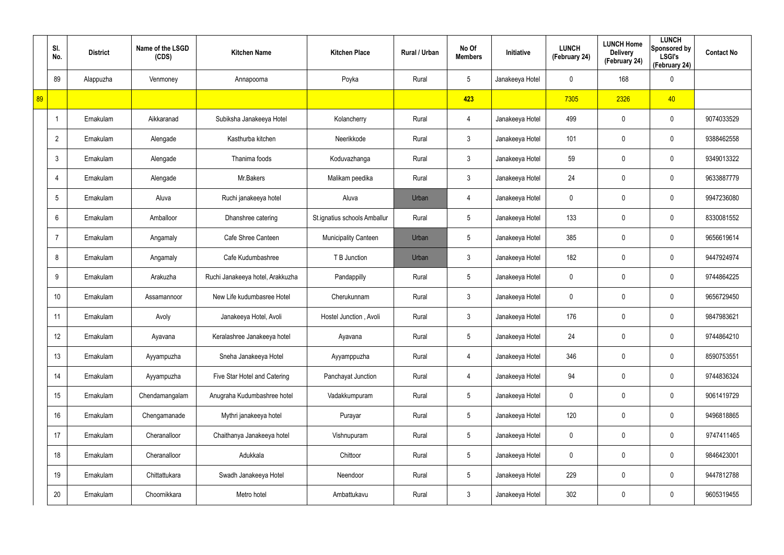|    | SI.<br>No.     | <b>District</b> | Name of the LSGD<br>(CDS) | <b>Kitchen Name</b>              | <b>Kitchen Place</b>         | Rural / Urban | No Of<br><b>Members</b> | Initiative      | <b>LUNCH</b><br>(February 24) | <b>LUNCH Home</b><br><b>Delivery</b><br>(February 24) | <b>LUNCH</b><br>Sponsored by<br><b>LSGI's</b><br>(February 24) | <b>Contact No</b> |
|----|----------------|-----------------|---------------------------|----------------------------------|------------------------------|---------------|-------------------------|-----------------|-------------------------------|-------------------------------------------------------|----------------------------------------------------------------|-------------------|
|    | 89             | Alappuzha       | Venmoney                  | Annapoorna                       | Poyka                        | Rural         | $5\phantom{.0}$         | Janakeeya Hotel | 0                             | 168                                                   | $\mathbf 0$                                                    |                   |
| 89 |                |                 |                           |                                  |                              |               | 423                     |                 | 7305                          | 2326                                                  | 40                                                             |                   |
|    | -1             | Ernakulam       | Aikkaranad                | Subiksha Janakeeya Hotel         | Kolancherry                  | Rural         | $\overline{4}$          | Janakeeya Hotel | 499                           | 0                                                     | $\mathbf 0$                                                    | 9074033529        |
|    | $\overline{2}$ | Ernakulam       | Alengade                  | Kasthurba kitchen                | Neerikkode                   | Rural         | $\mathbf{3}$            | Janakeeya Hotel | 101                           | 0                                                     | $\mathbf 0$                                                    | 9388462558        |
|    | 3              | Ernakulam       | Alengade                  | Thanima foods                    | Koduvazhanga                 | Rural         | 3 <sup>1</sup>          | Janakeeya Hotel | 59                            | 0                                                     | $\mathbf 0$                                                    | 9349013322        |
|    |                | Ernakulam       | Alengade                  | Mr.Bakers                        | Malikam peedika              | Rural         | $\mathbf{3}$            | Janakeeya Hotel | 24                            | 0                                                     | $\mathbf 0$                                                    | 9633887779        |
|    | 5              | Ernakulam       | Aluva                     | Ruchi janakeeya hotel            | Aluva                        | Urban         | $\overline{4}$          | Janakeeya Hotel | 0                             | 0                                                     | $\mathbf 0$                                                    | 9947236080        |
|    | 6              | Ernakulam       | Amballoor                 | Dhanshree catering               | St.ignatius schools Amballur | Rural         | $5\overline{)}$         | Janakeeya Hotel | 133                           | 0                                                     | $\mathbf 0$                                                    | 8330081552        |
|    |                | Ernakulam       | Angamaly                  | Cafe Shree Canteen               | <b>Municipality Canteen</b>  | Urban         | $5\overline{)}$         | Janakeeya Hotel | 385                           | 0                                                     | $\mathbf 0$                                                    | 9656619614        |
|    | 8              | Ernakulam       | Angamaly                  | Cafe Kudumbashree                | T B Junction                 | Urban         | 3                       | Janakeeya Hotel | 182                           | 0                                                     | $\mathbf 0$                                                    | 9447924974        |
|    | 9              | Ernakulam       | Arakuzha                  | Ruchi Janakeeya hotel, Arakkuzha | Pandappilly                  | Rural         | $5\phantom{.0}$         | Janakeeya Hotel | 0                             | 0                                                     | $\mathbf 0$                                                    | 9744864225        |
|    | 10             | Ernakulam       | Assamannoor               | New Life kudumbasree Hotel       | Cherukunnam                  | Rural         | $\mathbf{3}$            | Janakeeya Hotel | 0                             | 0                                                     | $\mathbf 0$                                                    | 9656729450        |
|    | 11             | Ernakulam       | Avoly                     | Janakeeya Hotel, Avoli           | Hostel Junction, Avoli       | Rural         | $\mathbf{3}$            | Janakeeya Hotel | 176                           | 0                                                     | $\mathbf 0$                                                    | 9847983621        |
|    | 12             | Ernakulam       | Ayavana                   | Keralashree Janakeeya hotel      | Ayavana                      | Rural         | $5\phantom{.0}$         | Janakeeya Hotel | 24                            | $\mathbf 0$                                           | $\pmb{0}$                                                      | 9744864210        |
|    | 13             | Ernakulam       | Ayyampuzha                | Sneha Janakeeya Hotel            | Ayyamppuzha                  | Rural         | $\overline{4}$          | Janakeeya Hotel | 346                           | $\mathbf 0$                                           | $\mathbf 0$                                                    | 8590753551        |
|    | 14             | Ernakulam       | Ayyampuzha                | Five Star Hotel and Catering     | Panchayat Junction           | Rural         | $\overline{4}$          | Janakeeya Hotel | 94                            | $\mathbf 0$                                           | $\mathbf 0$                                                    | 9744836324        |
|    | 15             | Ernakulam       | Chendamangalam            | Anugraha Kudumbashree hotel      | Vadakkumpuram                | Rural         | $5\phantom{.0}$         | Janakeeya Hotel | 0                             | $\mathbf 0$                                           | $\mathbf 0$                                                    | 9061419729        |
|    | 16             | Ernakulam       | Chengamanade              | Mythri janakeeya hotel           | Purayar                      | Rural         | $5\phantom{.0}$         | Janakeeya Hotel | 120                           | $\mathbf 0$                                           | $\mathbf 0$                                                    | 9496818865        |
|    | 17             | Ernakulam       | Cheranalloor              | Chaithanya Janakeeya hotel       | Vishnupuram                  | Rural         | $5\phantom{.0}$         | Janakeeya Hotel | 0                             | 0                                                     | $\mathbf 0$                                                    | 9747411465        |
|    | 18             | Ernakulam       | Cheranalloor              | Adukkala                         | Chittoor                     | Rural         | $5\phantom{.0}$         | Janakeeya Hotel | 0                             | $\mathbf 0$                                           | $\mathbf 0$                                                    | 9846423001        |
|    | 19             | Ernakulam       | Chittattukara             | Swadh Janakeeya Hotel            | Neendoor                     | Rural         | $5\phantom{.0}$         | Janakeeya Hotel | 229                           | 0                                                     | $\mathbf 0$                                                    | 9447812788        |
|    | 20             | Ernakulam       | Choornikkara              | Metro hotel                      | Ambattukavu                  | Rural         | $\mathfrak{Z}$          | Janakeeya Hotel | 302                           | 0                                                     | $\bf{0}$                                                       | 9605319455        |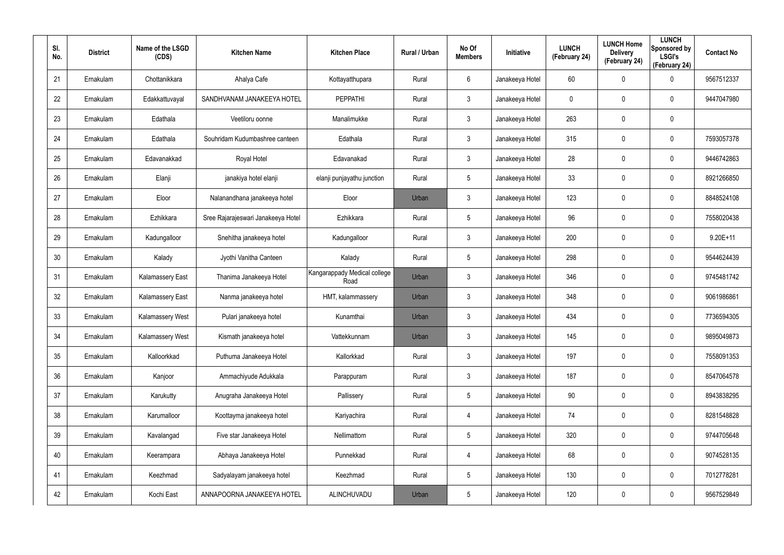| SI.<br>No. | <b>District</b> | Name of the LSGD<br>(CDS) | <b>Kitchen Name</b>                | <b>Kitchen Place</b>                 | Rural / Urban | No Of<br><b>Members</b> | Initiative      | <b>LUNCH</b><br>(February 24) | <b>LUNCH Home</b><br><b>Delivery</b><br>(February 24) | <b>LUNCH</b><br>Sponsored by<br><b>LSGI's</b><br>(February 24) | <b>Contact No</b> |
|------------|-----------------|---------------------------|------------------------------------|--------------------------------------|---------------|-------------------------|-----------------|-------------------------------|-------------------------------------------------------|----------------------------------------------------------------|-------------------|
| 21         | Ernakulam       | Chottanikkara             | Ahalya Cafe                        | Kottayatthupara                      | Rural         | 6                       | Janakeeya Hotel | 60                            | $\mathbf 0$                                           | $\mathbf 0$                                                    | 9567512337        |
| 22         | Ernakulam       | Edakkattuvayal            | SANDHVANAM JANAKEEYA HOTEL         | <b>PEPPATHI</b>                      | Rural         | $\mathbf{3}$            | Janakeeya Hotel | 0                             | 0                                                     | $\mathbf 0$                                                    | 9447047980        |
| 23         | Ernakulam       | Edathala                  | Veetiloru oonne                    | Manalimukke                          | Rural         | $\mathbf{3}$            | Janakeeya Hotel | 263                           | $\mathbf 0$                                           | $\mathbf 0$                                                    |                   |
| 24         | Ernakulam       | Edathala                  | Souhridam Kudumbashree canteen     | Edathala                             | Rural         | $\mathbf{3}$            | Janakeeya Hotel | 315                           | 0                                                     | $\mathbf 0$                                                    | 7593057378        |
| 25         | Ernakulam       | Edavanakkad               | Royal Hotel                        | Edavanakad                           | Rural         | $\mathbf{3}$            | Janakeeya Hotel | 28                            | $\mathbf 0$                                           | $\mathbf 0$                                                    | 9446742863        |
| 26         | Ernakulam       | Elanji                    | janakiya hotel elanji              | elanji punjayathu junction           | Rural         | $5\overline{)}$         | Janakeeya Hotel | 33                            | 0                                                     | $\mathbf 0$                                                    | 8921266850        |
| 27         | Ernakulam       | Eloor                     | Nalanandhana janakeeya hotel       | Eloor                                | Urban         | $\mathbf{3}$            | Janakeeya Hotel | 123                           | $\mathbf 0$                                           | $\mathbf 0$                                                    | 8848524108        |
| 28         | Ernakulam       | Ezhikkara                 | Sree Rajarajeswari Janakeeya Hotel | Ezhikkara                            | Rural         | 5                       | Janakeeya Hotel | 96                            | 0                                                     | $\mathbf 0$                                                    | 7558020438        |
| 29         | Ernakulam       | Kadungalloor              | Snehitha janakeeya hotel           | Kadungalloor                         | Rural         | $\mathbf{3}$            | Janakeeya Hotel | 200                           | $\mathbf 0$                                           | $\mathbf 0$                                                    | $9.20E + 11$      |
| 30         | Ernakulam       | Kalady                    | Jyothi Vanitha Canteen             | Kalady                               | Rural         | 5                       | Janakeeya Hotel | 298                           | 0                                                     | $\mathbf 0$                                                    | 9544624439        |
| 31         | Ernakulam       | Kalamassery East          | Thanima Janakeeya Hotel            | Kangarappady Medical college<br>Road | Urban         | $\mathbf{3}$            | Janakeeya Hotel | 346                           | $\mathbf 0$                                           | $\mathbf 0$                                                    | 9745481742        |
| 32         | Ernakulam       | Kalamassery East          | Nanma janakeeya hotel              | HMT, kalammassery                    | Urban         | $\mathbf{3}$            | Janakeeya Hotel | 348                           | 0                                                     | $\mathbf 0$                                                    | 9061986861        |
| 33         | Ernakulam       | Kalamassery West          | Pulari janakeeya hotel             | Kunamthai                            | Urban         | $\mathbf{3}$            | Janakeeya Hotel | 434                           | $\mathbf 0$                                           | $\mathbf 0$                                                    | 7736594305        |
| 34         | Ernakulam       | Kalamassery West          | Kismath janakeeya hotel            | Vattekkunnam                         | Urban         | 3                       | Janakeeya Hotel | 145                           | $\mathbf 0$                                           | $\pmb{0}$                                                      | 9895049873        |
| 35         | Ernakulam       | Kalloorkkad               | Puthuma Janakeeya Hotel            | Kallorkkad                           | Rural         | 3 <sup>1</sup>          | Janakeeya Hotel | 197                           | $\mathbf 0$                                           | $\mathbf 0$                                                    | 7558091353        |
| 36         | Ernakulam       | Kanjoor                   | Ammachiyude Adukkala               | Parappuram                           | Rural         | 3 <sup>1</sup>          | Janakeeya Hotel | 187                           | $\mathbf 0$                                           | $\pmb{0}$                                                      | 8547064578        |
| 37         | Ernakulam       | Karukutty                 | Anugraha Janakeeya Hotel           | Pallissery                           | Rural         | 5                       | Janakeeya Hotel | 90                            | $\mathbf 0$                                           | $\mathbf 0$                                                    | 8943838295        |
| 38         | Ernakulam       | Karumalloor               | Koottayma janakeeya hotel          | Kariyachira                          | Rural         | $\overline{4}$          | Janakeeya Hotel | 74                            | $\mathbf 0$                                           | $\pmb{0}$                                                      | 8281548828        |
| 39         | Ernakulam       | Kavalangad                | Five star Janakeeya Hotel          | Nellimattom                          | Rural         | 5                       | Janakeeya Hotel | 320                           | $\mathbf 0$                                           | $\mathbf 0$                                                    | 9744705648        |
| 40         | Ernakulam       | Keerampara                | Abhaya Janakeeya Hotel             | Punnekkad                            | Rural         | $\overline{4}$          | Janakeeya Hotel | 68                            | $\mathbf 0$                                           | $\pmb{0}$                                                      | 9074528135        |
| 41         | Ernakulam       | Keezhmad                  | Sadyalayam janakeeya hotel         | Keezhmad                             | Rural         | 5                       | Janakeeya Hotel | 130                           | $\mathbf 0$                                           | $\pmb{0}$                                                      | 7012778281        |
| 42         | Ernakulam       | Kochi East                | ANNAPOORNA JANAKEEYA HOTEL         | ALINCHUVADU                          | Urban         | 5                       | Janakeeya Hotel | 120                           | $\mathbf 0$                                           | $\pmb{0}$                                                      | 9567529849        |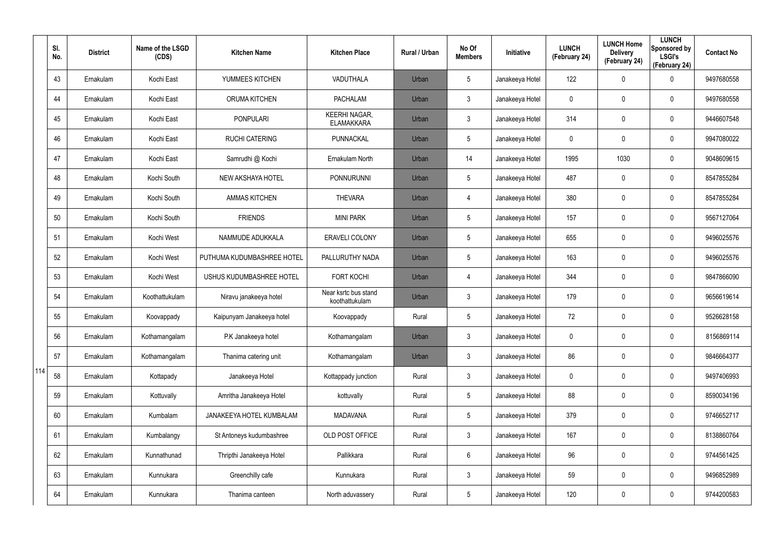|     | SI.<br>No. | <b>District</b> | Name of the LSGD<br>(CDS) | <b>Kitchen Name</b>        | <b>Kitchen Place</b>                      | Rural / Urban | No Of<br><b>Members</b> | Initiative      | <b>LUNCH</b><br>(February 24) | <b>LUNCH Home</b><br><b>Delivery</b><br>(February 24) | <b>LUNCH</b><br>Sponsored by<br><b>LSGI's</b><br>(February 24) | <b>Contact No</b> |
|-----|------------|-----------------|---------------------------|----------------------------|-------------------------------------------|---------------|-------------------------|-----------------|-------------------------------|-------------------------------------------------------|----------------------------------------------------------------|-------------------|
|     | 43         | Ernakulam       | Kochi East                | YUMMEES KITCHEN            | VADUTHALA                                 | Urban         | $5\overline{)}$         | Janakeeya Hotel | 122                           | 0                                                     | $\mathbf 0$                                                    | 9497680558        |
|     | 44         | Ernakulam       | Kochi East                | <b>ORUMA KITCHEN</b>       | <b>PACHALAM</b>                           | Urban         | 3                       | Janakeeya Hotel | 0                             | $\mathbf 0$                                           | $\mathbf 0$                                                    | 9497680558        |
|     | 45         | Ernakulam       | Kochi East                | <b>PONPULARI</b>           | <b>KEERHI NAGAR,</b><br><b>ELAMAKKARA</b> | Urban         | 3                       | Janakeeya Hotel | 314                           | 0                                                     | $\mathbf 0$                                                    | 9446607548        |
|     | 46         | Ernakulam       | Kochi East                | <b>RUCHI CATERING</b>      | PUNNACKAL                                 | Urban         | 5                       | Janakeeya Hotel | 0                             | $\mathbf 0$                                           | $\mathbf 0$                                                    | 9947080022        |
|     | 47         | Ernakulam       | Kochi East                | Samrudhi @ Kochi           | Ernakulam North                           | Urban         | 14                      | Janakeeya Hotel | 1995                          | 1030                                                  | $\mathbf 0$                                                    | 9048609615        |
|     | 48         | Ernakulam       | Kochi South               | NEW AKSHAYA HOTEL          | <b>PONNURUNNI</b>                         | Urban         | 5                       | Janakeeya Hotel | 487                           | 0                                                     | $\mathbf 0$                                                    | 8547855284        |
|     | 49         | Ernakulam       | Kochi South               | <b>AMMAS KITCHEN</b>       | <b>THEVARA</b>                            | Urban         | 4                       | Janakeeya Hotel | 380                           | 0                                                     | $\mathbf 0$                                                    | 8547855284        |
|     | 50         | Ernakulam       | Kochi South               | <b>FRIENDS</b>             | <b>MINI PARK</b>                          | Urban         | 5                       | Janakeeya Hotel | 157                           | 0                                                     | $\mathbf 0$                                                    | 9567127064        |
|     | 51         | Ernakulam       | Kochi West                | NAMMUDE ADUKKALA           | <b>ERAVELI COLONY</b>                     | Urban         | $5\overline{)}$         | Janakeeya Hotel | 655                           | 0                                                     | $\mathbf 0$                                                    | 9496025576        |
|     | 52         | Ernakulam       | Kochi West                | PUTHUMA KUDUMBASHREE HOTEL | PALLURUTHY NADA                           | Urban         | $5\overline{)}$         | Janakeeya Hotel | 163                           | 0                                                     | $\mathbf 0$                                                    | 9496025576        |
|     | 53         | Ernakulam       | Kochi West                | USHUS KUDUMBASHREE HOTEL   | <b>FORT KOCHI</b>                         | Urban         | 4                       | Janakeeya Hotel | 344                           | 0                                                     | $\mathbf 0$                                                    | 9847866090        |
|     | 54         | Ernakulam       | Koothattukulam            | Niravu janakeeya hotel     | Near ksrtc bus stand<br>koothattukulam    | Urban         | 3                       | Janakeeya Hotel | 179                           | 0                                                     | $\mathbf 0$                                                    | 9656619614        |
|     | 55         | Ernakulam       | Koovappady                | Kaipunyam Janakeeya hotel  | Koovappady                                | Rural         | $5\overline{)}$         | Janakeeya Hotel | 72                            | 0                                                     | $\mathbf 0$                                                    | 9526628158        |
|     | 56         | Ernakulam       | Kothamangalam             | P.K Janakeeya hotel        | Kothamangalam                             | Urban         | 3                       | Janakeeya Hotel | 0                             | $\mathbf 0$                                           | $\pmb{0}$                                                      | 8156869114        |
|     | 57         | Ernakulam       | Kothamangalam             | Thanima catering unit      | Kothamangalam                             | Urban         | $\mathfrak{Z}$          | Janakeeya Hotel | 86                            | $\mathbf 0$                                           | $\mathbf 0$                                                    | 9846664377        |
| 114 | 58         | Ernakulam       | Kottapady                 | Janakeeya Hotel            | Kottappady junction                       | Rural         | $\mathbf{3}$            | Janakeeya Hotel | 0                             | $\mathbf 0$                                           | $\mathbf 0$                                                    | 9497406993        |
|     | 59         | Ernakulam       | Kottuvally                | Amritha Janakeeya Hotel    | kottuvally                                | Rural         | $\sqrt{5}$              | Janakeeya Hotel | 88                            | 0                                                     | $\mathbf 0$                                                    | 8590034196        |
|     | 60         | Ernakulam       | Kumbalam                  | JANAKEEYA HOTEL KUMBALAM   | <b>MADAVANA</b>                           | Rural         | $5\phantom{.0}$         | Janakeeya Hotel | 379                           | 0                                                     | $\mathbf 0$                                                    | 9746652717        |
|     | 61         | Ernakulam       | Kumbalangy                | St Antoneys kudumbashree   | OLD POST OFFICE                           | Rural         | $\mathfrak{Z}$          | Janakeeya Hotel | 167                           | 0                                                     | $\pmb{0}$                                                      | 8138860764        |
|     | 62         | Ernakulam       | Kunnathunad               | Thripthi Janakeeya Hotel   | Pallikkara                                | Rural         | $6\overline{6}$         | Janakeeya Hotel | 96                            | 0                                                     | $\mathsf{0}$                                                   | 9744561425        |
|     | 63         | Ernakulam       | Kunnukara                 | Greenchilly cafe           | Kunnukara                                 | Rural         | $\mathfrak{Z}$          | Janakeeya Hotel | 59                            | 0                                                     | $\pmb{0}$                                                      | 9496852989        |
|     | 64         | Ernakulam       | Kunnukara                 | Thanima canteen            | North aduvassery                          | Rural         | $\sqrt{5}$              | Janakeeya Hotel | 120                           | 0                                                     | $\pmb{0}$                                                      | 9744200583        |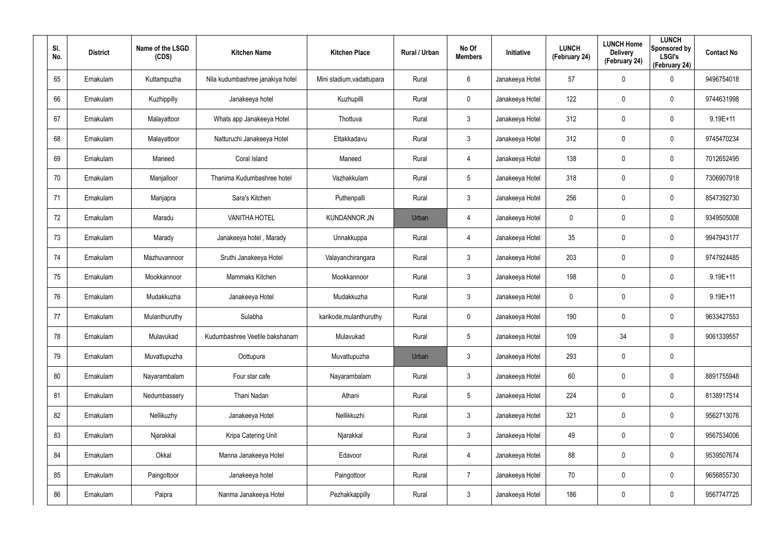| SI.<br>No. | <b>District</b> | Name of the LSGD<br>(CDS) | <b>Kitchen Name</b>              | <b>Kitchen Place</b>      | Rural / Urban | No Of<br><b>Members</b> | Initiative      | <b>LUNCH</b><br>(February 24) | <b>LUNCH Home</b><br><b>Delivery</b><br>(February 24) | <b>LUNCH</b><br>Sponsored by<br><b>LSGI's</b><br>(February 24) | <b>Contact No</b> |
|------------|-----------------|---------------------------|----------------------------------|---------------------------|---------------|-------------------------|-----------------|-------------------------------|-------------------------------------------------------|----------------------------------------------------------------|-------------------|
| 65         | Ernakulam       | Kuttampuzha               | Nila kudumbashree janakiya hotel | Mini stadium, vadattupara | Rural         | 6                       | Janakeeya Hotel | 57                            | $\mathbf 0$                                           | 0                                                              | 9496754018        |
| 66         | Ernakulam       | Kuzhippilly               | Janakeeya hotel                  | Kuzhupilli                | Rural         | $\mathbf 0$             | Janakeeya Hotel | 122                           | $\mathbf 0$                                           | 0                                                              | 9744631998        |
| 67         | Ernakulam       | Malayattoor               | Whats app Janakeeya Hotel        | Thottuva                  | Rural         | $\mathbf{3}$            | Janakeeya Hotel | 312                           | $\mathbf 0$                                           | 0                                                              | $9.19E+11$        |
| 68         | Ernakulam       | Malayattoor               | Natturuchi Janakeeya Hotel       | Ettakkadavu               | Rural         | $\mathbf{3}$            | Janakeeya Hotel | 312                           | $\mathbf 0$                                           | 0                                                              | 9745470234        |
| 69         | Ernakulam       | Maneed                    | Coral Island                     | Maneed                    | Rural         | 4                       | Janakeeya Hotel | 138                           | $\mathbf 0$                                           | 0                                                              | 7012652495        |
| 70         | Ernakulam       | Manjalloor                | Thanima Kudumbashree hotel       | Vazhakkulam               | Rural         | $5\overline{)}$         | Janakeeya Hotel | 318                           | $\mathbf 0$                                           | 0                                                              | 7306907918        |
| 71         | Ernakulam       | Manjapra                  | Sara's Kitchen                   | Puthenpalli               | Rural         | $\mathbf{3}$            | Janakeeya Hotel | 256                           | $\mathbf 0$                                           | 0                                                              | 8547392730        |
| 72         | Ernakulam       | Maradu                    | <b>VANITHA HOTEL</b>             | <b>KUNDANNOR JN</b>       | Urban         | 4                       | Janakeeya Hotel | 0                             | $\mathbf 0$                                           | 0                                                              | 9349505008        |
| 73         | Ernakulam       | Marady                    | Janakeeya hotel, Marady          | Unnakkuppa                | Rural         | $\overline{4}$          | Janakeeya Hotel | 35                            | $\mathbf 0$                                           | 0                                                              | 9947943177        |
| 74         | Ernakulam       | Mazhuvannoor              | Sruthi Janakeeya Hotel           | Valayanchirangara         | Rural         | $\mathbf{3}$            | Janakeeya Hotel | 203                           | $\mathbf 0$                                           | 0                                                              | 9747924485        |
| 75         | Ernakulam       | Mookkannoor               | Mammaks Kitchen                  | Mookkannoor               | Rural         | $\mathbf{3}$            | Janakeeya Hotel | 198                           | $\mathbf 0$                                           | 0                                                              | $9.19E+11$        |
| 76         | Ernakulam       | Mudakkuzha                | Janakeeya Hotel                  | Mudakkuzha                | Rural         | $\mathbf{3}$            | Janakeeya Hotel | 0                             | $\mathbf 0$                                           | 0                                                              | $9.19E + 11$      |
| 77         | Ernakulam       | Mulanthuruthy             | Sulabha                          | karikode, mulanthuruthy   | Rural         | $\mathbf 0$             | Janakeeya Hotel | 190                           | $\mathbf 0$                                           | 0                                                              | 9633427553        |
| 78         | Ernakulam       | Mulavukad                 | Kudumbashree Veetile bakshanam   | Mulavukad                 | Rural         | $5\phantom{.0}$         | Janakeeya Hotel | 109                           | 34                                                    | 0                                                              | 9061339557        |
| 79         | Ernakulam       | Muvattupuzha              | Oottupura                        | Muvattupuzha              | Urban         | $\mathbf{3}$            | Janakeeya Hotel | 293                           | $\mathbf 0$                                           | 0                                                              |                   |
| 80         | Ernakulam       | Nayarambalam              | Four star cafe                   | Nayarambalam              | Rural         | $\mathbf{3}$            | Janakeeya Hotel | 60                            | $\mathbf 0$                                           | 0                                                              | 8891755948        |
| 81         | Ernakulam       | Nedumbassery              | Thani Nadan                      | Athani                    | Rural         | $5\phantom{.0}$         | Janakeeya Hotel | 224                           | $\overline{0}$                                        | 0                                                              | 8138917514        |
| 82         | Ernakulam       | Nellikuzhy                | Janakeeya Hotel                  | Nellikkuzhi               | Rural         | $\mathfrak{Z}$          | Janakeeya Hotel | 321                           | $\overline{0}$                                        | 0                                                              | 9562713076        |
| 83         | Ernakulam       | Njarakkal                 | Kripa Catering Unit              | Njarakkal                 | Rural         | $\mathfrak{Z}$          | Janakeeya Hotel | 49                            | $\boldsymbol{0}$                                      | 0                                                              | 9567534006        |
| 84         | Ernakulam       | Okkal                     | Manna Janakeeya Hotel            | Edavoor                   | Rural         | $\overline{4}$          | Janakeeya Hotel | 88                            | $\mathbf 0$                                           | 0                                                              | 9539507674        |
| 85         | Ernakulam       | Paingottoor               | Janakeeya hotel                  | Paingottoor               | Rural         | $\overline{7}$          | Janakeeya Hotel | 70                            | $\boldsymbol{0}$                                      | 0                                                              | 9656855730        |
| 86         | Ernakulam       | Paipra                    | Nanma Janakeeya Hotel            | Pezhakkappilly            | Rural         | $\mathfrak{Z}$          | Janakeeya Hotel | 186                           | $\boldsymbol{0}$                                      | 0                                                              | 9567747725        |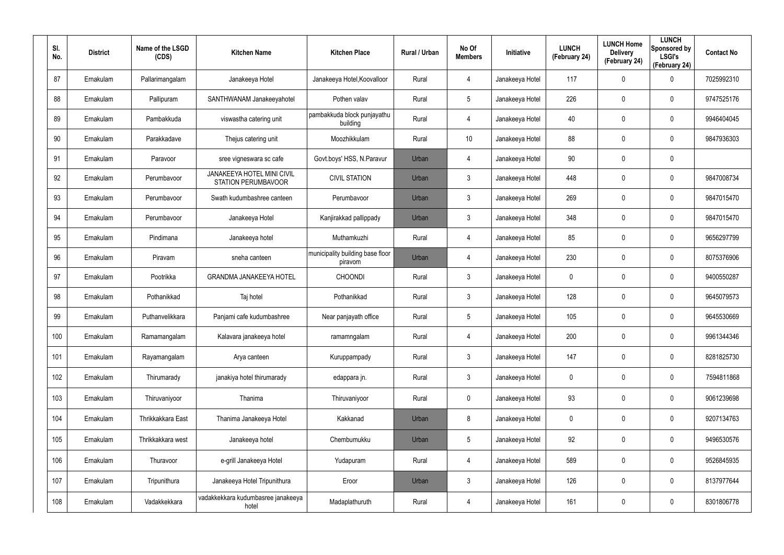| SI.<br>No. | <b>District</b> | Name of the LSGD<br>(CDS) | <b>Kitchen Name</b>                                      | <b>Kitchen Place</b>                        | Rural / Urban | No Of<br><b>Members</b> | Initiative      | <b>LUNCH</b><br>(February 24) | <b>LUNCH Home</b><br><b>Delivery</b><br>(February 24) | <b>LUNCH</b><br>Sponsored by<br><b>LSGI's</b><br>(February 24) | <b>Contact No</b> |
|------------|-----------------|---------------------------|----------------------------------------------------------|---------------------------------------------|---------------|-------------------------|-----------------|-------------------------------|-------------------------------------------------------|----------------------------------------------------------------|-------------------|
| 87         | Ernakulam       | Pallarimangalam           | Janakeeya Hotel                                          | Janakeeya Hotel, Koovalloor                 | Rural         | 4                       | Janakeeya Hotel | 117                           | $\mathbf 0$                                           | $\mathbf 0$                                                    | 7025992310        |
| 88         | Ernakulam       | Pallipuram                | SANTHWANAM Janakeeyahotel                                | Pothen valav                                | Rural         | $5\overline{)}$         | Janakeeya Hotel | 226                           | $\mathbf 0$                                           | $\mathbf 0$                                                    | 9747525176        |
| 89         | Ernakulam       | Pambakkuda                | viswastha catering unit                                  | pambakkuda block punjayathu<br>building     | Rural         | $\overline{4}$          | Janakeeya Hotel | 40                            | $\mathbf 0$                                           | $\mathbf 0$                                                    | 9946404045        |
| 90         | Ernakulam       | Parakkadave               | Thejus catering unit                                     | Moozhikkulam                                | Rural         | 10                      | Janakeeya Hotel | 88                            | $\mathbf 0$                                           | $\mathbf 0$                                                    | 9847936303        |
| 91         | Ernakulam       | Paravoor                  | sree vigneswara sc cafe                                  | Govt.boys' HSS, N.Paravur                   | Urban         | 4                       | Janakeeya Hotel | 90                            | $\mathsf{0}$                                          | $\mathbf 0$                                                    |                   |
| 92         | Ernakulam       | Perumbavoor               | JANAKEEYA HOTEL MINI CIVIL<br><b>STATION PERUMBAVOOR</b> | <b>CIVIL STATION</b>                        | Urban         | $\mathbf{3}$            | Janakeeya Hotel | 448                           | $\mathbf 0$                                           | $\mathbf 0$                                                    | 9847008734        |
| 93         | Ernakulam       | Perumbavoor               | Swath kudumbashree canteen                               | Perumbavoor                                 | Urban         | $\mathbf{3}$            | Janakeeya Hotel | 269                           | $\mathbf 0$                                           | $\mathbf 0$                                                    | 9847015470        |
| 94         | Ernakulam       | Perumbavoor               | Janakeeya Hotel                                          | Kanjirakkad pallippady                      | Urban         | $\mathbf{3}$            | Janakeeya Hotel | 348                           | $\mathbf 0$                                           | $\mathbf 0$                                                    | 9847015470        |
| 95         | Ernakulam       | Pindimana                 | Janakeeya hotel                                          | Muthamkuzhi                                 | Rural         | $\overline{4}$          | Janakeeya Hotel | 85                            | $\mathbf 0$                                           | $\mathbf 0$                                                    | 9656297799        |
| 96         | Ernakulam       | Piravam                   | sneha canteen                                            | municipality building base floor<br>piravom | Urban         | 4                       | Janakeeya Hotel | 230                           | $\mathbf 0$                                           | $\mathbf 0$                                                    | 8075376906        |
| 97         | Ernakulam       | Pootrikka                 | <b>GRANDMA JANAKEEYA HOTEL</b>                           | <b>CHOONDI</b>                              | Rural         | 3                       | Janakeeya Hotel | 0                             | $\mathbf 0$                                           | $\mathbf 0$                                                    | 9400550287        |
| 98         | Ernakulam       | Pothanikkad               | Taj hotel                                                | Pothanikkad                                 | Rural         | 3                       | Janakeeya Hotel | 128                           | 0                                                     | $\mathbf 0$                                                    | 9645079573        |
| 99         | Ernakulam       | Puthanvelikkara           | Panjami cafe kudumbashree                                | Near panjayath office                       | Rural         | 5                       | Janakeeya Hotel | 105                           | $\mathbf 0$                                           | $\mathbf 0$                                                    | 9645530669        |
| 100        | Ernakulam       | Ramamangalam              | Kalavara janakeeya hotel                                 | ramamngalam                                 | Rural         | $\overline{4}$          | Janakeeya Hotel | 200                           | $\mathbf 0$                                           | $\mathbf 0$                                                    | 9961344346        |
| 101        | Ernakulam       | Rayamangalam              | Arya canteen                                             | Kuruppampady                                | Rural         | $\mathbf{3}$            | Janakeeya Hotel | 147                           | $\mathbf 0$                                           | $\pmb{0}$                                                      | 8281825730        |
| 102        | Ernakulam       | Thirumarady               | janakiya hotel thirumarady                               | edappara jn.                                | Rural         | $\mathfrak{Z}$          | Janakeeya Hotel | 0                             | $\mathbf 0$                                           | $\pmb{0}$                                                      | 7594811868        |
| 103        | Ernakulam       | Thiruvaniyoor             | Thanima                                                  | Thiruvaniyoor                               | Rural         | $\mathbf 0$             | Janakeeya Hotel | 93                            | $\mathbf 0$                                           | $\pmb{0}$                                                      | 9061239698        |
| 104        | Ernakulam       | Thrikkakkara East         | Thanima Janakeeya Hotel                                  | Kakkanad                                    | Urban         | 8                       | Janakeeya Hotel | 0                             | $\mathbf 0$                                           | $\pmb{0}$                                                      | 9207134763        |
| 105        | Ernakulam       | Thrikkakkara west         | Janakeeya hotel                                          | Chembumukku                                 | Urban         | 5                       | Janakeeya Hotel | 92                            | $\mathbf 0$                                           | $\pmb{0}$                                                      | 9496530576        |
| 106        | Ernakulam       | Thuravoor                 | e-grill Janakeeya Hotel                                  | Yudapuram                                   | Rural         | 4                       | Janakeeya Hotel | 589                           | $\mathbf 0$                                           | $\pmb{0}$                                                      | 9526845935        |
| 107        | Ernakulam       | Tripunithura              | Janakeeya Hotel Tripunithura                             | Eroor                                       | Urban         | $\mathbf{3}$            | Janakeeya Hotel | 126                           | $\mathbf 0$                                           | $\pmb{0}$                                                      | 8137977644        |
| 108        | Ernakulam       | Vadakkekkara              | vadakkekkara kudumbasree janakeeya<br>hotel              | Madaplathuruth                              | Rural         | 4                       | Janakeeya Hotel | 161                           | $\mathbf 0$                                           | $\pmb{0}$                                                      | 8301806778        |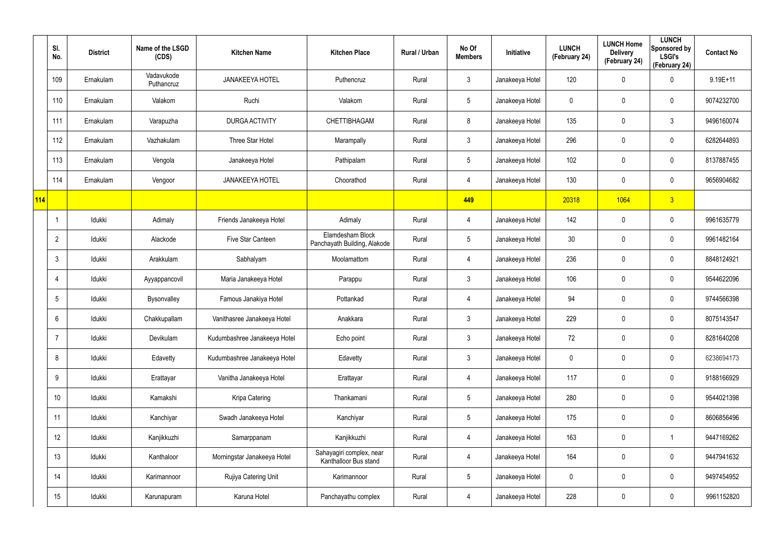|     | SI.<br>No.      | <b>District</b> | Name of the LSGD<br>(CDS) | <b>Kitchen Name</b>          | <b>Kitchen Place</b>                              | Rural / Urban | No Of<br><b>Members</b> | <b>Initiative</b> | <b>LUNCH</b><br>(February 24) | <b>LUNCH Home</b><br><b>Delivery</b><br>(February 24) | <b>LUNCH</b><br>Sponsored by<br><b>LSGI's</b><br>(February 24) | <b>Contact No</b> |
|-----|-----------------|-----------------|---------------------------|------------------------------|---------------------------------------------------|---------------|-------------------------|-------------------|-------------------------------|-------------------------------------------------------|----------------------------------------------------------------|-------------------|
|     | 109             | Ernakulam       | Vadavukode<br>Puthancruz  | <b>JANAKEEYA HOTEL</b>       | Puthencruz                                        | Rural         | $\mathbf{3}$            | Janakeeya Hotel   | 120                           | $\mathbf 0$                                           | $\mathbf 0$                                                    | $9.19E + 11$      |
|     | 110             | Ernakulam       | Valakom                   | Ruchi                        | Valakom                                           | Rural         | $5\phantom{.0}$         | Janakeeya Hotel   | 0                             | 0                                                     | $\pmb{0}$                                                      | 9074232700        |
|     | 111             | Ernakulam       | Varapuzha                 | <b>DURGA ACTIVITY</b>        | CHETTIBHAGAM                                      | Rural         | 8                       | Janakeeya Hotel   | 135                           | 0                                                     | $\mathfrak{Z}$                                                 | 9496160074        |
|     | 112             | Ernakulam       | Vazhakulam                | Three Star Hotel             | Marampally                                        | Rural         | $\mathfrak{Z}$          | Janakeeya Hotel   | 296                           | 0                                                     | $\mathbf 0$                                                    | 6282644893        |
|     | 113             | Ernakulam       | Vengola                   | Janakeeya Hotel              | Pathipalam                                        | Rural         | $5\phantom{.0}$         | Janakeeya Hotel   | 102                           | 0                                                     | $\pmb{0}$                                                      | 8137887455        |
|     | 114             | Ernakulam       | Vengoor                   | <b>JANAKEEYA HOTEL</b>       | Choorathod                                        | Rural         | 4                       | Janakeeya Hotel   | 130                           | $\mathbf 0$                                           | $\mathbf 0$                                                    | 9656904682        |
| 114 |                 |                 |                           |                              |                                                   |               | 449                     |                   | 20318                         | 1064                                                  | 3                                                              |                   |
|     | -1              | Idukki          | Adimaly                   | Friends Janakeeya Hotel      | Adimaly                                           | Rural         | 4                       | Janakeeya Hotel   | 142                           | 0                                                     | $\mathbf 0$                                                    | 9961635779        |
|     | $\overline{2}$  | Idukki          | Alackode                  | Five Star Canteen            | Elamdesham Block<br>Panchayath Building, Alakode  | Rural         | $5\phantom{.0}$         | Janakeeya Hotel   | 30 <sup>°</sup>               | 0                                                     | $\mathbf 0$                                                    | 9961482164        |
|     | 3               | Idukki          | Arakkulam                 | Sabhalyam                    | Moolamattom                                       | Rural         | 4                       | Janakeeya Hotel   | 236                           | $\mathbf 0$                                           | $\mathbf 0$                                                    | 8848124921        |
|     | 4               | Idukki          | Ayyappancovil             | Maria Janakeeya Hotel        | Parappu                                           | Rural         | $\mathbf{3}$            | Janakeeya Hotel   | 106                           | 0                                                     | $\mathbf 0$                                                    | 9544622096        |
|     | $5\phantom{.0}$ | Idukki          | Bysonvalley               | Famous Janakiya Hotel        | Pottankad                                         | Rural         | 4                       | Janakeeya Hotel   | 94                            | 0                                                     | $\mathbf 0$                                                    | 9744566398        |
|     | 6               | Idukki          | Chakkupallam              | Vanithasree Janakeeya Hotel  | Anakkara                                          | Rural         | $\mathbf{3}$            | Janakeeya Hotel   | 229                           | $\mathbf 0$                                           | $\mathbf 0$                                                    | 8075143547        |
|     | 7               | Idukki          | Devikulam                 | Kudumbashree Janakeeya Hotel | Echo point                                        | Rural         | $\mathbf{3}$            | Janakeeya Hotel   | 72                            | 0                                                     | $\mathbf 0$                                                    | 8281640208        |
|     | 8               | Idukki          | Edavetty                  | Kudumbashree Janakeeya Hotel | Edavetty                                          | Rural         | $\mathbf{3}$            | Janakeeya Hotel   | 0                             | 0                                                     | $\mathbf 0$                                                    | 6238694173        |
|     | 9               | Idukki          | Erattayar                 | Vanitha Janakeeya Hotel      | Erattayar                                         | Rural         | 4                       | Janakeeya Hotel   | 117                           | 0                                                     | $\mathbf 0$                                                    | 9188166929        |
|     | 10 <sup>°</sup> | Idukki          | Kamakshi                  | Kripa Catering               | Thankamani                                        | Rural         | $5\phantom{.0}$         | Janakeeya Hotel   | 280                           | 0                                                     | $\mathbf 0$                                                    | 9544021398        |
|     | 11              | Idukki          | Kanchiyar                 | Swadh Janakeeya Hotel        | Kanchiyar                                         | Rural         | $5\phantom{.0}$         | Janakeeya Hotel   | 175                           | 0                                                     | $\mathsf{0}$                                                   | 8606856496        |
|     | 12              | Idukki          | Kanjikkuzhi               | Samarppanam                  | Kanjikkuzhi                                       | Rural         | 4                       | Janakeeya Hotel   | 163                           | 0                                                     | $\overline{\mathbf{1}}$                                        | 9447169262        |
|     | 13              | Idukki          | Kanthaloor                | Morningstar Janakeeya Hotel  | Sahayagiri complex, near<br>Kanthalloor Bus stand | Rural         | 4                       | Janakeeya Hotel   | 164                           | 0                                                     | $\mathsf{0}$                                                   | 9447941632        |
|     | 14              | Idukki          | Karimannoor               | Rujiya Catering Unit         | Karimannoor                                       | Rural         | $\overline{5}$          | Janakeeya Hotel   | 0                             | 0                                                     | $\mathsf{0}$                                                   | 9497454952        |
|     | 15              | Idukki          | Karunapuram               | Karuna Hotel                 | Panchayathu complex                               | Rural         | $\overline{4}$          | Janakeeya Hotel   | 228                           | 0                                                     | $\pmb{0}$                                                      | 9961152820        |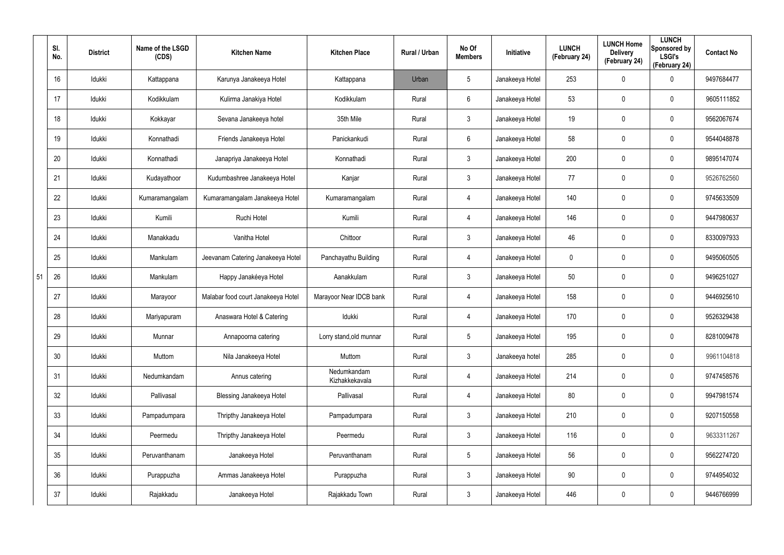|    | SI.<br>No. | <b>District</b> | Name of the LSGD<br>(CDS) | <b>Kitchen Name</b>                | <b>Kitchen Place</b>          | Rural / Urban | No Of<br><b>Members</b> | Initiative      | <b>LUNCH</b><br>(February 24) | <b>LUNCH Home</b><br><b>Delivery</b><br>(February 24) | <b>LUNCH</b><br>Sponsored by<br><b>LSGI's</b><br>(February 24) | <b>Contact No</b> |
|----|------------|-----------------|---------------------------|------------------------------------|-------------------------------|---------------|-------------------------|-----------------|-------------------------------|-------------------------------------------------------|----------------------------------------------------------------|-------------------|
|    | 16         | Idukki          | Kattappana                | Karunya Janakeeya Hotel            | Kattappana                    | Urban         | $5\phantom{.0}$         | Janakeeya Hotel | 253                           | 0                                                     | $\mathbf 0$                                                    | 9497684477        |
|    | 17         | Idukki          | Kodikkulam                | Kulirma Janakiya Hotel             | Kodikkulam                    | Rural         | 6                       | Janakeeya Hotel | 53                            | 0                                                     | $\pmb{0}$                                                      | 9605111852        |
|    | 18         | Idukki          | Kokkayar                  | Sevana Janakeeya hotel             | 35th Mile                     | Rural         | $\mathbf{3}$            | Janakeeya Hotel | 19                            | $\mathbf 0$                                           | $\pmb{0}$                                                      | 9562067674        |
|    | 19         | Idukki          | Konnathadi                | Friends Janakeeya Hotel            | Panickankudi                  | Rural         | 6                       | Janakeeya Hotel | 58                            | 0                                                     | $\pmb{0}$                                                      | 9544048878        |
|    | 20         | Idukki          | Konnathadi                | Janapriya Janakeeya Hotel          | Konnathadi                    | Rural         | $\mathbf{3}$            | Janakeeya Hotel | 200                           | $\mathbf 0$                                           | $\pmb{0}$                                                      | 9895147074        |
|    | 21         | Idukki          | Kudayathoor               | Kudumbashree Janakeeya Hotel       | Kanjar                        | Rural         | $\mathbf{3}$            | Janakeeya Hotel | 77                            | 0                                                     | $\pmb{0}$                                                      | 9526762560        |
|    | 22         | Idukki          | Kumaramangalam            | Kumaramangalam Janakeeya Hotel     | Kumaramangalam                | Rural         | 4                       | Janakeeya Hotel | 140                           | 0                                                     | $\mathbf 0$                                                    | 9745633509        |
|    | 23         | Idukki          | Kumili                    | Ruchi Hotel                        | Kumili                        | Rural         | 4                       | Janakeeya Hotel | 146                           | 0                                                     | $\mathbf 0$                                                    | 9447980637        |
|    | 24         | Idukki          | Manakkadu                 | Vanitha Hotel                      | Chittoor                      | Rural         | $\mathbf{3}$            | Janakeeya Hotel | 46                            | 0                                                     | $\mathbf 0$                                                    | 8330097933        |
|    | 25         | Idukki          | Mankulam                  | Jeevanam Catering Janakeeya Hotel  | Panchayathu Building          | Rural         | 4                       | Janakeeya Hotel | 0                             | 0                                                     | $\mathbf 0$                                                    | 9495060505        |
| 51 | 26         | Idukki          | Mankulam                  | Happy Janakéeya Hotel              | Aanakkulam                    | Rural         | $\mathbf{3}$            | Janakeeya Hotel | 50                            | 0                                                     | $\mathbf 0$                                                    | 9496251027        |
|    | 27         | Idukki          | Marayoor                  | Malabar food court Janakeeya Hotel | Marayoor Near IDCB bank       | Rural         | 4                       | Janakeeya Hotel | 158                           | 0                                                     | $\mathbf 0$                                                    | 9446925610        |
|    | 28         | Idukki          | Mariyapuram               | Anaswara Hotel & Catering          | Idukki                        | Rural         | 4                       | Janakeeya Hotel | 170                           | 0                                                     | $\mathbf 0$                                                    | 9526329438        |
|    | 29         | Idukki          | Munnar                    | Annapoorna catering                | Lorry stand, old munnar       | Rural         | $5\phantom{.0}$         | Janakeeya Hotel | 195                           | $\mathbf 0$                                           | $\pmb{0}$                                                      | 8281009478        |
|    | 30         | Idukki          | Muttom                    | Nila Janakeeya Hotel               | Muttom                        | Rural         | $\mathfrak{Z}$          | Janakeeya hotel | 285                           | $\mathbf 0$                                           | $\mathbf 0$                                                    | 9961104818        |
|    | 31         | Idukki          | Nedumkandam               | Annus catering                     | Nedumkandam<br>Kizhakkekavala | Rural         | 4                       | Janakeeya Hotel | 214                           | $\mathbf 0$                                           | $\mathbf 0$                                                    | 9747458576        |
|    | 32         | Idukki          | Pallivasal                | <b>Blessing Janakeeya Hotel</b>    | Pallivasal                    | Rural         | 4                       | Janakeeya Hotel | 80                            | $\mathbf 0$                                           | $\mathbf 0$                                                    | 9947981574        |
|    | 33         | ldukki          | Pampadumpara              | Thripthy Janakeeya Hotel           | Pampadumpara                  | Rural         | $\mathbf{3}$            | Janakeeya Hotel | 210                           | 0                                                     | $\mathsf{0}$                                                   | 9207150558        |
|    | 34         | Idukki          | Peermedu                  | Thripthy Janakeeya Hotel           | Peermedu                      | Rural         | $\mathfrak{Z}$          | Janakeeya Hotel | 116                           | $\pmb{0}$                                             | $\mathbf 0$                                                    | 9633311267        |
|    | 35         | ldukki          | Peruvanthanam             | Janakeeya Hotel                    | Peruvanthanam                 | Rural         | $\overline{5}$          | Janakeeya Hotel | 56                            | 0                                                     | $\mathsf{0}$                                                   | 9562274720        |
|    | 36         | Idukki          | Purappuzha                | Ammas Janakeeya Hotel              | Purappuzha                    | Rural         | $\mathfrak{Z}$          | Janakeeya Hotel | 90                            | $\mathbf 0$                                           | $\mathbf 0$                                                    | 9744954032        |
|    | 37         | Idukki          | Rajakkadu                 | Janakeeya Hotel                    | Rajakkadu Town                | Rural         | $\mathfrak{Z}$          | Janakeeya Hotel | 446                           | 0                                                     | $\pmb{0}$                                                      | 9446766999        |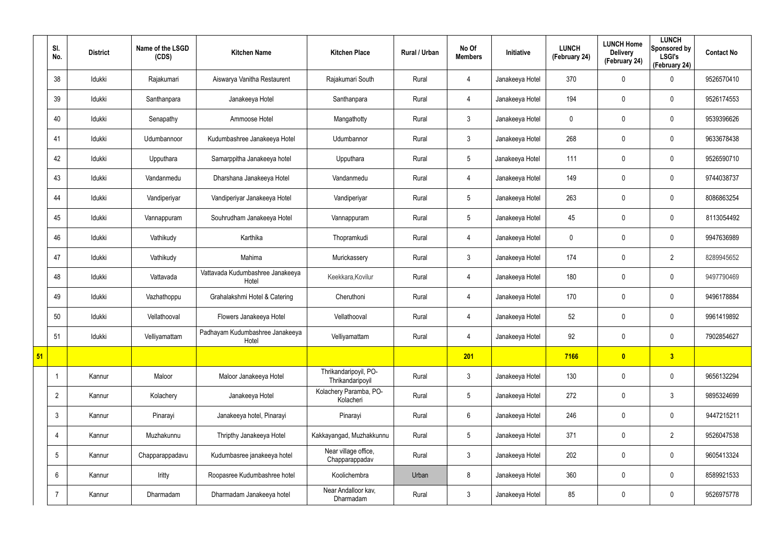|    | SI.<br>No.      | <b>District</b> | Name of the LSGD<br>(CDS) | <b>Kitchen Name</b>                       | <b>Kitchen Place</b>                      | Rural / Urban | No Of<br><b>Members</b> | Initiative      | <b>LUNCH</b><br>(February 24) | <b>LUNCH Home</b><br><b>Delivery</b><br>(February 24) | <b>LUNCH</b><br>Sponsored by<br><b>LSGI's</b><br>(February 24) | <b>Contact No</b> |
|----|-----------------|-----------------|---------------------------|-------------------------------------------|-------------------------------------------|---------------|-------------------------|-----------------|-------------------------------|-------------------------------------------------------|----------------------------------------------------------------|-------------------|
|    | 38              | Idukki          | Rajakumari                | Aiswarya Vanitha Restaurent               | Rajakumari South                          | Rural         | $\overline{4}$          | Janakeeya Hotel | 370                           | 0                                                     | 0                                                              | 9526570410        |
|    | 39              | Idukki          | Santhanpara               | Janakeeya Hotel                           | Santhanpara                               | Rural         | 4                       | Janakeeya Hotel | 194                           | 0                                                     | $\mathbf 0$                                                    | 9526174553        |
|    | 40              | Idukki          | Senapathy                 | Ammoose Hotel                             | Mangathotty                               | Rural         | $\mathbf{3}$            | Janakeeya Hotel | $\mathbf 0$                   | 0                                                     | $\mathbf 0$                                                    | 9539396626        |
|    | 41              | Idukki          | Udumbannoor               | Kudumbashree Janakeeya Hotel              | Udumbannor                                | Rural         | $\mathbf{3}$            | Janakeeya Hotel | 268                           | 0                                                     | $\mathbf 0$                                                    | 9633678438        |
|    | 42              | Idukki          | Upputhara                 | Samarppitha Janakeeya hotel               | Upputhara                                 | Rural         | $5\overline{)}$         | Janakeeya Hotel | 111                           | 0                                                     | $\mathbf 0$                                                    | 9526590710        |
|    | 43              | Idukki          | Vandanmedu                | Dharshana Janakeeya Hotel                 | Vandanmedu                                | Rural         | $\overline{4}$          | Janakeeya Hotel | 149                           | 0                                                     | $\mathbf 0$                                                    | 9744038737        |
|    | 44              | Idukki          | Vandiperiyar              | Vandiperiyar Janakeeya Hotel              | Vandiperiyar                              | Rural         | $5\overline{)}$         | Janakeeya Hotel | 263                           | 0                                                     | $\mathbf 0$                                                    | 8086863254        |
|    | 45              | Idukki          | Vannappuram               | Souhrudham Janakeeya Hotel                | Vannappuram                               | Rural         | $5\overline{)}$         | Janakeeya Hotel | 45                            | 0                                                     | $\mathbf 0$                                                    | 8113054492        |
|    | 46              | Idukki          | Vathikudy                 | Karthika                                  | Thopramkudi                               | Rural         | $\overline{4}$          | Janakeeya Hotel | $\mathbf 0$                   | 0                                                     | $\mathbf 0$                                                    | 9947636989        |
|    | 47              | Idukki          | Vathikudy                 | Mahima                                    | Murickassery                              | Rural         | $\mathbf{3}$            | Janakeeya Hotel | 174                           | 0                                                     | $\overline{2}$                                                 | 8289945652        |
|    | 48              | Idukki          | Vattavada                 | Vattavada Kudumbashree Janakeeya<br>Hotel | Keekkara, Kovilur                         | Rural         | $\overline{4}$          | Janakeeya Hotel | 180                           | 0                                                     | $\mathbf 0$                                                    | 9497790469        |
|    | 49              | Idukki          | Vazhathoppu               | Grahalakshmi Hotel & Catering             | Cheruthoni                                | Rural         | 4                       | Janakeeya Hotel | 170                           | 0                                                     | $\mathbf 0$                                                    | 9496178884        |
|    | 50              | Idukki          | Vellathooval              | Flowers Janakeeya Hotel                   | Vellathooval                              | Rural         | 4                       | Janakeeya Hotel | 52                            | 0                                                     | $\mathbf 0$                                                    | 9961419892        |
|    | 51              | Idukki          | Velliyamattam             | Padhayam Kudumbashree Janakeeya<br>Hotel  | Velliyamattam                             | Rural         | 4                       | Janakeeya Hotel | 92                            | 0                                                     | $\pmb{0}$                                                      | 7902854627        |
| 51 |                 |                 |                           |                                           |                                           |               | 201                     |                 | 7166                          | $\bullet$                                             | 3                                                              |                   |
|    | -1              | Kannur          | Maloor                    | Maloor Janakeeya Hotel                    | Thrikandaripoyil, PO-<br>Thrikandaripoyil | Rural         | $\mathbf{3}$            | Janakeeya Hotel | 130                           | 0                                                     | $\pmb{0}$                                                      | 9656132294        |
|    | $\overline{2}$  | Kannur          | Kolachery                 | Janakeeya Hotel                           | Kolachery Paramba, PO-<br>Kolacheri       | Rural         | $5\overline{)}$         | Janakeeya Hotel | 272                           | $\mathbf 0$                                           | $3\phantom{.0}$                                                | 9895324699        |
|    | $\mathbf{3}$    | Kannur          | Pinarayi                  | Janakeeya hotel, Pinarayi                 | Pinarayi                                  | Rural         | $6\overline{6}$         | Janakeeya Hotel | 246                           | 0                                                     | $\mathbf 0$                                                    | 9447215211        |
|    | $\overline{4}$  | Kannur          | Muzhakunnu                | Thripthy Janakeeya Hotel                  | Kakkayangad, Muzhakkunnu                  | Rural         | $5\overline{)}$         | Janakeeya Hotel | 371                           | 0                                                     | $\overline{2}$                                                 | 9526047538        |
|    | $5\overline{)}$ | Kannur          | Chapparappadavu           | Kudumbasree janakeeya hotel               | Near village office,<br>Chapparappadav    | Rural         | 3 <sup>1</sup>          | Janakeeya Hotel | 202                           | 0                                                     | $\pmb{0}$                                                      | 9605413324        |
|    | 6               | Kannur          | Iritty                    | Roopasree Kudumbashree hotel              | Koolichembra                              | Urban         | 8                       | Janakeeya Hotel | 360                           | 0                                                     | $\mathbf 0$                                                    | 8589921533        |
|    |                 | Kannur          | Dharmadam                 | Dharmadam Janakeeya hotel                 | Near Andalloor kav,<br>Dharmadam          | Rural         | $\mathbf{3}$            | Janakeeya Hotel | 85                            | 0                                                     | $\pmb{0}$                                                      | 9526975778        |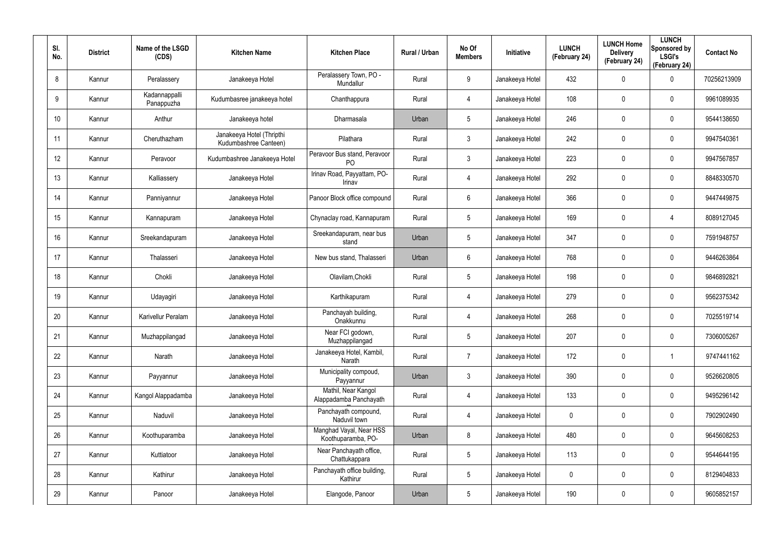| SI.<br>No.      | <b>District</b> | Name of the LSGD<br>(CDS)   | <b>Kitchen Name</b>                                | <b>Kitchen Place</b>                           | <b>Rural / Urban</b> | No Of<br><b>Members</b> | <b>Initiative</b> | <b>LUNCH</b><br>(February 24) | <b>LUNCH Home</b><br><b>Delivery</b><br>(February 24) | <b>LUNCH</b><br>Sponsored by<br><b>LSGI's</b><br>(February 24) | <b>Contact No</b> |
|-----------------|-----------------|-----------------------------|----------------------------------------------------|------------------------------------------------|----------------------|-------------------------|-------------------|-------------------------------|-------------------------------------------------------|----------------------------------------------------------------|-------------------|
| 8               | Kannur          | Peralassery                 | Janakeeya Hotel                                    | Peralassery Town, PO -<br>Mundallur            | Rural                | 9                       | Janakeeya Hotel   | 432                           | 0                                                     | $\mathbf 0$                                                    | 70256213909       |
| 9               | Kannur          | Kadannappalli<br>Panappuzha | Kudumbasree janakeeya hotel                        | Chanthappura                                   | Rural                | 4                       | Janakeeya Hotel   | 108                           | 0                                                     | $\pmb{0}$                                                      | 9961089935        |
| 10 <sup>°</sup> | Kannur          | Anthur                      | Janakeeya hotel                                    | Dharmasala                                     | Urban                | $5\phantom{.0}$         | Janakeeya Hotel   | 246                           | $\mathbf{0}$                                          | $\pmb{0}$                                                      | 9544138650        |
| 11              | Kannur          | Cheruthazham                | Janakeeya Hotel (Thripthi<br>Kudumbashree Canteen) | Pilathara                                      | Rural                | 3                       | Janakeeya Hotel   | 242                           | 0                                                     | $\pmb{0}$                                                      | 9947540361        |
| 12              | Kannur          | Peravoor                    | Kudumbashree Janakeeya Hotel                       | Peravoor Bus stand, Peravoor<br>P <sub>O</sub> | Rural                | $\mathbf{3}$            | Janakeeya Hotel   | 223                           | 0                                                     | $\pmb{0}$                                                      | 9947567857        |
| 13              | Kannur          | Kalliassery                 | Janakeeya Hotel                                    | Irinav Road, Payyattam, PO-<br>Irinav          | Rural                | 4                       | Janakeeya Hotel   | 292                           | 0                                                     | $\pmb{0}$                                                      | 8848330570        |
| 14              | Kannur          | Panniyannur                 | Janakeeya Hotel                                    | Panoor Block office compound                   | Rural                | 6                       | Janakeeya Hotel   | 366                           | $\mathbf 0$                                           | $\pmb{0}$                                                      | 9447449875        |
| 15              | Kannur          | Kannapuram                  | Janakeeya Hotel                                    | Chynaclay road, Kannapuram                     | Rural                | $5\phantom{.0}$         | Janakeeya Hotel   | 169                           | 0                                                     | 4                                                              | 8089127045        |
| 16              | Kannur          | Sreekandapuram              | Janakeeya Hotel                                    | Sreekandapuram, near bus<br>stand              | Urban                | $5\phantom{.0}$         | Janakeeya Hotel   | 347                           | 0                                                     | $\pmb{0}$                                                      | 7591948757        |
| 17              | Kannur          | Thalasseri                  | Janakeeya Hotel                                    | New bus stand, Thalasseri                      | Urban                | 6                       | Janakeeya Hotel   | 768                           | 0                                                     | $\mathbf 0$                                                    | 9446263864        |
| 18              | Kannur          | Chokli                      | Janakeeya Hotel                                    | Olavilam, Chokli                               | Rural                | $5\phantom{.0}$         | Janakeeya Hotel   | 198                           | 0                                                     | $\pmb{0}$                                                      | 9846892821        |
| 19              | Kannur          | Udayagiri                   | Janakeeya Hotel                                    | Karthikapuram                                  | Rural                | 4                       | Janakeeya Hotel   | 279                           | 0                                                     | $\mathbf 0$                                                    | 9562375342        |
| 20              | Kannur          | <b>Karivellur Peralam</b>   | Janakeeya Hotel                                    | Panchayah building,<br>Onakkunnu               | Rural                | 4                       | Janakeeya Hotel   | 268                           | 0                                                     | $\mathbf 0$                                                    | 7025519714        |
| 21              | Kannur          | Muzhappilangad              | Janakeeya Hotel                                    | Near FCI godown,<br>Muzhappilangad             | Rural                | $5\phantom{.0}$         | Janakeeya Hotel   | 207                           | 0                                                     | $\pmb{0}$                                                      | 7306005267        |
| 22              | Kannur          | Narath                      | Janakeeya Hotel                                    | Janakeeya Hotel, Kambil,<br>Narath             | Rural                | $\overline{7}$          | Janakeeya Hotel   | 172                           | 0                                                     | $\mathbf{1}$                                                   | 9747441162        |
| 23              | Kannur          | Payyannur                   | Janakeeya Hotel                                    | Municipality compoud,<br>Payyannur             | Urban                | $\mathbf{3}$            | Janakeeya Hotel   | 390                           | 0                                                     | $\mathbf 0$                                                    | 9526620805        |
| 24              | Kannur          | Kangol Alappadamba          | Janakeeya Hotel                                    | Mathil, Near Kangol<br>Alappadamba Panchayath  | Rural                | 4                       | Janakeeya Hotel   | 133                           | 0                                                     | $\mathbf 0$                                                    | 9495296142        |
| 25              | Kannur          | Naduvil                     | Janakeeya Hotel                                    | Panchayath compound,<br>Naduvil town           | Rural                | 4                       | Janakeeya Hotel   | $\mathbf 0$                   | 0                                                     | $\mathbf 0$                                                    | 7902902490        |
| 26              | Kannur          | Koothuparamba               | Janakeeya Hotel                                    | Manghad Vayal, Near HSS<br>Koothuparamba, PO-  | Urban                | 8                       | Janakeeya Hotel   | 480                           | 0                                                     | $\mathbf 0$                                                    | 9645608253        |
| 27              | Kannur          | Kuttiatoor                  | Janakeeya Hotel                                    | Near Panchayath office,<br>Chattukappara       | Rural                | $5\phantom{.0}$         | Janakeeya Hotel   | 113                           | 0                                                     | $\mathsf{0}$                                                   | 9544644195        |
| 28              | Kannur          | Kathirur                    | Janakeeya Hotel                                    | Panchayath office building,<br>Kathirur        | Rural                | $5\phantom{.0}$         | Janakeeya Hotel   | 0                             | 0                                                     | $\mathsf{0}$                                                   | 8129404833        |
| 29              | Kannur          | Panoor                      | Janakeeya Hotel                                    | Elangode, Panoor                               | Urban                | $5\phantom{.0}$         | Janakeeya Hotel   | 190                           | 0                                                     | $\pmb{0}$                                                      | 9605852157        |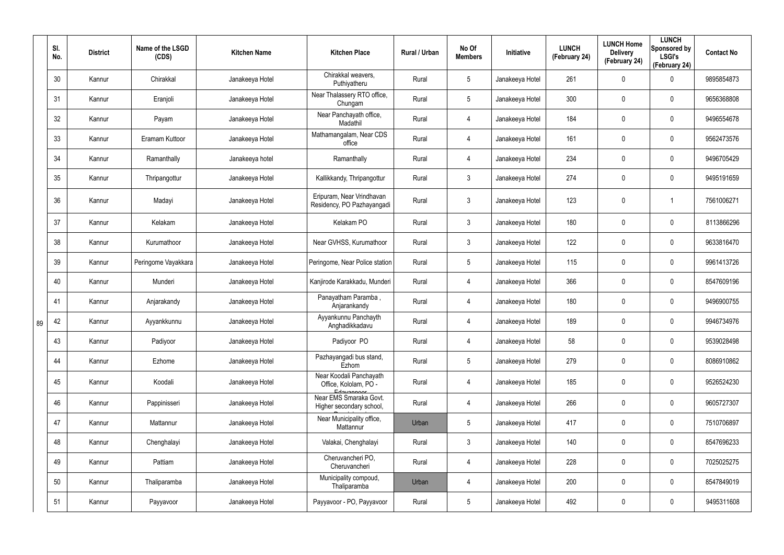|    | SI.<br>No. | <b>District</b> | Name of the LSGD<br>(CDS) | <b>Kitchen Name</b> | <b>Kitchen Place</b>                                           | Rural / Urban | No Of<br><b>Members</b> | Initiative      | <b>LUNCH</b><br>(February 24) | <b>LUNCH Home</b><br><b>Delivery</b><br>(February 24) | <b>LUNCH</b><br>Sponsored by<br><b>LSGI's</b><br>(February 24) | <b>Contact No</b> |
|----|------------|-----------------|---------------------------|---------------------|----------------------------------------------------------------|---------------|-------------------------|-----------------|-------------------------------|-------------------------------------------------------|----------------------------------------------------------------|-------------------|
|    | 30         | Kannur          | Chirakkal                 | Janakeeya Hotel     | Chirakkal weavers,<br>Puthiyatheru                             | Rural         | $5\phantom{.0}$         | Janakeeya Hotel | 261                           | 0                                                     | $\boldsymbol{0}$                                               | 9895854873        |
|    | 31         | Kannur          | Eranjoli                  | Janakeeya Hotel     | Near Thalassery RTO office,<br>Chungam                         | Rural         | $5\phantom{.0}$         | Janakeeya Hotel | 300                           | 0                                                     | $\pmb{0}$                                                      | 9656368808        |
|    | 32         | Kannur          | Payam                     | Janakeeya Hotel     | Near Panchayath office,<br>Madathil                            | Rural         | $\overline{4}$          | Janakeeya Hotel | 184                           | $\mathbf 0$                                           | $\pmb{0}$                                                      | 9496554678        |
|    | 33         | Kannur          | Eramam Kuttoor            | Janakeeya Hotel     | Mathamangalam, Near CDS<br>office                              | Rural         | $\overline{4}$          | Janakeeya Hotel | 161                           | 0                                                     | $\pmb{0}$                                                      | 9562473576        |
|    | 34         | Kannur          | Ramanthally               | Janakeeya hotel     | Ramanthally                                                    | Rural         | $\overline{4}$          | Janakeeya Hotel | 234                           | 0                                                     | $\pmb{0}$                                                      | 9496705429        |
|    | 35         | Kannur          | Thripangottur             | Janakeeya Hotel     | Kallikkandy, Thripangottur                                     | Rural         | $\mathbf{3}$            | Janakeeya Hotel | 274                           | 0                                                     | $\pmb{0}$                                                      | 9495191659        |
|    | 36         | Kannur          | Madayi                    | Janakeeya Hotel     | Eripuram, Near Vrindhavan<br>Residency, PO Pazhayangadi        | Rural         | $\mathbf{3}$            | Janakeeya Hotel | 123                           | 0                                                     | 1                                                              | 7561006271        |
|    | 37         | Kannur          | Kelakam                   | Janakeeya Hotel     | Kelakam PO                                                     | Rural         | $\mathbf{3}$            | Janakeeya Hotel | 180                           | $\mathbf 0$                                           | $\pmb{0}$                                                      | 8113866296        |
|    | 38         | Kannur          | Kurumathoor               | Janakeeya Hotel     | Near GVHSS, Kurumathoor                                        | Rural         | $\mathbf{3}$            | Janakeeya Hotel | 122                           | 0                                                     | $\pmb{0}$                                                      | 9633816470        |
|    | 39         | Kannur          | Peringome Vayakkara       | Janakeeya Hotel     | Peringome, Near Police station                                 | Rural         | $5\,$                   | Janakeeya Hotel | 115                           | $\mathbf 0$                                           | $\pmb{0}$                                                      | 9961413726        |
|    | 40         | Kannur          | Munderi                   | Janakeeya Hotel     | Kanjirode Karakkadu, Munderi                                   | Rural         | 4                       | Janakeeya Hotel | 366                           | 0                                                     | $\mathbf 0$                                                    | 8547609196        |
|    | 41         | Kannur          | Anjarakandy               | Janakeeya Hotel     | Panayatham Paramba,<br>Anjarankandy                            | Rural         | 4                       | Janakeeya Hotel | 180                           | $\mathbf 0$                                           | $\pmb{0}$                                                      | 9496900755        |
| 89 | 42         | Kannur          | Ayyankkunnu               | Janakeeya Hotel     | Ayyankunnu Panchayth<br>Anghadikkadavu                         | Rural         | 4                       | Janakeeya Hotel | 189                           | 0                                                     | $\pmb{0}$                                                      | 9946734976        |
|    | 43         | Kannur          | Padiyoor                  | Janakeeya Hotel     | Padiyoor PO                                                    | Rural         | $\overline{4}$          | Janakeeya Hotel | 58                            | 0                                                     | $\mathbf 0$                                                    | 9539028498        |
|    | 44         | Kannur          | Ezhome                    | Janakeeya Hotel     | Pazhayangadi bus stand,<br>Ezhom                               | Rural         | $5\phantom{.0}$         | Janakeeya Hotel | 279                           | 0                                                     | $\pmb{0}$                                                      | 8086910862        |
|    | 45         | Kannur          | Koodali                   | Janakeeya Hotel     | Near Koodali Panchayath<br>Office, Kololam, PO -<br>Edgygnnoor | Rural         | 4                       | Janakeeya Hotel | 185                           | 0                                                     | $\pmb{0}$                                                      | 9526524230        |
|    | 46         | Kannur          | Pappinisseri              | Janakeeya Hotel     | Near EMS Smaraka Govt.<br>Higher secondary school,             | Rural         | $\overline{4}$          | Janakeeya Hotel | 266                           | $\mathbf 0$                                           | $\mathbf 0$                                                    | 9605727307        |
|    | 47         | Kannur          | Mattannur                 | Janakeeya Hotel     | Near Municipality office,<br>Mattannur                         | Urban         | $5\phantom{.0}$         | Janakeeya Hotel | 417                           | 0                                                     | $\pmb{0}$                                                      | 7510706897        |
|    | 48         | Kannur          | Chenghalayi               | Janakeeya Hotel     | Valakai, Chenghalayi                                           | Rural         | $\mathbf{3}$            | Janakeeya Hotel | 140                           | $\mathbf 0$                                           | $\mathbf 0$                                                    | 8547696233        |
|    | 49         | Kannur          | Pattiam                   | Janakeeya Hotel     | Cheruvancheri PO,<br>Cheruvancheri                             | Rural         | $\overline{4}$          | Janakeeya Hotel | 228                           | 0                                                     | $\pmb{0}$                                                      | 7025025275        |
|    | 50         | Kannur          | Thaliparamba              | Janakeeya Hotel     | Municipality compoud,<br>Thaliparamba                          | Urban         | $\overline{4}$          | Janakeeya Hotel | 200                           | $\mathbf 0$                                           | $\mathbf 0$                                                    | 8547849019        |
|    | 51         | Kannur          | Payyavoor                 | Janakeeya Hotel     | Payyavoor - PO, Payyavoor                                      | Rural         | $5\overline{)}$         | Janakeeya Hotel | 492                           | 0                                                     | $\pmb{0}$                                                      | 9495311608        |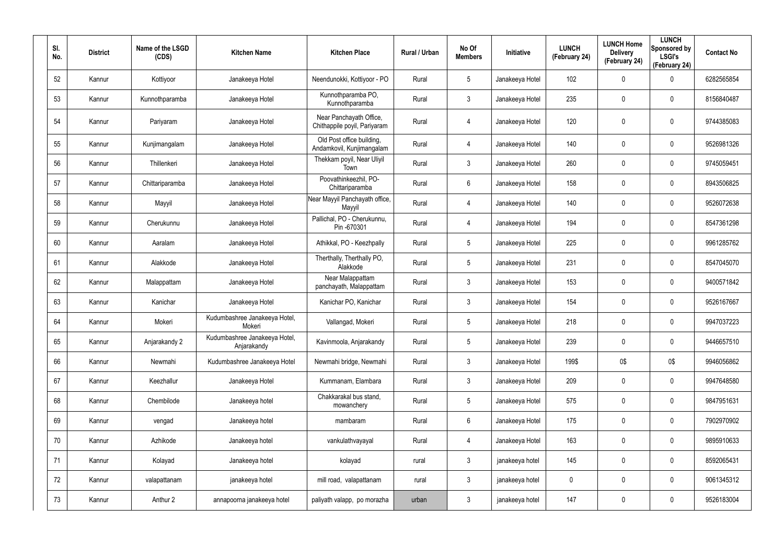| SI.<br>No. | <b>District</b> | Name of the LSGD<br>(CDS) | <b>Kitchen Name</b>                          | <b>Kitchen Place</b>                                    | Rural / Urban | No Of<br><b>Members</b> | Initiative      | <b>LUNCH</b><br>(February 24) | <b>LUNCH Home</b><br><b>Delivery</b><br>(February 24) | <b>LUNCH</b><br>Sponsored by<br><b>LSGI's</b><br>(February 24) | <b>Contact No</b> |
|------------|-----------------|---------------------------|----------------------------------------------|---------------------------------------------------------|---------------|-------------------------|-----------------|-------------------------------|-------------------------------------------------------|----------------------------------------------------------------|-------------------|
| 52         | Kannur          | Kottiyoor                 | Janakeeya Hotel                              | Neendunokki, Kottiyoor - PO                             | Rural         | 5                       | Janakeeya Hotel | 102                           | 0                                                     | 0                                                              | 6282565854        |
| 53         | Kannur          | Kunnothparamba            | Janakeeya Hotel                              | Kunnothparamba PO,<br>Kunnothparamba                    | Rural         | 3                       | Janakeeya Hotel | 235                           | 0                                                     | $\pmb{0}$                                                      | 8156840487        |
| 54         | Kannur          | Pariyaram                 | Janakeeya Hotel                              | Near Panchayath Office,<br>Chithappile poyil, Pariyaram | Rural         | 4                       | Janakeeya Hotel | 120                           | $\mathbf 0$                                           | $\pmb{0}$                                                      | 9744385083        |
| 55         | Kannur          | Kunjimangalam             | Janakeeya Hotel                              | Old Post office building,<br>Andamkovil, Kunjimangalam  | Rural         | 4                       | Janakeeya Hotel | 140                           | $\mathbf 0$                                           | $\pmb{0}$                                                      | 9526981326        |
| 56         | Kannur          | Thillenkeri               | Janakeeya Hotel                              | Thekkam poyil, Near Uliyil<br>Town                      | Rural         | 3                       | Janakeeya Hotel | 260                           | 0                                                     | $\pmb{0}$                                                      | 9745059451        |
| 57         | Kannur          | Chittariparamba           | Janakeeya Hotel                              | Poovathinkeezhil, PO-<br>Chittariparamba                | Rural         | 6                       | Janakeeya Hotel | 158                           | $\mathbf 0$                                           | $\pmb{0}$                                                      | 8943506825        |
| 58         | Kannur          | Mayyil                    | Janakeeya Hotel                              | Near Mayyil Panchayath office,<br>Mayyil                | Rural         | 4                       | Janakeeya Hotel | 140                           | 0                                                     | $\mathbf 0$                                                    | 9526072638        |
| 59         | Kannur          | Cherukunnu                | Janakeeya Hotel                              | Pallichal, PO - Cherukunnu,<br>Pin-670301               | Rural         | 4                       | Janakeeya Hotel | 194                           | 0                                                     | $\pmb{0}$                                                      | 8547361298        |
| 60         | Kannur          | Aaralam                   | Janakeeya Hotel                              | Athikkal, PO - Keezhpally                               | Rural         | 5                       | Janakeeya Hotel | 225                           | 0                                                     | $\mathbf 0$                                                    | 9961285762        |
| 61         | Kannur          | Alakkode                  | Janakeeya Hotel                              | Therthally, Therthally PO,<br>Alakkode                  | Rural         | $5\phantom{.0}$         | Janakeeya Hotel | 231                           | 0                                                     | $\pmb{0}$                                                      | 8547045070        |
| 62         | Kannur          | Malappattam               | Janakeeya Hotel                              | Near Malappattam<br>panchayath, Malappattam             | Rural         | 3                       | Janakeeya Hotel | 153                           | 0                                                     | $\pmb{0}$                                                      | 9400571842        |
| 63         | Kannur          | Kanichar                  | Janakeeya Hotel                              | Kanichar PO, Kanichar                                   | Rural         | 3                       | Janakeeya Hotel | 154                           | 0                                                     | $\pmb{0}$                                                      | 9526167667        |
| 64         | Kannur          | Mokeri                    | Kudumbashree Janakeeya Hotel,<br>Mokeri      | Vallangad, Mokeri                                       | Rural         | 5                       | Janakeeya Hotel | 218                           | 0                                                     | $\mathbf 0$                                                    | 9947037223        |
| 65         | Kannur          | Anjarakandy 2             | Kudumbashree Janakeeya Hotel,<br>Anjarakandy | Kavinmoola, Anjarakandy                                 | Rural         | $\overline{5}$          | Janakeeya Hotel | 239                           | $\mathbf 0$                                           | $\pmb{0}$                                                      | 9446657510        |
| 66         | Kannur          | Newmahi                   | Kudumbashree Janakeeya Hotel                 | Newmahi bridge, Newmahi                                 | Rural         | $\mathbf{3}$            | Janakeeya Hotel | 199\$                         | 0\$                                                   | 0\$                                                            | 9946056862        |
| 67         | Kannur          | Keezhallur                | Janakeeya Hotel                              | Kummanam, Elambara                                      | Rural         | $\mathfrak{Z}$          | Janakeeya Hotel | 209                           | $\mathbf 0$                                           | $\pmb{0}$                                                      | 9947648580        |
| 68         | Kannur          | Chembilode                | Janakeeya hotel                              | Chakkarakal bus stand,<br>mowanchery                    | Rural         | $5\phantom{.0}$         | Janakeeya Hotel | 575                           | $\pmb{0}$                                             | $\pmb{0}$                                                      | 9847951631        |
| 69         | Kannur          | vengad                    | Janakeeya hotel                              | mambaram                                                | Rural         | $6\,$                   | Janakeeya Hotel | 175                           | 0                                                     | $\pmb{0}$                                                      | 7902970902        |
| 70         | Kannur          | Azhikode                  | Janakeeya hotel                              | vankulathvayayal                                        | Rural         | 4                       | Janakeeya Hotel | 163                           | $\mathbf 0$                                           | $\mathbf 0$                                                    | 9895910633        |
| 71         | Kannur          | Kolayad                   | Janakeeya hotel                              | kolayad                                                 | rural         | $\mathfrak{Z}$          | janakeeya hotel | 145                           | 0                                                     | $\pmb{0}$                                                      | 8592065431        |
| 72         | Kannur          | valapattanam              | janakeeya hotel                              | mill road, valapattanam                                 | rural         | $\mathfrak{Z}$          | janakeeya hotel | 0                             | $\mathbf 0$                                           | $\mathbf 0$                                                    | 9061345312        |
| 73         | Kannur          | Anthur 2                  | annapoorna janakeeya hotel                   | paliyath valapp, po morazha                             | urban         | 3                       | janakeeya hotel | 147                           | 0                                                     | $\pmb{0}$                                                      | 9526183004        |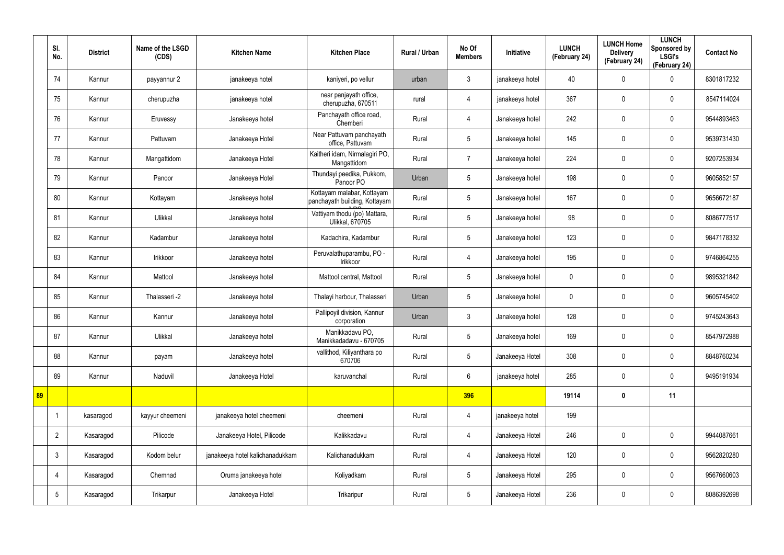|    | SI.<br>No.      | <b>District</b> | Name of the LSGD<br>(CDS) | <b>Kitchen Name</b>             | <b>Kitchen Place</b>                                        | Rural / Urban | No Of<br><b>Members</b> | Initiative      | <b>LUNCH</b><br>(February 24) | <b>LUNCH Home</b><br><b>Delivery</b><br>(February 24) | <b>LUNCH</b><br>Sponsored by<br><b>LSGI's</b><br>(February 24) | <b>Contact No</b> |
|----|-----------------|-----------------|---------------------------|---------------------------------|-------------------------------------------------------------|---------------|-------------------------|-----------------|-------------------------------|-------------------------------------------------------|----------------------------------------------------------------|-------------------|
|    | 74              | Kannur          | payyannur 2               | janakeeya hotel                 | kaniyeri, po vellur                                         | urban         | $\mathbf{3}$            | janakeeya hotel | 40                            | $\mathbf 0$                                           | 0                                                              | 8301817232        |
|    | 75              | Kannur          | cherupuzha                | janakeeya hotel                 | near panjayath office,<br>cherupuzha, 670511                | rural         | $\overline{4}$          | janakeeya hotel | 367                           | 0                                                     | $\boldsymbol{0}$                                               | 8547114024        |
|    | 76              | Kannur          | Eruvessy                  | Janakeeya hotel                 | Panchayath office road,<br>Chemberi                         | Rural         | 4                       | Janakeeya hotel | 242                           | $\mathbf 0$                                           | 0                                                              | 9544893463        |
|    | 77              | Kannur          | Pattuvam                  | Janakeeya Hotel                 | Near Pattuvam panchayath<br>office, Pattuvam                | Rural         | $5\overline{)}$         | Janakeeya hotel | 145                           | 0                                                     | $\mathbf 0$                                                    | 9539731430        |
|    | 78              | Kannur          | Mangattidom               | Janakeeya Hotel                 | Kaitheri idam, Nirmalagiri PO,<br>Mangattidom               | Rural         | $\overline{7}$          | Janakeeya hotel | 224                           | 0                                                     | $\mathbf 0$                                                    | 9207253934        |
|    | 79              | Kannur          | Panoor                    | Janakeeya Hotel                 | Thundayi peedika, Pukkom,<br>Panoor PO                      | Urban         | 5                       | Janakeeya hotel | 198                           | $\boldsymbol{0}$                                      | $\mathbf 0$                                                    | 9605852157        |
|    | 80              | Kannur          | Kottayam                  | Janakeeya hotel                 | Kottayam malabar, Kottayam<br>panchayath building, Kottayam | Rural         | $5\phantom{.0}$         | Janakeeya hotel | 167                           | $\boldsymbol{0}$                                      | $\mathbf 0$                                                    | 9656672187        |
|    | 81              | Kannur          | Ulikkal                   | Janakeeya hotel                 | Vattiyam thodu (po) Mattara,<br><b>Ulikkal, 670705</b>      | Rural         | $5\overline{)}$         | Janakeeya hotel | 98                            | 0                                                     | $\mathbf 0$                                                    | 8086777517        |
|    | 82              | Kannur          | Kadambur                  | Janakeeya hotel                 | Kadachira, Kadambur                                         | Rural         | $5\phantom{.0}$         | Janakeeya hotel | 123                           | $\boldsymbol{0}$                                      | $\mathbf 0$                                                    | 9847178332        |
|    | 83              | Kannur          | Irikkoor                  | Janakeeya hotel                 | Peruvalathuparambu, PO -<br>Irikkoor                        | Rural         | $\overline{4}$          | Janakeeya hotel | 195                           | 0                                                     | $\boldsymbol{0}$                                               | 9746864255        |
|    | 84              | Kannur          | Mattool                   | Janakeeya hotel                 | Mattool central, Mattool                                    | Rural         | $5\overline{)}$         | Janakeeya hotel | $\mathbf 0$                   | 0                                                     | $\boldsymbol{0}$                                               | 9895321842        |
|    | 85              | Kannur          | Thalasseri -2             | Janakeeya hotel                 | Thalayi harbour, Thalasseri                                 | Urban         | $5\overline{)}$         | Janakeeya hotel | $\mathbf 0$                   | 0                                                     | $\boldsymbol{0}$                                               | 9605745402        |
|    | 86              | Kannur          | Kannur                    | Janakeeya hotel                 | Pallipoyil division, Kannur<br>corporation                  | Urban         | $\mathbf{3}$            | Janakeeya hotel | 128                           | $\mathbf 0$                                           | $\boldsymbol{0}$                                               | 9745243643        |
|    | 87              | Kannur          | Ulikkal                   | Janakeeya hotel                 | Manikkadavu PO,<br>Manikkadadavu - 670705                   | Rural         | $5\phantom{.0}$         | Janakeeya hotel | 169                           | $\pmb{0}$                                             | $\pmb{0}$                                                      | 8547972988        |
|    | 88              | Kannur          | payam                     | Janakeeya hotel                 | vallithod, Kiliyanthara po<br>670706                        | Rural         | 5 <sub>5</sub>          | Janakeeya Hotel | 308                           | 0                                                     | $\mathbf 0$                                                    | 8848760234        |
|    | 89              | Kannur          | Naduvil                   | Janakeeya Hotel                 | karuvanchal                                                 | Rural         | $6\overline{6}$         | janakeeya hotel | 285                           | $\pmb{0}$                                             | $\mathbf 0$                                                    | 9495191934        |
| 89 |                 |                 |                           |                                 |                                                             |               | 396                     |                 | 19114                         | $\boldsymbol{0}$                                      | 11                                                             |                   |
|    | $\overline{1}$  | kasaragod       | kayyur cheemeni           | janakeeya hotel cheemeni        | cheemeni                                                    | Rural         | $\overline{4}$          | janakeeya hotel | 199                           |                                                       |                                                                |                   |
|    | $\overline{2}$  | Kasaragod       | Pilicode                  | Janakeeya Hotel, Pilicode       | Kalikkadavu                                                 | Rural         | $\overline{4}$          | Janakeeya Hotel | 246                           | 0                                                     | $\mathbf 0$                                                    | 9944087661        |
|    | $\mathbf{3}$    | Kasaragod       | Kodom belur               | janakeeya hotel kalichanadukkam | Kalichanadukkam                                             | Rural         | $\overline{4}$          | Janakeeya Hotel | 120                           | 0                                                     | $\pmb{0}$                                                      | 9562820280        |
|    | 4               | Kasaragod       | Chemnad                   | Oruma janakeeya hotel           | Koliyadkam                                                  | Rural         | 5 <sup>5</sup>          | Janakeeya Hotel | 295                           | 0                                                     | $\mathbf 0$                                                    | 9567660603        |
|    | $5\phantom{.0}$ | Kasaragod       | Trikarpur                 | Janakeeya Hotel                 | Trikaripur                                                  | Rural         | 5 <sub>5</sub>          | Janakeeya Hotel | 236                           | 0                                                     | $\boldsymbol{0}$                                               | 8086392698        |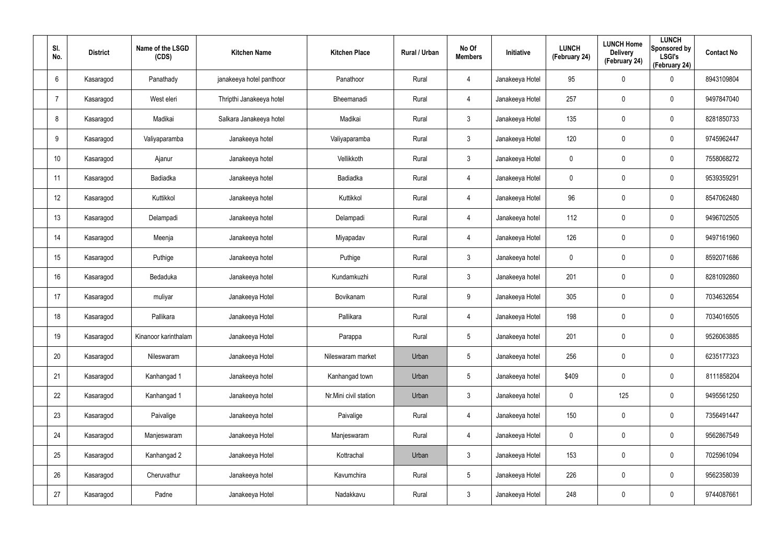| SI.<br>No.       | <b>District</b> | Name of the LSGD<br>(CDS) | <b>Kitchen Name</b>      | <b>Kitchen Place</b>  | Rural / Urban | No Of<br><b>Members</b> | Initiative      | <b>LUNCH</b><br>(February 24) | <b>LUNCH Home</b><br><b>Delivery</b><br>(February 24) | <b>LUNCH</b><br>Sponsored by<br><b>LSGI's</b><br>(February 24) | <b>Contact No</b> |
|------------------|-----------------|---------------------------|--------------------------|-----------------------|---------------|-------------------------|-----------------|-------------------------------|-------------------------------------------------------|----------------------------------------------------------------|-------------------|
| 6                | Kasaragod       | Panathady                 | janakeeya hotel panthoor | Panathoor             | Rural         | 4                       | Janakeeya Hotel | 95                            | 0                                                     | $\boldsymbol{0}$                                               | 8943109804        |
| $\overline{7}$   | Kasaragod       | West eleri                | Thripthi Janakeeya hotel | Bheemanadi            | Rural         | 4                       | Janakeeya Hotel | 257                           | 0                                                     | $\mathbf 0$                                                    | 9497847040        |
| 8                | Kasaragod       | Madikai                   | Salkara Janakeeya hotel  | Madikai               | Rural         | $\mathbf{3}$            | Janakeeya Hotel | 135                           | 0                                                     | $\boldsymbol{0}$                                               | 8281850733        |
| 9                | Kasaragod       | Valiyaparamba             | Janakeeya hotel          | Valiyaparamba         | Rural         | $\mathbf{3}$            | Janakeeya Hotel | 120                           | $\mathbf 0$                                           | $\mathbf 0$                                                    | 9745962447        |
| 10 <sup>°</sup>  | Kasaragod       | Ajanur                    | Janakeeya hotel          | Vellikkoth            | Rural         | $\mathbf{3}$            | Janakeeya Hotel | $\mathbf 0$                   | $\mathbf 0$                                           | $\mathbf 0$                                                    | 7558068272        |
| 11               | Kasaragod       | Badiadka                  | Janakeeya hotel          | Badiadka              | Rural         | 4                       | Janakeeya Hotel | $\mathbf 0$                   | $\mathbf 0$                                           | $\mathbf 0$                                                    | 9539359291        |
| 12 <sup>°</sup>  | Kasaragod       | Kuttikkol                 | Janakeeya hotel          | Kuttikkol             | Rural         | $\overline{4}$          | Janakeeya Hotel | 96                            | $\mathbf 0$                                           | $\mathbf 0$                                                    | 8547062480        |
| 13               | Kasaragod       | Delampadi                 | Janakeeya hotel          | Delampadi             | Rural         | $\overline{4}$          | Janakeeya hotel | 112                           | $\mathbf 0$                                           | $\mathbf 0$                                                    | 9496702505        |
| 14               | Kasaragod       | Meenja                    | Janakeeya hotel          | Miyapadav             | Rural         | $\overline{4}$          | Janakeeya Hotel | 126                           | 0                                                     | $\mathbf 0$                                                    | 9497161960        |
| 15 <sub>15</sub> | Kasaragod       | Puthige                   | Janakeeya hotel          | Puthige               | Rural         | $\mathbf{3}$            | Janakeeya hotel | $\mathbf 0$                   | 0                                                     | $\mathbf 0$                                                    | 8592071686        |
| 16               | Kasaragod       | Bedaduka                  | Janakeeya hotel          | Kundamkuzhi           | Rural         | $\mathbf{3}$            | Janakeeya hotel | 201                           | 0                                                     | $\mathbf 0$                                                    | 8281092860        |
| 17               | Kasaragod       | muliyar                   | Janakeeya Hotel          | Bovikanam             | Rural         | 9                       | Janakeeya Hotel | 305                           | 0                                                     | $\mathbf 0$                                                    | 7034632654        |
| 18               | Kasaragod       | Pallikara                 | Janakeeya Hotel          | Pallikara             | Rural         | $\overline{4}$          | Janakeeya Hotel | 198                           | 0                                                     | $\mathbf 0$                                                    | 7034016505        |
| 19               | Kasaragod       | Kinanoor karinthalam      | Janakeeya Hotel          | Parappa               | Rural         | $5\phantom{.0}$         | Janakeeya hotel | 201                           | $\pmb{0}$                                             | $\mathbf 0$                                                    | 9526063885        |
| 20               | Kasaragod       | Nileswaram                | Janakeeya Hotel          | Nileswaram market     | Urban         | $5\overline{)}$         | Janakeeya hotel | 256                           | 0                                                     | $\mathbf 0$                                                    | 6235177323        |
| 21               | Kasaragod       | Kanhangad 1               | Janakeeya hotel          | Kanhangad town        | Urban         | $5\overline{)}$         | Janakeeya hotel | \$409                         | 0                                                     | $\mathbf 0$                                                    | 8111858204        |
| 22               | Kasaragod       | Kanhangad 1               | Janakeeya hotel          | Nr.Mini civil station | Urban         | $\mathbf{3}$            | Janakeeya hotel | $\pmb{0}$                     | 125                                                   | $\mathbf 0$                                                    | 9495561250        |
| 23               | Kasaragod       | Paivalige                 | Janakeeya hotel          | Paivalige             | Rural         | $\overline{4}$          | Janakeeya hotel | 150                           | 0                                                     | $\mathbf 0$                                                    | 7356491447        |
| 24               | Kasaragod       | Manjeswaram               | Janakeeya Hotel          | Manjeswaram           | Rural         | $\overline{4}$          | Janakeeya Hotel | $\pmb{0}$                     | 0                                                     | $\mathbf 0$                                                    | 9562867549        |
| 25               | Kasaragod       | Kanhangad 2               | Janakeeya Hotel          | Kottrachal            | Urban         | $\mathbf{3}$            | Janakeeya Hotel | 153                           | $\pmb{0}$                                             | $\mathbf 0$                                                    | 7025961094        |
| 26               | Kasaragod       | Cheruvathur               | Janakeeya hotel          | Kavumchira            | Rural         | $5\overline{)}$         | Janakeeya Hotel | 226                           | 0                                                     | $\mathbf 0$                                                    | 9562358039        |
| 27               | Kasaragod       | Padne                     | Janakeeya Hotel          | Nadakkavu             | Rural         | $\mathbf{3}$            | Janakeeya Hotel | 248                           | $\pmb{0}$                                             | $\boldsymbol{0}$                                               | 9744087661        |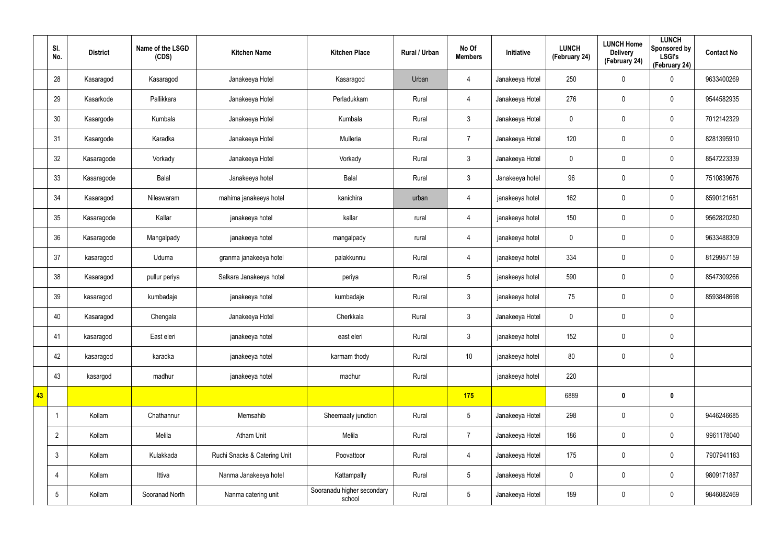|    | SI.<br>No.     | <b>District</b> | Name of the LSGD<br>(CDS) | <b>Kitchen Name</b>          | <b>Kitchen Place</b>                 | Rural / Urban | No Of<br><b>Members</b> | Initiative      | <b>LUNCH</b><br>(February 24) | <b>LUNCH Home</b><br><b>Delivery</b><br>(February 24) | <b>LUNCH</b><br>Sponsored by<br><b>LSGI's</b><br>(February 24) | <b>Contact No</b> |
|----|----------------|-----------------|---------------------------|------------------------------|--------------------------------------|---------------|-------------------------|-----------------|-------------------------------|-------------------------------------------------------|----------------------------------------------------------------|-------------------|
|    | 28             | Kasaragod       | Kasaragod                 | Janakeeya Hotel              | Kasaragod                            | Urban         | 4                       | Janakeeya Hotel | 250                           | 0                                                     | $\pmb{0}$                                                      | 9633400269        |
|    | 29             | Kasarkode       | Pallikkara                | Janakeeya Hotel              | Perladukkam                          | Rural         | 4                       | Janakeeya Hotel | 276                           | 0                                                     | $\mathbf 0$                                                    | 9544582935        |
|    | 30             | Kasargode       | Kumbala                   | Janakeeya Hotel              | Kumbala                              | Rural         | $\mathbf{3}$            | Janakeeya Hotel | $\mathbf 0$                   | 0                                                     | $\pmb{0}$                                                      | 7012142329        |
|    | 31             | Kasargode       | Karadka                   | Janakeeya Hotel              | Mulleria                             | Rural         | $\overline{7}$          | Janakeeya Hotel | 120                           | $\mathbf 0$                                           | $\mathbf 0$                                                    | 8281395910        |
|    | 32             | Kasaragode      | Vorkady                   | Janakeeya Hotel              | Vorkady                              | Rural         | $\mathbf{3}$            | Janakeeya Hotel | $\mathbf 0$                   | $\mathbf 0$                                           | $\pmb{0}$                                                      | 8547223339        |
|    | 33             | Kasaragode      | Balal                     | Janakeeya hotel              | Balal                                | Rural         | $\mathbf{3}$            | Janakeeya hotel | 96                            | 0                                                     | $\mathbf 0$                                                    | 7510839676        |
|    | 34             | Kasaragod       | Nileswaram                | mahima janakeeya hotel       | kanichira                            | urban         | $\overline{4}$          | janakeeya hotel | 162                           | 0                                                     | $\mathbf 0$                                                    | 8590121681        |
|    | 35             | Kasaragode      | Kallar                    | janakeeya hotel              | kallar                               | rural         | 4                       | janakeeya hotel | 150                           | 0                                                     | $\mathbf 0$                                                    | 9562820280        |
|    | 36             | Kasaragode      | Mangalpady                | janakeeya hotel              | mangalpady                           | rural         | $\overline{4}$          | janakeeya hotel | $\mathbf 0$                   | 0                                                     | $\mathbf 0$                                                    | 9633488309        |
|    | 37             | kasaragod       | Uduma                     | granma janakeeya hotel       | palakkunnu                           | Rural         | 4                       | janakeeya hotel | 334                           | 0                                                     | $\mathbf 0$                                                    | 8129957159        |
|    | 38             | Kasaragod       | pullur periya             | Salkara Janakeeya hotel      | periya                               | Rural         | $5\overline{)}$         | janakeeya hotel | 590                           | 0                                                     | $\mathbf 0$                                                    | 8547309266        |
|    | 39             | kasaragod       | kumbadaje                 | janakeeya hotel              | kumbadaje                            | Rural         | $\mathbf{3}$            | janakeeya hotel | 75                            | 0                                                     | $\mathbf 0$                                                    | 8593848698        |
|    | 40             | Kasaragod       | Chengala                  | Janakeeya Hotel              | Cherkkala                            | Rural         | $\mathbf{3}$            | Janakeeya Hotel | $\pmb{0}$                     | 0                                                     | $\pmb{0}$                                                      |                   |
|    | 41             | kasaragod       | East eleri                | janakeeya hotel              | east eleri                           | Rural         | $\mathbf{3}$            | janakeeya hotel | 152                           | 0                                                     | $\pmb{0}$                                                      |                   |
|    | 42             | kasaragod       | karadka                   | janakeeya hotel              | karmam thody                         | Rural         | 10 <sup>°</sup>         | janakeeya hotel | 80                            | 0                                                     | $\mathbf 0$                                                    |                   |
|    | 43             | kasargod        | madhur                    | janakeeya hotel              | madhur                               | Rural         |                         | janakeeya hotel | 220                           |                                                       |                                                                |                   |
| 43 |                |                 |                           |                              |                                      |               | 175                     |                 | 6889                          | $\boldsymbol{0}$                                      | $\mathbf 0$                                                    |                   |
|    |                | Kollam          | Chathannur                | Memsahib                     | Sheemaaty junction                   | Rural         | $5\overline{)}$         | Janakeeya Hotel | 298                           | 0                                                     | $\mathbf 0$                                                    | 9446246685        |
|    | $\overline{2}$ | Kollam          | Melila                    | Atham Unit                   | Melila                               | Rural         | $\overline{7}$          | Janakeeya Hotel | 186                           | 0                                                     | $\mathbf 0$                                                    | 9961178040        |
|    | $\mathbf{3}$   | Kollam          | Kulakkada                 | Ruchi Snacks & Catering Unit | Poovattoor                           | Rural         | $\overline{4}$          | Janakeeya Hotel | 175                           | $\pmb{0}$                                             | $\pmb{0}$                                                      | 7907941183        |
|    | 4              | Kollam          | Ittiva                    | Nanma Janakeeya hotel        | Kattampally                          | Rural         | $5\phantom{.0}$         | Janakeeya Hotel | $\mathbf 0$                   | 0                                                     | $\mathbf 0$                                                    | 9809171887        |
|    | $\sqrt{5}$     | Kollam          | Sooranad North            | Nanma catering unit          | Sooranadu higher secondary<br>school | Rural         | $5\phantom{.0}$         | Janakeeya Hotel | 189                           | $\pmb{0}$                                             | $\pmb{0}$                                                      | 9846082469        |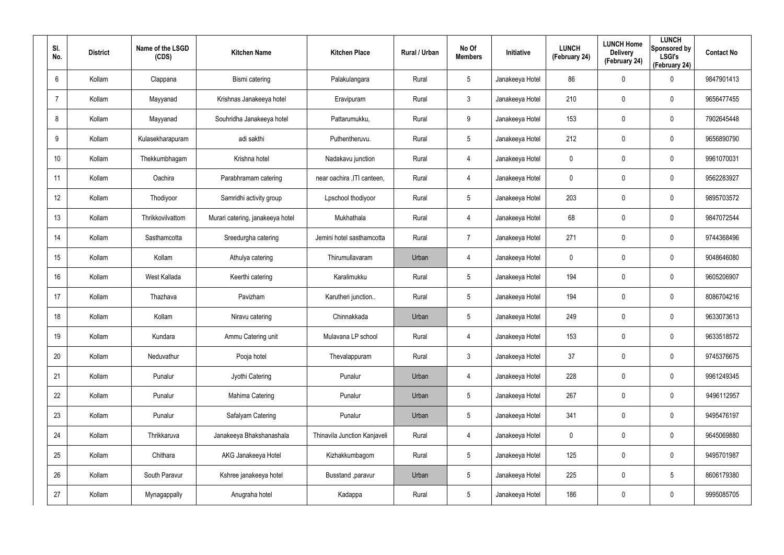| SI.<br>No.      | <b>District</b> | Name of the LSGD<br>(CDS) | <b>Kitchen Name</b>              | <b>Kitchen Place</b>         | <b>Rural / Urban</b> | No Of<br><b>Members</b> | Initiative      | <b>LUNCH</b><br>(February 24) | <b>LUNCH Home</b><br><b>Delivery</b><br>(February 24) | <b>LUNCH</b><br>Sponsored by<br><b>LSGI's</b><br>(February 24) | <b>Contact No</b> |
|-----------------|-----------------|---------------------------|----------------------------------|------------------------------|----------------------|-------------------------|-----------------|-------------------------------|-------------------------------------------------------|----------------------------------------------------------------|-------------------|
| 6               | Kollam          | Clappana                  | Bismi catering                   | Palakulangara                | Rural                | 5                       | Janakeeya Hotel | 86                            | 0                                                     | $\mathbf 0$                                                    | 9847901413        |
| $\overline{7}$  | Kollam          | Mayyanad                  | Krishnas Janakeeya hotel         | Eravipuram                   | Rural                | $\mathbf{3}$            | Janakeeya Hotel | 210                           | 0                                                     | $\boldsymbol{0}$                                               | 9656477455        |
| 8               | Kollam          | Mayyanad                  | Souhridha Janakeeya hotel        | Pattarumukku,                | Rural                | 9                       | Janakeeya Hotel | 153                           | 0                                                     | $\pmb{0}$                                                      | 7902645448        |
| 9               | Kollam          | Kulasekharapuram          | adi sakthi                       | Puthentheruvu.               | Rural                | $5\phantom{.0}$         | Janakeeya Hotel | 212                           | 0                                                     | $\boldsymbol{0}$                                               | 9656890790        |
| 10 <sup>°</sup> | Kollam          | Thekkumbhagam             | Krishna hotel                    | Nadakavu junction            | Rural                | 4                       | Janakeeya Hotel | $\boldsymbol{0}$              | 0                                                     | $\boldsymbol{0}$                                               | 9961070031        |
| 11              | Kollam          | Oachira                   | Parabhramam catering             | near oachira , ITI canteen,  | Rural                | 4                       | Janakeeya Hotel | 0                             | 0                                                     | $\mathbf 0$                                                    | 9562283927        |
| 12 <sup>°</sup> | Kollam          | Thodiyoor                 | Samridhi activity group          | Lpschool thodiyoor           | Rural                | $5\phantom{.0}$         | Janakeeya Hotel | 203                           | 0                                                     | $\pmb{0}$                                                      | 9895703572        |
| 13              | Kollam          | Thrikkovilvattom          | Murari catering, janakeeya hotel | Mukhathala                   | Rural                | 4                       | Janakeeya Hotel | 68                            | 0                                                     | $\mathbf 0$                                                    | 9847072544        |
| 14              | Kollam          | Sasthamcotta              | Sreedurgha catering              | Jemini hotel sasthamcotta    | Rural                | $\overline{7}$          | Janakeeya Hotel | 271                           | 0                                                     | $\mathbf 0$                                                    | 9744368496        |
| 15              | Kollam          | Kollam                    | Athulya catering                 | Thirumullavaram              | Urban                | 4                       | Janakeeya Hotel | 0                             | 0                                                     | $\mathbf 0$                                                    | 9048646080        |
| 16              | Kollam          | West Kallada              | Keerthi catering                 | Karalimukku                  | Rural                | $5\phantom{.0}$         | Janakeeya Hotel | 194                           | 0                                                     | $\mathbf 0$                                                    | 9605206907        |
| 17              | Kollam          | Thazhava                  | Pavizham                         | Karutheri junction           | Rural                | $5\phantom{.0}$         | Janakeeya Hotel | 194                           | 0                                                     | $\mathbf 0$                                                    | 8086704216        |
| 18              | Kollam          | Kollam                    | Niravu catering                  | Chinnakkada                  | Urban                | $5\phantom{.0}$         | Janakeeya Hotel | 249                           | 0                                                     | $\mathbf 0$                                                    | 9633073613        |
| 19              | Kollam          | Kundara                   | Ammu Catering unit               | Mulavana LP school           | Rural                | 4                       | Janakeeya Hotel | 153                           | 0                                                     | $\pmb{0}$                                                      | 9633518572        |
| 20              | Kollam          | Neduvathur                | Pooja hotel                      | Thevalappuram                | Rural                | $\mathbf{3}$            | Janakeeya Hotel | 37                            | 0                                                     | $\mathbf 0$                                                    | 9745376675        |
| 21              | Kollam          | Punalur                   | Jyothi Catering                  | Punalur                      | Urban                | 4                       | Janakeeya Hotel | 228                           | 0                                                     | $\mathbf 0$                                                    | 9961249345        |
| 22              | Kollam          | Punalur                   | Mahima Catering                  | Punalur                      | Urban                | $5\phantom{.0}$         | Janakeeya Hotel | 267                           | 0                                                     | $\mathbf 0$                                                    | 9496112957        |
| 23              | Kollam          | Punalur                   | Safalyam Catering                | Punalur                      | Urban                | $5\phantom{.0}$         | Janakeeya Hotel | 341                           | 0                                                     | $\mathbf 0$                                                    | 9495476197        |
| 24              | Kollam          | Thrikkaruva               | Janakeeya Bhakshanashala         | Thinavila Junction Kanjaveli | Rural                | 4                       | Janakeeya Hotel | $\mathbf 0$                   | 0                                                     | $\mathbf 0$                                                    | 9645069880        |
| 25              | Kollam          | Chithara                  | AKG Janakeeya Hotel              | Kizhakkumbagom               | Rural                | $5\phantom{.0}$         | Janakeeya Hotel | 125                           | 0                                                     | $\mathbf 0$                                                    | 9495701987        |
| 26              | Kollam          | South Paravur             | Kshree janakeeya hotel           | Busstand , paravur           | Urban                | $5\phantom{.0}$         | Janakeeya Hotel | 225                           | 0                                                     | $5\phantom{.0}$                                                | 8606179380        |
| 27              | Kollam          | Mynagappally              | Anugraha hotel                   | Kadappa                      | Rural                | $5\phantom{.0}$         | Janakeeya Hotel | 186                           | 0                                                     | $\mathsf{0}$                                                   | 9995085705        |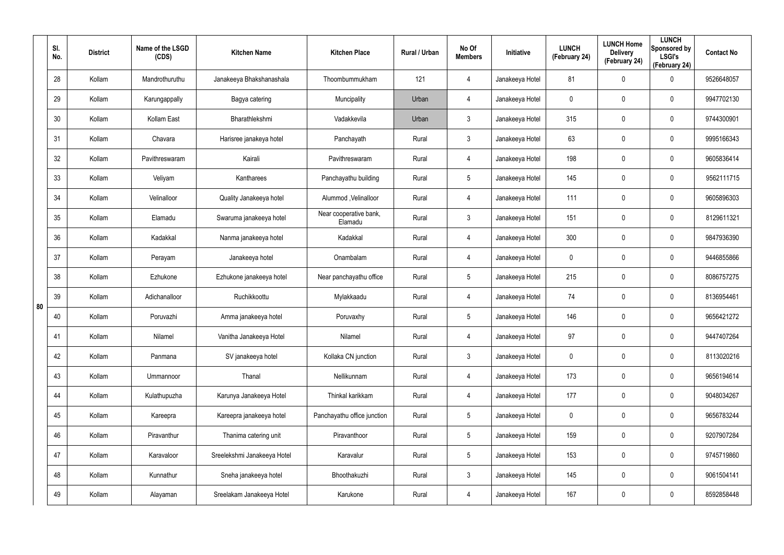|    | SI.<br>No. | <b>District</b> | Name of the LSGD<br>(CDS) | <b>Kitchen Name</b>         | <b>Kitchen Place</b>              | Rural / Urban | No Of<br><b>Members</b> | Initiative      | <b>LUNCH</b><br>(February 24) | <b>LUNCH Home</b><br><b>Delivery</b><br>(February 24) | <b>LUNCH</b><br>Sponsored by<br><b>LSGI's</b><br>(February 24) | <b>Contact No</b> |
|----|------------|-----------------|---------------------------|-----------------------------|-----------------------------------|---------------|-------------------------|-----------------|-------------------------------|-------------------------------------------------------|----------------------------------------------------------------|-------------------|
|    | 28         | Kollam          | Mandrothuruthu            | Janakeeya Bhakshanashala    | Thoombummukham                    | 121           | 4                       | Janakeeya Hotel | 81                            | $\mathbf 0$                                           | $\mathbf 0$                                                    | 9526648057        |
|    | 29         | Kollam          | Karungappally             | Bagya catering              | Muncipality                       | Urban         | 4                       | Janakeeya Hotel | 0                             | 0                                                     | $\pmb{0}$                                                      | 9947702130        |
|    | 30         | Kollam          | Kollam East               | Bharathlekshmi              | Vadakkevila                       | Urban         | $\mathfrak{Z}$          | Janakeeya Hotel | 315                           | $\mathbf 0$                                           | $\pmb{0}$                                                      | 9744300901        |
|    | 31         | Kollam          | Chavara                   | Harisree janakeya hotel     | Panchayath                        | Rural         | $\mathfrak{Z}$          | Janakeeya Hotel | 63                            | 0                                                     | $\pmb{0}$                                                      | 9995166343        |
|    | 32         | Kollam          | Pavithreswaram            | Kairali                     | Pavithreswaram                    | Rural         | 4                       | Janakeeya Hotel | 198                           | $\mathbf 0$                                           | $\pmb{0}$                                                      | 9605836414        |
|    | 33         | Kollam          | Veliyam                   | Kantharees                  | Panchayathu building              | Rural         | $5\phantom{.0}$         | Janakeeya Hotel | 145                           | 0                                                     | $\pmb{0}$                                                      | 9562111715        |
|    | 34         | Kollam          | Velinalloor               | Quality Janakeeya hotel     | Alummod, Velinalloor              | Rural         | 4                       | Janakeeya Hotel | 111                           | $\mathbf 0$                                           | $\pmb{0}$                                                      | 9605896303        |
|    | 35         | Kollam          | Elamadu                   | Swaruma janakeeya hotel     | Near cooperative bank,<br>Elamadu | Rural         | $\mathbf{3}$            | Janakeeya Hotel | 151                           | 0                                                     | $\pmb{0}$                                                      | 8129611321        |
|    | 36         | Kollam          | Kadakkal                  | Nanma janakeeya hotel       | Kadakkal                          | Rural         | 4                       | Janakeeya Hotel | 300                           | $\mathbf 0$                                           | $\pmb{0}$                                                      | 9847936390        |
|    | 37         | Kollam          | Perayam                   | Janakeeya hotel             | Onambalam                         | Rural         | 4                       | Janakeeya Hotel | 0                             | 0                                                     | $\pmb{0}$                                                      | 9446855866        |
|    | 38         | Kollam          | Ezhukone                  | Ezhukone janakeeya hotel    | Near panchayathu office           | Rural         | $5\phantom{.0}$         | Janakeeya Hotel | 215                           | $\mathbf 0$                                           | $\pmb{0}$                                                      | 8086757275        |
| 80 | 39         | Kollam          | Adichanalloor             | Ruchikkoottu                | Mylakkaadu                        | Rural         | 4                       | Janakeeya Hotel | 74                            | 0                                                     | $\pmb{0}$                                                      | 8136954461        |
|    | 40         | Kollam          | Poruvazhi                 | Amma janakeeya hotel        | Poruvaxhy                         | Rural         | $5\phantom{.0}$         | Janakeeya Hotel | 146                           | 0                                                     | $\mathbf 0$                                                    | 9656421272        |
|    | 41         | Kollam          | Nilamel                   | Vanitha Janakeeya Hotel     | Nilamel                           | Rural         | 4                       | Janakeeya Hotel | 97                            | $\pmb{0}$                                             | $\pmb{0}$                                                      | 9447407264        |
|    | 42         | Kollam          | Panmana                   | SV janakeeya hotel          | Kollaka CN junction               | Rural         | $\mathbf{3}$            | Janakeeya Hotel | $\mathbf 0$                   | $\mathbf 0$                                           | $\mathbf 0$                                                    | 8113020216        |
|    | 43         | Kollam          | Ummannoor                 | Thanal                      | Nellikunnam                       | Rural         | 4                       | Janakeeya Hotel | 173                           | $\mathbf 0$                                           | $\mathbf 0$                                                    | 9656194614        |
|    | 44         | Kollam          | Kulathupuzha              | Karunya Janakeeya Hotel     | Thinkal karikkam                  | Rural         | 4                       | Janakeeya Hotel | 177                           | $\mathbf 0$                                           | $\mathbf 0$                                                    | 9048034267        |
|    | 45         | Kollam          | Kareepra                  | Kareepra janakeeya hotel    | Panchayathu office junction       | Rural         | $5\phantom{.0}$         | Janakeeya Hotel | $\mathbf 0$                   | $\mathbf 0$                                           | $\mathbf 0$                                                    | 9656783244        |
|    | 46         | Kollam          | Piravanthur               | Thanima catering unit       | Piravanthoor                      | Rural         | $5\phantom{.0}$         | Janakeeya Hotel | 159                           | $\mathbf 0$                                           | $\mathbf 0$                                                    | 9207907284        |
|    | 47         | Kollam          | Karavaloor                | Sreelekshmi Janakeeya Hotel | Karavalur                         | Rural         | $5\phantom{.0}$         | Janakeeya Hotel | 153                           | $\mathbf 0$                                           | $\mathbf 0$                                                    | 9745719860        |
|    | 48         | Kollam          | Kunnathur                 | Sneha janakeeya hotel       | Bhoothakuzhi                      | Rural         | $\mathfrak{Z}$          | Janakeeya Hotel | 145                           | 0                                                     | $\mathbf 0$                                                    | 9061504141        |
|    | 49         | Kollam          | Alayaman                  | Sreelakam Janakeeya Hotel   | Karukone                          | Rural         | 4                       | Janakeeya Hotel | 167                           | 0                                                     | $\mathsf{0}$                                                   | 8592858448        |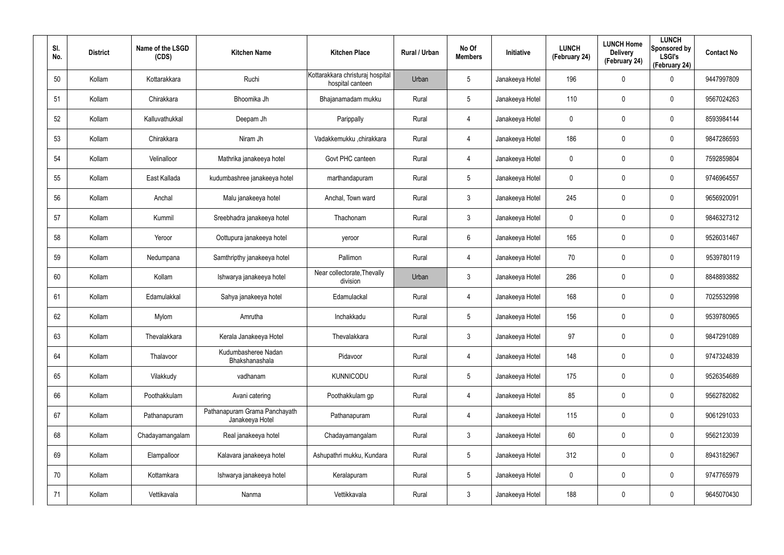| SI.<br>No. | <b>District</b> | Name of the LSGD<br>(CDS) | <b>Kitchen Name</b>                              | <b>Kitchen Place</b>                                 | Rural / Urban | No Of<br><b>Members</b> | <b>Initiative</b> | <b>LUNCH</b><br>(February 24) | <b>LUNCH Home</b><br><b>Delivery</b><br>(February 24) | <b>LUNCH</b><br>Sponsored by<br><b>LSGI's</b><br>(February 24) | <b>Contact No</b> |
|------------|-----------------|---------------------------|--------------------------------------------------|------------------------------------------------------|---------------|-------------------------|-------------------|-------------------------------|-------------------------------------------------------|----------------------------------------------------------------|-------------------|
| 50         | Kollam          | Kottarakkara              | Ruchi                                            | Kottarakkara christuraj hospital<br>hospital canteen | Urban         | $5\phantom{.0}$         | Janakeeya Hotel   | 196                           | 0                                                     | $\boldsymbol{0}$                                               | 9447997809        |
| 51         | Kollam          | Chirakkara                | Bhoomika Jh                                      | Bhajanamadam mukku                                   | Rural         | $5\phantom{.0}$         | Janakeeya Hotel   | 110                           | 0                                                     | $\boldsymbol{0}$                                               | 9567024263        |
| 52         | Kollam          | Kalluvathukkal            | Deepam Jh                                        | Parippally                                           | Rural         | 4                       | Janakeeya Hotel   | 0                             | 0                                                     | $\boldsymbol{0}$                                               | 8593984144        |
| 53         | Kollam          | Chirakkara                | Niram Jh                                         | Vadakkemukku ,chirakkara                             | Rural         | 4                       | Janakeeya Hotel   | 186                           | 0                                                     | $\pmb{0}$                                                      | 9847286593        |
| 54         | Kollam          | Velinalloor               | Mathrika janakeeya hotel                         | Govt PHC canteen                                     | Rural         | 4                       | Janakeeya Hotel   | 0                             | 0                                                     | $\pmb{0}$                                                      | 7592859804        |
| 55         | Kollam          | East Kallada              | kudumbashree janakeeya hotel                     | marthandapuram                                       | Rural         | $5\phantom{.0}$         | Janakeeya Hotel   | 0                             | 0                                                     | $\boldsymbol{0}$                                               | 9746964557        |
| 56         | Kollam          | Anchal                    | Malu janakeeya hotel                             | Anchal, Town ward                                    | Rural         | $\mathbf{3}$            | Janakeeya Hotel   | 245                           | 0                                                     | $\pmb{0}$                                                      | 9656920091        |
| 57         | Kollam          | Kummil                    | Sreebhadra janakeeya hotel                       | Thachonam                                            | Rural         | $\mathbf{3}$            | Janakeeya Hotel   | 0                             | 0                                                     | $\mathbf 0$                                                    | 9846327312        |
| 58         | Kollam          | Yeroor                    | Oottupura janakeeya hotel                        | yeroor                                               | Rural         | 6                       | Janakeeya Hotel   | 165                           | 0                                                     | $\boldsymbol{0}$                                               | 9526031467        |
| 59         | Kollam          | Nedumpana                 | Samthripthy janakeeya hotel                      | Pallimon                                             | Rural         | 4                       | Janakeeya Hotel   | 70                            | 0                                                     | $\mathbf 0$                                                    | 9539780119        |
| 60         | Kollam          | Kollam                    | Ishwarya janakeeya hotel                         | Near collectorate, Thevally<br>division              | Urban         | $\mathbf{3}$            | Janakeeya Hotel   | 286                           | 0                                                     | $\boldsymbol{0}$                                               | 8848893882        |
| 61         | Kollam          | Edamulakkal               | Sahya janakeeya hotel                            | Edamulackal                                          | Rural         | 4                       | Janakeeya Hotel   | 168                           | 0                                                     | $\mathbf 0$                                                    | 7025532998        |
| 62         | Kollam          | Mylom                     | Amrutha                                          | Inchakkadu                                           | Rural         | $5\overline{)}$         | Janakeeya Hotel   | 156                           | 0                                                     | $\mathbf 0$                                                    | 9539780965        |
| 63         | Kollam          | Thevalakkara              | Kerala Janakeeya Hotel                           | Thevalakkara                                         | Rural         | $\mathbf{3}$            | Janakeeya Hotel   | 97                            | $\mathbf 0$                                           | $\pmb{0}$                                                      | 9847291089        |
| 64         | Kollam          | Thalavoor                 | Kudumbasheree Nadan<br>Bhakshanashala            | Pidavoor                                             | Rural         | 4                       | Janakeeya Hotel   | 148                           | 0                                                     | $\mathbf 0$                                                    | 9747324839        |
| 65         | Kollam          | Vilakkudy                 | vadhanam                                         | <b>KUNNICODU</b>                                     | Rural         | $5\phantom{.0}$         | Janakeeya Hotel   | 175                           | 0                                                     | $\mathbf 0$                                                    | 9526354689        |
| 66         | Kollam          | Poothakkulam              | Avani catering                                   | Poothakkulam gp                                      | Rural         | 4                       | Janakeeya Hotel   | 85                            | 0                                                     | $\mathbf 0$                                                    | 9562782082        |
| 67         | Kollam          | Pathanapuram              | Pathanapuram Grama Panchayath<br>Janakeeya Hotel | Pathanapuram                                         | Rural         | 4                       | Janakeeya Hotel   | 115                           | 0                                                     | $\mathbf 0$                                                    | 9061291033        |
| 68         | Kollam          | Chadayamangalam           | Real janakeeya hotel                             | Chadayamangalam                                      | Rural         | $\mathbf{3}$            | Janakeeya Hotel   | 60                            | 0                                                     | $\mathbf 0$                                                    | 9562123039        |
| 69         | Kollam          | Elampalloor               | Kalavara janakeeya hotel                         | Ashupathri mukku, Kundara                            | Rural         | $5\phantom{.0}$         | Janakeeya Hotel   | 312                           | 0                                                     | $\mathbf 0$                                                    | 8943182967        |
| 70         | Kollam          | Kottamkara                | Ishwarya janakeeya hotel                         | Keralapuram                                          | Rural         | $5\phantom{.0}$         | Janakeeya Hotel   | 0                             | 0                                                     | $\mathbf 0$                                                    | 9747765979        |
| 71         | Kollam          | Vettikavala               | Nanma                                            | Vettikkavala                                         | Rural         | $\mathfrak{Z}$          | Janakeeya Hotel   | 188                           | 0                                                     | $\mathbf 0$                                                    | 9645070430        |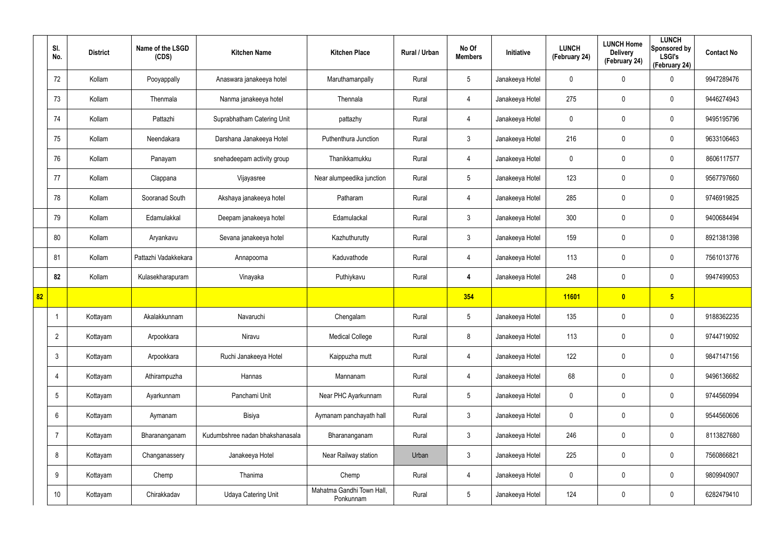|    | SI.<br>No.      | <b>District</b> | Name of the LSGD<br>(CDS) | <b>Kitchen Name</b>             | <b>Kitchen Place</b>                   | Rural / Urban | No Of<br><b>Members</b> | Initiative      | <b>LUNCH</b><br>(February 24) | <b>LUNCH Home</b><br><b>Delivery</b><br>(February 24) | <b>LUNCH</b><br>Sponsored by<br><b>LSGI's</b><br>(February 24) | <b>Contact No</b> |
|----|-----------------|-----------------|---------------------------|---------------------------------|----------------------------------------|---------------|-------------------------|-----------------|-------------------------------|-------------------------------------------------------|----------------------------------------------------------------|-------------------|
|    | 72              | Kollam          | Pooyappally               | Anaswara janakeeya hotel        | Maruthamanpally                        | Rural         | $5\phantom{.0}$         | Janakeeya Hotel | 0                             | 0                                                     | $\boldsymbol{0}$                                               | 9947289476        |
|    | 73              | Kollam          | Thenmala                  | Nanma janakeeya hotel           | Thennala                               | Rural         | $\overline{4}$          | Janakeeya Hotel | 275                           | 0                                                     | $\pmb{0}$                                                      | 9446274943        |
|    | 74              | Kollam          | Pattazhi                  | Suprabhatham Catering Unit      | pattazhy                               | Rural         | 4                       | Janakeeya Hotel | 0                             | $\mathbf 0$                                           | $\pmb{0}$                                                      | 9495195796        |
|    | 75              | Kollam          | Neendakara                | Darshana Janakeeya Hotel        | Puthenthura Junction                   | Rural         | $\mathbf{3}$            | Janakeeya Hotel | 216                           | 0                                                     | $\pmb{0}$                                                      | 9633106463        |
|    | 76              | Kollam          | Panayam                   | snehadeepam activity group      | Thanikkamukku                          | Rural         | $\overline{4}$          | Janakeeya Hotel | 0                             | 0                                                     | $\pmb{0}$                                                      | 8606117577        |
|    | 77              | Kollam          | Clappana                  | Vijayasree                      | Near alumpeedika junction              | Rural         | $5\phantom{.0}$         | Janakeeya Hotel | 123                           | 0                                                     | $\mathbf 0$                                                    | 9567797660        |
|    | 78              | Kollam          | Sooranad South            | Akshaya janakeeya hotel         | Patharam                               | Rural         | 4                       | Janakeeya Hotel | 285                           | 0                                                     | $\pmb{0}$                                                      | 9746919825        |
|    | 79              | Kollam          | Edamulakkal               | Deepam janakeeya hotel          | Edamulackal                            | Rural         | $\mathbf{3}$            | Janakeeya Hotel | 300                           | 0                                                     | $\mathbf 0$                                                    | 9400684494        |
|    | 80              | Kollam          | Aryankavu                 | Sevana janakeeya hotel          | Kazhuthurutty                          | Rural         | $\mathbf{3}$            | Janakeeya Hotel | 159                           | 0                                                     | $\pmb{0}$                                                      | 8921381398        |
|    | 81              | Kollam          | Pattazhi Vadakkekara      | Annapoorna                      | Kaduvathode                            | Rural         | 4                       | Janakeeya Hotel | 113                           | 0                                                     | $\mathbf 0$                                                    | 7561013776        |
|    | 82              | Kollam          | Kulasekharapuram          | Vinayaka                        | Puthiykavu                             | Rural         | 4                       | Janakeeya Hotel | 248                           | 0                                                     | $\pmb{0}$                                                      | 9947499053        |
| 82 |                 |                 |                           |                                 |                                        |               | 354                     |                 | 11601                         | $\overline{\mathbf{0}}$                               | $5\overline{)}$                                                |                   |
|    |                 | Kottayam        | Akalakkunnam              | Navaruchi                       | Chengalam                              | Rural         | $\sqrt{5}$              | Janakeeya Hotel | 135                           | 0                                                     | $\boldsymbol{0}$                                               | 9188362235        |
|    | $\overline{2}$  | Kottayam        | Arpookkara                | Niravu                          | <b>Medical College</b>                 | Rural         | 8                       | Janakeeya Hotel | 113                           | 0                                                     | $\mathbf 0$                                                    | 9744719092        |
|    | $\mathbf{3}$    | Kottayam        | Arpookkara                | Ruchi Janakeeya Hotel           | Kaippuzha mutt                         | Rural         | $\overline{4}$          | Janakeeya Hotel | 122                           | 0                                                     | $\mathbf 0$                                                    | 9847147156        |
|    | $\overline{4}$  | Kottayam        | Athirampuzha              | Hannas                          | Mannanam                               | Rural         | $\overline{4}$          | Janakeeya Hotel | 68                            | 0                                                     | $\mathbf 0$                                                    | 9496136682        |
|    | $5\overline{)}$ | Kottayam        | Ayarkunnam                | Panchami Unit                   | Near PHC Ayarkunnam                    | Rural         | $5\phantom{.0}$         | Janakeeya Hotel | 0                             | 0                                                     | $\mathbf 0$                                                    | 9744560994        |
|    | $6\overline{6}$ | Kottayam        | Aymanam                   | Bisiya                          | Aymanam panchayath hall                | Rural         | $\mathbf{3}$            | Janakeeya Hotel | 0                             | 0                                                     | $\pmb{0}$                                                      | 9544560606        |
|    | $\overline{7}$  | Kottayam        | Bharananganam             | Kudumbshree nadan bhakshanasala | Bharananganam                          | Rural         | $\mathbf{3}$            | Janakeeya Hotel | 246                           | $\pmb{0}$                                             | $\mathbf 0$                                                    | 8113827680        |
|    | 8               | Kottayam        | Changanassery             | Janakeeya Hotel                 | Near Railway station                   | Urban         | $\mathbf{3}$            | Janakeeya Hotel | 225                           | 0                                                     | $\pmb{0}$                                                      | 7560866821        |
|    | 9               | Kottayam        | Chemp                     | Thanima                         | Chemp                                  | Rural         | 4                       | Janakeeya Hotel | 0                             | 0                                                     | $\mathbf 0$                                                    | 9809940907        |
|    | 10 <sup>°</sup> | Kottayam        | Chirakkadav               | Udaya Catering Unit             | Mahatma Gandhi Town Hall,<br>Ponkunnam | Rural         | $5\,$                   | Janakeeya Hotel | 124                           | 0                                                     | $\pmb{0}$                                                      | 6282479410        |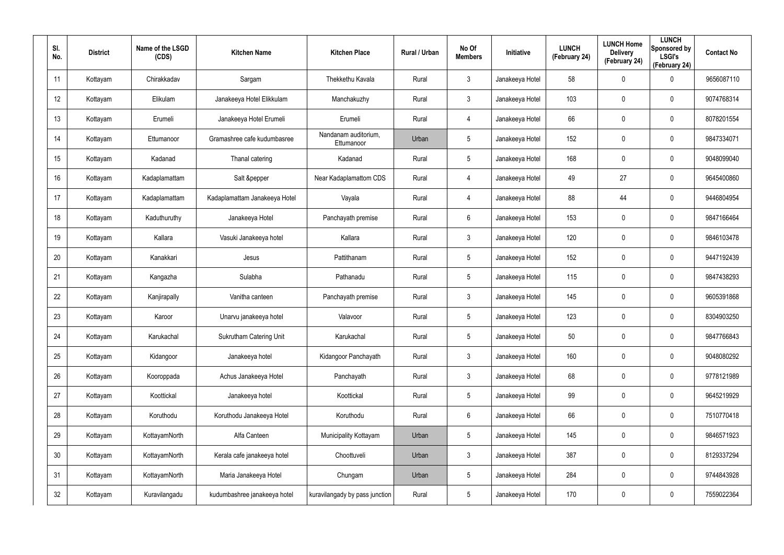| SI.<br>No.      | <b>District</b> | Name of the LSGD<br>(CDS) | <b>Kitchen Name</b>            | <b>Kitchen Place</b>               | Rural / Urban | No Of<br><b>Members</b> | Initiative      | <b>LUNCH</b><br>(February 24) | <b>LUNCH Home</b><br><b>Delivery</b><br>(February 24) | <b>LUNCH</b><br>Sponsored by<br><b>LSGI's</b><br>(February 24) | <b>Contact No</b> |
|-----------------|-----------------|---------------------------|--------------------------------|------------------------------------|---------------|-------------------------|-----------------|-------------------------------|-------------------------------------------------------|----------------------------------------------------------------|-------------------|
| 11              | Kottayam        | Chirakkadav               | Sargam                         | Thekkethu Kavala                   | Rural         | $\mathbf{3}$            | Janakeeya Hotel | 58                            | 0                                                     | $\mathbf 0$                                                    | 9656087110        |
| 12              | Kottayam        | Elikulam                  | Janakeeya Hotel Elikkulam      | Manchakuzhy                        | Rural         | $\mathbf{3}$            | Janakeeya Hotel | 103                           | 0                                                     | $\mathbf 0$                                                    | 9074768314        |
| 13              | Kottayam        | Erumeli                   | Janakeeya Hotel Erumeli        | Erumeli                            | Rural         | $\overline{4}$          | Janakeeya Hotel | 66                            | 0                                                     | $\pmb{0}$                                                      | 8078201554        |
| 14              | Kottayam        | Ettumanoor                | Gramashree cafe kudumbasree    | Nandanam auditorium,<br>Ettumanoor | Urban         | 5                       | Janakeeya Hotel | 152                           | 0                                                     | $\mathbf 0$                                                    | 9847334071        |
| 15              | Kottayam        | Kadanad                   | Thanal catering                | Kadanad                            | Rural         | 5                       | Janakeeya Hotel | 168                           | $\mathbf 0$                                           | $\mathbf 0$                                                    | 9048099040        |
| 16              | Kottayam        | Kadaplamattam             | Salt &pepper                   | Near Kadaplamattom CDS             | Rural         | $\overline{4}$          | Janakeeya Hotel | 49                            | 27                                                    | $\pmb{0}$                                                      | 9645400860        |
| 17              | Kottayam        | Kadaplamattam             | Kadaplamattam Janakeeya Hotel  | Vayala                             | Rural         | $\overline{4}$          | Janakeeya Hotel | 88                            | 44                                                    | $\pmb{0}$                                                      | 9446804954        |
| 18              | Kottayam        | Kaduthuruthy              | Janakeeya Hotel                | Panchayath premise                 | Rural         | 6                       | Janakeeya Hotel | 153                           | 0                                                     | $\mathbf 0$                                                    | 9847166464        |
| 19              | Kottayam        | Kallara                   | Vasuki Janakeeya hotel         | Kallara                            | Rural         | $\mathbf{3}$            | Janakeeya Hotel | 120                           | $\mathbf 0$                                           | $\mathbf 0$                                                    | 9846103478        |
| 20              | Kottayam        | Kanakkari                 | Jesus                          | Pattithanam                        | Rural         | $5\phantom{.0}$         | Janakeeya Hotel | 152                           | $\mathbf 0$                                           | $\mathbf 0$                                                    | 9447192439        |
| 21              | Kottayam        | Kangazha                  | Sulabha                        | Pathanadu                          | Rural         | $5\phantom{.0}$         | Janakeeya Hotel | 115                           | $\mathbf 0$                                           | $\mathbf 0$                                                    | 9847438293        |
| 22              | Kottayam        | Kanjirapally              | Vanitha canteen                | Panchayath premise                 | Rural         | $\mathbf{3}$            | Janakeeya Hotel | 145                           | $\mathbf 0$                                           | $\mathbf 0$                                                    | 9605391868        |
| 23              | Kottayam        | Karoor                    | Unarvu janakeeya hotel         | Valavoor                           | Rural         | $5\phantom{.0}$         | Janakeeya Hotel | 123                           | $\mathbf 0$                                           | $\mathbf 0$                                                    | 8304903250        |
| 24              | Kottayam        | Karukachal                | <b>Sukrutham Catering Unit</b> | Karukachal                         | Rural         | 5                       | Janakeeya Hotel | 50                            | $\mathbf 0$                                           | $\pmb{0}$                                                      | 9847766843        |
| 25              | Kottayam        | Kidangoor                 | Janakeeya hotel                | Kidangoor Panchayath               | Rural         | $\mathbf{3}$            | Janakeeya Hotel | 160                           | $\mathbf 0$                                           | $\mathbf 0$                                                    | 9048080292        |
| 26              | Kottayam        | Kooroppada                | Achus Janakeeya Hotel          | Panchayath                         | Rural         | $\mathbf{3}$            | Janakeeya Hotel | 68                            | $\mathbf 0$                                           | $\pmb{0}$                                                      | 9778121989        |
| 27              | Kottayam        | Koottickal                | Janakeeya hotel                | Koottickal                         | Rural         | $5\phantom{.0}$         | Janakeeya Hotel | 99                            | $\mathbf 0$                                           | $\mathbf 0$                                                    | 9645219929        |
| 28              | Kottayam        | Koruthodu                 | Koruthodu Janakeeya Hotel      | Koruthodu                          | Rural         | $6\phantom{.}6$         | Janakeeya Hotel | 66                            | $\mathbf 0$                                           | $\pmb{0}$                                                      | 7510770418        |
| 29              | Kottayam        | KottayamNorth             | Alfa Canteen                   | Municipality Kottayam              | Urban         | 5                       | Janakeeya Hotel | 145                           | $\mathbf 0$                                           | $\mathbf 0$                                                    | 9846571923        |
| 30 <sup>°</sup> | Kottayam        | KottayamNorth             | Kerala cafe janakeeya hotel    | Choottuveli                        | Urban         | $\mathbf{3}$            | Janakeeya Hotel | 387                           | $\mathbf 0$                                           | $\pmb{0}$                                                      | 8129337294        |
| 31              | Kottayam        | KottayamNorth             | Maria Janakeeya Hotel          | Chungam                            | Urban         | 5                       | Janakeeya Hotel | 284                           | $\mathbf 0$                                           | $\mathbf 0$                                                    | 9744843928        |
| 32              | Kottayam        | Kuravilangadu             | kudumbashree janakeeya hotel   | kuravilangady by pass junction     | Rural         | $5\phantom{.0}$         | Janakeeya Hotel | 170                           | $\mathbf 0$                                           | $\pmb{0}$                                                      | 7559022364        |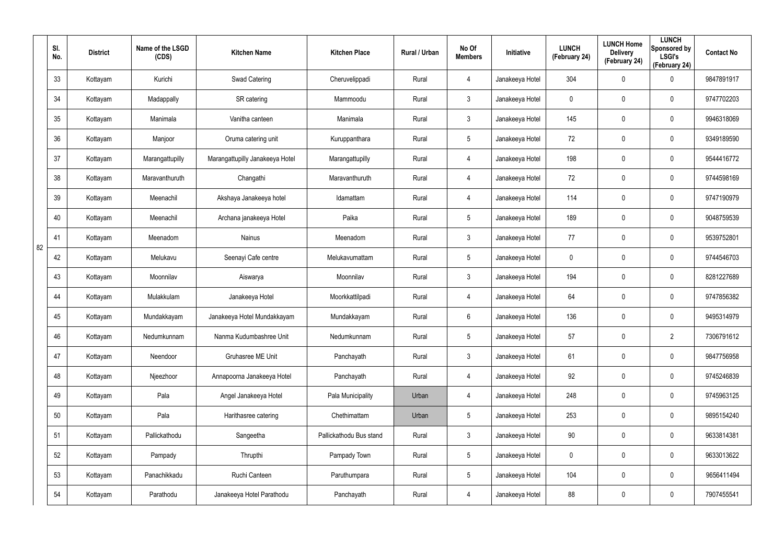|    | SI.<br>No. | <b>District</b> | Name of the LSGD<br>(CDS) | <b>Kitchen Name</b>             | <b>Kitchen Place</b>    | Rural / Urban | No Of<br><b>Members</b> | <b>Initiative</b> | <b>LUNCH</b><br>(February 24) | <b>LUNCH Home</b><br><b>Delivery</b><br>(February 24) | <b>LUNCH</b><br>Sponsored by<br><b>LSGI's</b><br>(February 24) | <b>Contact No</b> |
|----|------------|-----------------|---------------------------|---------------------------------|-------------------------|---------------|-------------------------|-------------------|-------------------------------|-------------------------------------------------------|----------------------------------------------------------------|-------------------|
|    | 33         | Kottayam        | Kurichi                   | Swad Catering                   | Cheruvelippadi          | Rural         | 4                       | Janakeeya Hotel   | 304                           | 0                                                     | $\mathbf 0$                                                    | 9847891917        |
|    | 34         | Kottayam        | Madappally                | SR catering                     | Mammoodu                | Rural         | 3                       | Janakeeya Hotel   | 0                             | 0                                                     | $\mathbf 0$                                                    | 9747702203        |
|    | 35         | Kottayam        | Manimala                  | Vanitha canteen                 | Manimala                | Rural         | 3                       | Janakeeya Hotel   | 145                           | 0                                                     | $\mathbf 0$                                                    | 9946318069        |
|    | 36         | Kottayam        | Manjoor                   | Oruma catering unit             | Kuruppanthara           | Rural         | $5\overline{)}$         | Janakeeya Hotel   | 72                            | 0                                                     | $\mathbf 0$                                                    | 9349189590        |
|    | 37         | Kottayam        | Marangattupilly           | Marangattupilly Janakeeya Hotel | Marangattupilly         | Rural         | 4                       | Janakeeya Hotel   | 198                           | 0                                                     | $\mathbf 0$                                                    | 9544416772        |
|    | 38         | Kottayam        | Maravanthuruth            | Changathi                       | Maravanthuruth          | Rural         | 4                       | Janakeeya Hotel   | 72                            | 0                                                     | $\mathbf 0$                                                    | 9744598169        |
|    | 39         | Kottayam        | Meenachil                 | Akshaya Janakeeya hotel         | Idamattam               | Rural         | 4                       | Janakeeya Hotel   | 114                           | 0                                                     | $\mathbf 0$                                                    | 9747190979        |
|    | 40         | Kottayam        | Meenachil                 | Archana janakeeya Hotel         | Paika                   | Rural         | $5\overline{)}$         | Janakeeya Hotel   | 189                           | 0                                                     | $\mathbf 0$                                                    | 9048759539        |
| 82 | 41         | Kottayam        | Meenadom                  | <b>Nainus</b>                   | Meenadom                | Rural         | 3                       | Janakeeya Hotel   | 77                            | 0                                                     | $\mathbf 0$                                                    | 9539752801        |
|    | 42         | Kottayam        | Melukavu                  | Seenayi Cafe centre             | Melukavumattam          | Rural         | $5\overline{)}$         | Janakeeya Hotel   | 0                             | 0                                                     | $\mathbf 0$                                                    | 9744546703        |
|    | 43         | Kottayam        | Moonnilav                 | Aiswarya                        | Moonnilav               | Rural         | 3                       | Janakeeya Hotel   | 194                           | 0                                                     | $\mathbf 0$                                                    | 8281227689        |
|    | 44         | Kottayam        | Mulakkulam                | Janakeeya Hotel                 | Moorkkattilpadi         | Rural         | 4                       | Janakeeya Hotel   | 64                            | 0                                                     | $\mathbf 0$                                                    | 9747856382        |
|    | 45         | Kottayam        | Mundakkayam               | Janakeeya Hotel Mundakkayam     | Mundakkayam             | Rural         | 6                       | Janakeeya Hotel   | 136                           | 0                                                     | 0                                                              | 9495314979        |
|    | 46         | Kottayam        | Nedumkunnam               | Nanma Kudumbashree Unit         | Nedumkunnam             | Rural         | $\overline{5}$          | Janakeeya Hotel   | 57                            | $\pmb{0}$                                             | $\overline{2}$                                                 | 7306791612        |
|    | 47         | Kottayam        | Neendoor                  | Gruhasree ME Unit               | Panchayath              | Rural         | $\mathbf{3}$            | Janakeeya Hotel   | 61                            | $\mathbf 0$                                           | $\mathsf{0}$                                                   | 9847756958        |
|    | 48         | Kottayam        | Njeezhoor                 | Annapoorna Janakeeya Hotel      | Panchayath              | Rural         | 4                       | Janakeeya Hotel   | 92                            | $\mathbf 0$                                           | $\pmb{0}$                                                      | 9745246839        |
|    | 49         | Kottayam        | Pala                      | Angel Janakeeya Hotel           | Pala Municipality       | Urban         | $\overline{4}$          | Janakeeya Hotel   | 248                           | $\mathbf 0$                                           | $\mathsf{0}$                                                   | 9745963125        |
|    | 50         | Kottayam        | Pala                      | Harithasree catering            | Chethimattam            | Urban         | $5\phantom{.0}$         | Janakeeya Hotel   | 253                           | 0                                                     | $\mathsf{0}$                                                   | 9895154240        |
|    | 51         | Kottayam        | Pallickathodu             | Sangeetha                       | Pallickathodu Bus stand | Rural         | $\mathbf{3}$            | Janakeeya Hotel   | 90                            | $\mathbf 0$                                           | $\mathbf 0$                                                    | 9633814381        |
|    | 52         | Kottayam        | Pampady                   | Thrupthi                        | Pampady Town            | Rural         | $5\phantom{.0}$         | Janakeeya Hotel   | $\mathbf 0$                   | $\mathbf 0$                                           | $\mathsf{0}$                                                   | 9633013622        |
|    | 53         | Kottayam        | Panachikkadu              | Ruchi Canteen                   | Paruthumpara            | Rural         | $5\phantom{.0}$         | Janakeeya Hotel   | 104                           | $\mathbf 0$                                           | $\mathbf 0$                                                    | 9656411494        |
|    | 54         | Kottayam        | Parathodu                 | Janakeeya Hotel Parathodu       | Panchayath              | Rural         | 4                       | Janakeeya Hotel   | 88                            | $\pmb{0}$                                             | $\pmb{0}$                                                      | 7907455541        |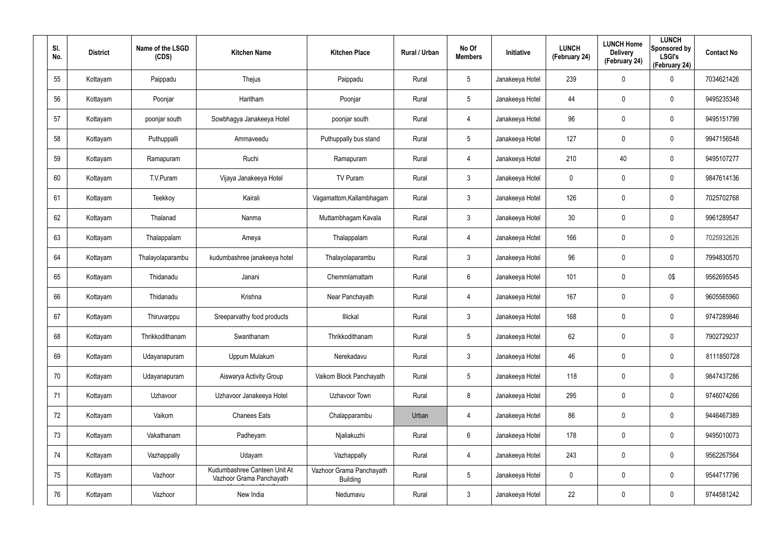| SI.<br>No. | <b>District</b> | Name of the LSGD<br>(CDS) | <b>Kitchen Name</b>                                      | <b>Kitchen Place</b>                        | Rural / Urban | No Of<br><b>Members</b> | Initiative      | <b>LUNCH</b><br>(February 24) | <b>LUNCH Home</b><br><b>Delivery</b><br>(February 24) | <b>LUNCH</b><br>Sponsored by<br><b>LSGI's</b><br>(February 24) | <b>Contact No</b> |
|------------|-----------------|---------------------------|----------------------------------------------------------|---------------------------------------------|---------------|-------------------------|-----------------|-------------------------------|-------------------------------------------------------|----------------------------------------------------------------|-------------------|
| 55         | Kottayam        | Paippadu                  | Thejus                                                   | Paippadu                                    | Rural         | $5\phantom{.0}$         | Janakeeya Hotel | 239                           | $\mathbf 0$                                           | $\mathbf 0$                                                    | 7034621426        |
| 56         | Kottayam        | Poonjar                   | Haritham                                                 | Poonjar                                     | Rural         | $5\phantom{.0}$         | Janakeeya Hotel | 44                            | 0                                                     | $\pmb{0}$                                                      | 9495235348        |
| 57         | Kottayam        | poonjar south             | Sowbhagya Janakeeya Hotel                                | poonjar south                               | Rural         | 4                       | Janakeeya Hotel | 96                            | 0                                                     | $\pmb{0}$                                                      | 9495151799        |
| 58         | Kottayam        | Puthuppalli               | Ammaveedu                                                | Puthuppally bus stand                       | Rural         | $5\phantom{.0}$         | Janakeeya Hotel | 127                           | 0                                                     | $\mathbf 0$                                                    | 9947156548        |
| 59         | Kottayam        | Ramapuram                 | Ruchi                                                    | Ramapuram                                   | Rural         | 4                       | Janakeeya Hotel | 210                           | 40                                                    | $\pmb{0}$                                                      | 9495107277        |
| 60         | Kottayam        | T.V.Puram                 | Vijaya Janakeeya Hotel                                   | TV Puram                                    | Rural         | $\mathbf{3}$            | Janakeeya Hotel | 0                             | 0                                                     | $\mathbf 0$                                                    | 9847614136        |
| 61         | Kottayam        | Teekkoy                   | Kairali                                                  | Vagamattom, Kallambhagam                    | Rural         | $\mathbf{3}$            | Janakeeya Hotel | 126                           | 0                                                     | $\pmb{0}$                                                      | 7025702768        |
| 62         | Kottayam        | Thalanad                  | Nanma                                                    | Muttambhagam Kavala                         | Rural         | $\mathbf{3}$            | Janakeeya Hotel | 30 <sup>°</sup>               | 0                                                     | $\mathbf 0$                                                    | 9961289547        |
| 63         | Kottayam        | Thalappalam               | Ameya                                                    | Thalappalam                                 | Rural         | $\overline{4}$          | Janakeeya Hotel | 166                           | 0                                                     | $\pmb{0}$                                                      | 7025932626        |
| 64         | Kottayam        | Thalayolaparambu          | kudumbashree janakeeya hotel                             | Thalayolaparambu                            | Rural         | $\mathbf{3}$            | Janakeeya Hotel | 96                            | $\mathbf 0$                                           | $\mathbf 0$                                                    | 7994830570        |
| 65         | Kottayam        | Thidanadu                 | Janani                                                   | Chemmlamattam                               | Rural         | 6                       | Janakeeya Hotel | 101                           | $\mathbf 0$                                           | 0\$                                                            | 9562695545        |
| 66         | Kottayam        | Thidanadu                 | Krishna                                                  | Near Panchayath                             | Rural         | 4                       | Janakeeya Hotel | 167                           | $\mathbf 0$                                           | $\mathbf 0$                                                    | 9605565960        |
| 67         | Kottayam        | Thiruvarppu               | Sreeparvathy food products                               | Illickal                                    | Rural         | $\mathbf{3}$            | Janakeeya Hotel | 168                           | $\mathbf 0$                                           | $\mathbf 0$                                                    | 9747289846        |
| 68         | Kottayam        | Thrikkodithanam           | Swanthanam                                               | Thrikkodithanam                             | Rural         | $5\phantom{.0}$         | Janakeeya Hotel | 62                            | 0                                                     | $\pmb{0}$                                                      | 7902729237        |
| 69         | Kottayam        | Udayanapuram              | Uppum Mulakum                                            | Nerekadavu                                  | Rural         | $\mathbf{3}$            | Janakeeya Hotel | 46                            | 0                                                     | $\mathbf 0$                                                    | 8111850728        |
| 70         | Kottayam        | Udayanapuram              | Aiswarya Activity Group                                  | Vaikom Block Panchayath                     | Rural         | $5\phantom{.0}$         | Janakeeya Hotel | 118                           | $\mathbf 0$                                           | $\mathbf 0$                                                    | 9847437286        |
| 71         | Kottayam        | Uzhavoor                  | Uzhavoor Janakeeya Hotel                                 | Uzhavoor Town                               | Rural         | 8                       | Janakeeya Hotel | 295                           | 0                                                     | $\mathbf 0$                                                    | 9746074266        |
| 72         | Kottayam        | Vaikom                    | <b>Chanees Eats</b>                                      | Chalapparambu                               | Urban         | $\overline{4}$          | Janakeeya Hotel | 86                            | $\mathbf 0$                                           | $\mathsf{0}$                                                   | 9446467389        |
| 73         | Kottayam        | Vakathanam                | Padheyam                                                 | Njaliakuzhi                                 | Rural         | $6\,$                   | Janakeeya Hotel | 178                           | 0                                                     | $\mathbf 0$                                                    | 9495010073        |
| 74         | Kottayam        | Vazhappally               | Udayam                                                   | Vazhappally                                 | Rural         | $\overline{4}$          | Janakeeya Hotel | 243                           | $\mathbf 0$                                           | $\mathsf{0}$                                                   | 9562267564        |
| 75         | Kottayam        | Vazhoor                   | Kudumbashree Canteen Unit At<br>Vazhoor Grama Panchayath | Vazhoor Grama Panchayath<br><b>Building</b> | Rural         | $5\phantom{.0}$         | Janakeeya Hotel | 0                             | 0                                                     | $\mathsf{0}$                                                   | 9544717796        |
| 76         | Kottayam        | Vazhoor                   | New India                                                | Nedumavu                                    | Rural         | $\mathfrak{Z}$          | Janakeeya Hotel | 22                            | 0                                                     | $\pmb{0}$                                                      | 9744581242        |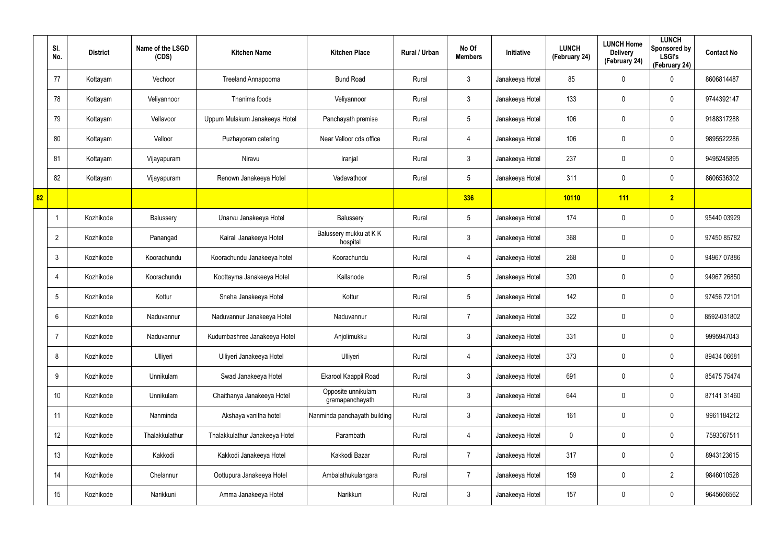|    | SI.<br>No.      | <b>District</b> | Name of the LSGD<br>(CDS) | <b>Kitchen Name</b>            | <b>Kitchen Place</b>                  | Rural / Urban | No Of<br><b>Members</b> | Initiative      | <b>LUNCH</b><br>(February 24) | <b>LUNCH Home</b><br><b>Delivery</b><br>(February 24) | <b>LUNCH</b><br>Sponsored by<br><b>LSGI's</b><br>(February 24) | <b>Contact No</b> |
|----|-----------------|-----------------|---------------------------|--------------------------------|---------------------------------------|---------------|-------------------------|-----------------|-------------------------------|-------------------------------------------------------|----------------------------------------------------------------|-------------------|
|    | 77              | Kottayam        | Vechoor                   | Treeland Annapoorna            | <b>Bund Road</b>                      | Rural         | $\mathbf{3}$            | Janakeeya Hotel | 85                            | 0                                                     | $\mathbf 0$                                                    | 8606814487        |
|    | 78              | Kottayam        | Veliyannoor               | Thanima foods                  | Veliyannoor                           | Rural         | $\mathbf{3}$            | Janakeeya Hotel | 133                           | 0                                                     | $\pmb{0}$                                                      | 9744392147        |
|    | 79              | Kottayam        | Vellavoor                 | Uppum Mulakum Janakeeya Hotel  | Panchayath premise                    | Rural         | $5\phantom{.0}$         | Janakeeya Hotel | 106                           | $\mathbf 0$                                           | $\pmb{0}$                                                      | 9188317288        |
|    | 80              | Kottayam        | Velloor                   | Puzhayoram catering            | Near Velloor cds office               | Rural         | $\overline{4}$          | Janakeeya Hotel | 106                           | 0                                                     | $\mathbf 0$                                                    | 9895522286        |
|    | 81              | Kottayam        | Vijayapuram               | Niravu                         | Iranjal                               | Rural         | $\mathbf{3}$            | Janakeeya Hotel | 237                           | $\mathbf 0$                                           | $\pmb{0}$                                                      | 9495245895        |
|    | 82              | Kottayam        | Vijayapuram               | Renown Janakeeya Hotel         | Vadavathoor                           | Rural         | $5\phantom{.0}$         | Janakeeya Hotel | 311                           | 0                                                     | $\mathbf 0$                                                    | 8606536302        |
| 82 |                 |                 |                           |                                |                                       |               | 336                     |                 | 10110                         | <b>111</b>                                            | 2                                                              |                   |
|    |                 | Kozhikode       | Balussery                 | Unarvu Janakeeya Hotel         | Balussery                             | Rural         | $5\phantom{.0}$         | Janakeeya Hotel | 174                           | 0                                                     | $\mathbf 0$                                                    | 95440 03929       |
|    | $\overline{2}$  | Kozhikode       | Panangad                  | Kairali Janakeeya Hotel        | Balussery mukku at KK<br>hospital     | Rural         | $\mathbf{3}$            | Janakeeya Hotel | 368                           | 0                                                     | $\pmb{0}$                                                      | 97450 85782       |
|    | $\mathbf{3}$    | Kozhikode       | Koorachundu               | Koorachundu Janakeeya hotel    | Koorachundu                           | Rural         | 4                       | Janakeeya Hotel | 268                           | 0                                                     | $\mathbf 0$                                                    | 94967 07886       |
|    | $\overline{4}$  | Kozhikode       | Koorachundu               | Koottayma Janakeeya Hotel      | Kallanode                             | Rural         | $5\phantom{.0}$         | Janakeeya Hotel | 320                           | 0                                                     | $\pmb{0}$                                                      | 94967 26850       |
|    | $5\phantom{.0}$ | Kozhikode       | Kottur                    | Sneha Janakeeya Hotel          | Kottur                                | Rural         | $5\overline{)}$         | Janakeeya Hotel | 142                           | 0                                                     | $\mathbf 0$                                                    | 97456 72101       |
|    | $6^{\circ}$     | Kozhikode       | Naduvannur                | Naduvannur Janakeeya Hotel     | Naduvannur                            | Rural         | $\overline{7}$          | Janakeeya Hotel | 322                           | 0                                                     | $\mathbf 0$                                                    | 8592-031802       |
|    | $\overline{7}$  | Kozhikode       | Naduvannur                | Kudumbashree Janakeeya Hotel   | Anjolimukku                           | Rural         | $\mathbf{3}$            | Janakeeya Hotel | 331                           | 0                                                     | $\mathbf 0$                                                    | 9995947043        |
|    | 8               | Kozhikode       | Ulliyeri                  | Ulliyeri Janakeeya Hotel       | Ulliyeri                              | Rural         | $\overline{4}$          | Janakeeya Hotel | 373                           | 0                                                     | $\mathbf 0$                                                    | 89434 06681       |
|    | 9               | Kozhikode       | Unnikulam                 | Swad Janakeeya Hotel           | Ekarool Kaappil Road                  | Rural         | $\mathbf{3}$            | Janakeeya Hotel | 691                           | 0                                                     | $\mathbf 0$                                                    | 85475 75474       |
|    | 10              | Kozhikode       | Unnikulam                 | Chaithanya Janakeeya Hotel     | Opposite unnikulam<br>gramapanchayath | Rural         | $\mathbf{3}$            | Janakeeya Hotel | 644                           | 0                                                     | $\mathbf 0$                                                    | 87141 31460       |
|    | 11              | Kozhikode       | Nanminda                  | Akshaya vanitha hotel          | Nanminda panchayath building          | Rural         | $\mathbf{3}$            | Janakeeya Hotel | 161                           | 0                                                     | $\pmb{0}$                                                      | 9961184212        |
|    | 12              | Kozhikode       | Thalakkulathur            | Thalakkulathur Janakeeya Hotel | Parambath                             | Rural         | $\overline{4}$          | Janakeeya Hotel | 0                             | 0                                                     | $\pmb{0}$                                                      | 7593067511        |
|    | 13              | Kozhikode       | Kakkodi                   | Kakkodi Janakeeya Hotel        | Kakkodi Bazar                         | Rural         | $\overline{7}$          | Janakeeya Hotel | 317                           | 0                                                     | $\pmb{0}$                                                      | 8943123615        |
|    | 14              | Kozhikode       | Chelannur                 | Oottupura Janakeeya Hotel      | Ambalathukulangara                    | Rural         | $\overline{7}$          | Janakeeya Hotel | 159                           | 0                                                     | $\overline{2}$                                                 | 9846010528        |
|    | 15              | Kozhikode       | Narikkuni                 | Amma Janakeeya Hotel           | Narikkuni                             | Rural         | $\mathfrak{Z}$          | Janakeeya Hotel | 157                           | 0                                                     | $\boldsymbol{0}$                                               | 9645606562        |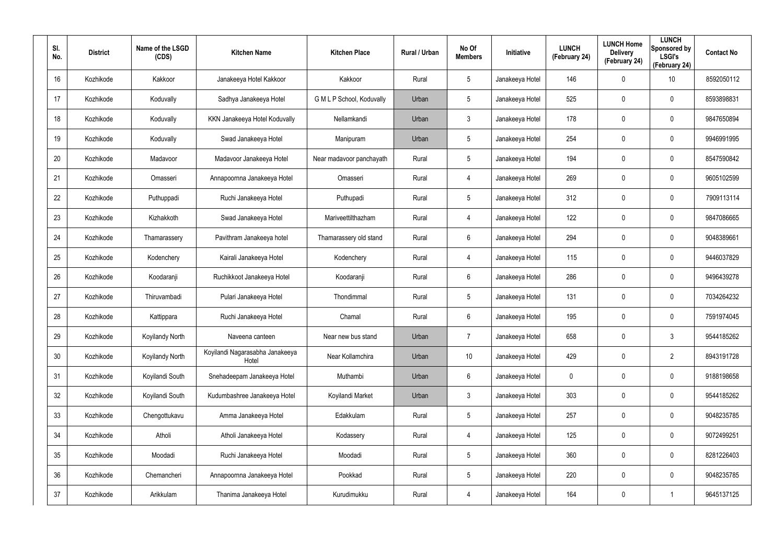| SI.<br>No. | <b>District</b> | Name of the LSGD<br>(CDS) | <b>Kitchen Name</b>                      | <b>Kitchen Place</b>      | Rural / Urban | No Of<br><b>Members</b> | Initiative      | <b>LUNCH</b><br>(February 24) | <b>LUNCH Home</b><br><b>Delivery</b><br>(February 24) | <b>LUNCH</b><br>Sponsored by<br><b>LSGI's</b><br>(February 24) | <b>Contact No</b> |
|------------|-----------------|---------------------------|------------------------------------------|---------------------------|---------------|-------------------------|-----------------|-------------------------------|-------------------------------------------------------|----------------------------------------------------------------|-------------------|
| 16         | Kozhikode       | Kakkoor                   | Janakeeya Hotel Kakkoor                  | Kakkoor                   | Rural         | $5\phantom{.0}$         | Janakeeya Hotel | 146                           | $\mathbf 0$                                           | 10                                                             | 8592050112        |
| 17         | Kozhikode       | Koduvally                 | Sadhya Janakeeya Hotel                   | G M L P School, Koduvally | Urban         | $5\phantom{.0}$         | Janakeeya Hotel | 525                           | 0                                                     | $\mathbf 0$                                                    | 8593898831        |
| 18         | Kozhikode       | Koduvally                 | KKN Janakeeya Hotel Koduvally            | Nellamkandi               | Urban         | $\mathfrak{Z}$          | Janakeeya Hotel | 178                           | 0                                                     | $\mathbf 0$                                                    | 9847650894        |
| 19         | Kozhikode       | Koduvally                 | Swad Janakeeya Hotel                     | Manipuram                 | Urban         | $5\phantom{.0}$         | Janakeeya Hotel | 254                           | 0                                                     | $\mathbf 0$                                                    | 9946991995        |
| 20         | Kozhikode       | Madavoor                  | Madavoor Janakeeya Hotel                 | Near madavoor panchayath  | Rural         | $5\overline{)}$         | Janakeeya Hotel | 194                           | 0                                                     | $\mathbf 0$                                                    | 8547590842        |
| 21         | Kozhikode       | Omasseri                  | Annapoornna Janakeeya Hotel              | Omasseri                  | Rural         | $\overline{4}$          | Janakeeya Hotel | 269                           | 0                                                     | $\mathbf 0$                                                    | 9605102599        |
| 22         | Kozhikode       | Puthuppadi                | Ruchi Janakeeya Hotel                    | Puthupadi                 | Rural         | $5\overline{)}$         | Janakeeya Hotel | 312                           | $\mathbf 0$                                           | 0                                                              | 7909113114        |
| 23         | Kozhikode       | Kizhakkoth                | Swad Janakeeya Hotel                     | Mariveettilthazham        | Rural         | $\overline{4}$          | Janakeeya Hotel | 122                           | 0                                                     | 0                                                              | 9847086665        |
| 24         | Kozhikode       | Thamarassery              | Pavithram Janakeeya hotel                | Thamarassery old stand    | Rural         | 6                       | Janakeeya Hotel | 294                           | 0                                                     | 0                                                              | 9048389661        |
| 25         | Kozhikode       | Kodenchery                | Kairali Janakeeya Hotel                  | Kodenchery                | Rural         | $\overline{4}$          | Janakeeya Hotel | 115                           | 0                                                     | 0                                                              | 9446037829        |
| 26         | Kozhikode       | Koodaranji                | Ruchikkoot Janakeeya Hotel               | Koodaranji                | Rural         | 6                       | Janakeeya Hotel | 286                           | 0                                                     | 0                                                              | 9496439278        |
| 27         | Kozhikode       | Thiruvambadi              | Pulari Janakeeya Hotel                   | Thondimmal                | Rural         | $5\overline{)}$         | Janakeeya Hotel | 131                           | 0                                                     | 0                                                              | 7034264232        |
| 28         | Kozhikode       | Kattippara                | Ruchi Janakeeya Hotel                    | Chamal                    | Rural         | 6                       | Janakeeya Hotel | 195                           | $\boldsymbol{0}$                                      | 0                                                              | 7591974045        |
| 29         | Kozhikode       | Koyilandy North           | Naveena canteen                          | Near new bus stand        | Urban         | $\overline{7}$          | Janakeeya Hotel | 658                           | $\pmb{0}$                                             | $\mathfrak{Z}$                                                 | 9544185262        |
| 30         | Kozhikode       | Koyilandy North           | Koyilandi Nagarasabha Janakeeya<br>Hotel | Near Kollamchira          | Urban         | 10                      | Janakeeya Hotel | 429                           | $\boldsymbol{0}$                                      | $\overline{2}$                                                 | 8943191728        |
| 31         | Kozhikode       | Koyilandi South           | Snehadeepam Janakeeya Hotel              | Muthambi                  | Urban         | $6\phantom{.0}$         | Janakeeya Hotel | $\mathbf 0$                   | $\pmb{0}$                                             | $\pmb{0}$                                                      | 9188198658        |
| 32         | Kozhikode       | Koyilandi South           | Kudumbashree Janakeeya Hotel             | Koyilandi Market          | Urban         | $\mathbf{3}$            | Janakeeya Hotel | 303                           | $\boldsymbol{0}$                                      | $\pmb{0}$                                                      | 9544185262        |
| 33         | Kozhikode       | Chengottukavu             | Amma Janakeeya Hotel                     | Edakkulam                 | Rural         | $5\phantom{.0}$         | Janakeeya Hotel | 257                           | $\pmb{0}$                                             | 0                                                              | 9048235785        |
| 34         | Kozhikode       | Atholi                    | Atholi Janakeeya Hotel                   | Kodassery                 | Rural         | $\overline{4}$          | Janakeeya Hotel | 125                           | $\pmb{0}$                                             | 0                                                              | 9072499251        |
| 35         | Kozhikode       | Moodadi                   | Ruchi Janakeeya Hotel                    | Moodadi                   | Rural         | $5\phantom{.0}$         | Janakeeya Hotel | 360                           | $\pmb{0}$                                             | 0                                                              | 8281226403        |
| 36         | Kozhikode       | Chemancheri               | Annapoornna Janakeeya Hotel              | Pookkad                   | Rural         | $5\phantom{.0}$         | Janakeeya Hotel | 220                           | $\pmb{0}$                                             | 0                                                              | 9048235785        |
| 37         | Kozhikode       | Arikkulam                 | Thanima Janakeeya Hotel                  | Kurudimukku               | Rural         | 4                       | Janakeeya Hotel | 164                           | $\pmb{0}$                                             |                                                                | 9645137125        |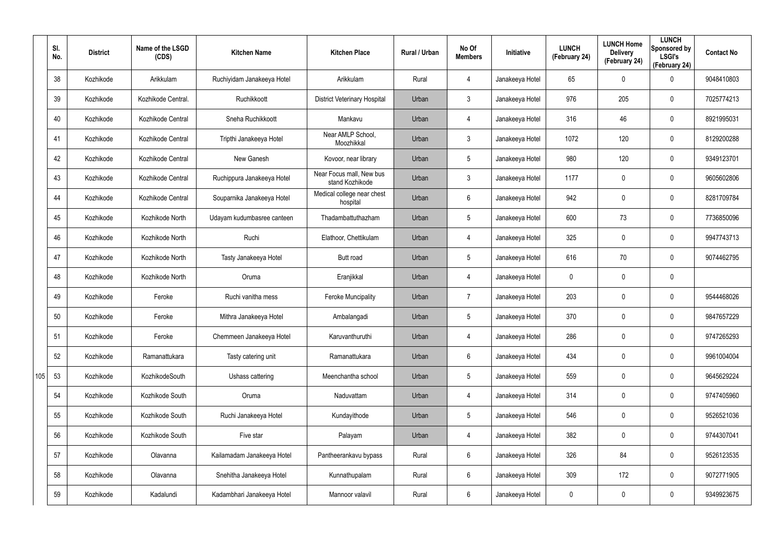|     | SI.<br>No. | <b>District</b> | Name of the LSGD<br>(CDS) | <b>Kitchen Name</b>        | <b>Kitchen Place</b>                        | <b>Rural / Urban</b> | No Of<br><b>Members</b> | Initiative      | <b>LUNCH</b><br>(February 24) | <b>LUNCH Home</b><br><b>Delivery</b><br>(February 24) | <b>LUNCH</b><br>Sponsored by<br><b>LSGI's</b><br>(February 24) | <b>Contact No</b> |
|-----|------------|-----------------|---------------------------|----------------------------|---------------------------------------------|----------------------|-------------------------|-----------------|-------------------------------|-------------------------------------------------------|----------------------------------------------------------------|-------------------|
|     | 38         | Kozhikode       | Arikkulam                 | Ruchiyidam Janakeeya Hotel | Arikkulam                                   | Rural                | $\overline{4}$          | Janakeeya Hotel | 65                            | 0                                                     | $\mathbf 0$                                                    | 9048410803        |
|     | 39         | Kozhikode       | Kozhikode Central.        | Ruchikkoott                | <b>District Veterinary Hospital</b>         | Urban                | $\mathbf{3}$            | Janakeeya Hotel | 976                           | 205                                                   | $\mathbf 0$                                                    | 7025774213        |
|     | 40         | Kozhikode       | Kozhikode Central         | Sneha Ruchikkoott          | Mankavu                                     | Urban                | $\overline{4}$          | Janakeeya Hotel | 316                           | 46                                                    | $\mathbf 0$                                                    | 8921995031        |
|     | 41         | Kozhikode       | Kozhikode Central         | Tripthi Janakeeya Hotel    | Near AMLP School,<br>Moozhikkal             | Urban                | $\mathbf{3}$            | Janakeeya Hotel | 1072                          | 120                                                   | $\mathbf 0$                                                    | 8129200288        |
|     | 42         | Kozhikode       | Kozhikode Central         | New Ganesh                 | Kovoor, near library                        | Urban                | $5\phantom{.0}$         | Janakeeya Hotel | 980                           | 120                                                   | $\mathbf 0$                                                    | 9349123701        |
|     | 43         | Kozhikode       | Kozhikode Central         | Ruchippura Janakeeya Hotel | Near Focus mall, New bus<br>stand Kozhikode | Urban                | $\mathbf{3}$            | Janakeeya Hotel | 1177                          | 0                                                     | $\mathbf 0$                                                    | 9605602806        |
|     | 44         | Kozhikode       | Kozhikode Central         | Souparnika Janakeeya Hotel | Medical college near chest<br>hospital      | Urban                | 6                       | Janakeeya Hotel | 942                           | 0                                                     | $\mathbf 0$                                                    | 8281709784        |
|     | 45         | Kozhikode       | Kozhikode North           | Udayam kudumbasree canteen | Thadambattuthazham                          | Urban                | $5\phantom{.0}$         | Janakeeya Hotel | 600                           | 73                                                    | $\mathbf 0$                                                    | 7736850096        |
|     | 46         | Kozhikode       | Kozhikode North           | Ruchi                      | Elathoor, Chettikulam                       | Urban                | $\overline{4}$          | Janakeeya Hotel | 325                           | 0                                                     | $\mathbf 0$                                                    | 9947743713        |
|     | 47         | Kozhikode       | Kozhikode North           | Tasty Janakeeya Hotel      | <b>Butt road</b>                            | Urban                | $5\overline{)}$         | Janakeeya Hotel | 616                           | 70                                                    | $\mathbf 0$                                                    | 9074462795        |
|     | 48         | Kozhikode       | Kozhikode North           | Oruma                      | Eranjikkal                                  | Urban                | $\overline{4}$          | Janakeeya Hotel | 0                             | 0                                                     | $\mathbf 0$                                                    |                   |
|     | 49         | Kozhikode       | Feroke                    | Ruchi vanitha mess         | <b>Feroke Muncipality</b>                   | Urban                | 7                       | Janakeeya Hotel | 203                           | 0                                                     | $\mathbf 0$                                                    | 9544468026        |
|     | 50         | Kozhikode       | Feroke                    | Mithra Janakeeya Hotel     | Ambalangadi                                 | Urban                | $5\phantom{.0}$         | Janakeeya Hotel | 370                           | 0                                                     | $\mathbf 0$                                                    | 9847657229        |
|     | 51         | Kozhikode       | Feroke                    | Chemmeen Janakeeya Hotel   | Karuvanthuruthi                             | Urban                | 4                       | Janakeeya Hotel | 286                           | $\mathbf 0$                                           | $\pmb{0}$                                                      | 9747265293        |
|     | 52         | Kozhikode       | Ramanattukara             | Tasty catering unit        | Ramanattukara                               | Urban                | $6\phantom{.}$          | Janakeeya Hotel | 434                           | $\mathbf 0$                                           | $\mathbf 0$                                                    | 9961004004        |
| 105 | 53         | Kozhikode       | KozhikodeSouth            | Ushass cattering           | Meenchantha school                          | Urban                | $5\phantom{.0}$         | Janakeeya Hotel | 559                           | $\mathbf 0$                                           | $\mathbf 0$                                                    | 9645629224        |
|     | 54         | Kozhikode       | Kozhikode South           | Oruma                      | Naduvattam                                  | Urban                | $\overline{4}$          | Janakeeya Hotel | 314                           | $\mathbf 0$                                           | $\mathbf 0$                                                    | 9747405960        |
|     | 55         | Kozhikode       | Kozhikode South           | Ruchi Janakeeya Hotel      | Kundayithode                                | Urban                | $5\phantom{.0}$         | Janakeeya Hotel | 546                           | 0                                                     | $\mathbf 0$                                                    | 9526521036        |
|     | 56         | Kozhikode       | Kozhikode South           | Five star                  | Palayam                                     | Urban                | 4                       | Janakeeya Hotel | 382                           | 0                                                     | $\mathbf 0$                                                    | 9744307041        |
|     | 57         | Kozhikode       | Olavanna                  | Kailamadam Janakeeya Hotel | Pantheerankavu bypass                       | Rural                | $6\phantom{.0}$         | Janakeeya Hotel | 326                           | 84                                                    | $\mathbf 0$                                                    | 9526123535        |
|     | 58         | Kozhikode       | Olavanna                  | Snehitha Janakeeya Hotel   | Kunnathupalam                               | Rural                | $6\phantom{.0}$         | Janakeeya Hotel | 309                           | 172                                                   | $\pmb{0}$                                                      | 9072771905        |
|     | 59         | Kozhikode       | Kadalundi                 | Kadambhari Janakeeya Hotel | Mannoor valavil                             | Rural                | $6\phantom{.0}$         | Janakeeya Hotel | 0                             | 0                                                     | $\bf{0}$                                                       | 9349923675        |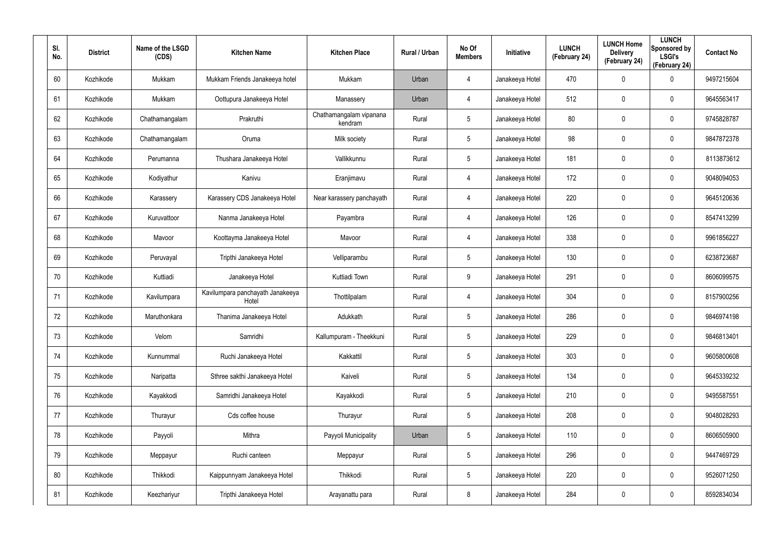| SI.<br>No. | <b>District</b> | Name of the LSGD<br>(CDS) | <b>Kitchen Name</b>                       | <b>Kitchen Place</b>               | Rural / Urban | No Of<br><b>Members</b> | <b>Initiative</b> | <b>LUNCH</b><br>(February 24) | <b>LUNCH Home</b><br><b>Delivery</b><br>(February 24) | <b>LUNCH</b><br>Sponsored by<br><b>LSGI's</b><br>(February 24) | <b>Contact No</b> |
|------------|-----------------|---------------------------|-------------------------------------------|------------------------------------|---------------|-------------------------|-------------------|-------------------------------|-------------------------------------------------------|----------------------------------------------------------------|-------------------|
| 60         | Kozhikode       | Mukkam                    | Mukkam Friends Janakeeya hotel            | Mukkam                             | Urban         | 4                       | Janakeeya Hotel   | 470                           | 0                                                     | $\mathbf 0$                                                    | 9497215604        |
| 61         | Kozhikode       | Mukkam                    | Oottupura Janakeeya Hotel                 | Manassery                          | Urban         | 4                       | Janakeeya Hotel   | 512                           | 0                                                     | $\mathbf 0$                                                    | 9645563417        |
| 62         | Kozhikode       | Chathamangalam            | Prakruthi                                 | Chathamangalam vipanana<br>kendram | Rural         | $5\phantom{.0}$         | Janakeeya Hotel   | 80                            | 0                                                     | $\mathbf 0$                                                    | 9745828787        |
| 63         | Kozhikode       | Chathamangalam            | Oruma                                     | Milk society                       | Rural         | $5\phantom{.0}$         | Janakeeya Hotel   | 98                            | 0                                                     | $\mathbf 0$                                                    | 9847872378        |
| 64         | Kozhikode       | Perumanna                 | Thushara Janakeeya Hotel                  | Vallikkunnu                        | Rural         | $5\phantom{.0}$         | Janakeeya Hotel   | 181                           | 0                                                     | $\mathbf 0$                                                    | 8113873612        |
| 65         | Kozhikode       | Kodiyathur                | Kanivu                                    | Eranjimavu                         | Rural         | 4                       | Janakeeya Hotel   | 172                           | 0                                                     | $\mathbf 0$                                                    | 9048094053        |
| 66         | Kozhikode       | Karassery                 | Karassery CDS Janakeeya Hotel             | Near karassery panchayath          | Rural         | 4                       | Janakeeya Hotel   | 220                           | 0                                                     | $\mathbf 0$                                                    | 9645120636        |
| 67         | Kozhikode       | Kuruvattoor               | Nanma Janakeeya Hotel                     | Payambra                           | Rural         | 4                       | Janakeeya Hotel   | 126                           | 0                                                     | $\mathbf 0$                                                    | 8547413299        |
| 68         | Kozhikode       | Mavoor                    | Koottayma Janakeeya Hotel                 | Mavoor                             | Rural         | 4                       | Janakeeya Hotel   | 338                           | 0                                                     | $\mathbf 0$                                                    | 9961856227        |
| 69         | Kozhikode       | Peruvayal                 | Tripthi Janakeeya Hotel                   | Velliparambu                       | Rural         | $5\overline{)}$         | Janakeeya Hotel   | 130                           | 0                                                     | $\mathbf 0$                                                    | 6238723687        |
| 70         | Kozhikode       | Kuttiadi                  | Janakeeya Hotel                           | Kuttiadi Town                      | Rural         | 9                       | Janakeeya Hotel   | 291                           | 0                                                     | $\mathbf 0$                                                    | 8606099575        |
| 71         | Kozhikode       | Kavilumpara               | Kavilumpara panchayath Janakeeya<br>Hotel | Thottilpalam                       | Rural         | 4                       | Janakeeya Hotel   | 304                           | 0                                                     | $\mathbf 0$                                                    | 8157900256        |
| 72         | Kozhikode       | Maruthonkara              | Thanima Janakeeya Hotel                   | Adukkath                           | Rural         | $5\overline{)}$         | Janakeeya Hotel   | 286                           | $\mathbf 0$                                           | $\mathbf 0$                                                    | 9846974198        |
| 73         | Kozhikode       | Velom                     | Samridhi                                  | Kallumpuram - Theekkuni            | Rural         | $5\phantom{.0}$         | Janakeeya Hotel   | 229                           | $\mathbf 0$                                           | $\pmb{0}$                                                      | 9846813401        |
| 74         | Kozhikode       | Kunnummal                 | Ruchi Janakeeya Hotel                     | Kakkattil                          | Rural         | $5\phantom{.0}$         | Janakeeya Hotel   | 303                           | 0                                                     | $\mathbf 0$                                                    | 9605800608        |
| 75         | Kozhikode       | Naripatta                 | Sthree sakthi Janakeeya Hotel             | Kaiveli                            | Rural         | $5\phantom{.0}$         | Janakeeya Hotel   | 134                           | 0                                                     | $\mathbf 0$                                                    | 9645339232        |
| 76         | Kozhikode       | Kayakkodi                 | Samridhi Janakeeya Hotel                  | Kayakkodi                          | Rural         | $5\phantom{.0}$         | Janakeeya Hotel   | 210                           | 0                                                     | $\mathbf 0$                                                    | 9495587551        |
| 77         | Kozhikode       | Thurayur                  | Cds coffee house                          | Thurayur                           | Rural         | $5\phantom{.0}$         | Janakeeya Hotel   | 208                           | 0                                                     | $\mathbf 0$                                                    | 9048028293        |
| 78         | Kozhikode       | Payyoli                   | Mithra                                    | Payyoli Municipality               | Urban         | $5\phantom{.0}$         | Janakeeya Hotel   | 110                           | 0                                                     | $\mathbf 0$                                                    | 8606505900        |
| 79         | Kozhikode       | Meppayur                  | Ruchi canteen                             | Meppayur                           | Rural         | $5\phantom{.0}$         | Janakeeya Hotel   | 296                           | 0                                                     | $\mathbf 0$                                                    | 9447469729        |
| 80         | Kozhikode       | Thikkodi                  | Kaippunnyam Janakeeya Hotel               | Thikkodi                           | Rural         | $5\phantom{.0}$         | Janakeeya Hotel   | 220                           | 0                                                     | $\mathbf 0$                                                    | 9526071250        |
| 81         | Kozhikode       | Keezhariyur               | Tripthi Janakeeya Hotel                   | Arayanattu para                    | Rural         | 8                       | Janakeeya Hotel   | 284                           | 0                                                     | $\mathbf 0$                                                    | 8592834034        |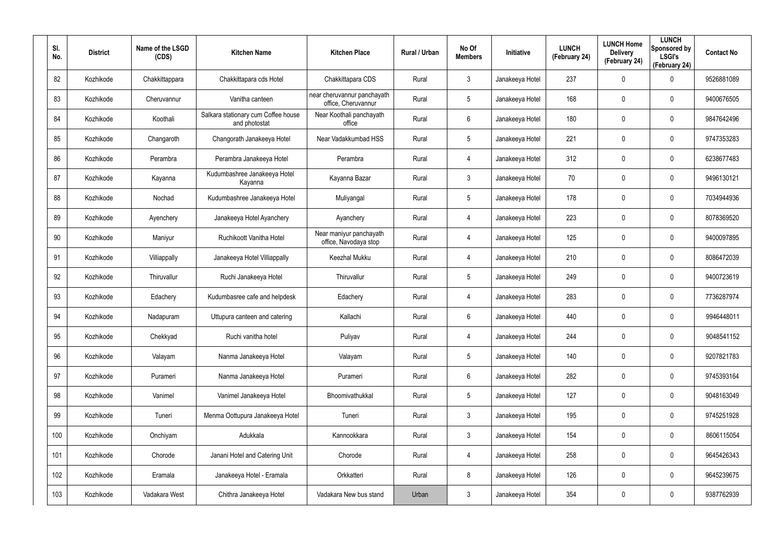| SI.<br>No. | <b>District</b> | Name of the LSGD<br>(CDS) | <b>Kitchen Name</b>                                  | <b>Kitchen Place</b>                               | Rural / Urban | No Of<br><b>Members</b> | <b>Initiative</b> | <b>LUNCH</b><br>(February 24) | <b>LUNCH Home</b><br><b>Delivery</b><br>(February 24) | <b>LUNCH</b><br>Sponsored by<br><b>LSGI's</b><br>(February 24) | <b>Contact No</b> |
|------------|-----------------|---------------------------|------------------------------------------------------|----------------------------------------------------|---------------|-------------------------|-------------------|-------------------------------|-------------------------------------------------------|----------------------------------------------------------------|-------------------|
| 82         | Kozhikode       | Chakkittappara            | Chakkittapara cds Hotel                              | Chakkittapara CDS                                  | Rural         | 3                       | Janakeeya Hotel   | 237                           | $\mathbf 0$                                           | $\mathbf 0$                                                    | 9526881089        |
| 83         | Kozhikode       | Cheruvannur               | Vanitha canteen                                      | near cheruvannur panchayath<br>office, Cheruvannur | Rural         | $5\phantom{.0}$         | Janakeeya Hotel   | 168                           | 0                                                     | $\mathbf 0$                                                    | 9400676505        |
| 84         | Kozhikode       | Koothali                  | Salkara stationary cum Coffee house<br>and photostat | Near Koothali panchayath<br>office                 | Rural         | 6                       | Janakeeya Hotel   | 180                           | 0                                                     | $\mathbf 0$                                                    | 9847642496        |
| 85         | Kozhikode       | Changaroth                | Changorath Janakeeya Hotel                           | Near Vadakkumbad HSS                               | Rural         | $5\phantom{.0}$         | Janakeeya Hotel   | 221                           | 0                                                     | $\mathbf 0$                                                    | 9747353283        |
| 86         | Kozhikode       | Perambra                  | Perambra Janakeeya Hotel                             | Perambra                                           | Rural         | 4                       | Janakeeya Hotel   | 312                           | 0                                                     | $\mathbf 0$                                                    | 6238677483        |
| 87         | Kozhikode       | Kayanna                   | Kudumbashree Janakeeya Hotel<br>Kayanna              | Kayanna Bazar                                      | Rural         | $\mathbf{3}$            | Janakeeya Hotel   | 70                            | 0                                                     | $\mathbf 0$                                                    | 9496130121        |
| 88         | Kozhikode       | Nochad                    | Kudumbashree Janakeeya Hotel                         | Muliyangal                                         | Rural         | $5\phantom{.0}$         | Janakeeya Hotel   | 178                           | 0                                                     | $\mathbf 0$                                                    | 7034944936        |
| 89         | Kozhikode       | Ayenchery                 | Janakeeya Hotel Ayanchery                            | Ayanchery                                          | Rural         | 4                       | Janakeeya Hotel   | 223                           | 0                                                     | $\mathbf 0$                                                    | 8078369520        |
| 90         | Kozhikode       | Maniyur                   | Ruchikoott Vanitha Hotel                             | Near maniyur panchayath<br>office, Navodaya stop   | Rural         | 4                       | Janakeeya Hotel   | 125                           | 0                                                     | $\mathbf 0$                                                    | 9400097895        |
| 91         | Kozhikode       | Villiappally              | Janakeeya Hotel Villiappally                         | Keezhal Mukku                                      | Rural         | 4                       | Janakeeya Hotel   | 210                           | 0                                                     | $\mathbf 0$                                                    | 8086472039        |
| 92         | Kozhikode       | Thiruvallur               | Ruchi Janakeeya Hotel                                | Thiruvallur                                        | Rural         | $5\phantom{.0}$         | Janakeeya Hotel   | 249                           | 0                                                     | $\mathbf 0$                                                    | 9400723619        |
| 93         | Kozhikode       | Edachery                  | Kudumbasree cafe and helpdesk                        | Edachery                                           | Rural         | 4                       | Janakeeya Hotel   | 283                           | 0                                                     | $\mathbf 0$                                                    | 7736287974        |
| 94         | Kozhikode       | Nadapuram                 | Uttupura canteen and catering                        | Kallachi                                           | Rural         | 6                       | Janakeeya Hotel   | 440                           | $\mathbf 0$                                           | $\mathbf 0$                                                    | 9946448011        |
| 95         | Kozhikode       | Chekkyad                  | Ruchi vanitha hotel                                  | Puliyav                                            | Rural         | 4                       | Janakeeya Hotel   | 244                           | $\mathbf 0$                                           | $\pmb{0}$                                                      | 9048541152        |
| 96         | Kozhikode       | Valayam                   | Nanma Janakeeya Hotel                                | Valayam                                            | Rural         | $5\phantom{.0}$         | Janakeeya Hotel   | 140                           | 0                                                     | $\mathbf 0$                                                    | 9207821783        |
| 97         | Kozhikode       | Purameri                  | Nanma Janakeeya Hotel                                | Purameri                                           | Rural         | $6\phantom{.}$          | Janakeeya Hotel   | 282                           | 0                                                     | $\mathbf 0$                                                    | 9745393164        |
| 98         | Kozhikode       | Vanimel                   | Vanimel Janakeeya Hotel                              | Bhoomivathukkal                                    | Rural         | $5\phantom{.0}$         | Janakeeya Hotel   | 127                           | 0                                                     | $\mathbf 0$                                                    | 9048163049        |
| 99         | Kozhikode       | Tuneri                    | Menma Oottupura Janakeeya Hotel                      | Tuneri                                             | Rural         | $\mathbf{3}$            | Janakeeya Hotel   | 195                           | 0                                                     | $\mathbf 0$                                                    | 9745251928        |
| 100        | Kozhikode       | Onchiyam                  | Adukkala                                             | Kannookkara                                        | Rural         | $\mathbf{3}$            | Janakeeya Hotel   | 154                           | 0                                                     | $\mathbf 0$                                                    | 8606115054        |
| 101        | Kozhikode       | Chorode                   | Janani Hotel and Catering Unit                       | Chorode                                            | Rural         | 4                       | Janakeeya Hotel   | 258                           | 0                                                     | $\mathbf 0$                                                    | 9645426343        |
| 102        | Kozhikode       | Eramala                   | Janakeeya Hotel - Eramala                            | Orkkatteri                                         | Rural         | 8                       | Janakeeya Hotel   | 126                           | 0                                                     | $\mathbf 0$                                                    | 9645239675        |
| 103        | Kozhikode       | Vadakara West             | Chithra Janakeeya Hotel                              | Vadakara New bus stand                             | Urban         | $\mathfrak{Z}$          | Janakeeya Hotel   | 354                           | 0                                                     | $\pmb{0}$                                                      | 9387762939        |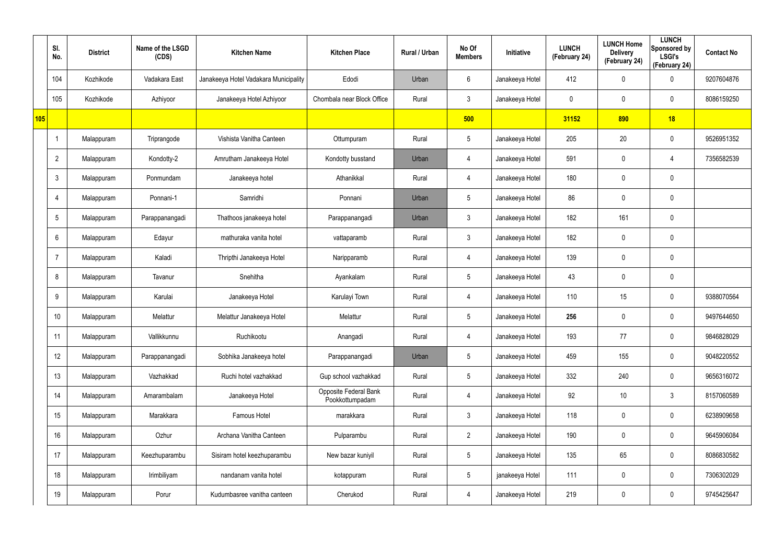|     | SI.<br>No.      | <b>District</b> | Name of the LSGD<br>(CDS) | <b>Kitchen Name</b>                   | <b>Kitchen Place</b>                     | Rural / Urban | No Of<br><b>Members</b> | Initiative      | <b>LUNCH</b><br>(February 24) | <b>LUNCH Home</b><br><b>Delivery</b><br>(February 24) | <b>LUNCH</b><br>Sponsored by<br><b>LSGI's</b><br>(February 24) | <b>Contact No</b> |
|-----|-----------------|-----------------|---------------------------|---------------------------------------|------------------------------------------|---------------|-------------------------|-----------------|-------------------------------|-------------------------------------------------------|----------------------------------------------------------------|-------------------|
|     | 104             | Kozhikode       | Vadakara East             | Janakeeya Hotel Vadakara Municipality | Edodi                                    | Urban         | $6\overline{6}$         | Janakeeya Hotel | 412                           | 0                                                     | $\boldsymbol{0}$                                               | 9207604876        |
|     | 105             | Kozhikode       | Azhiyoor                  | Janakeeya Hotel Azhiyoor              | Chombala near Block Office               | Rural         | $\mathbf{3}$            | Janakeeya Hotel | 0                             | 0                                                     | $\pmb{0}$                                                      | 8086159250        |
| 105 |                 |                 |                           |                                       |                                          |               | 500                     |                 | 31152                         | 890                                                   | 18                                                             |                   |
|     |                 | Malappuram      | Triprangode               | Vishista Vanitha Canteen              | Ottumpuram                               | Rural         | $\sqrt{5}$              | Janakeeya Hotel | 205                           | 20                                                    | $\pmb{0}$                                                      | 9526951352        |
|     | $\overline{2}$  | Malappuram      | Kondotty-2                | Amrutham Janakeeya Hotel              | Kondotty busstand                        | Urban         | 4                       | Janakeeya Hotel | 591                           | $\mathbf 0$                                           | 4                                                              | 7356582539        |
|     | $\mathbf{3}$    | Malappuram      | Ponmundam                 | Janakeeya hotel                       | Athanikkal                               | Rural         | 4                       | Janakeeya Hotel | 180                           | 0                                                     | $\mathbf 0$                                                    |                   |
|     | 4               | Malappuram      | Ponnani-1                 | Samridhi                              | Ponnani                                  | Urban         | $\sqrt{5}$              | Janakeeya Hotel | 86                            | 0                                                     | $\pmb{0}$                                                      |                   |
|     | $5\overline{)}$ | Malappuram      | Parappanangadi            | Thathoos janakeeya hotel              | Parappanangadi                           | Urban         | $\mathbf{3}$            | Janakeeya Hotel | 182                           | 161                                                   | $\mathbf 0$                                                    |                   |
|     | 6               | Malappuram      | Edayur                    | mathuraka vanita hotel                | vattaparamb                              | Rural         | $\mathbf{3}$            | Janakeeya Hotel | 182                           | 0                                                     | $\pmb{0}$                                                      |                   |
|     |                 | Malappuram      | Kaladi                    | Thripthi Janakeeya Hotel              | Naripparamb                              | Rural         | 4                       | Janakeeya Hotel | 139                           | 0                                                     | $\mathbf 0$                                                    |                   |
|     | 8               | Malappuram      | Tavanur                   | Snehitha                              | Ayankalam                                | Rural         | $5\phantom{.0}$         | Janakeeya Hotel | 43                            | 0                                                     | $\pmb{0}$                                                      |                   |
|     | 9               | Malappuram      | Karulai                   | Janakeeya Hotel                       | Karulayi Town                            | Rural         | 4                       | Janakeeya Hotel | 110                           | 15                                                    | $\mathbf 0$                                                    | 9388070564        |
|     | 10              | Malappuram      | Melattur                  | Melattur Janakeeya Hotel              | Melattur                                 | Rural         | $5\phantom{.0}$         | Janakeeya Hotel | 256                           | 0                                                     | $\mathbf 0$                                                    | 9497644650        |
|     | 11              | Malappuram      | Vallikkunnu               | Ruchikootu                            | Anangadi                                 | Rural         | 4                       | Janakeeya Hotel | 193                           | 77                                                    | $\mathbf 0$                                                    | 9846828029        |
|     | 12              | Malappuram      | Parappanangadi            | Sobhika Janakeeya hotel               | Parappanangadi                           | Urban         | $5\overline{)}$         | Janakeeya Hotel | 459                           | 155                                                   | $\mathbf 0$                                                    | 9048220552        |
|     | 13              | Malappuram      | Vazhakkad                 | Ruchi hotel vazhakkad                 | Gup school vazhakkad                     | Rural         | $5\overline{)}$         | Janakeeya Hotel | 332                           | 240                                                   | $\mathbf 0$                                                    | 9656316072        |
|     | 14              | Malappuram      | Amarambalam               | Janakeeya Hotel                       | Opposite Federal Bank<br>Pookkottumpadam | Rural         | 4                       | Janakeeya Hotel | 92                            | 10                                                    | $3\phantom{.0}$                                                | 8157060589        |
|     | 15              | Malappuram      | Marakkara                 | Famous Hotel                          | marakkara                                | Rural         | $\mathbf{3}$            | Janakeeya Hotel | 118                           | 0                                                     | $\pmb{0}$                                                      | 6238909658        |
|     | 16              | Malappuram      | Ozhur                     | Archana Vanitha Canteen               | Pulparambu                               | Rural         | $\overline{2}$          | Janakeeya Hotel | 190                           | 0                                                     | $\mathbf 0$                                                    | 9645906084        |
|     | 17              | Malappuram      | Keezhuparambu             | Sisiram hotel keezhuparambu           | New bazar kuniyil                        | Rural         | $5\phantom{.0}$         | Janakeeya Hotel | 135                           | 65                                                    | $\pmb{0}$                                                      | 8086830582        |
|     | 18              | Malappuram      | Irimbiliyam               | nandanam vanita hotel                 | kotappuram                               | Rural         | $5\phantom{.0}$         | janakeeya Hotel | 111                           | 0                                                     | $\pmb{0}$                                                      | 7306302029        |
|     | 19              | Malappuram      | Porur                     | Kudumbasree vanitha canteen           | Cherukod                                 | Rural         | 4                       | Janakeeya Hotel | 219                           | 0                                                     | $\pmb{0}$                                                      | 9745425647        |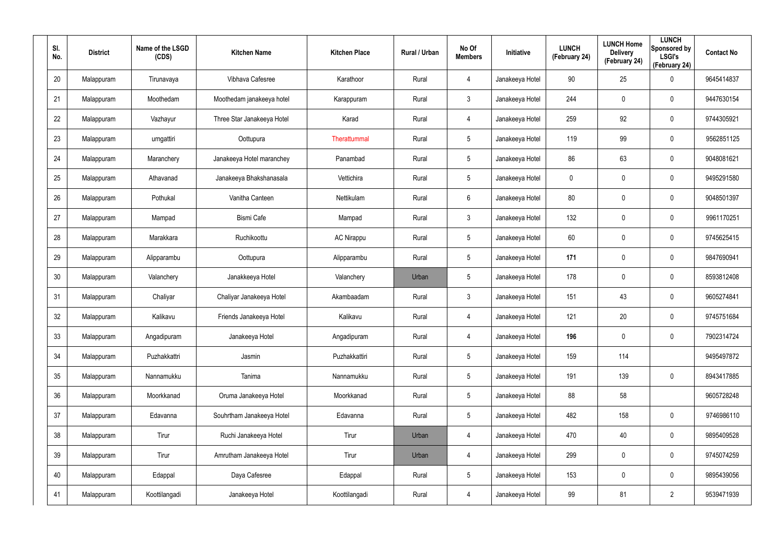| SI.<br>No. | <b>District</b> | Name of the LSGD<br>(CDS) | <b>Kitchen Name</b>        | <b>Kitchen Place</b> | Rural / Urban | No Of<br><b>Members</b> | Initiative      | <b>LUNCH</b><br>(February 24) | <b>LUNCH Home</b><br><b>Delivery</b><br>(February 24) | <b>LUNCH</b><br>Sponsored by<br><b>LSGI's</b><br>(February 24) | <b>Contact No</b> |
|------------|-----------------|---------------------------|----------------------------|----------------------|---------------|-------------------------|-----------------|-------------------------------|-------------------------------------------------------|----------------------------------------------------------------|-------------------|
| 20         | Malappuram      | Tirunavaya                | Vibhava Cafesree           | Karathoor            | Rural         | 4                       | Janakeeya Hotel | 90                            | 25                                                    | $\mathbf 0$                                                    | 9645414837        |
| 21         | Malappuram      | Moothedam                 | Moothedam janakeeya hotel  | Karappuram           | Rural         | $\mathbf{3}$            | Janakeeya Hotel | 244                           | 0                                                     | $\mathbf 0$                                                    | 9447630154        |
| 22         | Malappuram      | Vazhayur                  | Three Star Janakeeya Hotel | Karad                | Rural         | 4                       | Janakeeya Hotel | 259                           | 92                                                    | $\mathbf 0$                                                    | 9744305921        |
| 23         | Malappuram      | urngattiri                | Oottupura                  | Therattummal         | Rural         | $5\overline{)}$         | Janakeeya Hotel | 119                           | 99                                                    | $\mathbf 0$                                                    | 9562851125        |
| 24         | Malappuram      | Maranchery                | Janakeeya Hotel maranchey  | Panambad             | Rural         | $5\phantom{.0}$         | Janakeeya Hotel | 86                            | 63                                                    | $\mathbf 0$                                                    | 9048081621        |
| 25         | Malappuram      | Athavanad                 | Janakeeya Bhakshanasala    | Vettichira           | Rural         | $5\overline{)}$         | Janakeeya Hotel | 0                             | 0                                                     | $\mathbf 0$                                                    | 9495291580        |
| 26         | Malappuram      | Pothukal                  | Vanitha Canteen            | Nettikulam           | Rural         | 6                       | Janakeeya Hotel | 80                            | $\mathbf 0$                                           | $\mathbf 0$                                                    | 9048501397        |
| 27         | Malappuram      | Mampad                    | <b>Bismi Cafe</b>          | Mampad               | Rural         | $\mathbf{3}$            | Janakeeya Hotel | 132                           | 0                                                     | $\mathbf 0$                                                    | 9961170251        |
| 28         | Malappuram      | Marakkara                 | Ruchikoottu                | <b>AC Nirappu</b>    | Rural         | 5                       | Janakeeya Hotel | 60                            | $\mathbf 0$                                           | $\mathbf 0$                                                    | 9745625415        |
| 29         | Malappuram      | Alipparambu               | Oottupura                  | Alipparambu          | Rural         | 5                       | Janakeeya Hotel | 171                           | 0                                                     | $\mathbf 0$                                                    | 9847690941        |
| 30         | Malappuram      | Valanchery                | Janakkeeya Hotel           | Valanchery           | Urban         | 5                       | Janakeeya Hotel | 178                           | $\mathbf 0$                                           | $\mathbf 0$                                                    | 8593812408        |
| 31         | Malappuram      | Chaliyar                  | Chaliyar Janakeeya Hotel   | Akambaadam           | Rural         | $\mathbf{3}$            | Janakeeya Hotel | 151                           | 43                                                    | $\mathbf 0$                                                    | 9605274841        |
| 32         | Malappuram      | Kalikavu                  | Friends Janakeeya Hotel    | Kalikavu             | Rural         | 4                       | Janakeeya Hotel | 121                           | 20                                                    | $\mathbf 0$                                                    | 9745751684        |
| 33         | Malappuram      | Angadipuram               | Janakeeya Hotel            | Angadipuram          | Rural         | $\overline{4}$          | Janakeeya Hotel | 196                           | $\mathbf 0$                                           | $\pmb{0}$                                                      | 7902314724        |
| 34         | Malappuram      | Puzhakkattri              | Jasmin                     | Puzhakkattiri        | Rural         | $5\phantom{.0}$         | Janakeeya Hotel | 159                           | 114                                                   |                                                                | 9495497872        |
| 35         | Malappuram      | Nannamukku                | Tanima                     | Nannamukku           | Rural         | 5                       | Janakeeya Hotel | 191                           | 139                                                   | $\mathbf 0$                                                    | 8943417885        |
| 36         | Malappuram      | Moorkkanad                | Oruma Janakeeya Hotel      | Moorkkanad           | Rural         | $5\phantom{.0}$         | Janakeeya Hotel | 88                            | 58                                                    |                                                                | 9605728248        |
| 37         | Malappuram      | Edavanna                  | Souhrtham Janakeeya Hotel  | Edavanna             | Rural         | $5\phantom{.0}$         | Janakeeya Hotel | 482                           | 158                                                   | $\mathsf{0}$                                                   | 9746986110        |
| 38         | Malappuram      | Tirur                     | Ruchi Janakeeya Hotel      | Tirur                | Urban         | $\overline{4}$          | Janakeeya Hotel | 470                           | 40                                                    | $\mathsf{0}$                                                   | 9895409528        |
| 39         | Malappuram      | Tirur                     | Amrutham Janakeeya Hotel   | Tirur                | Urban         | $\overline{4}$          | Janakeeya Hotel | 299                           | $\mathbf 0$                                           | $\mathsf{0}$                                                   | 9745074259        |
| 40         | Malappuram      | Edappal                   | Daya Cafesree              | Edappal              | Rural         | $5\phantom{.0}$         | Janakeeya Hotel | 153                           | $\mathbf 0$                                           | $\mathsf{0}$                                                   | 9895439056        |
| 41         | Malappuram      | Koottilangadi             | Janakeeya Hotel            | Koottilangadi        | Rural         | $\overline{4}$          | Janakeeya Hotel | 99                            | 81                                                    | $\overline{2}$                                                 | 9539471939        |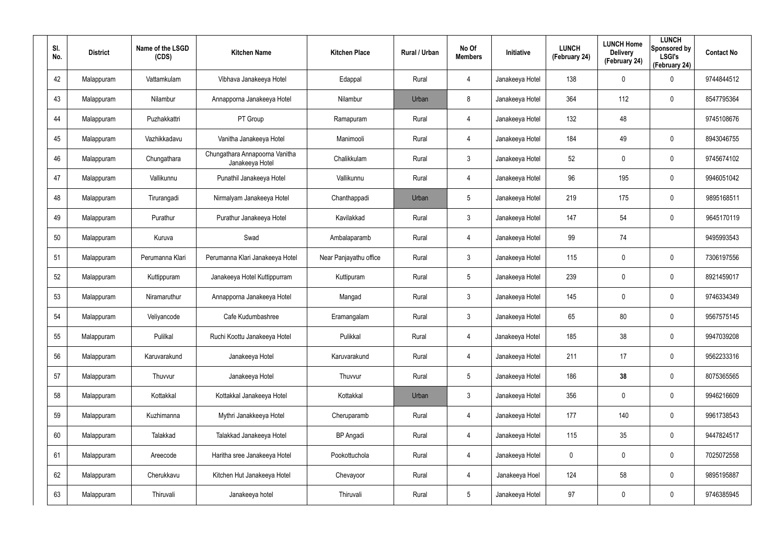| SI.<br>No. | <b>District</b> | Name of the LSGD<br>(CDS) | <b>Kitchen Name</b>                               | <b>Kitchen Place</b>   | Rural / Urban | No Of<br><b>Members</b> | Initiative      | <b>LUNCH</b><br>(February 24) | <b>LUNCH Home</b><br><b>Delivery</b><br>(February 24) | <b>LUNCH</b><br>Sponsored by<br><b>LSGI's</b><br>(February 24) | <b>Contact No</b> |
|------------|-----------------|---------------------------|---------------------------------------------------|------------------------|---------------|-------------------------|-----------------|-------------------------------|-------------------------------------------------------|----------------------------------------------------------------|-------------------|
| 42         | Malappuram      | Vattamkulam               | Vibhava Janakeeya Hotel                           | Edappal                | Rural         | 4                       | Janakeeya Hotel | 138                           | $\mathbf 0$                                           | $\mathbf 0$                                                    | 9744844512        |
| 43         | Malappuram      | Nilambur                  | Annapporna Janakeeya Hotel                        | Nilambur               | Urban         | 8                       | Janakeeya Hotel | 364                           | 112                                                   | $\mathbf 0$                                                    | 8547795364        |
| 44         | Malappuram      | Puzhakkattri              | PT Group                                          | Ramapuram              | Rural         | 4                       | Janakeeya Hotel | 132                           | 48                                                    |                                                                | 9745108676        |
| 45         | Malappuram      | Vazhikkadavu              | Vanitha Janakeeya Hotel                           | Manimooli              | Rural         | 4                       | Janakeeya Hotel | 184                           | 49                                                    | $\mathbf 0$                                                    | 8943046755        |
| 46         | Malappuram      | Chungathara               | Chungathara Annapoorna Vanitha<br>Janakeeya Hotel | Chalikkulam            | Rural         | $\mathbf{3}$            | Janakeeya Hotel | 52                            | 0                                                     | $\mathbf 0$                                                    | 9745674102        |
| 47         | Malappuram      | Vallikunnu                | Punathil Janakeeya Hotel                          | Vallikunnu             | Rural         | 4                       | Janakeeya Hotel | 96                            | 195                                                   | $\mathbf 0$                                                    | 9946051042        |
| 48         | Malappuram      | Tirurangadi               | Nirmalyam Janakeeya Hotel                         | Chanthappadi           | Urban         | $5\phantom{.0}$         | Janakeeya Hotel | 219                           | 175                                                   | $\mathbf 0$                                                    | 9895168511        |
| 49         | Malappuram      | Purathur                  | Purathur Janakeeya Hotel                          | Kavilakkad             | Rural         | $\mathbf{3}$            | Janakeeya Hotel | 147                           | 54                                                    | $\mathbf 0$                                                    | 9645170119        |
| 50         | Malappuram      | Kuruva                    | Swad                                              | Ambalaparamb           | Rural         | 4                       | Janakeeya Hotel | 99                            | 74                                                    |                                                                | 9495993543        |
| 51         | Malappuram      | Perumanna Klari           | Perumanna Klari Janakeeya Hotel                   | Near Panjayathu office | Rural         | $\mathbf{3}$            | Janakeeya Hotel | 115                           | $\mathbf 0$                                           | $\mathbf 0$                                                    | 7306197556        |
| 52         | Malappuram      | Kuttippuram               | Janakeeya Hotel Kuttippurram                      | Kuttipuram             | Rural         | $5\phantom{.0}$         | Janakeeya Hotel | 239                           | 0                                                     | $\mathbf 0$                                                    | 8921459017        |
| 53         | Malappuram      | Niramaruthur              | Annapporna Janakeeya Hotel                        | Mangad                 | Rural         | $\mathbf{3}$            | Janakeeya Hotel | 145                           | $\mathbf 0$                                           | $\mathbf 0$                                                    | 9746334349        |
| 54         | Malappuram      | Veliyancode               | Cafe Kudumbashree                                 | Eramangalam            | Rural         | $\mathbf{3}$            | Janakeeya Hotel | 65                            | 80                                                    | $\mathbf 0$                                                    | 9567575145        |
| 55         | Malappuram      | Pulilkal                  | Ruchi Koottu Janakeeya Hotel                      | Pulikkal               | Rural         | 4                       | Janakeeya Hotel | 185                           | 38                                                    | $\pmb{0}$                                                      | 9947039208        |
| 56         | Malappuram      | Karuvarakund              | Janakeeya Hotel                                   | Karuvarakund           | Rural         | 4                       | Janakeeya Hotel | 211                           | 17                                                    | $\mathbf 0$                                                    | 9562233316        |
| 57         | Malappuram      | Thuvvur                   | Janakeeya Hotel                                   | Thuvvur                | Rural         | $5\phantom{.0}$         | Janakeeya Hotel | 186                           | 38                                                    | $\mathbf 0$                                                    | 8075365565        |
| 58         | Malappuram      | Kottakkal                 | Kottakkal Janakeeya Hotel                         | Kottakkal              | Urban         | $\mathbf{3}$            | Janakeeya Hotel | 356                           | 0                                                     | $\mathbf 0$                                                    | 9946216609        |
| 59         | Malappuram      | Kuzhimanna                | Mythri Janakkeeya Hotel                           | Cheruparamb            | Rural         | $\overline{4}$          | Janakeeya Hotel | 177                           | 140                                                   | $\mathsf{0}$                                                   | 9961738543        |
| 60         | Malappuram      | Talakkad                  | Talakkad Janakeeya Hotel                          | <b>BP</b> Angadi       | Rural         | 4                       | Janakeeya Hotel | 115                           | 35                                                    | $\mathsf{0}$                                                   | 9447824517        |
| 61         | Malappuram      | Areecode                  | Haritha sree Janakeeya Hotel                      | Pookottuchola          | Rural         | $\overline{4}$          | Janakeeya Hotel | $\mathbf 0$                   | $\mathbf 0$                                           | $\mathsf{0}$                                                   | 7025072558        |
| 62         | Malappuram      | Cherukkavu                | Kitchen Hut Janakeeya Hotel                       | Chevayoor              | Rural         | 4                       | Janakeeya Hoel  | 124                           | 58                                                    | $\mathsf{0}$                                                   | 9895195887        |
| 63         | Malappuram      | Thiruvali                 | Janakeeya hotel                                   | Thiruvali              | Rural         | $5\phantom{.0}$         | Janakeeya Hotel | 97                            | 0                                                     | $\pmb{0}$                                                      | 9746385945        |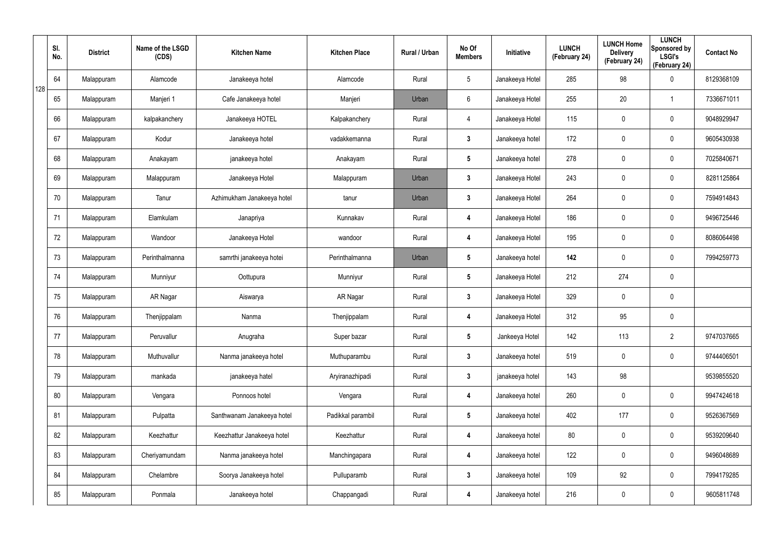|     | SI.<br>No. | <b>District</b> | Name of the LSGD<br>(CDS) | <b>Kitchen Name</b>        | <b>Kitchen Place</b> | Rural / Urban | No Of<br><b>Members</b> | Initiative      | <b>LUNCH</b><br>(February 24) | <b>LUNCH Home</b><br><b>Delivery</b><br>(February 24) | <b>LUNCH</b><br>Sponsored by<br><b>LSGI's</b><br>(February 24) | <b>Contact No</b> |
|-----|------------|-----------------|---------------------------|----------------------------|----------------------|---------------|-------------------------|-----------------|-------------------------------|-------------------------------------------------------|----------------------------------------------------------------|-------------------|
| 128 | 64         | Malappuram      | Alamcode                  | Janakeeya hotel            | Alamcode             | Rural         | $5\phantom{.0}$         | Janakeeya Hotel | 285                           | 98                                                    | $\mathbf 0$                                                    | 8129368109        |
|     | 65         | Malappuram      | Manjeri 1                 | Cafe Janakeeya hotel       | Manjeri              | Urban         | 6                       | Janakeeya Hotel | 255                           | 20                                                    | -1                                                             | 7336671011        |
|     | 66         | Malappuram      | kalpakanchery             | Janakeeya HOTEL            | Kalpakanchery        | Rural         | 4                       | Janakeeya Hotel | 115                           | $\mathbf 0$                                           | $\mathbf 0$                                                    | 9048929947        |
|     | 67         | Malappuram      | Kodur                     | Janakeeya hotel            | vadakkemanna         | Rural         | $3\phantom{a}$          | Janakeeya hotel | 172                           | 0                                                     | $\mathbf 0$                                                    | 9605430938        |
|     | 68         | Malappuram      | Anakayam                  | janakeeya hotel            | Anakayam             | Rural         | $5\phantom{.0}$         | Janakeeya hotel | 278                           | $\mathbf 0$                                           | $\mathbf 0$                                                    | 7025840671        |
|     | 69         | Malappuram      | Malappuram                | Janakeeya Hotel            | Malappuram           | Urban         | $\mathbf{3}$            | Janakeeya Hotel | 243                           | 0                                                     | $\mathbf 0$                                                    | 8281125864        |
|     | 70         | Malappuram      | Tanur                     | Azhimukham Janakeeya hotel | tanur                | Urban         | $3\phantom{a}$          | Janakeeya Hotel | 264                           | $\mathbf 0$                                           | $\mathbf 0$                                                    | 7594914843        |
|     | 71         | Malappuram      | Elamkulam                 | Janapriya                  | Kunnakav             | Rural         | 4                       | Janakeeya Hotel | 186                           | 0                                                     | $\mathbf 0$                                                    | 9496725446        |
|     | 72         | Malappuram      | Wandoor                   | Janakeeya Hotel            | wandoor              | Rural         | 4                       | Janakeeya Hotel | 195                           | $\mathbf 0$                                           | $\mathbf 0$                                                    | 8086064498        |
|     | 73         | Malappuram      | Perinthalmanna            | samrthi janakeeya hotei    | Perinthalmanna       | Urban         | $5\phantom{.0}$         | Janakeeya hotel | 142                           | $\mathbf 0$                                           | $\mathbf 0$                                                    | 7994259773        |
|     | 74         | Malappuram      | Munniyur                  | Oottupura                  | Munniyur             | Rural         | $5\phantom{.0}$         | Janakeeya Hotel | 212                           | 274                                                   | $\pmb{0}$                                                      |                   |
|     | 75         | Malappuram      | AR Nagar                  | Aiswarya                   | AR Nagar             | Rural         | $\mathbf{3}$            | Janakeeya Hotel | 329                           | $\mathbf 0$                                           | $\mathbf 0$                                                    |                   |
|     | 76         | Malappuram      | Thenjippalam              | Nanma                      | Thenjippalam         | Rural         | 4                       | Janakeeya Hotel | 312                           | 95                                                    | $\mathbf 0$                                                    |                   |
|     | 77         | Malappuram      | Peruvallur                | Anugraha                   | Super bazar          | Rural         | $5\phantom{.0}$         | Jankeeya Hotel  | 142                           | 113                                                   | $\overline{2}$                                                 | 9747037665        |
|     | 78         | Malappuram      | Muthuvallur               | Nanma janakeeya hotel      | Muthuparambu         | Rural         | $\mathbf{3}$            | Janakeeya hotel | 519                           | $\mathbf 0$                                           | $\mathbf 0$                                                    | 9744406501        |
|     | 79         | Malappuram      | mankada                   | janakeeya hatel            | Aryiranazhipadi      | Rural         | $3\phantom{a}$          | janakeeya hotel | 143                           | 98                                                    |                                                                | 9539855520        |
|     | 80         | Malappuram      | Vengara                   | Ponnoos hotel              | Vengara              | Rural         | 4                       | Janakeeya hotel | 260                           | $\mathbf 0$                                           | $\mathbf 0$                                                    | 9947424618        |
|     | 81         | Malappuram      | Pulpatta                  | Santhwanam Janakeeya hotel | Padikkal parambil    | Rural         | $5\phantom{.0}$         | Janakeeya hotel | 402                           | 177                                                   | $\pmb{0}$                                                      | 9526367569        |
|     | 82         | Malappuram      | Keezhattur                | Keezhattur Janakeeya hotel | Keezhattur           | Rural         | 4                       | Janakeeya hotel | 80                            | 0                                                     | $\pmb{0}$                                                      | 9539209640        |
|     | 83         | Malappuram      | Cheriyamundam             | Nanma janakeeya hotel      | Manchingapara        | Rural         | 4                       | Janakeeya hotel | 122                           | $\mathbf 0$                                           | $\pmb{0}$                                                      | 9496048689        |
|     | 84         | Malappuram      | Chelambre                 | Soorya Janakeeya hotel     | Pulluparamb          | Rural         | $\mathbf{3}$            | Janakeeya hotel | 109                           | 92                                                    | $\mathbf 0$                                                    | 7994179285        |
|     | 85         | Malappuram      | Ponmala                   | Janakeeya hotel            | Chappangadi          | Rural         | 4                       | Janakeeya hotel | 216                           | $\mathbf 0$                                           | $\pmb{0}$                                                      | 9605811748        |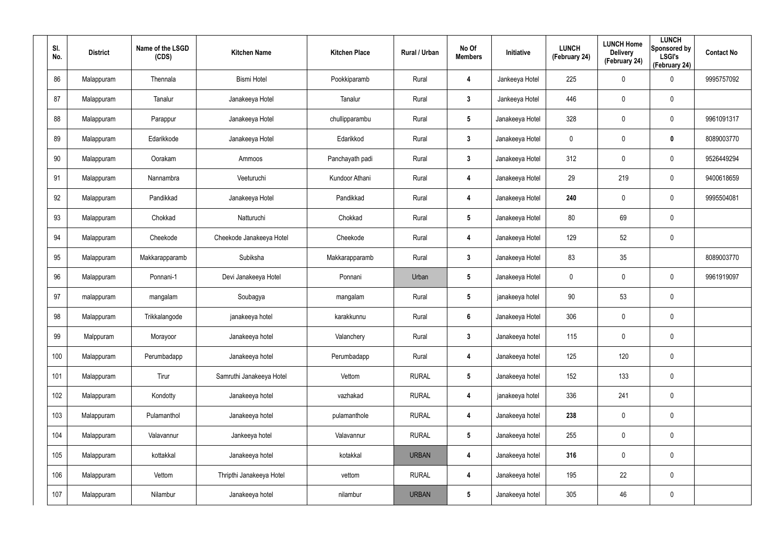| SI.<br>No. | <b>District</b> | Name of the LSGD<br>(CDS) | <b>Kitchen Name</b>      | <b>Kitchen Place</b> | <b>Rural / Urban</b> | No Of<br><b>Members</b> | Initiative      | <b>LUNCH</b><br>(February 24) | <b>LUNCH Home</b><br><b>Delivery</b><br>(February 24) | <b>LUNCH</b><br>Sponsored by<br><b>LSGI's</b><br>(February 24) | <b>Contact No</b> |
|------------|-----------------|---------------------------|--------------------------|----------------------|----------------------|-------------------------|-----------------|-------------------------------|-------------------------------------------------------|----------------------------------------------------------------|-------------------|
| 86         | Malappuram      | Thennala                  | <b>Bismi Hotel</b>       | Pookkiparamb         | Rural                | 4                       | Jankeeya Hotel  | 225                           | 0                                                     | $\boldsymbol{0}$                                               | 9995757092        |
| 87         | Malappuram      | Tanalur                   | Janakeeya Hotel          | Tanalur              | Rural                | $\mathbf{3}$            | Jankeeya Hotel  | 446                           | $\mathbf 0$                                           | $\pmb{0}$                                                      |                   |
| 88         | Malappuram      | Parappur                  | Janakeeya Hotel          | chullipparambu       | Rural                | $5\phantom{.0}$         | Janakeeya Hotel | 328                           | $\mathbf 0$                                           | $\pmb{0}$                                                      | 9961091317        |
| 89         | Malappuram      | Edarikkode                | Janakeeya Hotel          | Edarikkod            | Rural                | $\mathbf{3}$            | Janakeeya Hotel | 0                             | 0                                                     | $\mathbf 0$                                                    | 8089003770        |
| 90         | Malappuram      | Oorakam                   | Ammoos                   | Panchayath padi      | Rural                | $\mathbf{3}$            | Janakeeya Hotel | 312                           | $\mathbf 0$                                           | $\pmb{0}$                                                      | 9526449294        |
| 91         | Malappuram      | Nannambra                 | Veeturuchi               | Kundoor Athani       | Rural                | 4                       | Janakeeya Hotel | 29                            | 219                                                   | $\mathbf 0$                                                    | 9400618659        |
| 92         | Malappuram      | Pandikkad                 | Janakeeya Hotel          | Pandikkad            | Rural                | 4                       | Janakeeya Hotel | 240                           | 0                                                     | $\pmb{0}$                                                      | 9995504081        |
| 93         | Malappuram      | Chokkad                   | Natturuchi               | Chokkad              | Rural                | $5\phantom{.0}$         | Janakeeya Hotel | 80                            | 69                                                    | $\mathbf 0$                                                    |                   |
| 94         | Malappuram      | Cheekode                  | Cheekode Janakeeya Hotel | Cheekode             | Rural                | 4                       | Janakeeya Hotel | 129                           | 52                                                    | $\pmb{0}$                                                      |                   |
| 95         | Malappuram      | Makkarapparamb            | Subiksha                 | Makkarapparamb       | Rural                | $\mathbf{3}$            | Janakeeya Hotel | 83                            | 35                                                    |                                                                | 8089003770        |
| 96         | Malappuram      | Ponnani-1                 | Devi Janakeeya Hotel     | Ponnani              | Urban                | $5\phantom{.0}$         | Janakeeya Hotel | $\mathbf 0$                   | 0                                                     | $\boldsymbol{0}$                                               | 9961919097        |
| 97         | malappuram      | mangalam                  | Soubagya                 | mangalam             | Rural                | $5\phantom{.0}$         | janakeeya hotel | 90                            | 53                                                    | $\mathbf 0$                                                    |                   |
| 98         | Malappuram      | Trikkalangode             | janakeeya hotel          | karakkunnu           | Rural                | $6\phantom{.}6$         | Janakeeya Hotel | 306                           | 0                                                     | $\pmb{0}$                                                      |                   |
| 99         | Malppuram       | Morayoor                  | Janakeeya hotel          | Valanchery           | Rural                | $\mathbf{3}$            | Janakeeya hotel | 115                           | $\pmb{0}$                                             | $\pmb{0}$                                                      |                   |
| 100        | Malappuram      | Perumbadapp               | Janakeeya hotel          | Perumbadapp          | Rural                | 4                       | Janakeeya hotel | 125                           | 120                                                   | $\mathbf 0$                                                    |                   |
| 101        | Malappuram      | Tirur                     | Samruthi Janakeeya Hotel | Vettom               | <b>RURAL</b>         | $5\phantom{.0}$         | Janakeeya hotel | 152                           | 133                                                   | $\pmb{0}$                                                      |                   |
| 102        | Malappuram      | Kondotty                  | Janakeeya hotel          | vazhakad             | <b>RURAL</b>         | 4                       | janakeeya hotel | 336                           | 241                                                   | $\mathbf 0$                                                    |                   |
| 103        | Malappuram      | Pulamanthol               | Janakeeya hotel          | pulamanthole         | <b>RURAL</b>         | 4                       | Janakeeya hotel | 238                           | $\pmb{0}$                                             | $\pmb{0}$                                                      |                   |
| 104        | Malappuram      | Valavannur                | Jankeeya hotel           | Valavannur           | <b>RURAL</b>         | $5\phantom{.0}$         | Janakeeya hotel | 255                           | $\pmb{0}$                                             | $\mathbf 0$                                                    |                   |
| 105        | Malappuram      | kottakkal                 | Janakeeya hotel          | kotakkal             | <b>URBAN</b>         | 4                       | Janakeeya hotel | 316                           | $\pmb{0}$                                             | $\pmb{0}$                                                      |                   |
| 106        | Malappuram      | Vettom                    | Thripthi Janakeeya Hotel | vettom               | <b>RURAL</b>         | 4                       | Janakeeya hotel | 195                           | 22                                                    | $\mathbf 0$                                                    |                   |
| 107        | Malappuram      | Nilambur                  | Janakeeya hotel          | nilambur             | <b>URBAN</b>         | $5\phantom{.0}$         | Janakeeya hotel | 305                           | 46                                                    | $\pmb{0}$                                                      |                   |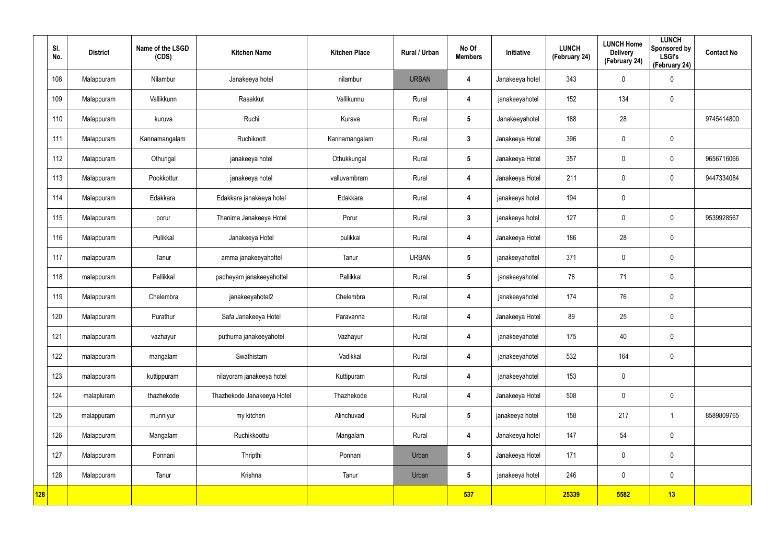|     | SI.<br>No. | <b>District</b> | Name of the LSGD<br>(CDS) | <b>Kitchen Name</b>        | <b>Kitchen Place</b> | Rural / Urban | No Of<br><b>Members</b> | Initiative      | <b>LUNCH</b><br>(February 24) | <b>LUNCH Home</b><br><b>Delivery</b><br>(February 24) | <b>LUNCH</b><br>Sponsored by<br><b>LSGI's</b><br>(February 24) | <b>Contact No</b> |
|-----|------------|-----------------|---------------------------|----------------------------|----------------------|---------------|-------------------------|-----------------|-------------------------------|-------------------------------------------------------|----------------------------------------------------------------|-------------------|
|     | 108        | Malappuram      | Nilambur                  | Janakeeya hotel            | nilambur             | <b>URBAN</b>  | 4                       | Janakeeya hotel | 343                           | 0                                                     | $\mathbf 0$                                                    |                   |
|     | 109        | Malappuram      | Vallikkunn                | Rasakkut                   | Vallikunnu           | Rural         | 4                       | janakeeyahotel  | 152                           | 134                                                   | $\mathbf 0$                                                    |                   |
|     | 110        | Malappuram      | kuruva                    | Ruchi                      | Kurava               | Rural         | $5\overline{)}$         | Janakeeyahotel  | 188                           | 28                                                    |                                                                | 9745414800        |
|     | 111        | Malappuram      | Kannamangalam             | Ruchikoott                 | Kannamangalam        | Rural         | $3\phantom{a}$          | Janakeeya Hotel | 396                           | 0                                                     | $\mathbf 0$                                                    |                   |
|     | 112        | Malappuram      | Othungal                  | janakeeya hotel            | Othukkungal          | Rural         | $5\phantom{.0}$         | Janakeeya Hotel | 357                           | 0                                                     | $\mathbf 0$                                                    | 9656716066        |
|     | 113        | Malappuram      | Pookkottur                | janakeeya hotel            | valluvambram         | Rural         | 4                       | Janakeeya Hotel | 211                           | $\boldsymbol{0}$                                      | $\mathbf 0$                                                    | 9447334084        |
|     | 114        | Malappuram      | Edakkara                  | Edakkara janakeeya hotel   | Edakkara             | Rural         | 4                       | janakeeya hotel | 194                           | 0                                                     |                                                                |                   |
|     | 115        | Malappuram      | porur                     | Thanima Janakeeya Hotel    | Porur                | Rural         | $3\phantom{a}$          | janakeeya hotel | 127                           | $\mathbf 0$                                           | $\mathbf 0$                                                    | 9539928567        |
|     | 116        | Malappuram      | Pulikkal                  | Janakeeya Hotel            | pulikkal             | Rural         | 4                       | Janakeeya Hotel | 186                           | 28                                                    | $\mathbf 0$                                                    |                   |
|     | 117        | malappuram      | Tanur                     | amma janakeeyahottel       | Tanur                | <b>URBAN</b>  | $5\overline{)}$         | janakeeyahottel | 371                           | 0                                                     | $\mathbf 0$                                                    |                   |
|     | 118        | malappuram      | Pallikkal                 | padheyam janakeeyahottel   | Pallikkal            | Rural         | $5\phantom{.0}$         | janakeeyahotel  | 78                            | 71                                                    | $\mathbf 0$                                                    |                   |
|     | 119        | Malappuram      | Chelembra                 | janakeeyahotel2            | Chelembra            | Rural         | 4                       | janakeeyahotel  | 174                           | 76                                                    | $\mathbf 0$                                                    |                   |
|     | 120        | Malappuram      | Purathur                  | Safa Janakeeya Hotel       | Paravanna            | Rural         | 4                       | Janakeeya Hotel | 89                            | 25                                                    | $\mathbf 0$                                                    |                   |
|     | 121        | malappuram      | vazhayur                  | puthuma janakeeyahotel     | Vazhayur             | Rural         | 4                       | janakeeyahotel  | 175                           | 40                                                    | $\pmb{0}$                                                      |                   |
|     | 122        | malappuram      | mangalam                  | Swathistam                 | Vadikkal             | Rural         | $\overline{\mathbf{4}}$ | janakeeyahotel  | 532                           | 164                                                   | $\mathbf 0$                                                    |                   |
|     | 123        | malappuram      | kuttippuram               | nilayoram janakeeya hotel  | Kuttipuram           | Rural         | $\overline{\mathbf{4}}$ | janakeeyahotel  | 153                           | $\pmb{0}$                                             |                                                                |                   |
|     | 124        | malapluram      | thazhekode                | Thazhekode Janakeeya Hotel | Thazhekode           | Rural         | $\overline{\mathbf{4}}$ | Janakeeya Hotel | 508                           | $\pmb{0}$                                             | $\mathbf 0$                                                    |                   |
|     | 125        | malappuram      | munniyur                  | my kitchen                 | Alinchuvad           | Rural         | $5\overline{)}$         | janakeeya hotel | 158                           | 217                                                   | $\mathbf 1$                                                    | 8589809765        |
|     | 126        | Malappuram      | Mangalam                  | Ruchikkoottu               | Mangalam             | Rural         | $\overline{\mathbf{4}}$ | Janakeeya hotel | 147                           | 54                                                    | $\mathbf 0$                                                    |                   |
|     | 127        | Malappuram      | Ponnani                   | Thripthi                   | Ponnani              | Urban         | 5 <sub>5</sub>          | Janakeeya Hotel | 171                           | $\pmb{0}$                                             | $\mathbf 0$                                                    |                   |
|     | 128        | Malappuram      | Tanur                     | Krishna                    | Tanur                | Urban         | $5\phantom{.0}$         | janakeeya hotel | 246                           | $\pmb{0}$                                             | $\mathbf 0$                                                    |                   |
| 128 |            |                 |                           |                            |                      |               | 537                     |                 | 25339                         | 5582                                                  | 13                                                             |                   |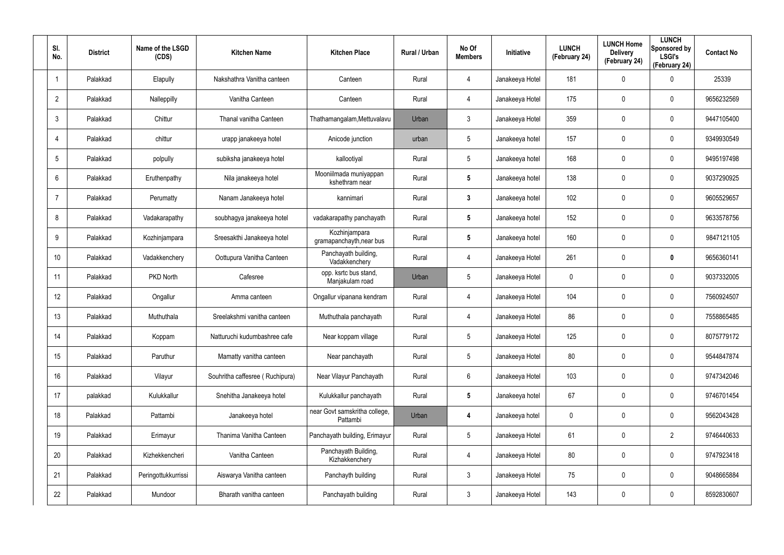| SI.<br>No.      | <b>District</b> | Name of the LSGD<br>(CDS) | <b>Kitchen Name</b>             | <b>Kitchen Place</b>                      | <b>Rural / Urban</b> | No Of<br><b>Members</b> | <b>Initiative</b> | <b>LUNCH</b><br>(February 24) | <b>LUNCH Home</b><br><b>Delivery</b><br>(February 24) | <b>LUNCH</b><br>Sponsored by<br><b>LSGI's</b><br>(February 24) | <b>Contact No</b> |
|-----------------|-----------------|---------------------------|---------------------------------|-------------------------------------------|----------------------|-------------------------|-------------------|-------------------------------|-------------------------------------------------------|----------------------------------------------------------------|-------------------|
| 1               | Palakkad        | Elapully                  | Nakshathra Vanitha canteen      | Canteen                                   | Rural                | 4                       | Janakeeya Hotel   | 181                           | 0                                                     | $\mathbf 0$                                                    | 25339             |
| $\overline{2}$  | Palakkad        | Nalleppilly               | Vanitha Canteen                 | Canteen                                   | Rural                | 4                       | Janakeeya Hotel   | 175                           | 0                                                     | $\mathbf 0$                                                    | 9656232569        |
| $\mathbf{3}$    | Palakkad        | Chittur                   | Thanal vanitha Canteen          | Thathamangalam, Mettuvalavu               | Urban                | 3                       | Janakeeya Hotel   | 359                           | 0                                                     | $\mathbf 0$                                                    | 9447105400        |
| $\overline{4}$  | Palakkad        | chittur                   | urapp janakeeya hotel           | Anicode junction                          | urban                | 5                       | Janakeeya hotel   | 157                           | 0                                                     | $\mathbf 0$                                                    | 9349930549        |
| $5\phantom{.0}$ | Palakkad        | polpully                  | subiksha janakeeya hotel        | kallootiyal                               | Rural                | 5                       | Janakeeya hotel   | 168                           | 0                                                     | $\mathbf 0$                                                    | 9495197498        |
| 6               | Palakkad        | Eruthenpathy              | Nila janakeeya hotel            | Mooniilmada muniyappan<br>kshethram near  | Rural                | 5                       | Janakeeya hotel   | 138                           | 0                                                     | $\mathbf 0$                                                    | 9037290925        |
| $\overline{7}$  | Palakkad        | Perumatty                 | Nanam Janakeeya hotel           | kannimari                                 | Rural                | $\mathbf{3}$            | Janakeeya hotel   | 102                           | 0                                                     | $\mathbf 0$                                                    | 9605529657        |
| 8               | Palakkad        | Vadakarapathy             | soubhagya janakeeya hotel       | vadakarapathy panchayath                  | Rural                | 5                       | Janakeeya hotel   | 152                           | 0                                                     | $\mathbf 0$                                                    | 9633578756        |
| 9               | Palakkad        | Kozhinjampara             | Sreesakthi Janakeeya hotel      | Kozhinjampara<br>gramapanchayth, near bus | Rural                | $\overline{\mathbf{5}}$ | Janakeeya hotel   | 160                           | 0                                                     | $\mathbf 0$                                                    | 9847121105        |
| 10 <sup>°</sup> | Palakkad        | Vadakkenchery             | Oottupura Vanitha Canteen       | Panchayath building,<br>Vadakkenchery     | Rural                | 4                       | Janakeeya Hotel   | 261                           | 0                                                     | $\mathbf 0$                                                    | 9656360141        |
| 11              | Palakkad        | PKD North                 | Cafesree                        | opp. ksrtc bus stand,<br>Manjakulam road  | Urban                | $5\phantom{.0}$         | Janakeeya Hotel   | 0                             | 0                                                     | $\mathbf 0$                                                    | 9037332005        |
| 12              | Palakkad        | Ongallur                  | Amma canteen                    | Ongallur vipanana kendram                 | Rural                | 4                       | Janakeeya Hotel   | 104                           | 0                                                     | $\mathbf 0$                                                    | 7560924507        |
| 13              | Palakkad        | Muthuthala                | Sreelakshmi vanitha canteen     | Muthuthala panchayath                     | Rural                | 4                       | Janakeeya Hotel   | 86                            | 0                                                     | $\mathbf 0$                                                    | 7558865485        |
| 14              | Palakkad        | Koppam                    | Natturuchi kudumbashree cafe    | Near koppam village                       | Rural                | 5                       | Janakeeya Hotel   | 125                           | 0                                                     | $\mathbf 0$                                                    | 8075779172        |
| 15              | Palakkad        | Paruthur                  | Mamatty vanitha canteen         | Near panchayath                           | Rural                | $5\phantom{.0}$         | Janakeeya Hotel   | 80                            | 0                                                     | $\mathbf 0$                                                    | 9544847874        |
| 16              | Palakkad        | Vilayur                   | Souhritha caffesree (Ruchipura) | Near Vilayur Panchayath                   | Rural                | $6\phantom{.}6$         | Janakeeya Hotel   | 103                           | 0                                                     | $\mathbf 0$                                                    | 9747342046        |
| 17              | palakkad        | Kulukkallur               | Snehitha Janakeeya hotel        | Kulukkallur panchayath                    | Rural                | $5\phantom{.0}$         | Janakeeya hotel   | 67                            | 0                                                     | $\mathbf 0$                                                    | 9746701454        |
| 18              | Palakkad        | Pattambi                  | Janakeeya hotel                 | near Govt samskritha college,<br>Pattambi | Urban                | 4                       | Janakeeya hotel   | 0                             | 0                                                     | $\pmb{0}$                                                      | 9562043428        |
| 19              | Palakkad        | Erimayur                  | Thanima Vanitha Canteen         | Panchayath building, Erimayur             | Rural                | $5\phantom{.0}$         | Janakeeya Hotel   | 61                            | 0                                                     | $\overline{2}$                                                 | 9746440633        |
| 20              | Palakkad        | Kizhekkencheri            | Vanitha Canteen                 | Panchayath Building,<br>Kizhakkenchery    | Rural                | 4                       | Janakeeya Hotel   | 80                            | 0                                                     | $\mathbf 0$                                                    | 9747923418        |
| 21              | Palakkad        | Peringottukkurrissi       | Aiswarya Vanitha canteen        | Panchayth building                        | Rural                | $\mathbf{3}$            | Janakeeya Hotel   | 75                            | 0                                                     | $\mathbf 0$                                                    | 9048665884        |
| 22              | Palakkad        | Mundoor                   | Bharath vanitha canteen         | Panchayath building                       | Rural                | $\mathfrak{Z}$          | Janakeeya Hotel   | 143                           | 0                                                     | $\pmb{0}$                                                      | 8592830607        |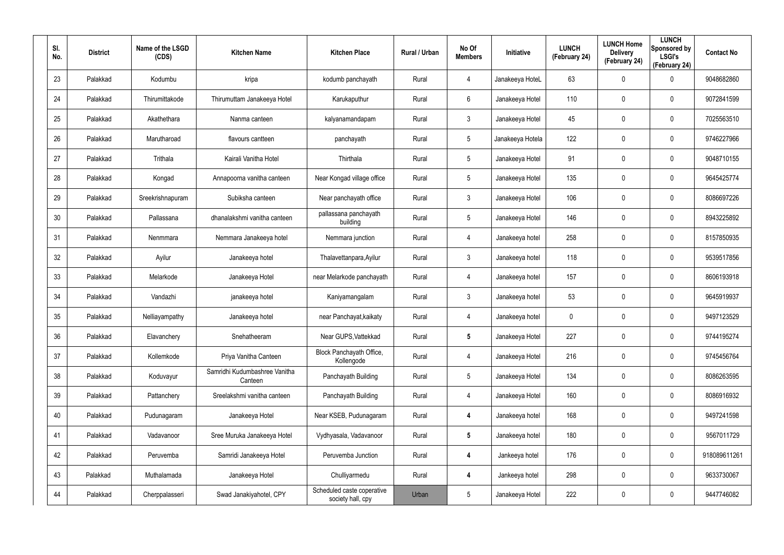| SI.<br>No. | <b>District</b> | Name of the LSGD<br>(CDS) | <b>Kitchen Name</b>                      | <b>Kitchen Place</b>                            | Rural / Urban | No Of<br><b>Members</b> | Initiative       | <b>LUNCH</b><br>(February 24) | <b>LUNCH Home</b><br><b>Delivery</b><br>(February 24) | <b>LUNCH</b><br>Sponsored by<br><b>LSGI's</b><br>(February 24) | <b>Contact No</b> |
|------------|-----------------|---------------------------|------------------------------------------|-------------------------------------------------|---------------|-------------------------|------------------|-------------------------------|-------------------------------------------------------|----------------------------------------------------------------|-------------------|
| 23         | Palakkad        | Kodumbu                   | kripa                                    | kodumb panchayath                               | Rural         | 4                       | Janakeeya HoteL  | 63                            | 0                                                     | $\mathbf 0$                                                    | 9048682860        |
| 24         | Palakkad        | Thirumittakode            | Thirumuttam Janakeeya Hotel              | Karukaputhur                                    | Rural         | 6                       | Janakeeya Hotel  | 110                           | 0                                                     | $\boldsymbol{0}$                                               | 9072841599        |
| 25         | Palakkad        | Akathethara               | Nanma canteen                            | kalyanamandapam                                 | Rural         | $\mathbf{3}$            | Janakeeya Hotel  | 45                            | 0                                                     | $\boldsymbol{0}$                                               | 7025563510        |
| 26         | Palakkad        | Marutharoad               | flavours cantteen                        | panchayath                                      | Rural         | 5                       | Janakeeya Hotela | 122                           | 0                                                     | $\boldsymbol{0}$                                               | 9746227966        |
| 27         | Palakkad        | Trithala                  | Kairali Vanitha Hotel                    | Thirthala                                       | Rural         | 5                       | Janakeeya Hotel  | 91                            | 0                                                     | $\mathbf 0$                                                    | 9048710155        |
| 28         | Palakkad        | Kongad                    | Annapoorna vanitha canteen               | Near Kongad village office                      | Rural         | $5\overline{)}$         | Janakeeya Hotel  | 135                           | 0                                                     | $\mathbf 0$                                                    | 9645425774        |
| 29         | Palakkad        | Sreekrishnapuram          | Subiksha canteen                         | Near panchayath office                          | Rural         | $\mathbf{3}$            | Janakeeya Hotel  | 106                           | 0                                                     | $\mathbf 0$                                                    | 8086697226        |
| 30         | Palakkad        | Pallassana                | dhanalakshmi vanitha canteen             | pallassana panchayath<br>building               | Rural         | $5\overline{)}$         | Janakeeya Hotel  | 146                           | 0                                                     | $\mathbf 0$                                                    | 8943225892        |
| 31         | Palakkad        | Nenmmara                  | Nemmara Janakeeya hotel                  | Nemmara junction                                | Rural         | 4                       | Janakeeya hotel  | 258                           | 0                                                     | $\mathbf 0$                                                    | 8157850935        |
| 32         | Palakkad        | Ayilur                    | Janakeeya hotel                          | Thalavettanpara, Ayilur                         | Rural         | $\mathbf{3}$            | Janakeeya hotel  | 118                           | 0                                                     | $\mathbf 0$                                                    | 9539517856        |
| 33         | Palakkad        | Melarkode                 | Janakeeya Hotel                          | near Melarkode panchayath                       | Rural         | 4                       | Janakeeya hotel  | 157                           | 0                                                     | $\mathbf 0$                                                    | 8606193918        |
| 34         | Palakkad        | Vandazhi                  | janakeeya hotel                          | Kaniyamangalam                                  | Rural         | $\mathbf{3}$            | Janakeeya hotel  | 53                            | 0                                                     | $\mathbf 0$                                                    | 9645919937        |
| 35         | Palakkad        | Nelliayampathy            | Janakeeya hotel                          | near Panchayat, kaikaty                         | Rural         | 4                       | Janakeeya hotel  | 0                             | 0                                                     | $\mathbf 0$                                                    | 9497123529        |
| 36         | Palakkad        | Elavanchery               | Snehatheeram                             | Near GUPS, Vattekkad                            | Rural         | 5                       | Janakeeya Hotel  | 227                           | 0                                                     | $\mathbf 0$                                                    | 9744195274        |
| 37         | Palakkad        | Kollemkode                | Priya Vanitha Canteen                    | Block Panchayath Office,<br>Kollengode          | Rural         | 4                       | Janakeeya Hotel  | 216                           | 0                                                     | $\mathbf 0$                                                    | 9745456764        |
| 38         | Palakkad        | Koduvayur                 | Samridhi Kudumbashree Vanitha<br>Canteen | Panchayath Building                             | Rural         | $5\phantom{.0}$         | Janakeeya Hotel  | 134                           | 0                                                     | $\mathbf 0$                                                    | 8086263595        |
| 39         | Palakkad        | Pattanchery               | Sreelakshmi vanitha canteen              | Panchayath Building                             | Rural         | 4                       | Janakeeya Hotel  | 160                           | 0                                                     | $\mathbf 0$                                                    | 8086916932        |
| 40         | Palakkad        | Pudunagaram               | Janakeeya Hotel                          | Near KSEB, Pudunagaram                          | Rural         | 4                       | Janakeeya hotel  | 168                           | 0                                                     | $\pmb{0}$                                                      | 9497241598        |
| 41         | Palakkad        | Vadavanoor                | Sree Muruka Janakeeya Hotel              | Vydhyasala, Vadavanoor                          | Rural         | $5\phantom{.0}$         | Janakeeya hotel  | 180                           | 0                                                     | $\pmb{0}$                                                      | 9567011729        |
| 42         | Palakkad        | Peruvemba                 | Samridi Janakeeya Hotel                  | Peruvemba Junction                              | Rural         | 4                       | Jankeeya hotel   | 176                           | 0                                                     | $\mathbf 0$                                                    | 918089611261      |
| 43         | Palakkad        | Muthalamada               | Janakeeya Hotel                          | Chulliyarmedu                                   | Rural         | 4                       | Jankeeya hotel   | 298                           | 0                                                     | $\pmb{0}$                                                      | 9633730067        |
| 44         | Palakkad        | Cherppalasseri            | Swad Janakiyahotel, CPY                  | Scheduled caste coperative<br>society hall, cpy | Urban         | $\sqrt{5}$              | Janakeeya Hotel  | 222                           | 0                                                     | $\pmb{0}$                                                      | 9447746082        |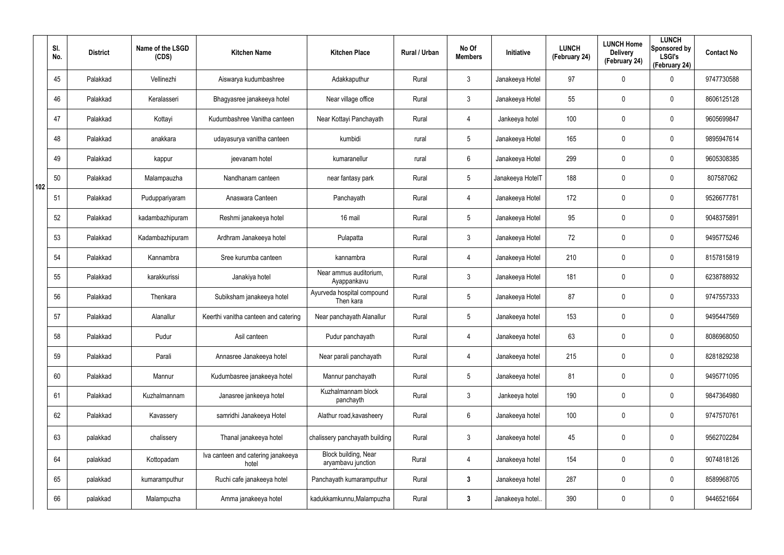|     | SI.<br>No. | <b>District</b> | Name of the LSGD<br>(CDS) | <b>Kitchen Name</b>                         | <b>Kitchen Place</b>                       | Rural / Urban | No Of<br><b>Members</b> | Initiative       | <b>LUNCH</b><br>(February 24) | <b>LUNCH Home</b><br><b>Delivery</b><br>(February 24) | <b>LUNCH</b><br>Sponsored by<br><b>LSGI's</b><br>(February 24) | <b>Contact No</b> |
|-----|------------|-----------------|---------------------------|---------------------------------------------|--------------------------------------------|---------------|-------------------------|------------------|-------------------------------|-------------------------------------------------------|----------------------------------------------------------------|-------------------|
|     | 45         | Palakkad        | Vellinezhi                | Aiswarya kudumbashree                       | Adakkaputhur                               | Rural         | 3                       | Janakeeya Hotel  | 97                            | 0                                                     | $\mathbf 0$                                                    | 9747730588        |
|     | 46         | Palakkad        | Keralasseri               | Bhagyasree janakeeya hotel                  | Near village office                        | Rural         | 3                       | Janakeeya Hotel  | 55                            | 0                                                     | $\mathbf 0$                                                    | 8606125128        |
|     | 47         | Palakkad        | Kottayi                   | Kudumbashree Vanitha canteen                | Near Kottayi Panchayath                    | Rural         | 4                       | Jankeeya hotel   | 100                           | 0                                                     | $\mathbf 0$                                                    | 9605699847        |
|     | 48         | Palakkad        | anakkara                  | udayasurya vanitha canteen                  | kumbidi                                    | rural         | 5                       | Janakeeya Hotel  | 165                           | 0                                                     | $\mathbf 0$                                                    | 9895947614        |
|     | 49         | Palakkad        | kappur                    | jeevanam hotel                              | kumaranellur                               | rural         | 6                       | Janakeeya Hotel  | 299                           | 0                                                     | $\mathbf 0$                                                    | 9605308385        |
| 102 | 50         | Palakkad        | Malampauzha               | Nandhanam canteen                           | near fantasy park                          | Rural         | 5                       | Janakeeya HotelT | 188                           | 0                                                     | $\mathbf 0$                                                    | 807587062         |
|     | 51         | Palakkad        | Puduppariyaram            | Anaswara Canteen                            | Panchayath                                 | Rural         | 4                       | Janakeeya Hotel  | 172                           | 0                                                     | $\mathbf 0$                                                    | 9526677781        |
|     | 52         | Palakkad        | kadambazhipuram           | Reshmi janakeeya hotel                      | 16 mail                                    | Rural         | 5                       | Janakeeya Hotel  | 95                            | 0                                                     | $\mathbf 0$                                                    | 9048375891        |
|     | 53         | Palakkad        | Kadambazhipuram           | Ardhram Janakeeya hotel                     | Pulapatta                                  | Rural         | 3                       | Janakeeya Hotel  | 72                            | $\mathbf 0$                                           | $\mathbf 0$                                                    | 9495775246        |
|     | 54         | Palakkad        | Kannambra                 | Sree kurumba canteen                        | kannambra                                  | Rural         | 4                       | Janakeeya Hotel  | 210                           | 0                                                     | $\mathbf 0$                                                    | 8157815819        |
|     | 55         | Palakkad        | karakkurissi              | Janakiya hotel                              | Near ammus auditorium,<br>Ayappankavu      | Rural         | 3                       | Janakeeya Hotel  | 181                           | 0                                                     | $\mathbf 0$                                                    | 6238788932        |
|     | 56         | Palakkad        | Thenkara                  | Subiksham janakeeya hotel                   | Ayurveda hospital compound<br>Then kara    | Rural         | 5                       | Janakeeya Hotel  | 87                            | 0                                                     | $\mathbf 0$                                                    | 9747557333        |
|     | 57         | Palakkad        | Alanallur                 | Keerthi vanitha canteen and catering        | Near panchayath Alanallur                  | Rural         | 5                       | Janakeeya hotel  | 153                           | 0                                                     | $\mathbf 0$                                                    | 9495447569        |
|     | 58         | Palakkad        | Pudur                     | Asil canteen                                | Pudur panchayath                           | Rural         | 4                       | Janakeeya hotel  | 63                            | $\mathbf 0$                                           | $\pmb{0}$                                                      | 8086968050        |
|     | 59         | Palakkad        | Parali                    | Annasree Janakeeya hotel                    | Near parali panchayath                     | Rural         | 4                       | Janakeeya hotel  | 215                           | $\mathbf 0$                                           | $\mathbf 0$                                                    | 8281829238        |
|     | 60         | Palakkad        | Mannur                    | Kudumbasree janakeeya hotel                 | Mannur panchayath                          | Rural         | $5\overline{)}$         | Janakeeya hotel  | 81                            | $\mathbf 0$                                           | $\mathbf 0$                                                    | 9495771095        |
|     | 61         | Palakkad        | Kuzhalmannam              | Janasree jankeeya hotel                     | Kuzhalmannam block<br>panchayth            | Rural         | $\mathfrak{Z}$          | Jankeeya hotel   | 190                           | $\mathbf 0$                                           | $\mathbf 0$                                                    | 9847364980        |
|     | 62         | Palakkad        | Kavassery                 | samridhi Janakeeya Hotel                    | Alathur road, kavasheery                   | Rural         | $6\overline{6}$         | Janakeeya hotel  | 100                           | $\mathbf 0$                                           | $\mathbf 0$                                                    | 9747570761        |
|     | 63         | palakkad        | chalissery                | Thanal janakeeya hotel                      | chalissery panchayath building             | Rural         | $\mathfrak{Z}$          | Janakeeya hotel  | 45                            | 0                                                     | $\pmb{0}$                                                      | 9562702284        |
|     | 64         | palakkad        | Kottopadam                | Iva canteen and catering janakeeya<br>hotel | Block building, Near<br>aryambavu junction | Rural         | 4                       | Janakeeya hotel  | 154                           | 0                                                     | $\mathbf 0$                                                    | 9074818126        |
|     | 65         | palakkad        | kumaramputhur             | Ruchi cafe janakeeya hotel                  | Panchayath kumaramputhur                   | Rural         | $3\phantom{a}$          | Janakeeya hotel  | 287                           | $\mathbf 0$                                           | $\mathsf{0}$                                                   | 8589968705        |
|     | 66         | palakkad        | Malampuzha                | Amma janakeeya hotel                        | kadukkamkunnu, Malampuzha                  | Rural         | $\mathbf{3}$            | Janakeeya hotel  | 390                           | 0                                                     | $\pmb{0}$                                                      | 9446521664        |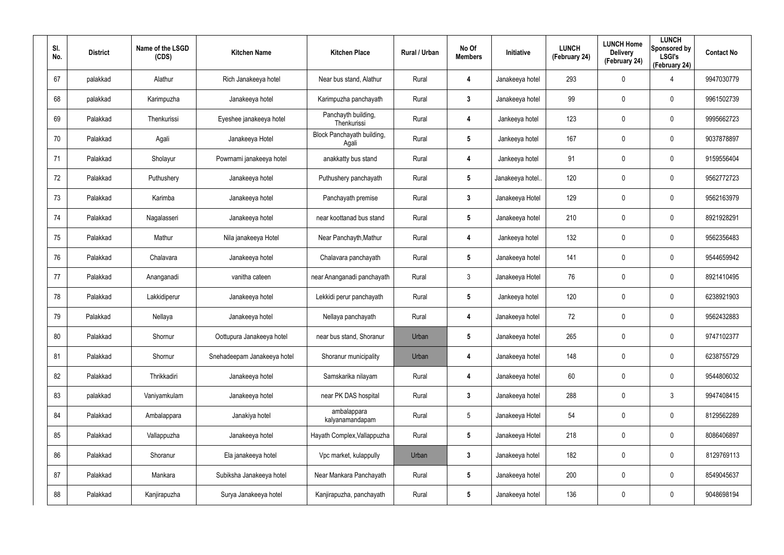| SI.<br>No. | <b>District</b> | Name of the LSGD<br>(CDS) | <b>Kitchen Name</b>         | <b>Kitchen Place</b>                | Rural / Urban | No Of<br><b>Members</b> | Initiative       | <b>LUNCH</b><br>(February 24) | <b>LUNCH Home</b><br><b>Delivery</b><br>(February 24) | <b>LUNCH</b><br>Sponsored by<br><b>LSGI's</b><br>(February 24) | <b>Contact No</b> |
|------------|-----------------|---------------------------|-----------------------------|-------------------------------------|---------------|-------------------------|------------------|-------------------------------|-------------------------------------------------------|----------------------------------------------------------------|-------------------|
| 67         | palakkad        | Alathur                   | Rich Janakeeya hotel        | Near bus stand, Alathur             | Rural         | 4                       | Janakeeya hotel  | 293                           | 0                                                     | 4                                                              | 9947030779        |
| 68         | palakkad        | Karimpuzha                | Janakeeya hotel             | Karimpuzha panchayath               | Rural         | 3                       | Janakeeya hotel  | 99                            | 0                                                     | $\boldsymbol{0}$                                               | 9961502739        |
| 69         | Palakkad        | Thenkurissi               | Eyeshee janakeeya hotel     | Panchayth building,<br>Thenkurissi  | Rural         | 4                       | Jankeeya hotel   | 123                           | 0                                                     | $\pmb{0}$                                                      | 9995662723        |
| 70         | Palakkad        | Agali                     | Janakeeya Hotel             | Block Panchayath building,<br>Agali | Rural         | 5                       | Jankeeya hotel   | 167                           | 0                                                     | $\boldsymbol{0}$                                               | 9037878897        |
| 71         | Palakkad        | Sholayur                  | Powrnami janakeeya hotel    | anakkatty bus stand                 | Rural         | 4                       | Jankeeya hotel   | 91                            | 0                                                     | $\boldsymbol{0}$                                               | 9159556404        |
| 72         | Palakkad        | Puthushery                | Janakeeya hotel             | Puthushery panchayath               | Rural         | $5\phantom{.0}$         | Janakeeya hotel. | 120                           | 0                                                     | $\boldsymbol{0}$                                               | 9562772723        |
| 73         | Palakkad        | Karimba                   | Janakeeya hotel             | Panchayath premise                  | Rural         | $3\phantom{a}$          | Janakeeya Hotel  | 129                           | 0                                                     | $\boldsymbol{0}$                                               | 9562163979        |
| 74         | Palakkad        | Nagalasseri               | Janakeeya hotel             | near koottanad bus stand            | Rural         | $\overline{\mathbf{5}}$ | Janakeeya hotel  | 210                           | 0                                                     | $\mathbf 0$                                                    | 8921928291        |
| 75         | Palakkad        | Mathur                    | Nila janakeeya Hotel        | Near Panchayth, Mathur              | Rural         | 4                       | Jankeeya hotel   | 132                           | 0                                                     | $\boldsymbol{0}$                                               | 9562356483        |
| 76         | Palakkad        | Chalavara                 | Janakeeya hotel             | Chalavara panchayath                | Rural         | $\overline{\mathbf{5}}$ | Janakeeya hotel  | 141                           | 0                                                     | $\mathbf 0$                                                    | 9544659942        |
| 77         | Palakkad        | Ananganadi                | vanitha cateen              | near Ananganadi panchayath          | Rural         | $\mathbf{3}$            | Janakeeya Hotel  | 76                            | 0                                                     | $\boldsymbol{0}$                                               | 8921410495        |
| 78         | Palakkad        | Lakkidiperur              | Janakeeya hotel             | Lekkidi perur panchayath            | Rural         | 5                       | Jankeeya hotel   | 120                           | 0                                                     | $\mathbf 0$                                                    | 6238921903        |
| 79         | Palakkad        | Nellaya                   | Janakeeya hotel             | Nellaya panchayath                  | Rural         | 4                       | Janakeeya hotel  | 72                            | 0                                                     | $\boldsymbol{0}$                                               | 9562432883        |
| 80         | Palakkad        | Shornur                   | Oottupura Janakeeya hotel   | near bus stand, Shoranur            | Urban         | $\overline{\mathbf{5}}$ | Janakeeya hotel  | 265                           | 0                                                     | $\pmb{0}$                                                      | 9747102377        |
| 81         | Palakkad        | Shornur                   | Snehadeepam Janakeeya hotel | Shoranur municipality               | Urban         | 4                       | Janakeeya hotel  | 148                           | 0                                                     | $\mathbf 0$                                                    | 6238755729        |
| 82         | Palakkad        | Thrikkadiri               | Janakeeya hotel             | Samskarika nilayam                  | Rural         | 4                       | Janakeeya hotel  | 60                            | 0                                                     | $\mathbf 0$                                                    | 9544806032        |
| 83         | palakkad        | Vaniyamkulam              | Janakeeya hotel             | near PK DAS hospital                | Rural         | $\mathbf{3}$            | Janakeeya hotel  | 288                           | 0                                                     | $\mathbf{3}$                                                   | 9947408415        |
| 84         | Palakkad        | Ambalappara               | Janakiya hotel              | ambalappara<br>kalyanamandapam      | Rural         | $5\phantom{.0}$         | Janakeeya Hotel  | 54                            | 0                                                     | $\mathbf 0$                                                    | 8129562289        |
| 85         | Palakkad        | Vallappuzha               | Janakeeya hotel             | Hayath Complex, Vallappuzha         | Rural         | $5\phantom{.0}$         | Janakeeya Hotel  | 218                           | 0                                                     | $\mathbf 0$                                                    | 8086406897        |
| 86         | Palakkad        | Shoranur                  | Ela janakeeya hotel         | Vpc market, kulappully              | Urban         | $\mathbf{3}$            | Janakeeya hotel  | 182                           | 0                                                     | $\mathbf 0$                                                    | 8129769113        |
| 87         | Palakkad        | Mankara                   | Subiksha Janakeeya hotel    | Near Mankara Panchayath             | Rural         | $5\phantom{.0}$         | Janakeeya hotel  | 200                           | 0                                                     | $\mathbf 0$                                                    | 8549045637        |
| 88         | Palakkad        | Kanjirapuzha              | Surya Janakeeya hotel       | Kanjirapuzha, panchayath            | Rural         | $5\phantom{.0}$         | Janakeeya hotel  | 136                           | 0                                                     | $\pmb{0}$                                                      | 9048698194        |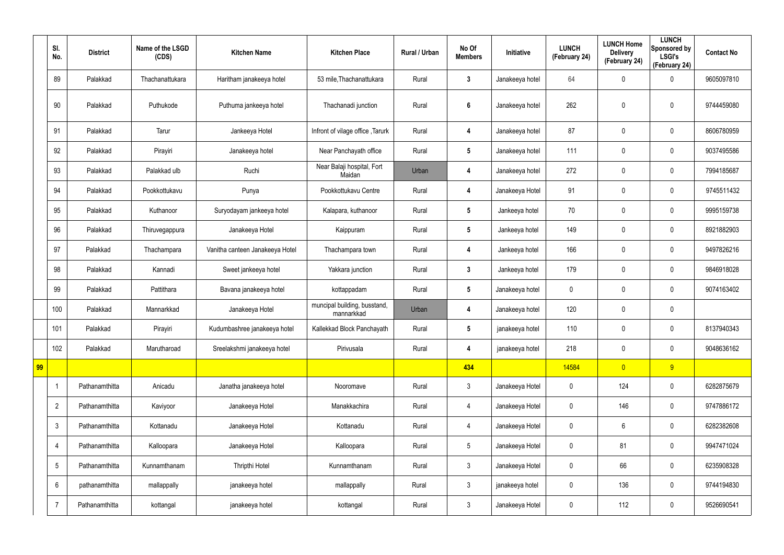|    | SI.<br>No.      | <b>District</b> | Name of the LSGD<br>(CDS) | <b>Kitchen Name</b>             | <b>Kitchen Place</b>                       | Rural / Urban | No Of<br><b>Members</b> | Initiative      | <b>LUNCH</b><br>(February 24) | <b>LUNCH Home</b><br><b>Delivery</b><br>(February 24) | <b>LUNCH</b><br>Sponsored by<br><b>LSGI's</b><br>(February 24) | <b>Contact No</b> |
|----|-----------------|-----------------|---------------------------|---------------------------------|--------------------------------------------|---------------|-------------------------|-----------------|-------------------------------|-------------------------------------------------------|----------------------------------------------------------------|-------------------|
|    | 89              | Palakkad        | Thachanattukara           | Haritham janakeeya hotel        | 53 mile, Thachanattukara                   | Rural         | $\mathbf{3}$            | Janakeeya hotel | 64                            | 0                                                     | $\boldsymbol{0}$                                               | 9605097810        |
|    | 90              | Palakkad        | Puthukode                 | Puthuma jankeeya hotel          | Thachanadi junction                        | Rural         | $6\phantom{1}$          | Janakeeya hotel | 262                           | 0                                                     | $\pmb{0}$                                                      | 9744459080        |
|    | 91              | Palakkad        | Tarur                     | Jankeeya Hotel                  | Infront of vilage office, Tarurk           | Rural         | 4                       | Janakeeya hotel | 87                            | 0                                                     | $\mathbf 0$                                                    | 8606780959        |
|    | 92              | Palakkad        | Pirayiri                  | Janakeeya hotel                 | Near Panchayath office                     | Rural         | $5\overline{)}$         | Janakeeya hotel | 111                           | 0                                                     | $\boldsymbol{0}$                                               | 9037495586        |
|    | 93              | Palakkad        | Palakkad ulb              | Ruchi                           | Near Balaji hospital, Fort<br>Maidan       | Urban         | 4                       | Janakeeya hotel | 272                           | 0                                                     | $\mathbf 0$                                                    | 7994185687        |
|    | 94              | Palakkad        | Pookkottukavu             | Punya                           | Pookkottukavu Centre                       | Rural         | 4                       | Janakeeya Hotel | 91                            | 0                                                     | $\boldsymbol{0}$                                               | 9745511432        |
|    | 95              | Palakkad        | Kuthanoor                 | Suryodayam jankeeya hotel       | Kalapara, kuthanoor                        | Rural         | $5\phantom{.0}$         | Jankeeya hotel  | 70                            | 0                                                     | $\mathbf 0$                                                    | 9995159738        |
|    | 96              | Palakkad        | Thiruvegappura            | Janakeeya Hotel                 | Kaippuram                                  | Rural         | $5\phantom{.0}$         | Jankeeya hotel  | 149                           | 0                                                     | $\boldsymbol{0}$                                               | 8921882903        |
|    | 97              | Palakkad        | Thachampara               | Vanitha canteen Janakeeya Hotel | Thachampara town                           | Rural         | 4                       | Jankeeya hotel  | 166                           | 0                                                     | $\mathbf 0$                                                    | 9497826216        |
|    | 98              | Palakkad        | Kannadi                   | Sweet jankeeya hotel            | Yakkara junction                           | Rural         | $\mathbf{3}$            | Jankeeya hotel  | 179                           | 0                                                     | $\pmb{0}$                                                      | 9846918028        |
|    | 99              | Palakkad        | Pattithara                | Bavana janakeeya hotel          | kottappadam                                | Rural         | $5\phantom{.0}$         | Janakeeya hotel | $\mathbf 0$                   | 0                                                     | $\mathbf 0$                                                    | 9074163402        |
|    | 100             | Palakkad        | Mannarkkad                | Janakeeya Hotel                 | muncipal building, busstand,<br>mannarkkad | Urban         | 4                       | Janakeeya hotel | 120                           | 0                                                     | $\pmb{0}$                                                      |                   |
|    | 101             | Palakkad        | Pirayiri                  | Kudumbashree janakeeya hotel    | Kallekkad Block Panchayath                 | Rural         | $5\phantom{.0}$         | janakeeya hotel | 110                           | 0                                                     | 0                                                              | 8137940343        |
|    | 102             | Palakkad        | Marutharoad               | Sreelakshmi janakeeya hotel     | Pirivusala                                 | Rural         | 4                       | janakeeya hotel | 218                           | 0                                                     | $\pmb{0}$                                                      | 9048636162        |
| 99 |                 |                 |                           |                                 |                                            |               | 434                     |                 | 14584                         | $\overline{0}$                                        | 9                                                              |                   |
|    | -1              | Pathanamthitta  | Anicadu                   | Janatha janakeeya hotel         | Nooromave                                  | Rural         | $\mathfrak{Z}$          | Janakeeya Hotel | 0                             | 124                                                   | $\pmb{0}$                                                      | 6282875679        |
|    | $\overline{2}$  | Pathanamthitta  | Kaviyoor                  | Janakeeya Hotel                 | Manakkachira                               | Rural         | $\overline{4}$          | Janakeeya Hotel | 0                             | 146                                                   | $\pmb{0}$                                                      | 9747886172        |
|    | $\mathfrak{Z}$  | Pathanamthitta  | Kottanadu                 | Janakeeya Hotel                 | Kottanadu                                  | Rural         | $\overline{4}$          | Janakeeya Hotel | $\pmb{0}$                     | $6\phantom{.}$                                        | $\pmb{0}$                                                      | 6282382608        |
|    | $\overline{4}$  | Pathanamthitta  | Kalloopara                | Janakeeya Hotel                 | Kalloopara                                 | Rural         | $5\phantom{.0}$         | Janakeeya Hotel | 0                             | 81                                                    | $\pmb{0}$                                                      | 9947471024        |
|    | $5\phantom{.0}$ | Pathanamthitta  | Kunnamthanam              | Thripthi Hotel                  | Kunnamthanam                               | Rural         | $\mathfrak{Z}$          | Janakeeya Hotel | 0                             | 66                                                    | $\pmb{0}$                                                      | 6235908328        |
|    | 6               | pathanamthitta  | mallappally               | janakeeya hotel                 | mallappally                                | Rural         | $\mathfrak{Z}$          | janakeeya hotel | 0                             | 136                                                   | $\pmb{0}$                                                      | 9744194830        |
|    | $\overline{7}$  | Pathanamthitta  | kottangal                 | janakeeya hotel                 | kottangal                                  | Rural         | $\mathfrak{Z}$          | Janakeeya Hotel | 0                             | 112                                                   | $\pmb{0}$                                                      | 9526690541        |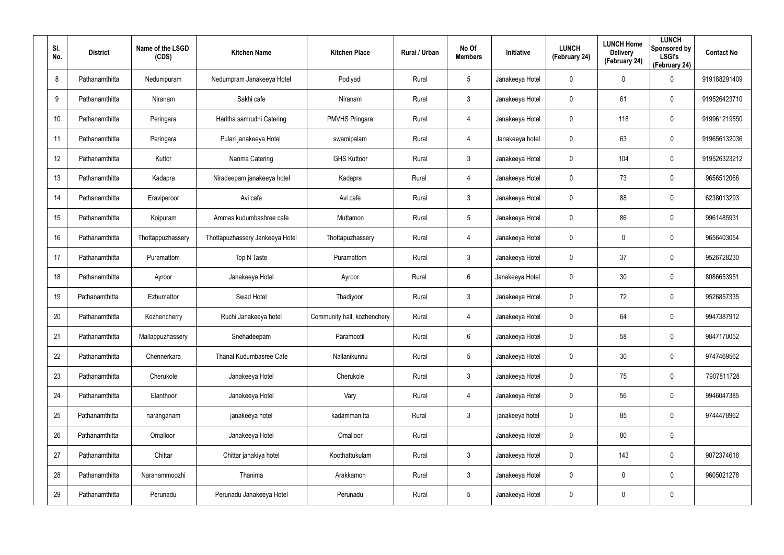| SI.<br>No. | <b>District</b> | Name of the LSGD<br>(CDS) | <b>Kitchen Name</b>             | <b>Kitchen Place</b>        | Rural / Urban | No Of<br><b>Members</b> | Initiative      | <b>LUNCH</b><br>(February 24) | <b>LUNCH Home</b><br><b>Delivery</b><br>(February 24) | <b>LUNCH</b><br>Sponsored by<br><b>LSGI's</b><br>(February 24) | <b>Contact No</b> |
|------------|-----------------|---------------------------|---------------------------------|-----------------------------|---------------|-------------------------|-----------------|-------------------------------|-------------------------------------------------------|----------------------------------------------------------------|-------------------|
| 8          | Pathanamthitta  | Nedumpuram                | Nedumpram Janakeeya Hotel       | Podiyadi                    | Rural         | 5                       | Janakeeya Hotel | 0                             | 0                                                     | $\mathbf 0$                                                    | 919188291409      |
| 9          | Pathanamthitta  | Niranam                   | Sakhi cafe                      | Niranam                     | Rural         | $\mathbf{3}$            | Janakeeya Hotel | 0                             | 61                                                    | $\mathbf 0$                                                    | 919526423710      |
| 10         | Pathanamthitta  | Peringara                 | Haritha samrudhi Catering       | <b>PMVHS Pringara</b>       | Rural         | $\overline{4}$          | Janakeeya Hotel | 0                             | 118                                                   | $\mathbf 0$                                                    | 919961219550      |
| 11         | Pathanamthitta  | Peringara                 | Pulari janakeeya Hotel          | swamipalam                  | Rural         | $\overline{4}$          | Janakeeya hotel | 0                             | 63                                                    | $\mathbf 0$                                                    | 919656132036      |
| 12         | Pathanamthitta  | Kuttor                    | Nanma Catering                  | <b>GHS Kuttoor</b>          | Rural         | $\mathbf{3}$            | Janakeeya Hotel | 0                             | 104                                                   | $\mathbf 0$                                                    | 919526323212      |
| 13         | Pathanamthitta  | Kadapra                   | Niradeepam janakeeya hotel      | Kadapra                     | Rural         | 4                       | Janakeeya Hotel | 0                             | 73                                                    | $\mathbf 0$                                                    | 9656512066        |
| 14         | Pathanamthitta  | Eraviperoor               | Avi cafe                        | Avi cafe                    | Rural         | $\mathbf{3}$            | Janakeeya Hotel | 0                             | 88                                                    | $\boldsymbol{0}$                                               | 6238013293        |
| 15         | Pathanamthitta  | Koipuram                  | Ammas kudumbashree cafe         | Muttamon                    | Rural         | $5\overline{)}$         | Janakeeya Hotel | 0                             | 86                                                    | $\mathbf 0$                                                    | 9961485931        |
| 16         | Pathanamthitta  | Thottappuzhassery         | Thottapuzhassery Jankeeya Hotel | Thottapuzhassery            | Rural         | 4                       | Janakeeya Hotel | 0                             | 0                                                     | $\mathbf 0$                                                    | 9656403054        |
| 17         | Pathanamthitta  | Puramattom                | Top N Taste                     | Puramattom                  | Rural         | $\mathbf{3}$            | Janakeeya Hotel | 0                             | 37                                                    | $\mathbf 0$                                                    | 9526728230        |
| 18         | Pathanamthitta  | Ayroor                    | Janakeeya Hotel                 | Ayroor                      | Rural         | 6                       | Janakeeya Hotel | 0                             | 30                                                    | $\mathbf 0$                                                    | 8086653951        |
| 19         | Pathanamthitta  | Ezhumattor                | Swad Hotel                      | Thadiyoor                   | Rural         | $\mathbf{3}$            | Janakeeya Hotel | 0                             | 72                                                    | $\mathbf 0$                                                    | 9526857335        |
| 20         | Pathanamthitta  | Kozhencherry              | Ruchi Janakeeya hotel           | Community hall, kozhenchery | Rural         | 4                       | Janakeeya Hotel | 0                             | 64                                                    | $\mathbf 0$                                                    | 9947387912        |
| 21         | Pathanamthitta  | Mallappuzhassery          | Snehadeepam                     | Paramootil                  | Rural         | 6                       | Janakeeya Hotel | 0                             | 58                                                    | $\pmb{0}$                                                      | 9847170052        |
| 22         | Pathanamthitta  | Chennerkara               | Thanal Kudumbasree Cafe         | Nallanikunnu                | Rural         | 5                       | Janakeeya Hotel | 0                             | $30\,$                                                | $\pmb{0}$                                                      | 9747469562        |
| 23         | Pathanamthitta  | Cherukole                 | Janakeeya Hotel                 | Cherukole                   | Rural         | 3 <sup>1</sup>          | Janakeeya Hotel | 0                             | 75                                                    | $\pmb{0}$                                                      | 7907811728        |
| 24         | Pathanamthitta  | Elanthoor                 | Janakeeya Hotel                 | Vary                        | Rural         | $\overline{4}$          | Janakeeya Hotel | 0                             | 56                                                    | $\mathbf 0$                                                    | 9946047385        |
| 25         | Pathanamthitta  | naranganam                | janakeeya hotel                 | kadammanitta                | Rural         | $\mathbf{3}$            | janakeeya hotel | $\mathbf 0$                   | 85                                                    | $\pmb{0}$                                                      | 9744478962        |
| 26         | Pathanamthitta  | Omalloor                  | Janakeeya Hotel                 | Omalloor                    | Rural         |                         | Janakeeya Hotel | 0                             | 80                                                    | $\pmb{0}$                                                      |                   |
| 27         | Pathanamthitta  | Chittar                   | Chittar janakiya hotel          | Koothattukulam              | Rural         | 3 <sup>1</sup>          | Janakeeya Hotel | $\mathbf 0$                   | 143                                                   | $\pmb{0}$                                                      | 9072374618        |
| 28         | Pathanamthitta  | Naranammoozhi             | Thanima                         | Arakkamon                   | Rural         | 3 <sup>1</sup>          | Janakeeya Hotel | 0                             | 0                                                     | $\mathbf 0$                                                    | 9605021278        |
| 29         | Pathanamthitta  | Perunadu                  | Perunadu Janakeeya Hotel        | Perunadu                    | Rural         | $5\phantom{.0}$         | Janakeeya Hotel | 0                             | 0                                                     | $\pmb{0}$                                                      |                   |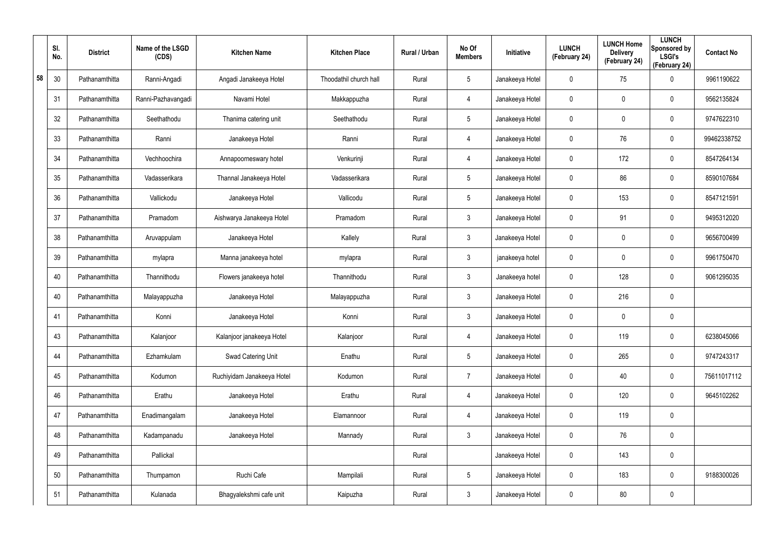|    | SI.<br>No. | <b>District</b> | Name of the LSGD<br>(CDS) | <b>Kitchen Name</b>        | <b>Kitchen Place</b>   | Rural / Urban | No Of<br><b>Members</b> | Initiative      | <b>LUNCH</b><br>(February 24) | <b>LUNCH Home</b><br><b>Delivery</b><br>(February 24) | <b>LUNCH</b><br>Sponsored by<br><b>LSGI's</b><br>(February 24) | <b>Contact No</b> |
|----|------------|-----------------|---------------------------|----------------------------|------------------------|---------------|-------------------------|-----------------|-------------------------------|-------------------------------------------------------|----------------------------------------------------------------|-------------------|
| 58 | 30         | Pathanamthitta  | Ranni-Angadi              | Angadi Janakeeya Hotel     | Thoodathil church hall | Rural         | $5\phantom{.0}$         | Janakeeya Hotel | 0                             | 75                                                    | $\mathbf 0$                                                    | 9961190622        |
|    | 31         | Pathanamthitta  | Ranni-Pazhavangadi        | Navami Hotel               | Makkappuzha            | Rural         | 4                       | Janakeeya Hotel | 0                             | 0                                                     | $\mathbf 0$                                                    | 9562135824        |
|    | 32         | Pathanamthitta  | Seethathodu               | Thanima catering unit      | Seethathodu            | Rural         | $5\phantom{.0}$         | Janakeeya Hotel | 0                             | 0                                                     | $\boldsymbol{0}$                                               | 9747622310        |
|    | 33         | Pathanamthitta  | Ranni                     | Janakeeya Hotel            | Ranni                  | Rural         | 4                       | Janakeeya Hotel | 0                             | 76                                                    | $\boldsymbol{0}$                                               | 99462338752       |
|    | 34         | Pathanamthitta  | Vechhoochira              | Annapoorneswary hotel      | Venkurinji             | Rural         | 4                       | Janakeeya Hotel | 0                             | 172                                                   | $\boldsymbol{0}$                                               | 8547264134        |
|    | 35         | Pathanamthitta  | Vadasserikara             | Thannal Janakeeya Hotel    | Vadasserikara          | Rural         | $5\overline{)}$         | Janakeeya Hotel | 0                             | 86                                                    | $\mathbf 0$                                                    | 8590107684        |
|    | 36         | Pathanamthitta  | Vallickodu                | Janakeeya Hotel            | Vallicodu              | Rural         | $5\phantom{.0}$         | Janakeeya Hotel | 0                             | 153                                                   | $\mathbf 0$                                                    | 8547121591        |
|    | 37         | Pathanamthitta  | Pramadom                  | Aishwarya Janakeeya Hotel  | Pramadom               | Rural         | $\mathbf{3}$            | Janakeeya Hotel | 0                             | 91                                                    | $\mathbf 0$                                                    | 9495312020        |
|    | 38         | Pathanamthitta  | Aruvappulam               | Janakeeya Hotel            | Kallely                | Rural         | $\mathbf{3}$            | Janakeeya Hotel | 0                             | 0                                                     | $\mathbf 0$                                                    | 9656700499        |
|    | 39         | Pathanamthitta  | mylapra                   | Manna janakeeya hotel      | mylapra                | Rural         | $\mathbf{3}$            | janakeeya hotel | 0                             | 0                                                     | $\mathbf 0$                                                    | 9961750470        |
|    | 40         | Pathanamthitta  | Thannithodu               | Flowers janakeeya hotel    | Thannithodu            | Rural         | $\mathbf{3}$            | Janakeeya hotel | 0                             | 128                                                   | $\mathbf 0$                                                    | 9061295035        |
|    | 40         | Pathanamthitta  | Malayappuzha              | Janakeeya Hotel            | Malayappuzha           | Rural         | $\mathbf{3}$            | Janakeeya Hotel | 0                             | 216                                                   | $\mathbf 0$                                                    |                   |
|    | 41         | Pathanamthitta  | Konni                     | Janakeeya Hotel            | Konni                  | Rural         | $\mathbf{3}$            | Janakeeya Hotel | 0                             | 0                                                     | $\mathbf 0$                                                    |                   |
|    | 43         | Pathanamthitta  | Kalanjoor                 | Kalanjoor janakeeya Hotel  | Kalanjoor              | Rural         | 4                       | Janakeeya Hotel | 0                             | 119                                                   | $\pmb{0}$                                                      | 6238045066        |
|    | 44         | Pathanamthitta  | Ezhamkulam                | Swad Catering Unit         | Enathu                 | Rural         | $5\phantom{.0}$         | Janakeeya Hotel | $\mathbf 0$                   | 265                                                   | $\mathbf 0$                                                    | 9747243317        |
|    | 45         | Pathanamthitta  | Kodumon                   | Ruchiyidam Janakeeya Hotel | Kodumon                | Rural         | $\overline{7}$          | Janakeeya Hotel | $\mathbf 0$                   | 40                                                    | $\mathbf 0$                                                    | 75611017112       |
|    | 46         | Pathanamthitta  | Erathu                    | Janakeeya Hotel            | Erathu                 | Rural         | 4                       | Janakeeya Hotel | 0                             | 120                                                   | $\mathbf 0$                                                    | 9645102262        |
|    | 47         | Pathanamthitta  | Enadimangalam             | Janakeeya Hotel            | Elamannoor             | Rural         | 4                       | Janakeeya Hotel | $\mathbf 0$                   | 119                                                   | $\pmb{0}$                                                      |                   |
|    | 48         | Pathanamthitta  | Kadampanadu               | Janakeeya Hotel            | Mannady                | Rural         | $\mathfrak{Z}$          | Janakeeya Hotel | 0                             | 76                                                    | $\pmb{0}$                                                      |                   |
|    | 49         | Pathanamthitta  | Pallickal                 |                            |                        | Rural         |                         | Janakeeya Hotel | $\mathbf 0$                   | 143                                                   | $\pmb{0}$                                                      |                   |
|    | 50         | Pathanamthitta  | Thumpamon                 | Ruchi Cafe                 | Mampilali              | Rural         | $5\phantom{.0}$         | Janakeeya Hotel | 0                             | 183                                                   | $\mathsf{0}$                                                   | 9188300026        |
|    | 51         | Pathanamthitta  | Kulanada                  | Bhagyalekshmi cafe unit    | Kaipuzha               | Rural         | $\mathfrak{Z}$          | Janakeeya Hotel | 0                             | 80                                                    | $\pmb{0}$                                                      |                   |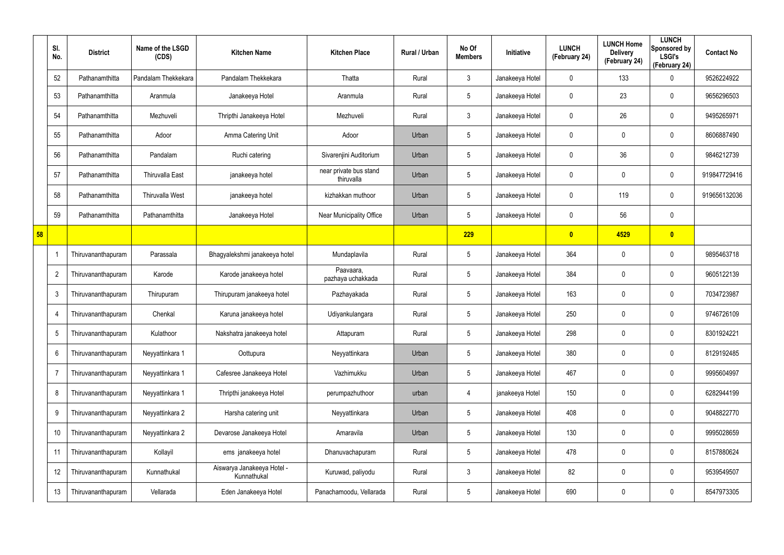|    | SI.<br>No.     | <b>District</b>    | Name of the LSGD<br>(CDS) | <b>Kitchen Name</b>                       | <b>Kitchen Place</b>                 | Rural / Urban | No Of<br><b>Members</b> | Initiative      | <b>LUNCH</b><br>(February 24) | <b>LUNCH Home</b><br><b>Delivery</b><br>(February 24) | <b>LUNCH</b><br>Sponsored by<br><b>LSGI's</b><br>(February 24) | <b>Contact No</b> |
|----|----------------|--------------------|---------------------------|-------------------------------------------|--------------------------------------|---------------|-------------------------|-----------------|-------------------------------|-------------------------------------------------------|----------------------------------------------------------------|-------------------|
|    | 52             | Pathanamthitta     | Pandalam Thekkekara       | Pandalam Thekkekara                       | Thatta                               | Rural         | $\mathfrak{Z}$          | Janakeeya Hotel | $\mathbf 0$                   | 133                                                   | 0                                                              | 9526224922        |
|    | 53             | Pathanamthitta     | Aranmula                  | Janakeeya Hotel                           | Aranmula                             | Rural         | $5\overline{)}$         | Janakeeya Hotel | 0                             | 23                                                    | $\boldsymbol{0}$                                               | 9656296503        |
|    | 54             | Pathanamthitta     | Mezhuveli                 | Thripthi Janakeeya Hotel                  | Mezhuveli                            | Rural         | $\mathbf{3}$            | Janakeeya Hotel | 0                             | 26                                                    | $\mathbf 0$                                                    | 9495265971        |
|    | 55             | Pathanamthitta     | Adoor                     | Amma Catering Unit                        | Adoor                                | Urban         | $5\overline{)}$         | Janakeeya Hotel | 0                             | 0                                                     | $\boldsymbol{0}$                                               | 8606887490        |
|    | 56             | Pathanamthitta     | Pandalam                  | Ruchi catering                            | Sivarenjini Auditorium               | Urban         | $5\phantom{.0}$         | Janakeeya Hotel | 0                             | 36                                                    | $\mathbf 0$                                                    | 9846212739        |
|    | 57             | Pathanamthitta     | <b>Thiruvalla East</b>    | janakeeya hotel                           | near private bus stand<br>thiruvalla | Urban         | $5\phantom{.0}$         | Janakeeya Hotel | 0                             | 0                                                     | $\boldsymbol{0}$                                               | 919847729416      |
|    | 58             | Pathanamthitta     | <b>Thiruvalla West</b>    | janakeeya hotel                           | kizhakkan muthoor                    | Urban         | $5\phantom{.0}$         | Janakeeya Hotel | 0                             | 119                                                   | $\mathbf 0$                                                    | 919656132036      |
|    | 59             | Pathanamthitta     | Pathanamthitta            | Janakeeya Hotel                           | Near Municipality Office             | Urban         | $\sqrt{5}$              | Janakeeya Hotel | 0                             | 56                                                    | $\pmb{0}$                                                      |                   |
| 58 |                |                    |                           |                                           |                                      |               | 229                     |                 | $\mathbf{0}$                  | 4529                                                  | $\bullet$                                                      |                   |
|    |                | Thiruvananthapuram | Parassala                 | Bhagyalekshmi janakeeya hotel             | Mundaplavila                         | Rural         | $\sqrt{5}$              | Janakeeya Hotel | 364                           | $\mathbf 0$                                           | $\mathbf 0$                                                    | 9895463718        |
|    | $\overline{2}$ | Thiruvananthapuram | Karode                    | Karode janakeeya hotel                    | Paavaara,<br>pazhaya uchakkada       | Rural         | $5\phantom{.0}$         | Janakeeya Hotel | 384                           | $\boldsymbol{0}$                                      | 0                                                              | 9605122139        |
|    | 3              | Thiruvananthapuram | Thirupuram                | Thirupuram janakeeya hotel                | Pazhayakada                          | Rural         | $\sqrt{5}$              | Janakeeya Hotel | 163                           | $\boldsymbol{0}$                                      | $\mathbf 0$                                                    | 7034723987        |
|    | $\overline{4}$ | Thiruvananthapuram | Chenkal                   | Karuna janakeeya hotel                    | Udiyankulangara                      | Rural         | $\sqrt{5}$              | Janakeeya Hotel | 250                           | $\boldsymbol{0}$                                      | $\boldsymbol{0}$                                               | 9746726109        |
|    | 5              | Thiruvananthapuram | Kulathoor                 | Nakshatra janakeeya hotel                 | Attapuram                            | Rural         | $5\phantom{.0}$         | Janakeeya Hotel | 298                           | $\boldsymbol{0}$                                      | $\mathbf 0$                                                    | 8301924221        |
|    | 6              | Thiruvananthapuram | Neyyattinkara 1           | Oottupura                                 | Neyyattinkara                        | Urban         | $5\phantom{.0}$         | Janakeeya Hotel | 380                           | 0                                                     | $\pmb{0}$                                                      | 8129192485        |
|    | $\overline{7}$ | Thiruvananthapuram | Neyyattinkara 1           | Cafesree Janakeeya Hotel                  | Vazhimukku                           | Urban         | $5\phantom{.0}$         | Janakeeya Hotel | 467                           | $\boldsymbol{0}$                                      | $\pmb{0}$                                                      | 9995604997        |
|    | 8              | Thiruvananthapuram | Neyyattinkara 1           | Thripthi janakeeya Hotel                  | perumpazhuthoor                      | urban         | $\overline{4}$          | janakeeya Hotel | 150                           | 0                                                     | $\pmb{0}$                                                      | 6282944199        |
|    | 9              | Thiruvananthapuram | Neyyattinkara 2           | Harsha catering unit                      | Neyyattinkara                        | Urban         | $5\phantom{.0}$         | Janakeeya Hotel | 408                           | $\boldsymbol{0}$                                      | $\pmb{0}$                                                      | 9048822770        |
|    | 10             | Thiruvananthapuram | Neyyattinkara 2           | Devarose Janakeeya Hotel                  | Amaravila                            | Urban         | $5\phantom{.0}$         | Janakeeya Hotel | 130                           | 0                                                     | $\pmb{0}$                                                      | 9995028659        |
|    | 11             | Thiruvananthapuram | Kollayil                  | ems janakeeya hotel                       | Dhanuvachapuram                      | Rural         | $5\phantom{.0}$         | Janakeeya Hotel | 478                           | $\boldsymbol{0}$                                      | $\pmb{0}$                                                      | 8157880624        |
|    | 12             | Thiruvananthapuram | Kunnathukal               | Aiswarya Janakeeya Hotel -<br>Kunnathukal | Kuruwad, paliyodu                    | Rural         | $\mathfrak{Z}$          | Janakeeya Hotel | 82                            | $\boldsymbol{0}$                                      | $\pmb{0}$                                                      | 9539549507        |
|    | 13             | Thiruvananthapuram | Vellarada                 | Eden Janakeeya Hotel                      | Panachamoodu, Vellarada              | Rural         | $\sqrt{5}$              | Janakeeya Hotel | 690                           | $\pmb{0}$                                             | $\pmb{0}$                                                      | 8547973305        |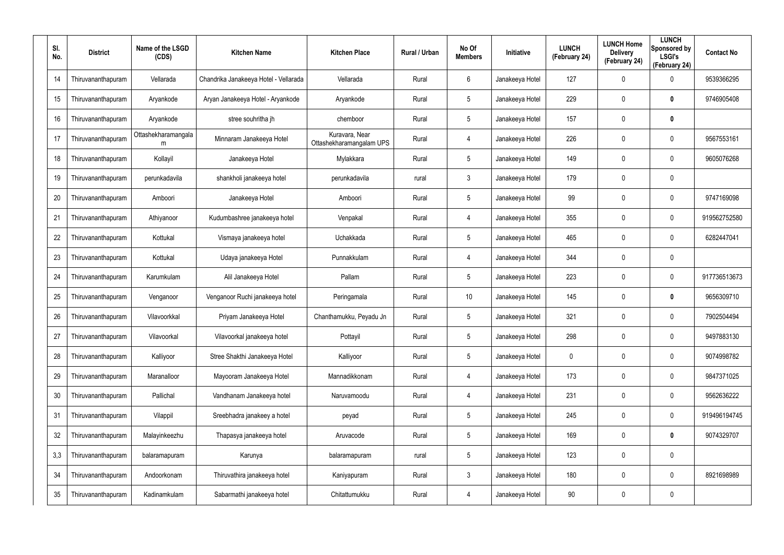| SI.<br>No. | <b>District</b>    | Name of the LSGD<br>(CDS) | <b>Kitchen Name</b>                   | <b>Kitchen Place</b>                       | Rural / Urban | No Of<br><b>Members</b> | Initiative      | <b>LUNCH</b><br>(February 24) | <b>LUNCH Home</b><br><b>Delivery</b><br>(February 24) | <b>LUNCH</b><br>Sponsored by<br><b>LSGI's</b><br>(February 24) | <b>Contact No</b> |
|------------|--------------------|---------------------------|---------------------------------------|--------------------------------------------|---------------|-------------------------|-----------------|-------------------------------|-------------------------------------------------------|----------------------------------------------------------------|-------------------|
| 14         | Thiruvananthapuram | Vellarada                 | Chandrika Janakeeya Hotel - Vellarada | Vellarada                                  | Rural         | 6                       | Janakeeya Hotel | 127                           | 0                                                     | $\mathbf 0$                                                    | 9539366295        |
| 15         | Thiruvananthapuram | Aryankode                 | Aryan Janakeeya Hotel - Aryankode     | Aryankode                                  | Rural         | 5                       | Janakeeya Hotel | 229                           | 0                                                     | $\bm{0}$                                                       | 9746905408        |
| 16         | Thiruvananthapuram | Aryankode                 | stree souhritha jh                    | chemboor                                   | Rural         | $5\phantom{.0}$         | Janakeeya Hotel | 157                           | 0                                                     | $\bm{0}$                                                       |                   |
| 17         | Thiruvananthapuram | Ottashekharamangala<br>m  | Minnaram Janakeeya Hotel              | Kuravara, Near<br>Ottashekharamangalam UPS | Rural         | 4                       | Janakeeya Hotel | 226                           | 0                                                     | $\mathbf 0$                                                    | 9567553161        |
| 18         | Thiruvananthapuram | Kollayil                  | Janakeeya Hotel                       | Mylakkara                                  | Rural         | $5\phantom{.0}$         | Janakeeya Hotel | 149                           | 0                                                     | $\mathbf 0$                                                    | 9605076268        |
| 19         | Thiruvananthapuram | perunkadavila             | shankholi janakeeya hotel             | perunkadavila                              | rural         | $\mathbf{3}$            | Janakeeya Hotel | 179                           | 0                                                     | $\mathbf 0$                                                    |                   |
| 20         | Thiruvananthapuram | Amboori                   | Janakeeya Hotel                       | Amboori                                    | Rural         | $5\phantom{.0}$         | Janakeeya Hotel | 99                            | 0                                                     | $\boldsymbol{0}$                                               | 9747169098        |
| 21         | Thiruvananthapuram | Athiyanoor                | Kudumbashree janakeeya hotel          | Venpakal                                   | Rural         | 4                       | Janakeeya Hotel | 355                           | 0                                                     | $\mathbf 0$                                                    | 919562752580      |
| 22         | Thiruvananthapuram | Kottukal                  | Vismaya janakeeya hotel               | Uchakkada                                  | Rural         | $5\phantom{.0}$         | Janakeeya Hotel | 465                           | 0                                                     | $\mathbf 0$                                                    | 6282447041        |
| 23         | Thiruvananthapuram | Kottukal                  | Udaya janakeeya Hotel                 | Punnakkulam                                | Rural         | 4                       | Janakeeya Hotel | 344                           | 0                                                     | $\mathbf 0$                                                    |                   |
| 24         | Thiruvananthapuram | Karumkulam                | Alil Janakeeya Hotel                  | Pallam                                     | Rural         | $5\phantom{.0}$         | Janakeeya Hotel | 223                           | 0                                                     | $\pmb{0}$                                                      | 917736513673      |
| 25         | Thiruvananthapuram | Venganoor                 | Venganoor Ruchi janakeeya hotel       | Peringamala                                | Rural         | 10                      | Janakeeya Hotel | 145                           | 0                                                     | $\bm{0}$                                                       | 9656309710        |
| 26         | Thiruvananthapuram | Vilavoorkkal              | Priyam Janakeeya Hotel                | Chanthamukku, Peyadu Jn                    | Rural         | $5\phantom{.0}$         | Janakeeya Hotel | 321                           | 0                                                     | $\boldsymbol{0}$                                               | 7902504494        |
| 27         | Thiruvananthapuram | Vilavoorkal               | Vilavoorkal janakeeya hotel           | Pottayil                                   | Rural         | 5                       | Janakeeya Hotel | 298                           | 0                                                     | $\pmb{0}$                                                      | 9497883130        |
| 28         | Thiruvananthapuram | Kalliyoor                 | Stree Shakthi Janakeeya Hotel         | Kalliyoor                                  | Rural         | $5\phantom{.0}$         | Janakeeya Hotel | $\mathbf 0$                   | 0                                                     | $\pmb{0}$                                                      | 9074998782        |
| 29         | Thiruvananthapuram | Maranalloor               | Mayooram Janakeeya Hotel              | Mannadikkonam                              | Rural         | 4                       | Janakeeya Hotel | 173                           | 0                                                     | $\pmb{0}$                                                      | 9847371025        |
| 30         | Thiruvananthapuram | Pallichal                 | Vandhanam Janakeeya hotel             | Naruvamoodu                                | Rural         | 4                       | Janakeeya Hotel | 231                           | 0                                                     | $\pmb{0}$                                                      | 9562636222        |
| 31         | Thiruvananthapuram | Vilappil                  | Sreebhadra janakeey a hotel           | peyad                                      | Rural         | $5\phantom{.0}$         | Janakeeya Hotel | 245                           | 0                                                     | $\pmb{0}$                                                      | 919496194745      |
| 32         | Thiruvananthapuram | Malayinkeezhu             | Thapasya janakeeya hotel              | Aruvacode                                  | Rural         | $5\phantom{.0}$         | Janakeeya Hotel | 169                           | 0                                                     | $\mathbf 0$                                                    | 9074329707        |
| 3,3        | Thiruvananthapuram | balaramapuram             | Karunya                               | balaramapuram                              | rural         | $5\phantom{.0}$         | Janakeeya Hotel | 123                           | 0                                                     | $\pmb{0}$                                                      |                   |
| 34         | Thiruvananthapuram | Andoorkonam               | Thiruvathira janakeeya hotel          | Kaniyapuram                                | Rural         | $\mathbf{3}$            | Janakeeya Hotel | 180                           | 0                                                     | $\pmb{0}$                                                      | 8921698989        |
| 35         | Thiruvananthapuram | Kadinamkulam              | Sabarmathi janakeeya hotel            | Chitattumukku                              | Rural         | 4                       | Janakeeya Hotel | 90                            | 0                                                     | $\pmb{0}$                                                      |                   |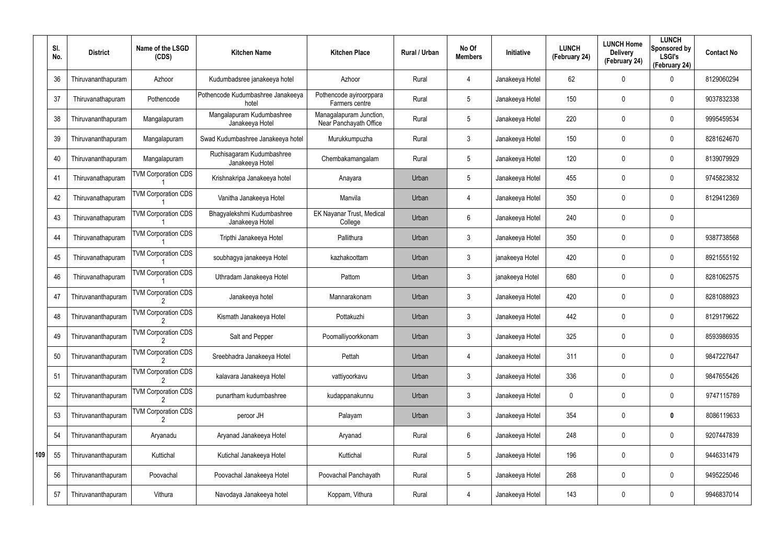|     | SI.<br>No. | <b>District</b>    | Name of the LSGD<br>(CDS)  | <b>Kitchen Name</b>                           | <b>Kitchen Place</b>                              | Rural / Urban | No Of<br><b>Members</b> | Initiative      | <b>LUNCH</b><br>(February 24) | <b>LUNCH Home</b><br><b>Delivery</b><br>(February 24) | <b>LUNCH</b><br>Sponsored by<br><b>LSGI's</b><br>(February 24) | <b>Contact No</b> |
|-----|------------|--------------------|----------------------------|-----------------------------------------------|---------------------------------------------------|---------------|-------------------------|-----------------|-------------------------------|-------------------------------------------------------|----------------------------------------------------------------|-------------------|
|     | 36         | Thiruvananthapuram | Azhoor                     | Kudumbadsree janakeeya hotel                  | Azhoor                                            | Rural         | 4                       | Janakeeya Hotel | 62                            | 0                                                     | 0                                                              | 8129060294        |
|     | 37         | Thiruvanathapuram  | Pothencode                 | Pothencode Kudumbashree Janakeeya<br>hotel    | Pothencode ayiroorppara<br>Farmers centre         | Rural         | $5\phantom{.0}$         | Janakeeya Hotel | 150                           | 0                                                     | $\mathbf 0$                                                    | 9037832338        |
|     | 38         | Thiruvananthapuram | Mangalapuram               | Mangalapuram Kudumbashree<br>Janakeeya Hotel  | Managalapuram Junction,<br>Near Panchayath Office | Rural         | $5\phantom{.0}$         | Janakeeya Hotel | 220                           | 0                                                     | 0                                                              | 9995459534        |
|     | 39         | Thiruvananthapuram | Mangalapuram               | Swad Kudumbashree Janakeeya hotel             | Murukkumpuzha                                     | Rural         | $\mathbf{3}$            | Janakeeya Hotel | 150                           | 0                                                     | $\mathbf 0$                                                    | 8281624670        |
|     | 40         | Thiruvananthapuram | Mangalapuram               | Ruchisagaram Kudumbashree<br>Janakeeya Hotel  | Chembakamangalam                                  | Rural         | $5\phantom{.0}$         | Janakeeya Hotel | 120                           | 0                                                     | 0                                                              | 8139079929        |
|     | 41         | Thiruvanathapuram  | <b>TVM Corporation CDS</b> | Krishnakripa Janakeeya hotel                  | Anayara                                           | Urban         | $5\phantom{.0}$         | Janakeeya Hotel | 455                           | 0                                                     | $\mathbf 0$                                                    | 9745823832        |
|     | 42         | Thiruvanathapuram  | <b>TVM Corporation CDS</b> | Vanitha Janakeeya Hotel                       | Manvila                                           | Urban         | 4                       | Janakeeya Hotel | 350                           | 0                                                     | $\mathbf 0$                                                    | 8129412369        |
|     | 43         | Thiruvanathapuram  | <b>TVM Corporation CDS</b> | Bhagyalekshmi Kudumbashree<br>Janakeeya Hotel | EK Nayanar Trust, Medical<br>College              | Urban         | 6                       | Janakeeya Hotel | 240                           | 0                                                     | $\mathbf 0$                                                    |                   |
|     | 44         | Thiruvanathapuram  | <b>TVM Corporation CDS</b> | Tripthi Janakeeya Hotel                       | Pallithura                                        | Urban         | $\mathbf{3}$            | Janakeeya Hotel | 350                           | 0                                                     | $\mathbf 0$                                                    | 9387738568        |
|     | 45         | Thiruvanathapuram  | <b>TVM Corporation CDS</b> | soubhagya janakeeya Hotel                     | kazhakoottam                                      | Urban         | 3                       | janakeeya Hotel | 420                           | 0                                                     | $\mathbf 0$                                                    | 8921555192        |
|     | 46         | Thiruvanathapuram  | <b>TVM Corporation CDS</b> | Uthradam Janakeeya Hotel                      | Pattom                                            | Urban         | $\mathbf{3}$            | janakeeya Hotel | 680                           | 0                                                     | $\mathbf 0$                                                    | 8281062575        |
|     | 47         | Thiruvananthapuram | <b>TVM Corporation CDS</b> | Janakeeya hotel                               | Mannarakonam                                      | Urban         | 3                       | Janakeeya Hotel | 420                           | 0                                                     | $\mathbf 0$                                                    | 8281088923        |
|     | 48         | Thiruvananthapuram | <b>TVM Corporation CDS</b> | Kismath Janakeeya Hotel                       | Pottakuzhi                                        | Urban         | $\mathbf{3}$            | Janakeeya Hotel | 442                           | 0                                                     | $\mathbf 0$                                                    | 8129179622        |
|     | 49         | Thiruvananthapuram | <b>TVM Corporation CDS</b> | Salt and Pepper                               | Poomalliyoorkkonam                                | Urban         | 3                       | Janakeeya Hotel | 325                           | 0                                                     | 0                                                              | 8593986935        |
|     | 50         | Thiruvananthapuram | <b>TVM Corporation CDS</b> | Sreebhadra Janakeeya Hotel                    | Pettah                                            | Urban         | $\overline{4}$          | Janakeeya Hotel | 311                           | 0                                                     | $\boldsymbol{0}$                                               | 9847227647        |
|     | 51         | Thiruvananthapuram | <b>TVM Corporation CDS</b> | kalavara Janakeeya Hotel                      | vattiyoorkavu                                     | Urban         | $\mathbf{3}$            | Janakeeya Hotel | 336                           | 0                                                     | $\boldsymbol{0}$                                               | 9847655426        |
|     | 52         | Thiruvananthapuram | <b>TVM Corporation CDS</b> | punartham kudumbashree                        | kudappanakunnu                                    | Urban         | $\mathbf{3}$            | Janakeeya Hotel | 0                             | 0                                                     | $\boldsymbol{0}$                                               | 9747115789        |
|     | 53         | Thiruvananthapuram | <b>TVM Corporation CDS</b> | peroor JH                                     | Palayam                                           | Urban         | $\mathbf{3}$            | Janakeeya Hotel | 354                           | 0                                                     | $\bm{0}$                                                       | 8086119633        |
|     | 54         | Thiruvananthapuram | Aryanadu                   | Aryanad Janakeeya Hotel                       | Aryanad                                           | Rural         | $6\phantom{.}6$         | Janakeeya Hotel | 248                           | 0                                                     | $\boldsymbol{0}$                                               | 9207447839        |
| 109 | 55         | Thiruvananthapuram | Kuttichal                  | Kutichal Janakeeya Hotel                      | Kuttichal                                         | Rural         | $5\phantom{.0}$         | Janakeeya Hotel | 196                           | 0                                                     | $\pmb{0}$                                                      | 9446331479        |
|     | 56         | Thiruvananthapuram | Poovachal                  | Poovachal Janakeeya Hotel                     | Poovachal Panchayath                              | Rural         | $5\phantom{.0}$         | Janakeeya Hotel | 268                           | 0                                                     | $\boldsymbol{0}$                                               | 9495225046        |
|     | 57         | Thiruvananthapuram | Vithura                    | Navodaya Janakeeya hotel                      | Koppam, Vithura                                   | Rural         | 4                       | Janakeeya Hotel | 143                           | 0                                                     | $\pmb{0}$                                                      | 9946837014        |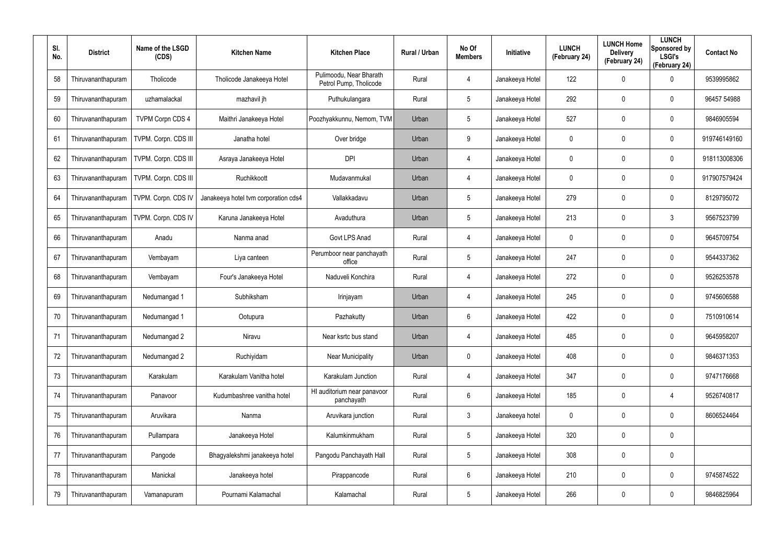| SI.<br>No. | <b>District</b>    | Name of the LSGD<br>(CDS) | <b>Kitchen Name</b>                  | <b>Kitchen Place</b>                              | <b>Rural / Urban</b> | No Of<br><b>Members</b> | Initiative      | <b>LUNCH</b><br>(February 24) | <b>LUNCH Home</b><br><b>Delivery</b><br>(February 24) | <b>LUNCH</b><br>Sponsored by<br><b>LSGI's</b><br>(February 24) | <b>Contact No</b> |
|------------|--------------------|---------------------------|--------------------------------------|---------------------------------------------------|----------------------|-------------------------|-----------------|-------------------------------|-------------------------------------------------------|----------------------------------------------------------------|-------------------|
| 58         | Thiruvananthapuram | Tholicode                 | Tholicode Janakeeya Hotel            | Pulimoodu, Near Bharath<br>Petrol Pump, Tholicode | Rural                | 4                       | Janakeeya Hotel | 122                           | 0                                                     | $\mathbf 0$                                                    | 9539995862        |
| 59         | Thiruvananthapuram | uzhamalackal              | mazhavil jh                          | Puthukulangara                                    | Rural                | 5                       | Janakeeya Hotel | 292                           | 0                                                     | $\mathbf 0$                                                    | 96457 54988       |
| 60         | Thiruvananthapuram | <b>TVPM Corpn CDS 4</b>   | Maithri Janakeeya Hotel              | Poozhyakkunnu, Nemom, TVM                         | Urban                | 5                       | Janakeeya Hotel | 527                           | 0                                                     | $\mathbf 0$                                                    | 9846905594        |
| 61         | Thiruvananthapuram | TVPM. Corpn. CDS III      | Janatha hotel                        | Over bridge                                       | Urban                | 9                       | Janakeeya Hotel | 0                             | 0                                                     | $\mathbf 0$                                                    | 919746149160      |
| 62         | Thiruvananthapuram | TVPM. Corpn. CDS III      | Asraya Janakeeya Hotel               | <b>DPI</b>                                        | Urban                | 4                       | Janakeeya Hotel | 0                             | 0                                                     | $\mathbf 0$                                                    | 918113008306      |
| 63         | Thiruvananthapuram | TVPM. Corpn. CDS III      | Ruchikkoott                          | Mudavanmukal                                      | Urban                | 4                       | Janakeeya Hotel | 0                             | 0                                                     | $\mathbf 0$                                                    | 917907579424      |
| 64         | Thiruvananthapuram | TVPM. Corpn. CDS IV       | Janakeeya hotel tvm corporation cds4 | Vallakkadavu                                      | Urban                | 5                       | Janakeeya Hotel | 279                           | 0                                                     | $\mathbf 0$                                                    | 8129795072        |
| 65         | Thiruvananthapuram | TVPM. Corpn. CDS IV       | Karuna Janakeeya Hotel               | Avaduthura                                        | Urban                | 5                       | Janakeeya Hotel | 213                           | 0                                                     | $\mathbf{3}$                                                   | 9567523799        |
| 66         | Thiruvananthapuram | Anadu                     | Nanma anad                           | Govt LPS Anad                                     | Rural                | 4                       | Janakeeya Hotel | 0                             | 0                                                     | $\mathbf 0$                                                    | 9645709754        |
| 67         | Thiruvananthapuram | Vembayam                  | Liya canteen                         | Perumboor near panchayath<br>office               | Rural                | 5                       | Janakeeya Hotel | 247                           | 0                                                     | $\mathbf 0$                                                    | 9544337362        |
| 68         | Thiruvananthapuram | Vembayam                  | Four's Janakeeya Hotel               | Naduveli Konchira                                 | Rural                | 4                       | Janakeeya Hotel | 272                           | 0                                                     | $\mathbf 0$                                                    | 9526253578        |
| 69         | Thiruvananthapuram | Nedumangad 1              | Subhiksham                           | Irinjayam                                         | Urban                | 4                       | Janakeeya Hotel | 245                           | 0                                                     | $\mathbf 0$                                                    | 9745606588        |
| 70         | Thiruvananthapuram | Nedumangad 1              | Ootupura                             | Pazhakutty                                        | Urban                | 6                       | Janakeeya Hotel | 422                           | 0                                                     | $\mathbf 0$                                                    | 7510910614        |
| 71         | Thiruvananthapuram | Nedumangad 2              | Niravu                               | Near ksrtc bus stand                              | Urban                | 4                       | Janakeeya Hotel | 485                           | 0                                                     | $\pmb{0}$                                                      | 9645958207        |
| 72         | Thiruvananthapuram | Nedumangad 2              | Ruchiyidam                           | <b>Near Municipality</b>                          | Urban                | $\mathbf 0$             | Janakeeya Hotel | 408                           | 0                                                     | $\pmb{0}$                                                      | 9846371353        |
| 73         | Thiruvananthapuram | Karakulam                 | Karakulam Vanitha hotel              | Karakulam Junction                                | Rural                | $\overline{4}$          | Janakeeya Hotel | 347                           | 0                                                     | $\pmb{0}$                                                      | 9747176668        |
| 74         | Thiruvananthapuram | Panavoor                  | Kudumbashree vanitha hotel           | HI auditorium near panavoor<br>panchayath         | Rural                | 6                       | Janakeeya Hotel | 185                           | 0                                                     | $\overline{4}$                                                 | 9526740817        |
| 75         | Thiruvananthapuram | Aruvikara                 | Nanma                                | Aruvikara junction                                | Rural                | $\mathbf{3}$            | Janakeeya hotel | 0                             | 0                                                     | $\pmb{0}$                                                      | 8606524464        |
| 76         | Thiruvananthapuram | Pullampara                | Janakeeya Hotel                      | Kalumkinmukham                                    | Rural                | 5                       | Janakeeya Hotel | 320                           | 0                                                     | $\mathbf 0$                                                    |                   |
| 77         | Thiruvananthapuram | Pangode                   | Bhagyalekshmi janakeeya hotel        | Pangodu Panchayath Hall                           | Rural                | 5                       | Janakeeya Hotel | 308                           | 0                                                     | $\pmb{0}$                                                      |                   |
| 78         | Thiruvananthapuram | Manickal                  | Janakeeya hotel                      | Pirappancode                                      | Rural                | 6                       | Janakeeya Hotel | 210                           | 0                                                     | $\boldsymbol{0}$                                               | 9745874522        |
| 79         | Thiruvananthapuram | Vamanapuram               | Pournami Kalamachal                  | Kalamachal                                        | Rural                | 5                       | Janakeeya Hotel | 266                           | 0                                                     | $\pmb{0}$                                                      | 9846825964        |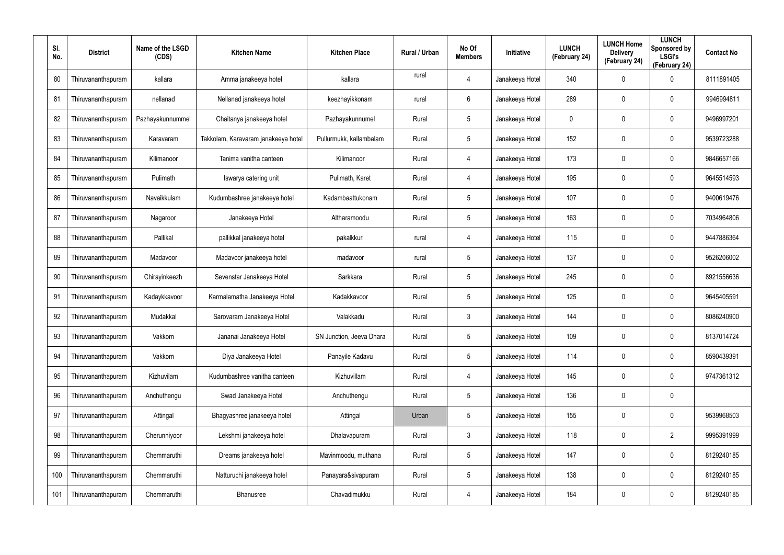| SI.<br>No. | <b>District</b>    | Name of the LSGD<br>(CDS) | <b>Kitchen Name</b>                 | <b>Kitchen Place</b>     | <b>Rural / Urban</b> | No Of<br><b>Members</b> | Initiative      | <b>LUNCH</b><br>(February 24) | <b>LUNCH Home</b><br><b>Delivery</b><br>(February 24) | <b>LUNCH</b><br>Sponsored by<br><b>LSGI's</b><br>(February 24) | <b>Contact No</b> |
|------------|--------------------|---------------------------|-------------------------------------|--------------------------|----------------------|-------------------------|-----------------|-------------------------------|-------------------------------------------------------|----------------------------------------------------------------|-------------------|
| 80         | Thiruvananthapuram | kallara                   | Amma janakeeya hotel                | kallara                  | rural                | 4                       | Janakeeya Hotel | 340                           | $\mathbf 0$                                           | $\mathbf 0$                                                    | 8111891405        |
| 81         | Thiruvananthapuram | nellanad                  | Nellanad janakeeya hotel            | keezhayikkonam           | rural                | 6                       | Janakeeya Hotel | 289                           | $\mathbf 0$                                           | $\mathbf 0$                                                    | 9946994811        |
| 82         | Thiruvananthapuram | Pazhayakunnummel          | Chaitanya janakeeya hotel           | Pazhayakunnumel          | Rural                | $5\overline{)}$         | Janakeeya Hotel | 0                             | $\mathbf 0$                                           | $\mathbf 0$                                                    | 9496997201        |
| 83         | Thiruvananthapuram | Karavaram                 | Takkolam, Karavaram janakeeya hotel | Pullurmukk, kallambalam  | Rural                | 5                       | Janakeeya Hotel | 152                           | 0                                                     | $\mathbf 0$                                                    | 9539723288        |
| 84         | Thiruvananthapuram | Kilimanoor                | Tanima vanitha canteen              | Kilimanoor               | Rural                | 4                       | Janakeeya Hotel | 173                           | $\mathbf 0$                                           | $\mathbf 0$                                                    | 9846657166        |
| 85         | Thiruvananthapuram | Pulimath                  | Iswarya catering unit               | Pulimath, Karet          | Rural                | 4                       | Janakeeya Hotel | 195                           | $\mathbf 0$                                           | $\mathbf 0$                                                    | 9645514593        |
| 86         | Thiruvananthapuram | Navaikkulam               | Kudumbashree janakeeya hotel        | Kadambaattukonam         | Rural                | $5\overline{)}$         | Janakeeya Hotel | 107                           | $\mathbf 0$                                           | $\mathbf 0$                                                    | 9400619476        |
| 87         | Thiruvananthapuram | Nagaroor                  | Janakeeya Hotel                     | Altharamoodu             | Rural                | 5                       | Janakeeya Hotel | 163                           | $\mathbf 0$                                           | $\mathbf 0$                                                    | 7034964806        |
| 88         | Thiruvananthapuram | Pallikal                  | pallikkal janakeeya hotel           | pakalkkuri               | rural                | 4                       | Janakeeya Hotel | 115                           | $\mathbf 0$                                           | $\mathbf 0$                                                    | 9447886364        |
| 89         | Thiruvananthapuram | Madavoor                  | Madavoor janakeeya hotel            | madavoor                 | rural                | 5                       | Janakeeya Hotel | 137                           | $\mathbf 0$                                           | $\mathbf 0$                                                    | 9526206002        |
| 90         | Thiruvananthapuram | Chirayinkeezh             | Sevenstar Janakeeya Hotel           | Sarkkara                 | Rural                | 5                       | Janakeeya Hotel | 245                           | $\mathbf 0$                                           | $\mathbf 0$                                                    | 8921556636        |
| 91         | Thiruvananthapuram | Kadaykkavoor              | Karmalamatha Janakeeya Hotel        | Kadakkavoor              | Rural                | 5                       | Janakeeya Hotel | 125                           | 0                                                     | $\mathbf 0$                                                    | 9645405591        |
| 92         | Thiruvananthapuram | Mudakkal                  | Sarovaram Janakeeya Hotel           | Valakkadu                | Rural                | 3                       | Janakeeya Hotel | 144                           | $\mathbf 0$                                           | $\mathbf 0$                                                    | 8086240900        |
| 93         | Thiruvananthapuram | Vakkom                    | Jananai Janakeeya Hotel             | SN Junction, Jeeva Dhara | Rural                | 5                       | Janakeeya Hotel | 109                           | $\mathbf 0$                                           | $\boldsymbol{0}$                                               | 8137014724        |
| 94         | Thiruvananthapuram | Vakkom                    | Diya Janakeeya Hotel                | Panayile Kadavu          | Rural                | 5                       | Janakeeya Hotel | 114                           | 0                                                     | $\boldsymbol{0}$                                               | 8590439391        |
| 95         | Thiruvananthapuram | Kizhuvilam                | Kudumbashree vanitha canteen        | Kizhuvillam              | Rural                | $\overline{4}$          | Janakeeya Hotel | 145                           | $\mathbf 0$                                           | $\boldsymbol{0}$                                               | 9747361312        |
| 96         | Thiruvananthapuram | Anchuthengu               | Swad Janakeeya Hotel                | Anchuthengu              | Rural                | 5                       | Janakeeya Hotel | 136                           | 0                                                     | $\pmb{0}$                                                      |                   |
| 97         | Thiruvananthapuram | Attingal                  | Bhagyashree janakeeya hotel         | Attingal                 | Urban                | 5                       | Janakeeya Hotel | 155                           | $\mathbf 0$                                           | $\pmb{0}$                                                      | 9539968503        |
| 98         | Thiruvananthapuram | Cherunniyoor              | Lekshmi janakeeya hotel             | Dhalavapuram             | Rural                | $\mathbf{3}$            | Janakeeya Hotel | 118                           | 0                                                     | $\overline{2}$                                                 | 9995391999        |
| 99         | Thiruvananthapuram | Chemmaruthi               | Dreams janakeeya hotel              | Mavinmoodu, muthana      | Rural                | 5                       | Janakeeya Hotel | 147                           | $\mathbf 0$                                           | $\pmb{0}$                                                      | 8129240185        |
| 100        | Thiruvananthapuram | Chemmaruthi               | Natturuchi janakeeya hotel          | Panayara&sivapuram       | Rural                | 5                       | Janakeeya Hotel | 138                           | 0                                                     | $\boldsymbol{0}$                                               | 8129240185        |
| 101        | Thiruvananthapuram | Chemmaruthi               | Bhanusree                           | Chavadimukku             | Rural                | 4                       | Janakeeya Hotel | 184                           | $\mathbf 0$                                           | $\pmb{0}$                                                      | 8129240185        |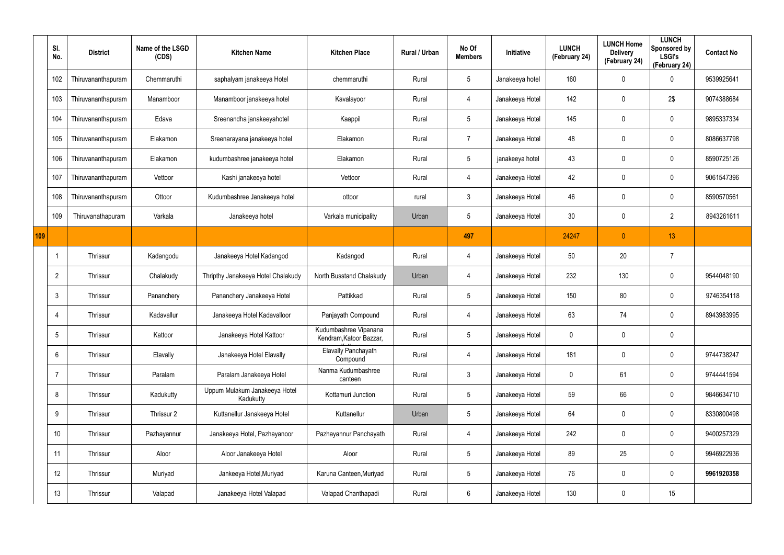|     | SI.<br>No.      | <b>District</b>    | Name of the LSGD<br>(CDS) | <b>Kitchen Name</b>                        | <b>Kitchen Place</b>                             | Rural / Urban | No Of<br><b>Members</b> | Initiative      | <b>LUNCH</b><br>(February 24) | <b>LUNCH Home</b><br><b>Delivery</b><br>(February 24) | <b>LUNCH</b><br><b>Sponsored by</b><br><b>LSGI's</b><br>(February 24) | <b>Contact No</b> |
|-----|-----------------|--------------------|---------------------------|--------------------------------------------|--------------------------------------------------|---------------|-------------------------|-----------------|-------------------------------|-------------------------------------------------------|-----------------------------------------------------------------------|-------------------|
|     | 102             | Thiruvananthapuram | Chemmaruthi               | saphalyam janakeeya Hotel                  | chemmaruthi                                      | Rural         | $5\phantom{.0}$         | Janakeeya hotel | 160                           | 0                                                     | $\boldsymbol{0}$                                                      | 9539925641        |
|     | 103             | Thiruvananthapuram | Manamboor                 | Manamboor janakeeya hotel                  | Kavalayoor                                       | Rural         | $\overline{4}$          | Janakeeya Hotel | 142                           | 0                                                     | 2\$                                                                   | 9074388684        |
|     | 104             | Thiruvananthapuram | Edava                     | Sreenandha janakeeyahotel                  | Kaappil                                          | Rural         | $5\phantom{.0}$         | Janakeeya Hotel | 145                           | 0                                                     | $\pmb{0}$                                                             | 9895337334        |
|     | 105             | Thiruvananthapuram | Elakamon                  | Sreenarayana janakeeya hotel               | Elakamon                                         | Rural         | 7                       | Janakeeya Hotel | 48                            | 0                                                     | $\pmb{0}$                                                             | 8086637798        |
|     | 106             | Thiruvananthapuram | Elakamon                  | kudumbashree janakeeya hotel               | Elakamon                                         | Rural         | $5\phantom{.0}$         | janakeeya hotel | 43                            | 0                                                     | $\pmb{0}$                                                             | 8590725126        |
|     | 107             | Thiruvananthapuram | Vettoor                   | Kashi janakeeya hotel                      | Vettoor                                          | Rural         | $\overline{4}$          | Janakeeya Hotel | 42                            | 0                                                     | $\mathbf 0$                                                           | 9061547396        |
|     | 108             | Thiruvananthapuram | Ottoor                    | Kudumbashree Janakeeya hotel               | ottoor                                           | rural         | $\mathbf{3}$            | Janakeeya Hotel | 46                            | 0                                                     | $\pmb{0}$                                                             | 8590570561        |
|     | 109             | Thiruvanathapuram  | Varkala                   | Janakeeya hotel                            | Varkala municipality                             | Urban         | $5\phantom{.0}$         | Janakeeya Hotel | 30                            | 0                                                     | $\overline{2}$                                                        | 8943261611        |
| 109 |                 |                    |                           |                                            |                                                  |               | 497                     |                 | 24247                         | $\overline{0}$                                        | 13                                                                    |                   |
|     |                 | Thrissur           | Kadangodu                 | Janakeeya Hotel Kadangod                   | Kadangod                                         | Rural         | 4                       | Janakeeya Hotel | 50                            | 20                                                    | $\overline{7}$                                                        |                   |
|     | $\overline{2}$  | Thrissur           | Chalakudy                 | Thripthy Janakeeya Hotel Chalakudy         | North Busstand Chalakudy                         | Urban         | $\overline{4}$          | Janakeeya Hotel | 232                           | 130                                                   | $\boldsymbol{0}$                                                      | 9544048190        |
|     | 3               | Thrissur           | Pananchery                | Pananchery Janakeeya Hotel                 | Pattikkad                                        | Rural         | $5\phantom{.0}$         | Janakeeya Hotel | 150                           | 80                                                    | $\boldsymbol{0}$                                                      | 9746354118        |
|     | 4               | Thrissur           | Kadavallur                | Janakeeya Hotel Kadavalloor                | Panjayath Compound                               | Rural         | 4                       | Janakeeya Hotel | 63                            | 74                                                    | $\pmb{0}$                                                             | 8943983995        |
|     | $5\overline{)}$ | Thrissur           | Kattoor                   | Janakeeya Hotel Kattoor                    | Kudumbashree Vipanana<br>Kendram, Katoor Bazzar, | Rural         | $5\,$                   | Janakeeya Hotel | 0                             | 0                                                     | $\pmb{0}$                                                             |                   |
|     | 6               | Thrissur           | Elavally                  | Janakeeya Hotel Elavally                   | Elavally Panchayath<br>Compound                  | Rural         | $\overline{4}$          | Janakeeya Hotel | 181                           | 0                                                     | $\pmb{0}$                                                             | 9744738247        |
|     | -7              | Thrissur           | Paralam                   | Paralam Janakeeya Hotel                    | Nanma Kudumbashree<br>canteen                    | Rural         | $3\phantom{.0}$         | Janakeeya Hotel | 0                             | 61                                                    | $\mathbf 0$                                                           | 9744441594        |
|     | 8               | Thrissur           | Kadukutty                 | Uppum Mulakum Janakeeya Hotel<br>Kadukutty | Kottamuri Junction                               | Rural         | $5\phantom{.0}$         | Janakeeya Hotel | 59                            | 66                                                    | $\pmb{0}$                                                             | 9846634710        |
|     | 9               | Thrissur           | Thrissur 2                | Kuttanellur Janakeeya Hotel                | Kuttanellur                                      | Urban         | $5\phantom{.0}$         | Janakeeya Hotel | 64                            | 0                                                     | $\pmb{0}$                                                             | 8330800498        |
|     | 10              | Thrissur           | Pazhayannur               | Janakeeya Hotel, Pazhayanoor               | Pazhayannur Panchayath                           | Rural         | $\overline{4}$          | Janakeeya Hotel | 242                           | 0                                                     | $\pmb{0}$                                                             | 9400257329        |
|     | 11              | Thrissur           | Aloor                     | Aloor Janakeeya Hotel                      | Aloor                                            | Rural         | $5\phantom{.0}$         | Janakeeya Hotel | 89                            | 25                                                    | $\pmb{0}$                                                             | 9946922936        |
|     | 12              | Thrissur           | Muriyad                   | Jankeeya Hotel, Muriyad                    | Karuna Canteen, Muriyad                          | Rural         | $5\phantom{.0}$         | Janakeeya Hotel | 76                            | 0                                                     | $\pmb{0}$                                                             | 9961920358        |
|     | 13              | Thrissur           | Valapad                   | Janakeeya Hotel Valapad                    | Valapad Chanthapadi                              | Rural         | $\boldsymbol{6}$        | Janakeeya Hotel | 130                           | 0                                                     | 15                                                                    |                   |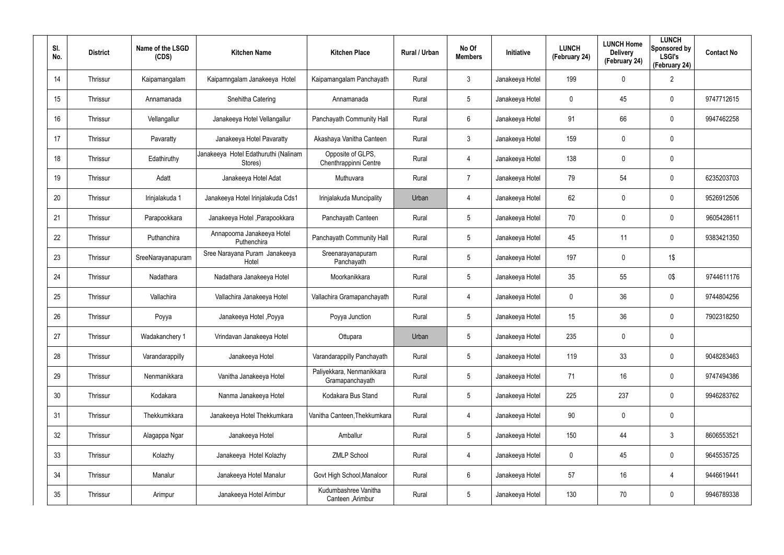| SI.<br>No. | <b>District</b> | Name of the LSGD<br>(CDS) | <b>Kitchen Name</b>                             | <b>Kitchen Place</b>                         | Rural / Urban | No Of<br><b>Members</b> | Initiative      | <b>LUNCH</b><br>(February 24) | <b>LUNCH Home</b><br><b>Delivery</b><br>(February 24) | <b>LUNCH</b><br>Sponsored by<br><b>LSGI's</b><br>(February 24) | <b>Contact No</b> |
|------------|-----------------|---------------------------|-------------------------------------------------|----------------------------------------------|---------------|-------------------------|-----------------|-------------------------------|-------------------------------------------------------|----------------------------------------------------------------|-------------------|
| 14         | Thrissur        | Kaipamangalam             | Kaipamngalam Janakeeya Hotel                    | Kaipamangalam Panchayath                     | Rural         | $\mathbf{3}$            | Janakeeya Hotel | 199                           | 0                                                     | $\overline{2}$                                                 |                   |
| 15         | Thrissur        | Annamanada                | Snehitha Catering                               | Annamanada                                   | Rural         | 5                       | Janakeeya Hotel | 0                             | 45                                                    | $\mathbf 0$                                                    | 9747712615        |
| 16         | Thrissur        | Vellangallur              | Janakeeya Hotel Vellangallur                    | Panchayath Community Hall                    | Rural         | 6                       | Janakeeya Hotel | 91                            | 66                                                    | $\mathbf 0$                                                    | 9947462258        |
| 17         | Thrissur        | Pavaratty                 | Janakeeya Hotel Pavaratty                       | Akashaya Vanitha Canteen                     | Rural         | $\mathbf{3}$            | Janakeeya Hotel | 159                           | 0                                                     | $\mathbf 0$                                                    |                   |
| 18         | Thrissur        | Edathiruthy               | Janakeeya Hotel Edathuruthi (Nalinam<br>Stores) | Opposite of GLPS,<br>Chenthrappinni Centre   | Rural         | 4                       | Janakeeya Hotel | 138                           | $\mathbf 0$                                           | $\mathbf 0$                                                    |                   |
| 19         | Thrissur        | Adatt                     | Janakeeya Hotel Adat                            | Muthuvara                                    | Rural         | $\overline{7}$          | Janakeeya Hotel | 79                            | 54                                                    | $\mathbf 0$                                                    | 6235203703        |
| 20         | Thrissur        | Irinjalakuda 1            | Janakeeya Hotel Irinjalakuda Cds1               | Irinjalakuda Muncipality                     | Urban         | 4                       | Janakeeya Hotel | 62                            | 0                                                     | $\mathbf 0$                                                    | 9526912506        |
| 21         | <b>Thrissur</b> | Parapookkara              | Janakeeya Hotel , Parapookkara                  | Panchayath Canteen                           | Rural         | 5                       | Janakeeya Hotel | 70                            | 0                                                     | $\mathbf 0$                                                    | 9605428611        |
| 22         | Thrissur        | Puthanchira               | Annapoorna Janakeeya Hotel<br>Puthenchira       | Panchayath Community Hall                    | Rural         | 5                       | Janakeeya Hotel | 45                            | 11                                                    | $\mathbf 0$                                                    | 9383421350        |
| 23         | <b>Thrissur</b> | SreeNarayanapuram         | Sree Narayana Puram Janakeeya<br>Hotel          | Sreenarayanapuram<br>Panchayath              | Rural         | 5                       | Janakeeya Hotel | 197                           | 0                                                     | 1\$                                                            |                   |
| 24         | Thrissur        | Nadathara                 | Nadathara Janakeeya Hotel                       | Moorkanikkara                                | Rural         | 5                       | Janakeeya Hotel | 35                            | 55                                                    | 0\$                                                            | 9744611176        |
| 25         | Thrissur        | Vallachira                | Vallachira Janakeeya Hotel                      | Vallachira Gramapanchayath                   | Rural         | 4                       | Janakeeya Hotel | 0                             | 36                                                    | $\mathbf 0$                                                    | 9744804256        |
| 26         | Thrissur        | Poyya                     | Janakeeya Hotel, Poyya                          | Poyya Junction                               | Rural         | 5                       | Janakeeya Hotel | 15                            | 36                                                    | $\mathbf 0$                                                    | 7902318250        |
| 27         | Thrissur        | Wadakanchery 1            | Vrindavan Janakeeya Hotel                       | Ottupara                                     | Urban         | 5                       | Janakeeya Hotel | 235                           | $\mathbf 0$                                           | $\pmb{0}$                                                      |                   |
| 28         | Thrissur        | Varandarappilly           | Janakeeya Hotel                                 | Varandarappilly Panchayath                   | Rural         | 5                       | Janakeeya Hotel | 119                           | 33                                                    | $\mathbf 0$                                                    | 9048283463        |
| 29         | Thrissur        | Nenmanikkara              | Vanitha Janakeeya Hotel                         | Paliyekkara, Nenmanikkara<br>Gramapanchayath | Rural         | $5\phantom{.0}$         | Janakeeya Hotel | 71                            | 16                                                    | $\mathbf 0$                                                    | 9747494386        |
| $30\,$     | Thrissur        | Kodakara                  | Nanma Janakeeya Hotel                           | Kodakara Bus Stand                           | Rural         | $5\phantom{.0}$         | Janakeeya Hotel | 225                           | 237                                                   | $\mathbf 0$                                                    | 9946283762        |
| 31         | Thrissur        | Thekkumkkara              | Janakeeya Hotel Thekkumkara                     | Vanitha Canteen, Thekkumkara                 | Rural         | 4                       | Janakeeya Hotel | 90                            | 0                                                     | $\pmb{0}$                                                      |                   |
| 32         | Thrissur        | Alagappa Ngar             | Janakeeya Hotel                                 | Amballur                                     | Rural         | $5\phantom{.0}$         | Janakeeya Hotel | 150                           | 44                                                    | $3\phantom{.0}$                                                | 8606553521        |
| 33         | Thrissur        | Kolazhy                   | Janakeeya Hotel Kolazhy                         | <b>ZMLP School</b>                           | Rural         | 4                       | Janakeeya Hotel | 0                             | 45                                                    | $\pmb{0}$                                                      | 9645535725        |
| 34         | Thrissur        | Manalur                   | Janakeeya Hotel Manalur                         | Govt High School, Manaloor                   | Rural         | $6\phantom{.}6$         | Janakeeya Hotel | 57                            | 16                                                    | 4                                                              | 9446619441        |
| $35\,$     | Thrissur        | Arimpur                   | Janakeeya Hotel Arimbur                         | Kudumbashree Vanitha<br>Canteen, Arimbur     | Rural         | $5\phantom{.0}$         | Janakeeya Hotel | 130                           | 70                                                    | $\pmb{0}$                                                      | 9946789338        |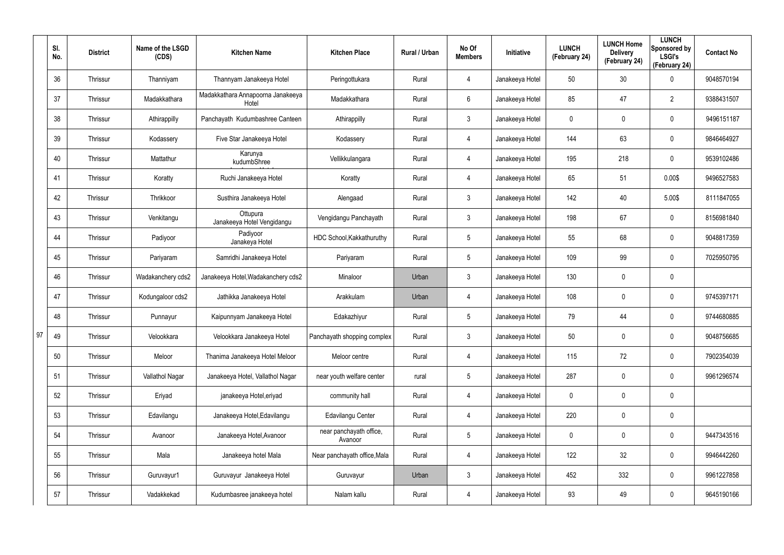|    | SI.<br>No. | <b>District</b> | Name of the LSGD<br>(CDS) | <b>Kitchen Name</b>                        | <b>Kitchen Place</b>               | Rural / Urban | No Of<br><b>Members</b> | Initiative      | <b>LUNCH</b><br>(February 24) | <b>LUNCH Home</b><br><b>Delivery</b><br>(February 24) | <b>LUNCH</b><br>Sponsored by<br><b>LSGI's</b><br>(February 24) | <b>Contact No</b> |
|----|------------|-----------------|---------------------------|--------------------------------------------|------------------------------------|---------------|-------------------------|-----------------|-------------------------------|-------------------------------------------------------|----------------------------------------------------------------|-------------------|
|    | 36         | Thrissur        | Thanniyam                 | Thannyam Janakeeya Hotel                   | Peringottukara                     | Rural         | 4                       | Janakeeya Hotel | 50                            | 30                                                    | $\mathbf 0$                                                    | 9048570194        |
|    | 37         | Thrissur        | Madakkathara              | Madakkathara Annapoorna Janakeeya<br>Hotel | Madakkathara                       | Rural         | 6                       | Janakeeya Hotel | 85                            | 47                                                    | $\overline{2}$                                                 | 9388431507        |
|    | 38         | Thrissur        | Athirappilly              | Panchayath Kudumbashree Canteen            | Athirappilly                       | Rural         | 3                       | Janakeeya Hotel | 0                             | 0                                                     | $\pmb{0}$                                                      | 9496151187        |
|    | 39         | Thrissur        | Kodassery                 | Five Star Janakeeya Hotel                  | Kodassery                          | Rural         | 4                       | Janakeeya Hotel | 144                           | 63                                                    | $\pmb{0}$                                                      | 9846464927        |
|    | 40         | Thrissur        | Mattathur                 | Karunya<br>kudumbShree                     | Vellikkulangara                    | Rural         | 4                       | Janakeeya Hotel | 195                           | 218                                                   | $\mathbf 0$                                                    | 9539102486        |
|    | 41         | Thrissur        | Koratty                   | Ruchi Janakeeya Hotel                      | Koratty                            | Rural         | 4                       | Janakeeya Hotel | 65                            | 51                                                    | 0.00\$                                                         | 9496527583        |
|    | 42         | Thrissur        | Thrikkoor                 | Susthira Janakeeya Hotel                   | Alengaad                           | Rural         | $\mathfrak{Z}$          | Janakeeya Hotel | 142                           | 40                                                    | 5.00\$                                                         | 8111847055        |
|    | 43         | Thrissur        | Venkitangu                | Ottupura<br>Janakeeya Hotel Vengidangu     | Vengidangu Panchayath              | Rural         | 3                       | Janakeeya Hotel | 198                           | 67                                                    | $\mathbf 0$                                                    | 8156981840        |
|    | 44         | Thrissur        | Padiyoor                  | Padiyoor<br>Janakeya Hotel                 | HDC School, Kakkathuruthy          | Rural         | 5                       | Janakeeya Hotel | 55                            | 68                                                    | $\pmb{0}$                                                      | 9048817359        |
|    | 45         | Thrissur        | Pariyaram                 | Samridhi Janakeeya Hotel                   | Pariyaram                          | Rural         | 5                       | Janakeeya Hotel | 109                           | 99                                                    | $\mathbf 0$                                                    | 7025950795        |
|    | 46         | Thrissur        | Wadakanchery cds2         | Janakeeya Hotel, Wadakanchery cds2         | Minaloor                           | Urban         | 3                       | Janakeeya Hotel | 130                           | 0                                                     | $\pmb{0}$                                                      |                   |
|    | 47         | Thrissur        | Kodungaloor cds2          | Jathikka Janakeeya Hotel                   | Arakkulam                          | Urban         | 4                       | Janakeeya Hotel | 108                           | 0                                                     | $\mathbf 0$                                                    | 9745397171        |
|    | 48         | Thrissur        | Punnayur                  | Kaipunnyam Janakeeya Hotel                 | Edakazhiyur                        | Rural         | 5                       | Janakeeya Hotel | 79                            | 44                                                    | $\mathbf 0$                                                    | 9744680885        |
| 97 | 49         | Thrissur        | Velookkara                | Velookkara Janakeeya Hotel                 | Panchayath shopping complex        | Rural         | $\mathfrak{Z}$          | Janakeeya Hotel | 50                            | $\mathbf 0$                                           | $\pmb{0}$                                                      | 9048756685        |
|    | 50         | Thrissur        | Meloor                    | Thanima Janakeeya Hotel Meloor             | Meloor centre                      | Rural         | 4                       | Janakeeya Hotel | 115                           | 72                                                    | $\mathbf 0$                                                    | 7902354039        |
|    | 51         | Thrissur        | Vallathol Nagar           | Janakeeya Hotel, Vallathol Nagar           | near youth welfare center          | rural         | $5\phantom{.0}$         | Janakeeya Hotel | 287                           | 0                                                     | $\mathbf 0$                                                    | 9961296574        |
|    | 52         | Thrissur        | Eriyad                    | janakeeya Hotel, eriyad                    | community hall                     | Rural         | 4                       | Janakeeya Hotel | $\mathbf 0$                   | 0                                                     | $\pmb{0}$                                                      |                   |
|    | 53         | Thrissur        | Edavilangu                | Janakeeya Hotel, Edavilangu                | Edavilangu Center                  | Rural         | 4                       | Janakeeya Hotel | 220                           | $\pmb{0}$                                             | $\pmb{0}$                                                      |                   |
|    | 54         | Thrissur        | Avanoor                   | Janakeeya Hotel, Avanoor                   | near panchayath office,<br>Avanoor | Rural         | $5\,$                   | Janakeeya Hotel | $\mathbf 0$                   | 0                                                     | $\pmb{0}$                                                      | 9447343516        |
|    | 55         | Thrissur        | Mala                      | Janakeeya hotel Mala                       | Near panchayath office, Mala       | Rural         | 4                       | Janakeeya Hotel | 122                           | 32                                                    | $\pmb{0}$                                                      | 9946442260        |
|    | 56         | Thrissur        | Guruvayur1                | Guruvayur Janakeeya Hotel                  | Guruvayur                          | Urban         | $\mathbf{3}$            | Janakeeya Hotel | 452                           | 332                                                   | $\pmb{0}$                                                      | 9961227858        |
|    | 57         | Thrissur        | Vadakkekad                | Kudumbasree janakeeya hotel                | Nalam kallu                        | Rural         | 4                       | Janakeeya Hotel | 93                            | 49                                                    | $\bf{0}$                                                       | 9645190166        |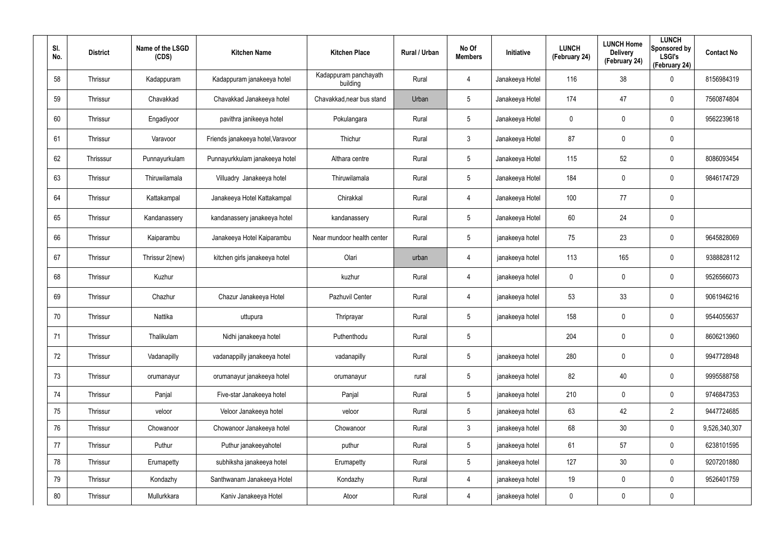| SI.<br>No. | <b>District</b> | Name of the LSGD<br>(CDS) | <b>Kitchen Name</b>               | <b>Kitchen Place</b>              | Rural / Urban | No Of<br><b>Members</b> | Initiative      | <b>LUNCH</b><br>(February 24) | <b>LUNCH Home</b><br><b>Delivery</b><br>(February 24) | <b>LUNCH</b><br>Sponsored by<br><b>LSGI's</b><br>(February 24) | <b>Contact No</b> |
|------------|-----------------|---------------------------|-----------------------------------|-----------------------------------|---------------|-------------------------|-----------------|-------------------------------|-------------------------------------------------------|----------------------------------------------------------------|-------------------|
| 58         | Thrissur        | Kadappuram                | Kadappuram janakeeya hotel        | Kadappuram panchayath<br>building | Rural         | 4                       | Janakeeya Hotel | 116                           | 38                                                    | $\boldsymbol{0}$                                               | 8156984319        |
| 59         | Thrissur        | Chavakkad                 | Chavakkad Janakeeya hotel         | Chavakkad, near bus stand         | Urban         | 5                       | Janakeeya Hotel | 174                           | 47                                                    | $\mathbf 0$                                                    | 7560874804        |
| 60         | Thrissur        | Engadiyoor                | pavithra janikeeya hotel          | Pokulangara                       | Rural         | $5\phantom{.0}$         | Janakeeya Hotel | 0                             | 0                                                     | $\pmb{0}$                                                      | 9562239618        |
| 61         | Thrissur        | Varavoor                  | Friends janakeeya hotel, Varavoor | Thichur                           | Rural         | $\mathbf{3}$            | Janakeeya Hotel | 87                            | 0                                                     | $\pmb{0}$                                                      |                   |
| 62         | Thrisssur       | Punnayurkulam             | Punnayurkkulam janakeeya hotel    | Althara centre                    | Rural         | $5\phantom{.0}$         | Janakeeya Hotel | 115                           | 52                                                    | $\pmb{0}$                                                      | 8086093454        |
| 63         | Thrissur        | Thiruwilamala             | Villuadry Janakeeya hotel         | Thiruwilamala                     | Rural         | 5                       | Janakeeya Hotel | 184                           | 0                                                     | $\mathbf 0$                                                    | 9846174729        |
| 64         | Thrissur        | Kattakampal               | Janakeeya Hotel Kattakampal       | Chirakkal                         | Rural         | 4                       | Janakeeya Hotel | 100                           | 77                                                    | $\pmb{0}$                                                      |                   |
| 65         | Thrissur        | Kandanassery              | kandanassery janakeeya hotel      | kandanassery                      | Rural         | $5\phantom{.0}$         | Janakeeya Hotel | 60                            | 24                                                    | $\pmb{0}$                                                      |                   |
| 66         | Thrissur        | Kaiparambu                | Janakeeya Hotel Kaiparambu        | Near mundoor health center        | Rural         | $5\phantom{.0}$         | janakeeya hotel | 75                            | 23                                                    | $\pmb{0}$                                                      | 9645828069        |
| 67         | Thrissur        | Thrissur 2(new)           | kitchen girls janakeeya hotel     | Olari                             | urban         | 4                       | janakeeya hotel | 113                           | 165                                                   | $\mathbf 0$                                                    | 9388828112        |
| 68         | Thrissur        | Kuzhur                    |                                   | kuzhur                            | Rural         | 4                       | janakeeya hotel | $\mathbf 0$                   | $\mathbf 0$                                           | $\boldsymbol{0}$                                               | 9526566073        |
| 69         | Thrissur        | Chazhur                   | Chazur Janakeeya Hotel            | Pazhuvil Center                   | Rural         | 4                       | janakeeya hotel | 53                            | 33                                                    | $\mathbf 0$                                                    | 9061946216        |
| 70         | Thrissur        | Nattika                   | uttupura                          | Thriprayar                        | Rural         | $5\phantom{.0}$         | janakeeya hotel | 158                           | 0                                                     | $\mathbf 0$                                                    | 9544055637        |
| 71         | Thrissur        | Thalikulam                | Nidhi janakeeya hotel             | Puthenthodu                       | Rural         | 5                       |                 | 204                           | 0                                                     | $\pmb{0}$                                                      | 8606213960        |
| 72         | Thrissur        | Vadanapilly               | vadanappilly janakeeya hotel      | vadanapilly                       | Rural         | $5\phantom{.0}$         | janakeeya hotel | 280                           | 0                                                     | $\mathbf 0$                                                    | 9947728948        |
| 73         | Thrissur        | orumanayur                | orumanayur janakeeya hotel        | orumanayur                        | rural         | $5\phantom{.0}$         | janakeeya hotel | 82                            | 40                                                    | $\mathbf 0$                                                    | 9995588758        |
| 74         | Thrissur        | Panjal                    | Five-star Janakeeya hotel         | Panjal                            | Rural         | $5\phantom{.0}$         | janakeeya hotel | 210                           | 0                                                     | $\mathbf 0$                                                    | 9746847353        |
| 75         | Thrissur        | veloor                    | Veloor Janakeeya hotel            | veloor                            | Rural         | $5\phantom{.0}$         | janakeeya hotel | 63                            | 42                                                    | $\overline{2}$                                                 | 9447724685        |
| 76         | Thrissur        | Chowanoor                 | Chowanoor Janakeeya hotel         | Chowanoor                         | Rural         | $\mathbf{3}$            | janakeeya hotel | 68                            | 30                                                    | $\mathsf{0}$                                                   | 9,526,340,307     |
| 77         | Thrissur        | Puthur                    | Puthur janakeeyahotel             | puthur                            | Rural         | $5\phantom{.0}$         | janakeeya hotel | 61                            | 57                                                    | $\mathbf 0$                                                    | 6238101595        |
| 78         | Thrissur        | Erumapetty                | subhiksha janakeeya hotel         | Erumapetty                        | Rural         | $5\phantom{.0}$         | janakeeya hotel | 127                           | 30                                                    | $\mathbf 0$                                                    | 9207201880        |
| 79         | Thrissur        | Kondazhy                  | Santhwanam Janakeeya Hotel        | Kondazhy                          | Rural         | 4                       | janakeeya hotel | 19                            | 0                                                     | $\mathbf 0$                                                    | 9526401759        |
| 80         | Thrissur        | Mullurkkara               | Kaniv Janakeeya Hotel             | Atoor                             | Rural         | 4                       | janakeeya hotel | 0                             | 0                                                     | $\pmb{0}$                                                      |                   |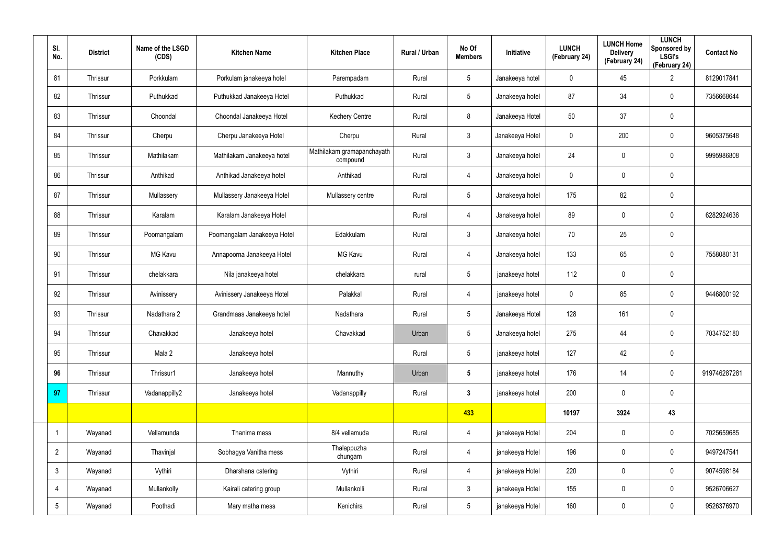| SI.<br>No.      | <b>District</b> | Name of the LSGD<br>(CDS) | <b>Kitchen Name</b>         | <b>Kitchen Place</b>                   | Rural / Urban | No Of<br><b>Members</b> | Initiative      | <b>LUNCH</b><br>(February 24) | <b>LUNCH Home</b><br><b>Delivery</b><br>(February 24) | <b>LUNCH</b><br>Sponsored by<br><b>LSGI's</b><br>(February 24) | <b>Contact No</b> |
|-----------------|-----------------|---------------------------|-----------------------------|----------------------------------------|---------------|-------------------------|-----------------|-------------------------------|-------------------------------------------------------|----------------------------------------------------------------|-------------------|
| 81              | Thrissur        | Porkkulam                 | Porkulam janakeeya hotel    | Parempadam                             | Rural         | $5\overline{)}$         | Janakeeya hotel | $\mathbf 0$                   | 45                                                    | $\overline{2}$                                                 | 8129017841        |
| 82              | Thrissur        | Puthukkad                 | Puthukkad Janakeeya Hotel   | Puthukkad                              | Rural         | $5\overline{)}$         | Janakeeya hotel | 87                            | 34                                                    | $\pmb{0}$                                                      | 7356668644        |
| 83              | Thrissur        | Choondal                  | Choondal Janakeeya Hotel    | <b>Kechery Centre</b>                  | Rural         | 8                       | Janakeeya Hotel | 50                            | 37                                                    | $\mathbf 0$                                                    |                   |
| 84              | Thrissur        | Cherpu                    | Cherpu Janakeeya Hotel      | Cherpu                                 | Rural         | $\mathbf{3}$            | Janakeeya Hotel | $\mathbf 0$                   | 200                                                   | $\pmb{0}$                                                      | 9605375648        |
| 85              | Thrissur        | Mathilakam                | Mathilakam Janakeeya hotel  | Mathilakam gramapanchayath<br>compound | Rural         | $\mathbf{3}$            | Janakeeya hotel | 24                            | 0                                                     | $\mathbf 0$                                                    | 9995986808        |
| 86              | Thrissur        | Anthikad                  | Anthikad Janakeeya hotel    | Anthikad                               | Rural         | $\overline{4}$          | Janakeeya hotel | $\mathbf 0$                   | $\mathbf 0$                                           | $\pmb{0}$                                                      |                   |
| 87              | Thrissur        | Mullassery                | Mullassery Janakeeya Hotel  | Mullassery centre                      | Rural         | $5\phantom{.0}$         | Janakeeya hotel | 175                           | 82                                                    | $\pmb{0}$                                                      |                   |
| 88              | Thrissur        | Karalam                   | Karalam Janakeeya Hotel     |                                        | Rural         | $\overline{4}$          | Janakeeya hotel | 89                            | $\mathbf 0$                                           | $\pmb{0}$                                                      | 6282924636        |
| 89              | Thrissur        | Poomangalam               | Poomangalam Janakeeya Hotel | Edakkulam                              | Rural         | $\mathbf{3}$            | Janakeeya hotel | 70                            | 25                                                    | $\pmb{0}$                                                      |                   |
| 90              | Thrissur        | MG Kavu                   | Annapoorna Janakeeya Hotel  | <b>MG Kavu</b>                         | Rural         | $\overline{4}$          | Janakeeya hotel | 133                           | 65                                                    | $\pmb{0}$                                                      | 7558080131        |
| 91              | Thrissur        | chelakkara                | Nila janakeeya hotel        | chelakkara                             | rural         | $5\phantom{.0}$         | janakeeya hotel | 112                           | 0                                                     | $\mathbf 0$                                                    |                   |
| 92              | Thrissur        | Avinissery                | Avinissery Janakeeya Hotel  | Palakkal                               | Rural         | 4                       | janakeeya hotel | $\mathbf 0$                   | 85                                                    | $\mathbf 0$                                                    | 9446800192        |
| 93              | Thrissur        | Nadathara 2               | Grandmaas Janakeeya hotel   | Nadathara                              | Rural         | $5\phantom{.0}$         | Janakeeya Hotel | 128                           | 161                                                   | $\pmb{0}$                                                      |                   |
| 94              | Thrissur        | Chavakkad                 | Janakeeya hotel             | Chavakkad                              | Urban         | $5\phantom{.0}$         | Janakeeya hotel | 275                           | 44                                                    | $\pmb{0}$                                                      | 7034752180        |
| 95              | Thrissur        | Mala 2                    | Janakeeya hotel             |                                        | Rural         | 5 <sub>5</sub>          | janakeeya hotel | 127                           | 42                                                    | $\pmb{0}$                                                      |                   |
| 96              | Thrissur        | Thrissur1                 | Janakeeya hotel             | Mannuthy                               | Urban         | $5\phantom{.0}$         | janakeeya hotel | 176                           | 14                                                    | $\mathbf 0$                                                    | 919746287281      |
| 97              | Thrissur        | Vadanappilly2             | Janakeeya hotel             | Vadanappilly                           | Rural         | 3 <sup>1</sup>          | janakeeya hotel | 200                           | $\pmb{0}$                                             | $\pmb{0}$                                                      |                   |
|                 |                 |                           |                             |                                        |               | 433                     |                 | 10197                         | 3924                                                  | 43                                                             |                   |
| $\mathbf{1}$    | Wayanad         | Vellamunda                | Thanima mess                | 8/4 vellamuda                          | Rural         | $\overline{4}$          | janakeeya Hotel | 204                           | $\pmb{0}$                                             | $\mathbf 0$                                                    | 7025659685        |
| $2^{\circ}$     | Wayanad         | Thavinjal                 | Sobhagya Vanitha mess       | Thalappuzha<br>chungam                 | Rural         | 4                       | janakeeya Hotel | 196                           | $\mathbf 0$                                           | $\mathbf 0$                                                    | 9497247541        |
| $\mathbf{3}$    | Wayanad         | Vythiri                   | Dharshana catering          | Vythiri                                | Rural         | 4                       | janakeeya Hotel | 220                           | 0                                                     | $\mathbf 0$                                                    | 9074598184        |
| 4               | Wayanad         | Mullankolly               | Kairali catering group      | Mullankolli                            | Rural         | $\mathbf{3}$            | janakeeya Hotel | 155                           | 0                                                     | $\mathbf 0$                                                    | 9526706627        |
| $5\overline{)}$ | Wayanad         | Poothadi                  | Mary matha mess             | Kenichira                              | Rural         | $5\phantom{.0}$         | janakeeya Hotel | 160                           | 0                                                     | $\mathbf 0$                                                    | 9526376970        |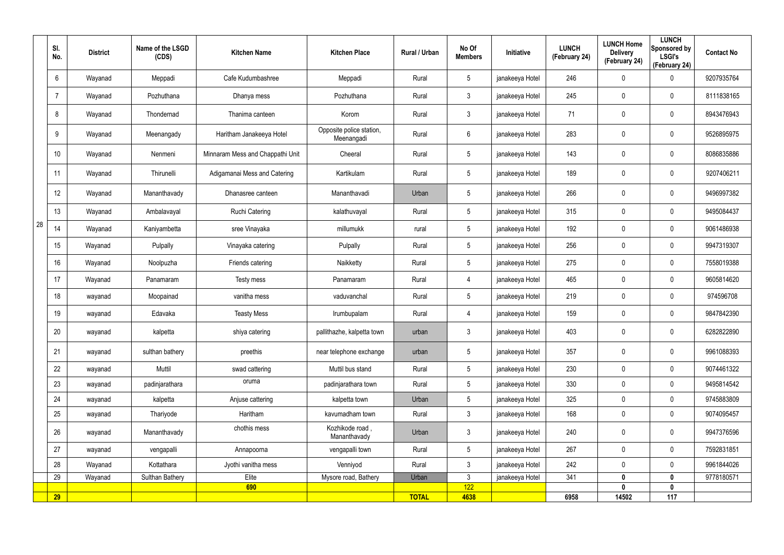|    | SI.<br>No. | <b>District</b> | Name of the LSGD<br>(CDS) | <b>Kitchen Name</b>              | <b>Kitchen Place</b>                   | <b>Rural / Urban</b> | No Of<br><b>Members</b> | <b>Initiative</b> | <b>LUNCH</b><br>(February 24) | <b>LUNCH Home</b><br><b>Delivery</b><br>(February 24) | <b>LUNCH</b><br>Sponsored by<br><b>LSGI's</b><br>(February 24) | <b>Contact No</b> |
|----|------------|-----------------|---------------------------|----------------------------------|----------------------------------------|----------------------|-------------------------|-------------------|-------------------------------|-------------------------------------------------------|----------------------------------------------------------------|-------------------|
|    | 6          | Wayanad         | Meppadi                   | Cafe Kudumbashree                | Meppadi                                | Rural                | $5\phantom{.0}$         | janakeeya Hotel   | 246                           | $\mathbf 0$                                           | 0                                                              | 9207935764        |
|    | 7          | Wayanad         | Pozhuthana                | Dhanya mess                      | Pozhuthana                             | Rural                | $\mathbf{3}$            | janakeeya Hotel   | 245                           | $\mathbf 0$                                           | $\mathbf 0$                                                    | 8111838165        |
|    | 8          | Wayanad         | Thondernad                | Thanima canteen                  | Korom                                  | Rural                | $\mathbf{3}$            | janakeeya Hotel   | 71                            | $\mathbf 0$                                           | $\mathbf 0$                                                    | 8943476943        |
|    | 9          | Wayanad         | Meenangady                | Haritham Janakeeya Hotel         | Opposite police station,<br>Meenangadi | Rural                | $6\overline{6}$         | janakeeya Hotel   | 283                           | 0                                                     | $\mathbf 0$                                                    | 9526895975        |
|    | 10         | Wayanad         | Nenmeni                   | Minnaram Mess and Chappathi Unit | Cheeral                                | Rural                | $5\phantom{.0}$         | janakeeya Hotel   | 143                           | 0                                                     | $\mathbf 0$                                                    | 8086835886        |
|    | 11         | Wayanad         | Thirunelli                | Adigamanai Mess and Catering     | Kartikulam                             | Rural                | $5\overline{)}$         | janakeeya Hotel   | 189                           | $\mathbf 0$                                           | $\mathbf 0$                                                    | 9207406211        |
|    | 12         | Wayanad         | Mananthavady              | Dhanasree canteen                | Mananthavadi                           | Urban                | 5                       | janakeeya Hotel   | 266                           | 0                                                     | $\mathbf 0$                                                    | 9496997382        |
|    | 13         | Wayanad         | Ambalavayal               | <b>Ruchi Catering</b>            | kalathuvayal                           | Rural                | $5\overline{)}$         | janakeeya Hotel   | 315                           | $\mathbf 0$                                           | $\mathbf 0$                                                    | 9495084437        |
| 28 | 14         | Wayanad         | Kaniyambetta              | sree Vinayaka                    | millumukk                              | rural                | $5\phantom{.0}$         | janakeeya Hotel   | 192                           | 0                                                     | $\mathbf 0$                                                    | 9061486938        |
|    | 15         | Wayanad         | Pulpally                  | Vinayaka catering                | Pulpally                               | Rural                | $5\phantom{.0}$         | janakeeya Hotel   | 256                           | $\mathbf 0$                                           | $\mathbf 0$                                                    | 9947319307        |
|    | 16         | Wayanad         | Noolpuzha                 | Friends catering                 | Naikketty                              | Rural                | $5\phantom{.0}$         | janakeeya Hotel   | 275                           | 0                                                     | $\mathbf 0$                                                    | 7558019388        |
|    | 17         | Wayanad         | Panamaram                 | Testy mess                       | Panamaram                              | Rural                | 4                       | janakeeya Hotel   | 465                           | 0                                                     | $\mathbf 0$                                                    | 9605814620        |
|    | 18         | wayanad         | Moopainad                 | vanitha mess                     | vaduvanchal                            | Rural                | $5\phantom{.0}$         | janakeeya Hotel   | 219                           | $\mathbf 0$                                           | $\mathbf 0$                                                    | 974596708         |
|    | 19         | wayanad         | Edavaka                   | <b>Teasty Mess</b>               | Irumbupalam                            | Rural                | 4                       | janakeeya Hotel   | 159                           | 0                                                     | $\mathbf 0$                                                    | 9847842390        |
|    | 20         | wayanad         | kalpetta                  | shiya catering                   | pallithazhe, kalpetta town             | urban                | 3                       | janakeeya Hotel   | 403                           | 0                                                     | $\mathbf 0$                                                    | 6282822890        |
|    | 21         | wayanad         | sulthan bathery           | preethis                         | near telephone exchange                | urban                | $5\overline{)}$         | janakeeya Hotel   | 357                           | 0                                                     | $\mathbf 0$                                                    | 9961088393        |
|    | 22         | wayanad         | Muttil                    | swad cattering                   | Muttil bus stand                       | Rural                | 5 <sub>5</sub>          | janakeeya Hotel   | 230                           | 0                                                     | $\mathbf 0$                                                    | 9074461322        |
|    | 23         | wayanad         | padinjarathara            | oruma                            | padinjarathara town                    | Rural                | 5 <sub>5</sub>          | janakeeya Hotel   | 330                           | 0                                                     | $\mathbf 0$                                                    | 9495814542        |
|    | 24         | wayanad         | kalpetta                  | Anjuse cattering                 | kalpetta town                          | Urban                | $5\overline{)}$         | janakeeya Hotel   | 325                           | 0                                                     | $\mathbf 0$                                                    | 9745883809        |
|    | 25         | wayanad         | Thariyode                 | Haritham                         | kavumadham town                        | Rural                | $\mathbf{3}$            | janakeeya Hotel   | 168                           | 0                                                     | $\mathbf 0$                                                    | 9074095457        |
|    | 26         | wayanad         | Mananthavady              | chothis mess                     | Kozhikode road,<br>Mananthavady        | Urban                | 3 <sup>1</sup>          | janakeeya Hotel   | 240                           | 0                                                     | $\mathbf 0$                                                    | 9947376596        |
|    | 27         | wayanad         | vengapalli                | Annapoorna                       | vengapalli town                        | Rural                | $5\phantom{.0}$         | janakeeya Hotel   | 267                           | 0                                                     | $\mathbf 0$                                                    | 7592831851        |
|    | 28         | Wayanad         | Kottathara                | Jyothi vanitha mess              | Venniyod                               | Rural                | $\mathbf{3}$            | janakeeya Hotel   | 242                           | 0                                                     | $\mathbf 0$                                                    | 9961844026        |
|    | 29         | Wayanad         | <b>Sulthan Bathery</b>    | Elite                            | Mysore road, Bathery                   | Urban                | $\mathbf{3}$            | janakeeya Hotel   | 341                           | $\boldsymbol{0}$                                      | $\mathbf 0$                                                    | 9778180571        |
|    | 29         |                 |                           | 690                              |                                        | <b>TOTAL</b>         | 122<br>4638             |                   | 6958                          | $\mathbf{0}$<br>14502                                 | $\mathbf 0$<br>117                                             |                   |
|    |            |                 |                           |                                  |                                        |                      |                         |                   |                               |                                                       |                                                                |                   |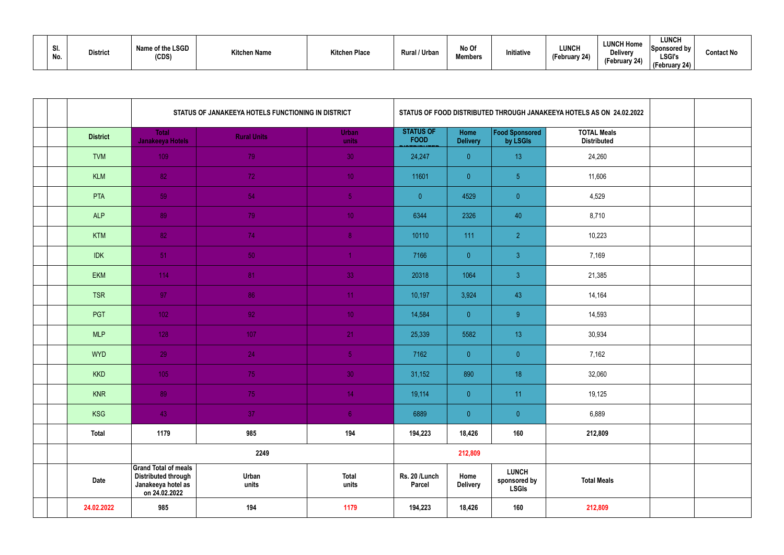| SI.<br>No. | <b>District</b> | Name of the LSGD<br>(CDS) | <b>Kitchen Name</b> | <b>Kitchen Place</b> | Rural / Urban | No Of<br>Members | Initiative | <b>LUNCH</b><br>n. An<br>rebruary 24) | <b>LUNCH Home</b><br><b>Delivery</b><br>(February 24) | <b>LUNCH</b><br>'Sponsored by<br><b>LSGI's</b><br>ebruary 24) | <b>Contact No</b> |
|------------|-----------------|---------------------------|---------------------|----------------------|---------------|------------------|------------|---------------------------------------|-------------------------------------------------------|---------------------------------------------------------------|-------------------|
|------------|-----------------|---------------------------|---------------------|----------------------|---------------|------------------|------------|---------------------------------------|-------------------------------------------------------|---------------------------------------------------------------|-------------------|

|                 | STATUS OF JANAKEEYA HOTELS FUNCTIONING IN DISTRICT<br>STATUS OF FOOD DISTRIBUTED THROUGH JANAKEEYA HOTELS AS ON 24.02.2022 |                    |                       |                                 |                         |                                              |                                          |  |
|-----------------|----------------------------------------------------------------------------------------------------------------------------|--------------------|-----------------------|---------------------------------|-------------------------|----------------------------------------------|------------------------------------------|--|
| <b>District</b> | <b>Total</b><br>Janakeeya Hotels                                                                                           | <b>Rural Units</b> | Urban<br>units        | <b>STATUS OF</b><br><b>FOOD</b> | Home<br><b>Delivery</b> | Food Sponsored<br>by LSGIs                   | <b>TOTAL Meals</b><br><b>Distributed</b> |  |
| <b>TVM</b>      | 109                                                                                                                        | 79                 | 30                    | 24,247                          | $\overline{0}$          | 13                                           | 24,260                                   |  |
| <b>KLM</b>      | 82                                                                                                                         | 72                 | 10 <sub>1</sub>       | 11601                           | $\overline{0}$          | 5 <sub>5</sub>                               | 11,606                                   |  |
| PTA             | 59                                                                                                                         | 54                 | 5 <sub>1</sub>        | $\overline{0}$                  | 4529                    | $\pmb{0}$                                    | 4,529                                    |  |
| <b>ALP</b>      | 89                                                                                                                         | 79                 | 10 <sub>1</sub>       | 6344                            | 2326                    | 40                                           | 8,710                                    |  |
| <b>KTM</b>      | 82                                                                                                                         | 74                 | 8 <sup>°</sup>        | 10110                           | 111                     | $\overline{2}$                               | 10,223                                   |  |
| <b>IDK</b>      | 51                                                                                                                         | 50                 |                       | 7166                            | $\overline{0}$          | $\mathfrak{Z}$                               | 7,169                                    |  |
| <b>EKM</b>      | 114                                                                                                                        | 81                 | 33                    | 20318                           | 1064                    | $\mathfrak{Z}$                               | 21,385                                   |  |
| <b>TSR</b>      | 97                                                                                                                         | 86                 | 11                    | 10,197                          | 3,924                   | 43                                           | 14,164                                   |  |
| PGT             | 102 <sub>1</sub>                                                                                                           | 92 <sub>1</sub>    | 10 <sup>°</sup>       | 14,584                          | $\overline{0}$          | 9 <sup>°</sup>                               | 14,593                                   |  |
| <b>MLP</b>      | 128                                                                                                                        | 107                | 21                    | 25,339                          | 5582                    | 13                                           | 30,934                                   |  |
| <b>WYD</b>      | 29                                                                                                                         | 24                 | 5 <sub>1</sub>        | 7162                            | $\overline{0}$          | $\overline{0}$                               | 7,162                                    |  |
| <b>KKD</b>      | 105                                                                                                                        | 75                 | 30 <sub>1</sub>       | 31,152                          | 890                     | 18                                           | 32,060                                   |  |
| <b>KNR</b>      | 89                                                                                                                         | 75                 | 14                    | 19,114                          | $\overline{0}$          | 11                                           | 19,125                                   |  |
| KSG             | 43                                                                                                                         | 37                 | 6 <sup>1</sup>        | 6889                            | $\overline{0}$          | $\overline{0}$                               | 6,889                                    |  |
| <b>Total</b>    | 1179                                                                                                                       | 985                | 194                   | 194,223                         | 18,426                  | 160                                          | 212,809                                  |  |
|                 |                                                                                                                            | 2249               |                       |                                 | 212,809                 |                                              |                                          |  |
| <b>Date</b>     | <b>Grand Total of meals</b><br><b>Distributed through</b><br>Janakeeya hotel as<br>on 24.02.2022                           | Urban<br>units     | <b>Total</b><br>units | Rs. 20 /Lunch<br><b>Parcel</b>  | Home<br><b>Delivery</b> | <b>LUNCH</b><br>sponsored by<br><b>LSGIs</b> | <b>Total Meals</b>                       |  |
| 24.02.2022      | 985                                                                                                                        | 194                | 1179                  | 194,223                         | 18,426                  | 160                                          | 212,809                                  |  |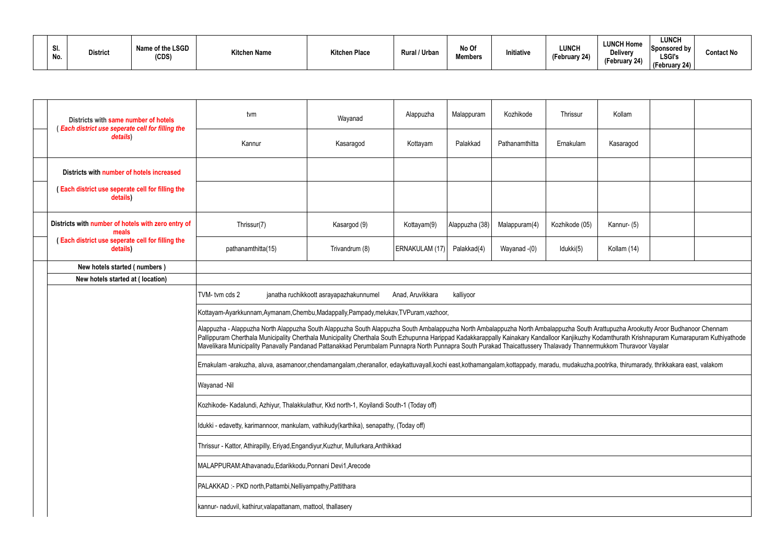| 31.<br>No. | <b>District</b> | Name of the LSGD<br>(CDS) | <b>Kitchen Name</b> | "itchen Place | Rural / Urban | No Of<br><b>Members</b> | Initiative | <b>LUNCH</b><br>$I$ Eahruary<br>$\sim$ epruary $241$ | <b>LUNCH Home</b><br>Delivery<br>(February 24) | <b>LUNCH</b><br><b>Sponsored by</b><br><b>LSGI's</b><br>(February 24) | <b>Contact No</b> |
|------------|-----------------|---------------------------|---------------------|---------------|---------------|-------------------------|------------|------------------------------------------------------|------------------------------------------------|-----------------------------------------------------------------------|-------------------|
|------------|-----------------|---------------------------|---------------------|---------------|---------------|-------------------------|------------|------------------------------------------------------|------------------------------------------------|-----------------------------------------------------------------------|-------------------|

| Districts with same number of hotels<br>(Each district use seperate cell for filling the | tvm                                                                                                                                                                                                                                                                                                                                                                                                                                                                                                                                    | Wayanad                                 | Alappuzha        | Malappuram     | Kozhikode      | Thrissur       | Kollam      |  |
|------------------------------------------------------------------------------------------|----------------------------------------------------------------------------------------------------------------------------------------------------------------------------------------------------------------------------------------------------------------------------------------------------------------------------------------------------------------------------------------------------------------------------------------------------------------------------------------------------------------------------------------|-----------------------------------------|------------------|----------------|----------------|----------------|-------------|--|
| details)                                                                                 | Kannur                                                                                                                                                                                                                                                                                                                                                                                                                                                                                                                                 | Kasaragod                               | Kottayam         | Palakkad       | Pathanamthitta | Ernakulam      | Kasaragod   |  |
| Districts with number of hotels increased                                                |                                                                                                                                                                                                                                                                                                                                                                                                                                                                                                                                        |                                         |                  |                |                |                |             |  |
| (Each district use seperate cell for filling the<br>details)                             |                                                                                                                                                                                                                                                                                                                                                                                                                                                                                                                                        |                                         |                  |                |                |                |             |  |
| Districts with number of hotels with zero entry of<br>meals                              | Thrissur(7)                                                                                                                                                                                                                                                                                                                                                                                                                                                                                                                            | Kasargod (9)                            | Kottayam(9)      | Alappuzha (38) | Malappuram(4)  | Kozhikode (05) | Kannur- (5) |  |
| (Each district use seperate cell for filling the<br>details)                             | pathanamthitta(15)                                                                                                                                                                                                                                                                                                                                                                                                                                                                                                                     | Trivandrum (8)                          | ERNAKULAM (17)   | Palakkad(4)    | Wayanad -(0)   | Idukki(5)      | Kollam (14) |  |
| New hotels started (numbers)                                                             |                                                                                                                                                                                                                                                                                                                                                                                                                                                                                                                                        |                                         |                  |                |                |                |             |  |
| New hotels started at (location)                                                         |                                                                                                                                                                                                                                                                                                                                                                                                                                                                                                                                        |                                         |                  |                |                |                |             |  |
|                                                                                          | TVM-tvm cds 2                                                                                                                                                                                                                                                                                                                                                                                                                                                                                                                          | janatha ruchikkoott asrayapazhakunnumel | Anad, Aruvikkara | kalliyoor      |                |                |             |  |
|                                                                                          | Kottayam-Ayarkkunnam,Aymanam,Chembu,Madappally,Pampady,melukav,TVPuram,vazhoor,                                                                                                                                                                                                                                                                                                                                                                                                                                                        |                                         |                  |                |                |                |             |  |
|                                                                                          | Alappuzha - Alappuzha North Alappuzha South Alappuzha South Alappuzha South Ambalappuzha North Ambalappuzha South Arattupuzha Arookutty Aroor Budhanoor Chennam<br>Pallippuram Cherthala Municipality Cherthala Municipality Cherthala South Ezhupunna Harippad Kadakkarappally Kainakary Kandalloor Kanjikuzhy Kodamthurath Krishnapuram Kumarapuram Kuthiyathode<br>Mavelikara Municipality Panavally Pandanad Pattanakkad Perumbalam Punnapra North Punnapra South Purakad Thaicattussery Thalavady Thannermukkom Thuravoor Vayalar |                                         |                  |                |                |                |             |  |
|                                                                                          | Ernakulam -arakuzha, aluva, asamanoor,chendamangalam,cheranallor, edaykattuvayall,kochi east,kothamangalam,kottappady, maradu, mudakuzha,pootrika, thirumarady, thrikkakara east, valakom                                                                                                                                                                                                                                                                                                                                              |                                         |                  |                |                |                |             |  |
|                                                                                          | Wayanad -Nil                                                                                                                                                                                                                                                                                                                                                                                                                                                                                                                           |                                         |                  |                |                |                |             |  |
|                                                                                          | Kozhikode- Kadalundi, Azhiyur, Thalakkulathur, Kkd north-1, Koyilandi South-1 (Today off)                                                                                                                                                                                                                                                                                                                                                                                                                                              |                                         |                  |                |                |                |             |  |
|                                                                                          | Idukki - edavetty, karimannoor, mankulam, vathikudy(karthika), senapathy, (Today off)                                                                                                                                                                                                                                                                                                                                                                                                                                                  |                                         |                  |                |                |                |             |  |
|                                                                                          | Thrissur - Kattor, Athirapilly, Eriyad, Engandiyur, Kuzhur, Mullurkara, Anthikkad                                                                                                                                                                                                                                                                                                                                                                                                                                                      |                                         |                  |                |                |                |             |  |
|                                                                                          | MALAPPURAM:Athavanadu, Edarikkodu, Ponnani Devi1, Arecode                                                                                                                                                                                                                                                                                                                                                                                                                                                                              |                                         |                  |                |                |                |             |  |
|                                                                                          | PALAKKAD: - PKD north, Pattambi, Nelliyampathy, Pattithara                                                                                                                                                                                                                                                                                                                                                                                                                                                                             |                                         |                  |                |                |                |             |  |
|                                                                                          | kannur- naduvil, kathirur, valapattanam, mattool, thallasery                                                                                                                                                                                                                                                                                                                                                                                                                                                                           |                                         |                  |                |                |                |             |  |
|                                                                                          |                                                                                                                                                                                                                                                                                                                                                                                                                                                                                                                                        |                                         |                  |                |                |                |             |  |

| Kollam                                                                     |                                                    |
|----------------------------------------------------------------------------|----------------------------------------------------|
| Kasaragod                                                                  |                                                    |
|                                                                            |                                                    |
|                                                                            |                                                    |
| Kannur- (5)                                                                |                                                    |
| Kollam (14)                                                                |                                                    |
|                                                                            |                                                    |
|                                                                            |                                                    |
|                                                                            |                                                    |
|                                                                            |                                                    |
| Arattupuzha Arookutty Aroor Budhanoor Chennam<br>rmukkom Thuravoor Vayalar | Kodamthurath Krishnapuram Kumarapuram Kuthiyathode |
| pootrika, thirumarady, thrikkakara east, valakom                           |                                                    |
|                                                                            |                                                    |
|                                                                            |                                                    |
|                                                                            |                                                    |
|                                                                            |                                                    |
|                                                                            |                                                    |
|                                                                            |                                                    |
|                                                                            |                                                    |